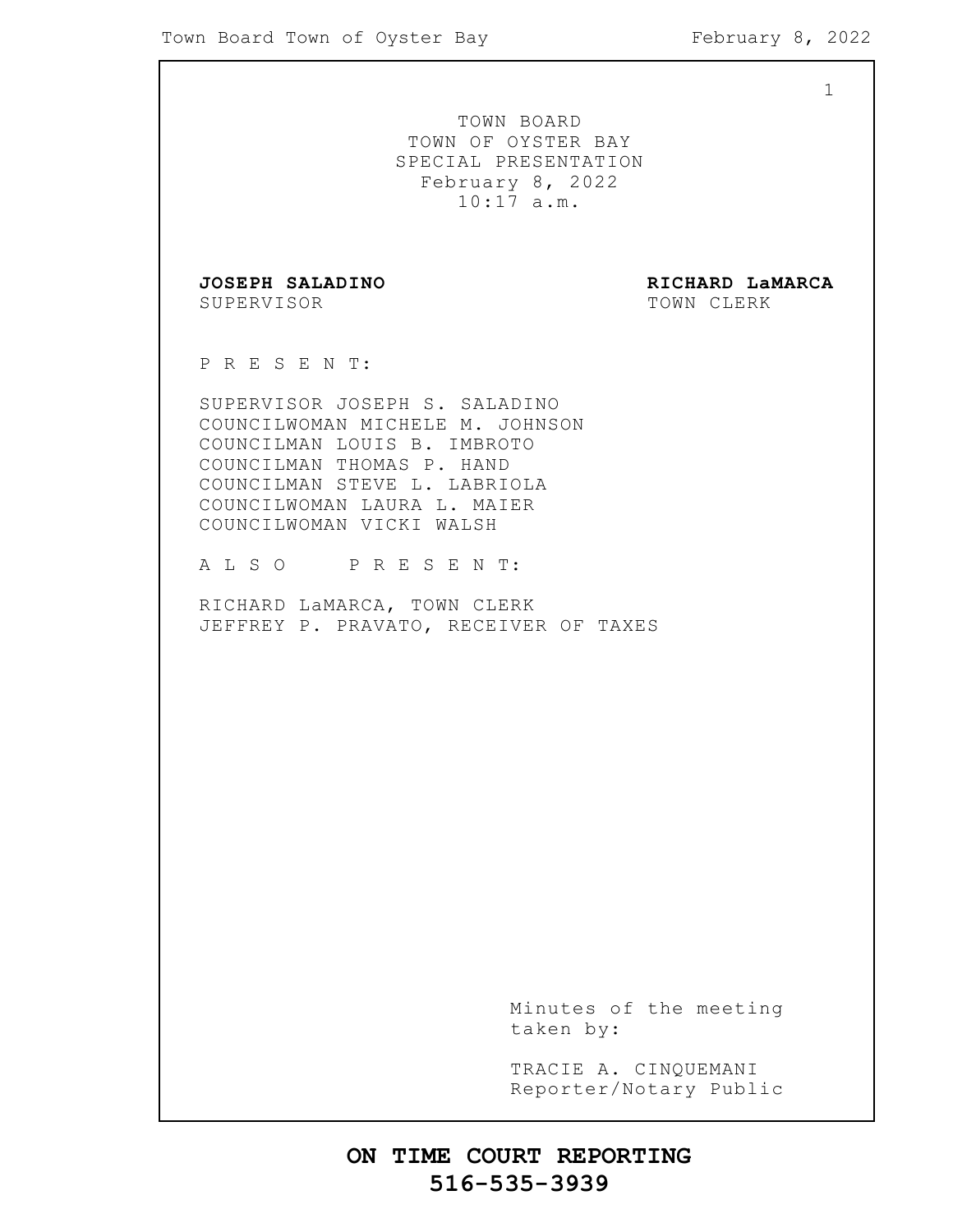1 TOWN BOARD TOWN OF OYSTER BAY SPECIAL PRESENTATION February 8, 2022 10:17 a.m. **JOSEPH SALADINO RICHARD LaMARCA** SUPERVISOR TOWN CLERK P R E S E N T: SUPERVISOR JOSEPH S. SALADINO COUNCILWOMAN MICHELE M. JOHNSON COUNCILMAN LOUIS B. IMBROTO COUNCILMAN THOMAS P. HAND COUNCILMAN STEVE L. LABRIOLA COUNCILWOMAN LAURA L. MAIER COUNCILWOMAN VICKI WALSH A L S O P R E S E N T: RICHARD LaMARCA, TOWN CLERK JEFFREY P. PRAVATO, RECEIVER OF TAXES Minutes of the meeting taken by: TRACIE A. CINQUEMANI Reporter/Notary Public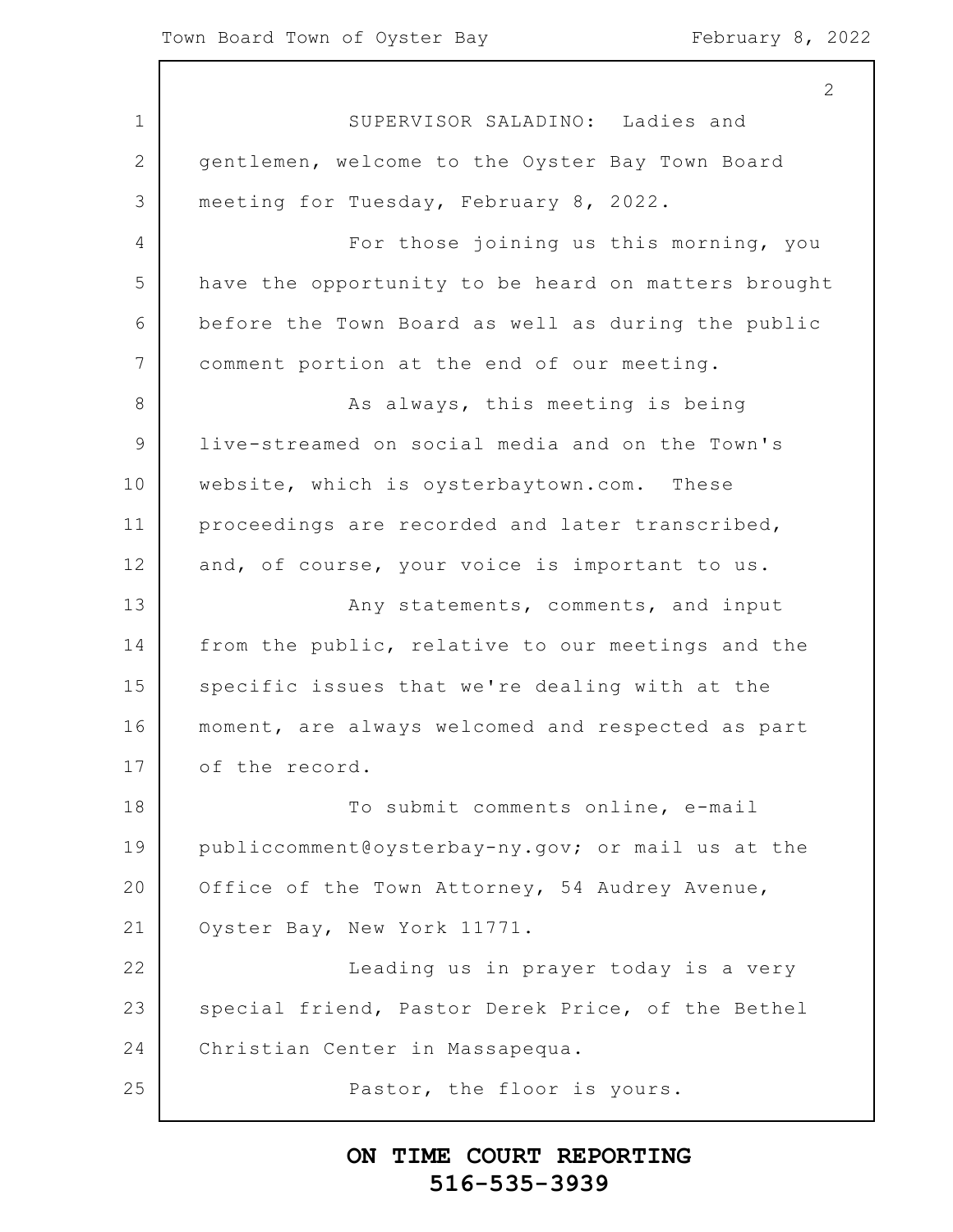2

1 2 3 4 5 6 7 8 9 10 11 12 13 14 15 16 17 18 19 20 21 22 23 24 25 SUPERVISOR SALADINO: Ladies and gentlemen, welcome to the Oyster Bay Town Board meeting for Tuesday, February 8, 2022. For those joining us this morning, you have the opportunity to be heard on matters brought before the Town Board as well as during the public comment portion at the end of our meeting. As always, this meeting is being live-streamed on social media and on the Town's website, which is oysterbaytown.com. These proceedings are recorded and later transcribed, and, of course, your voice is important to us. Any statements, comments, and input from the public, relative to our meetings and the specific issues that we're dealing with at the moment, are always welcomed and respected as part of the record. To submit comments online, e-mail publiccomment@oysterbay-ny.gov; or mail us at the Office of the Town Attorney, 54 Audrey Avenue, Oyster Bay, New York 11771. Leading us in prayer today is a very special friend, Pastor Derek Price, of the Bethel Christian Center in Massapequa. Pastor, the floor is yours.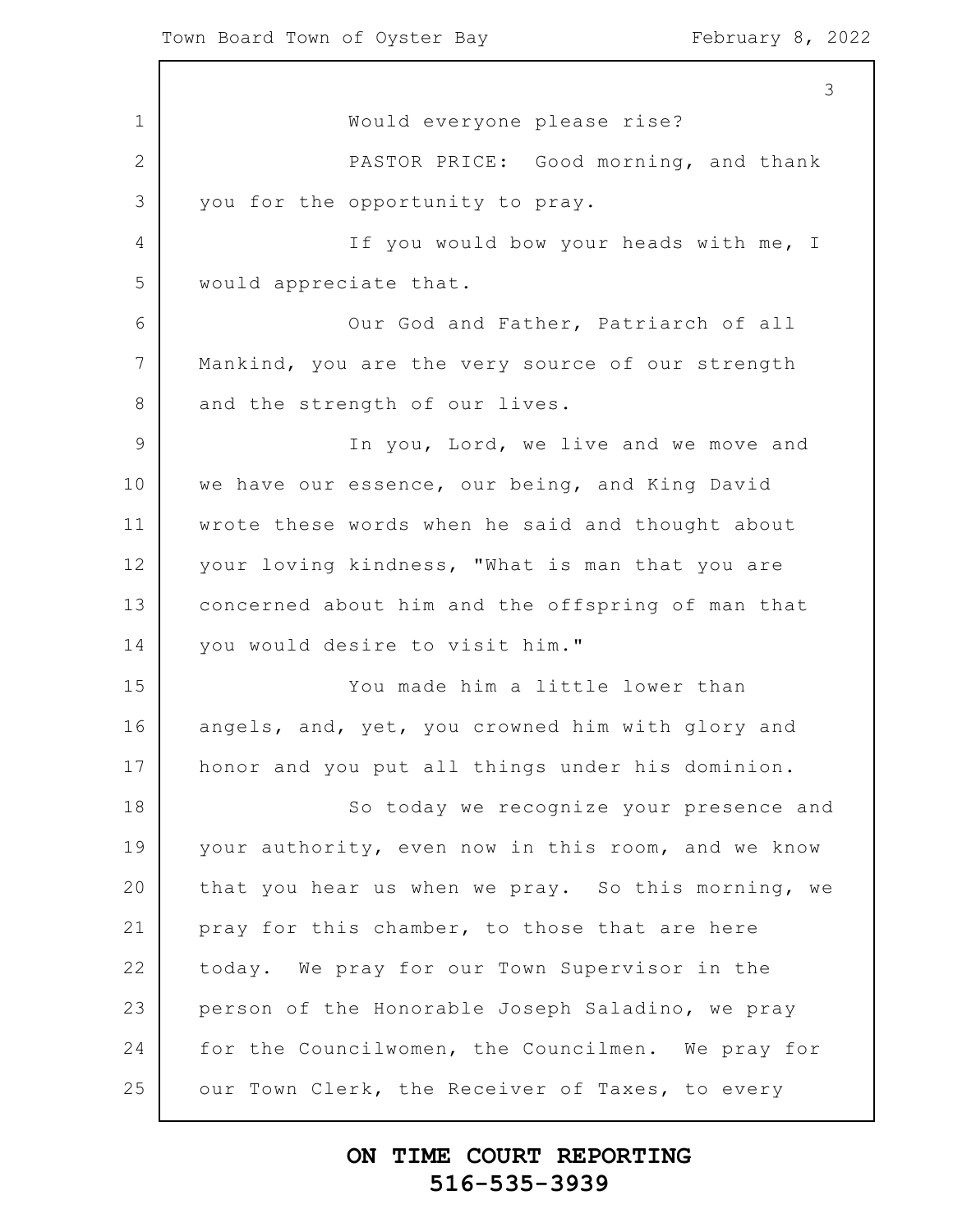1 2 3 4 5 6 7 8 9 10 11 12 13 14 15 16 17 18 19 20 21 22 23 24 25 Would everyone please rise? PASTOR PRICE: Good morning, and thank you for the opportunity to pray. If you would bow your heads with me, I would appreciate that. Our God and Father, Patriarch of all Mankind, you are the very source of our strength and the strength of our lives. In you, Lord, we live and we move and we have our essence, our being, and King David wrote these words when he said and thought about your loving kindness, "What is man that you are concerned about him and the offspring of man that you would desire to visit him." You made him a little lower than angels, and, yet, you crowned him with glory and honor and you put all things under his dominion. So today we recognize your presence and your authority, even now in this room, and we know that you hear us when we pray. So this morning, we pray for this chamber, to those that are here today. We pray for our Town Supervisor in the person of the Honorable Joseph Saladino, we pray for the Councilwomen, the Councilmen. We pray for our Town Clerk, the Receiver of Taxes, to every

#### **ON TIME COURT REPORTING 516-535-3939**

3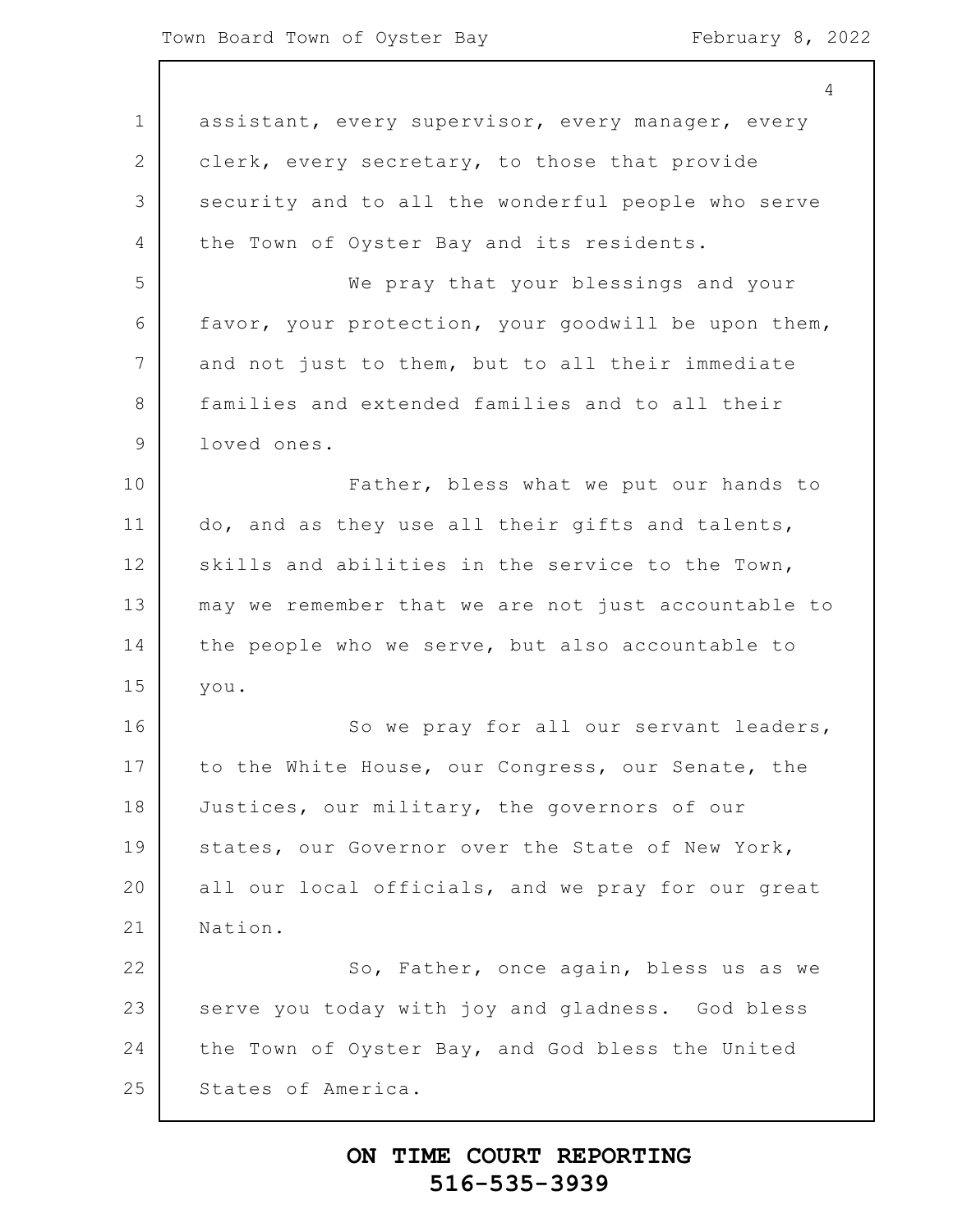1 2 3 4 5 6 7 8 9 10 11 12 13 14 15 16 17 18 19 20 21 22 23 24 25 4 assistant, every supervisor, every manager, every clerk, every secretary, to those that provide security and to all the wonderful people who serve the Town of Oyster Bay and its residents. We pray that your blessings and your favor, your protection, your goodwill be upon them, and not just to them, but to all their immediate families and extended families and to all their loved ones. Father, bless what we put our hands to do, and as they use all their gifts and talents, skills and abilities in the service to the Town, may we remember that we are not just accountable to the people who we serve, but also accountable to you. So we pray for all our servant leaders, to the White House, our Congress, our Senate, the Justices, our military, the governors of our states, our Governor over the State of New York, all our local officials, and we pray for our great Nation. So, Father, once again, bless us as we serve you today with joy and gladness. God bless the Town of Oyster Bay, and God bless the United States of America.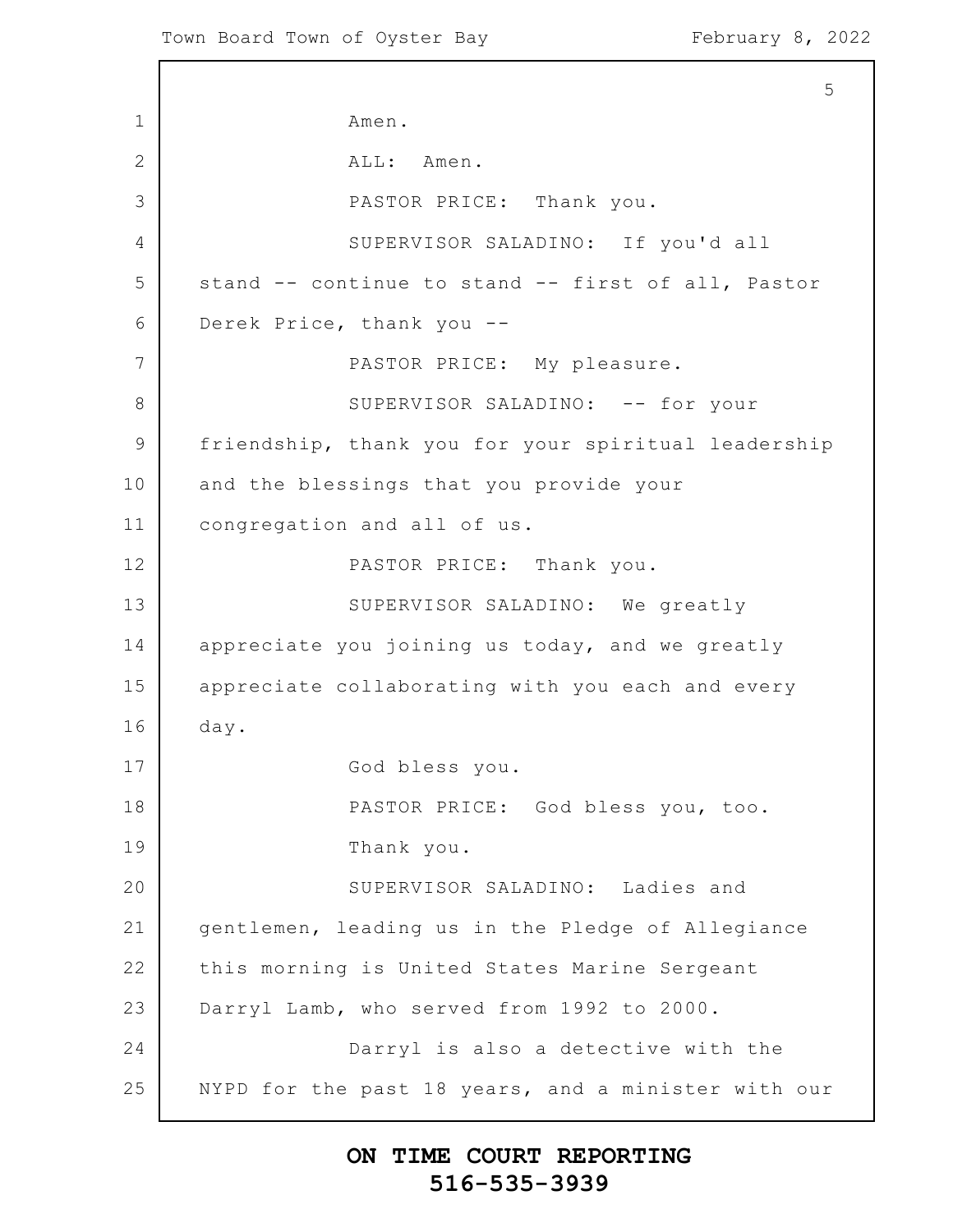1 2 3 4 5 6 7 8 9 10 11 12 13 14 15 16 17 18 19 20 21 22 23 24 25 5 Amen. ALL: Amen. PASTOR PRICE: Thank you. SUPERVISOR SALADINO: If you'd all stand -- continue to stand -- first of all, Pastor Derek Price, thank you -- PASTOR PRICE: My pleasure. SUPERVISOR SALADINO: -- for your friendship, thank you for your spiritual leadership and the blessings that you provide your congregation and all of us. PASTOR PRICE: Thank you. SUPERVISOR SALADINO: We greatly appreciate you joining us today, and we greatly appreciate collaborating with you each and every day. God bless you. PASTOR PRICE: God bless you, too. Thank you. SUPERVISOR SALADINO: Ladies and gentlemen, leading us in the Pledge of Allegiance this morning is United States Marine Sergeant Darryl Lamb, who served from 1992 to 2000. Darryl is also a detective with the NYPD for the past 18 years, and a minister with our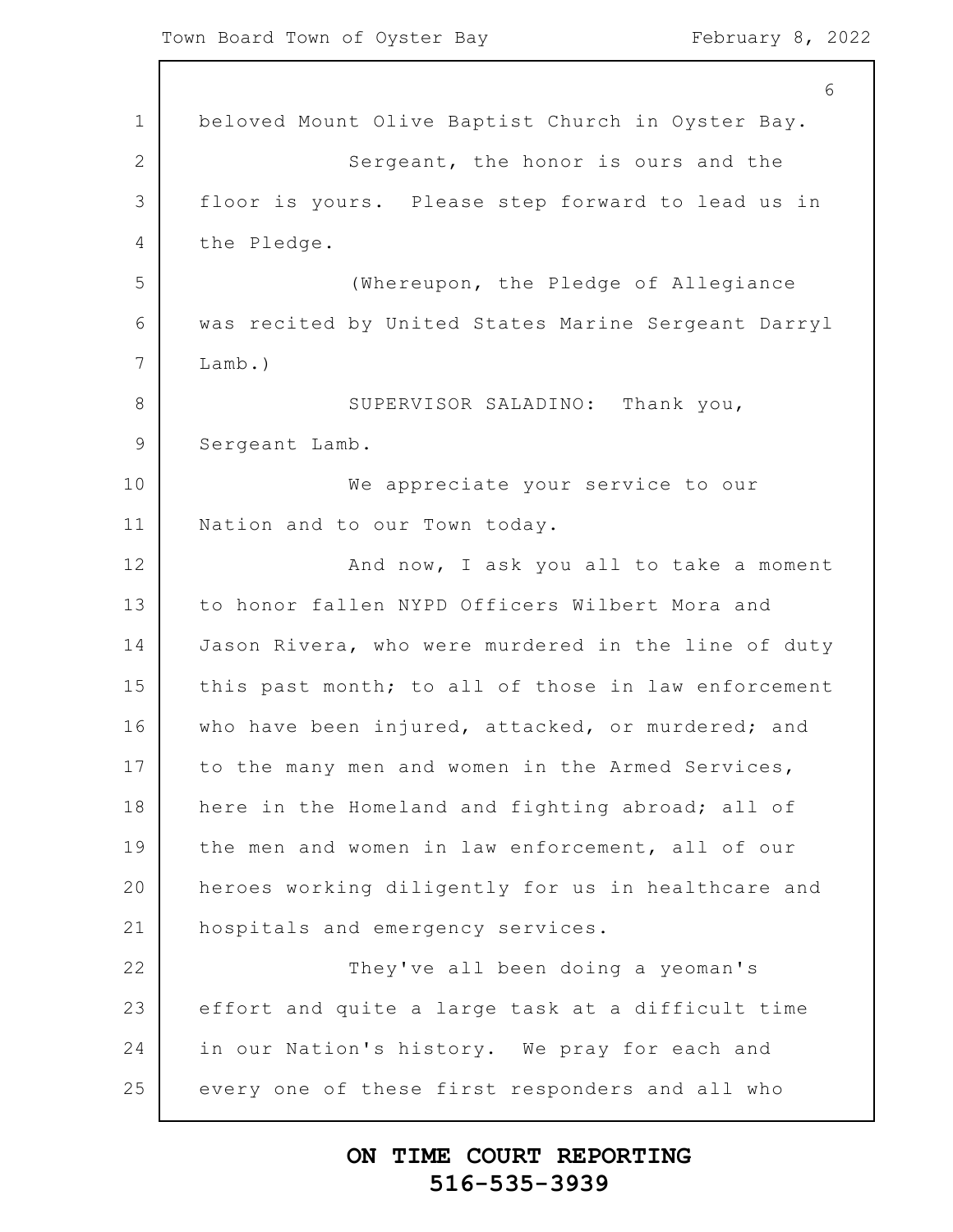1 2 3 4 5 6 7 8 9 10 11 12 13 14 15 16 17 18 19 20 21 22 23 24 25 6 beloved Mount Olive Baptist Church in Oyster Bay. Sergeant, the honor is ours and the floor is yours. Please step forward to lead us in the Pledge. (Whereupon, the Pledge of Allegiance was recited by United States Marine Sergeant Darryl Lamb.) SUPERVISOR SALADINO: Thank you, Sergeant Lamb. We appreciate your service to our Nation and to our Town today. And now, I ask you all to take a moment to honor fallen NYPD Officers Wilbert Mora and Jason Rivera, who were murdered in the line of duty this past month; to all of those in law enforcement who have been injured, attacked, or murdered; and to the many men and women in the Armed Services, here in the Homeland and fighting abroad; all of the men and women in law enforcement, all of our heroes working diligently for us in healthcare and hospitals and emergency services. They've all been doing a yeoman's effort and quite a large task at a difficult time in our Nation's history. We pray for each and every one of these first responders and all who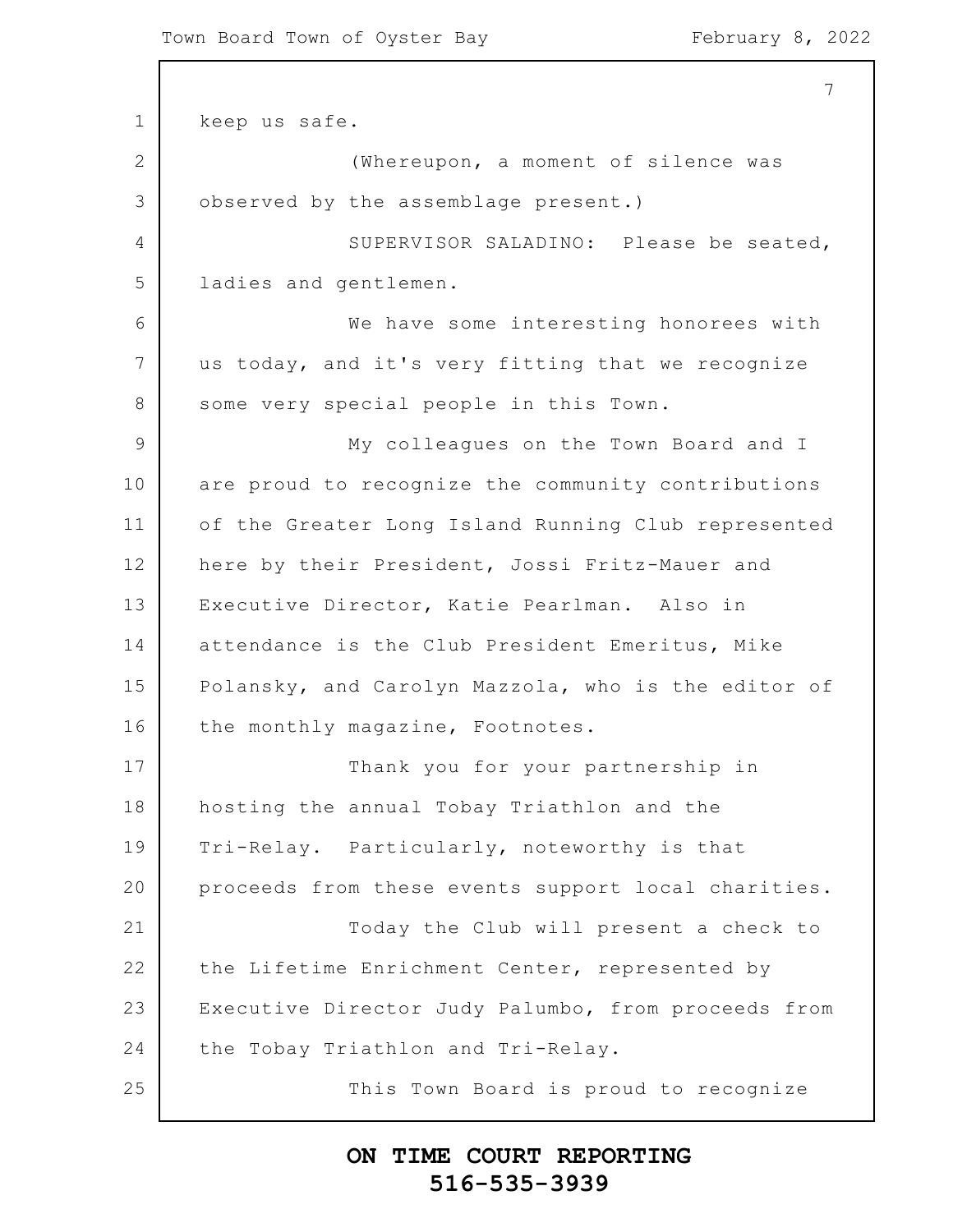1 2 3 4 5 6 7 8 9 10 11 12 13 14 15 16 17 18 19 20 21 22 23 24 25 7 keep us safe. (Whereupon, a moment of silence was observed by the assemblage present.) SUPERVISOR SALADINO: Please be seated, ladies and gentlemen. We have some interesting honorees with us today, and it's very fitting that we recognize some very special people in this Town. My colleagues on the Town Board and I are proud to recognize the community contributions of the Greater Long Island Running Club represented here by their President, Jossi Fritz-Mauer and Executive Director, Katie Pearlman. Also in attendance is the Club President Emeritus, Mike Polansky, and Carolyn Mazzola, who is the editor of the monthly magazine, Footnotes. Thank you for your partnership in hosting the annual Tobay Triathlon and the Tri-Relay. Particularly, noteworthy is that proceeds from these events support local charities. Today the Club will present a check to the Lifetime Enrichment Center, represented by Executive Director Judy Palumbo, from proceeds from the Tobay Triathlon and Tri-Relay. This Town Board is proud to recognize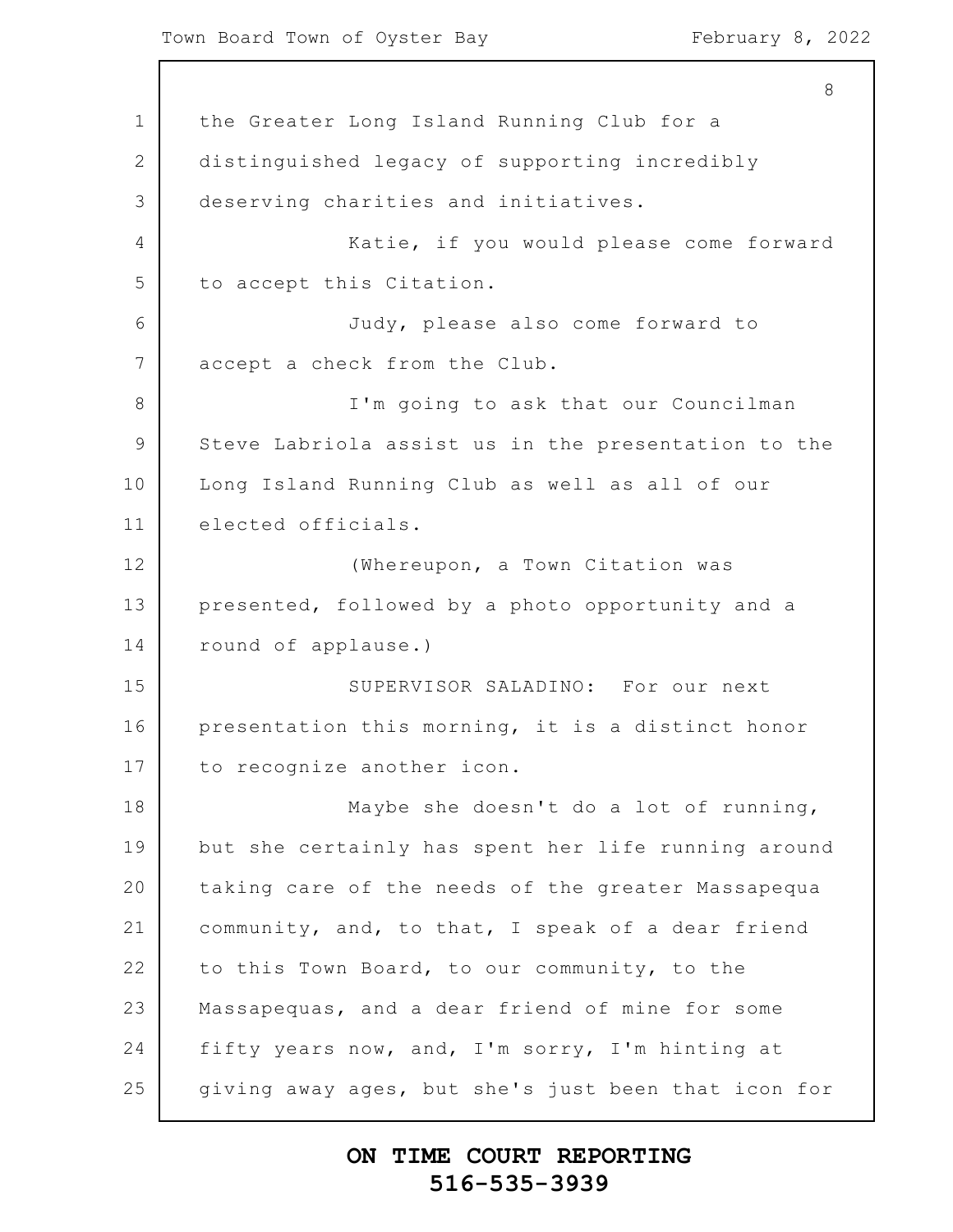Town Board Town of Oyster Bay February 8, 2022

1 2 3 4 5 6 7 8 9 10 11 12 13 14 15 16 17 18 19 20 21 22 23 24 25 8 the Greater Long Island Running Club for a distinguished legacy of supporting incredibly deserving charities and initiatives. Katie, if you would please come forward to accept this Citation. Judy, please also come forward to accept a check from the Club. I'm going to ask that our Councilman Steve Labriola assist us in the presentation to the Long Island Running Club as well as all of our elected officials. (Whereupon, a Town Citation was presented, followed by a photo opportunity and a round of applause.) SUPERVISOR SALADINO: For our next presentation this morning, it is a distinct honor to recognize another icon. Maybe she doesn't do a lot of running, but she certainly has spent her life running around taking care of the needs of the greater Massapequa community, and, to that, I speak of a dear friend to this Town Board, to our community, to the Massapequas, and a dear friend of mine for some fifty years now, and, I'm sorry, I'm hinting at giving away ages, but she's just been that icon for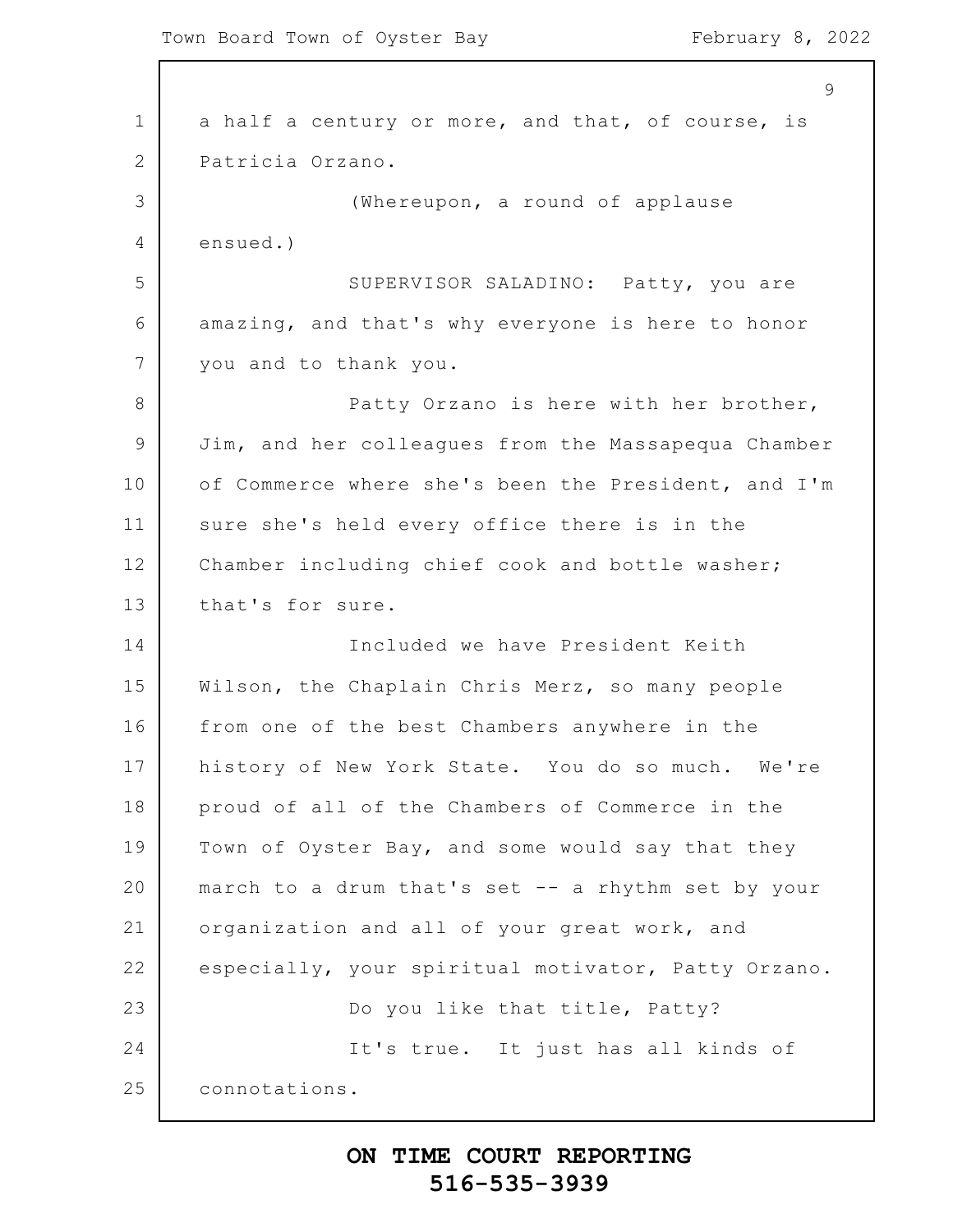1 2 3 4 5 6 7 8 9 10 11 12 13 14 15 16 17 18 19 20 21 22 23 24 25  $\mathsf{Q}$ a half a century or more, and that, of course, is Patricia Orzano. (Whereupon, a round of applause ensued.) SUPERVISOR SALADINO: Patty, you are amazing, and that's why everyone is here to honor you and to thank you. Patty Orzano is here with her brother, Jim, and her colleagues from the Massapequa Chamber of Commerce where she's been the President, and I'm sure she's held every office there is in the Chamber including chief cook and bottle washer; that's for sure. Included we have President Keith Wilson, the Chaplain Chris Merz, so many people from one of the best Chambers anywhere in the history of New York State. You do so much. We're proud of all of the Chambers of Commerce in the Town of Oyster Bay, and some would say that they march to a drum that's set -- a rhythm set by your organization and all of your great work, and especially, your spiritual motivator, Patty Orzano. Do you like that title, Patty? It's true. It just has all kinds of connotations.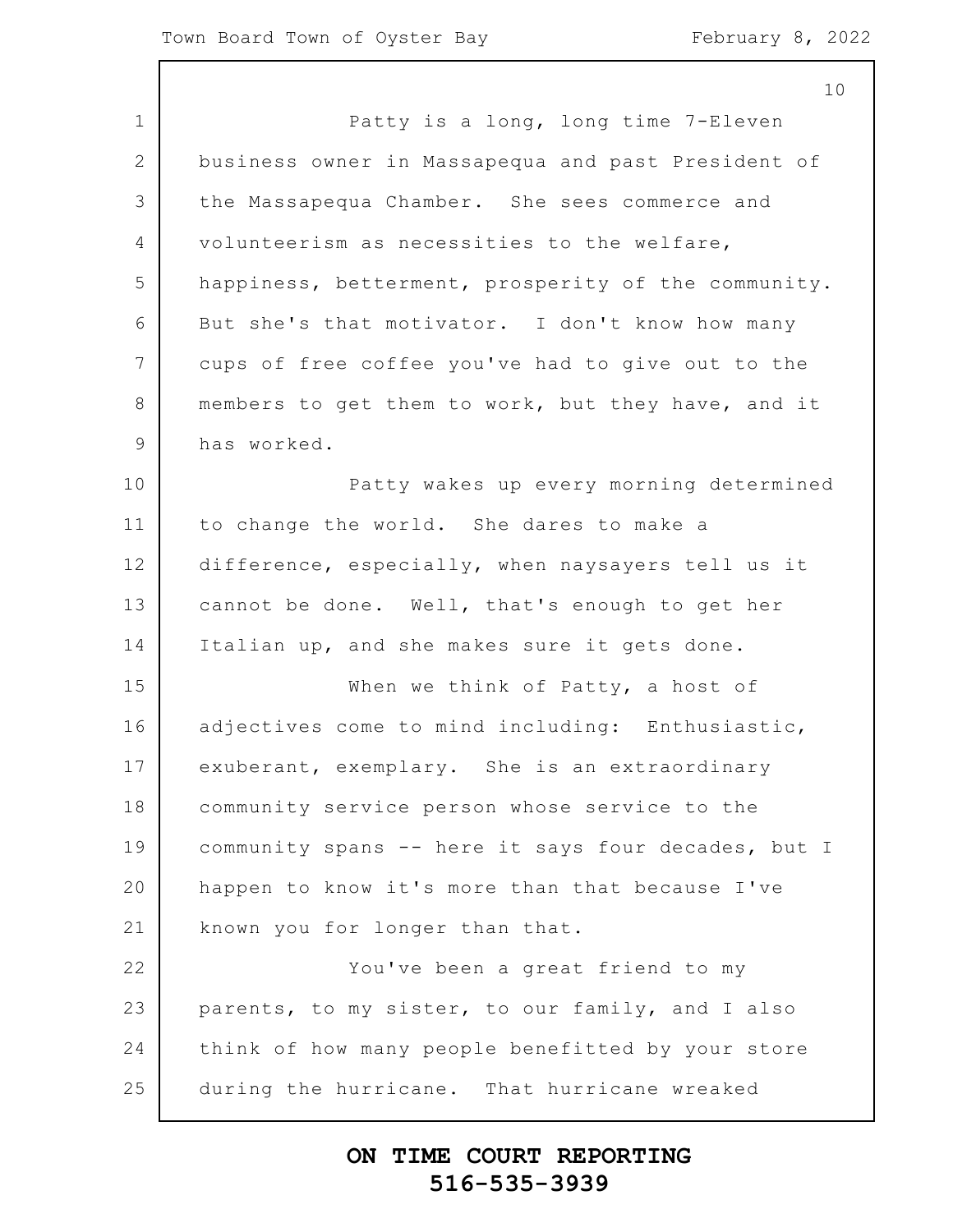1 2 3 4 5 6 7 8 9 10 11 12 13 14 15 16 17 18 19 20 21 22 23 24 25 10 Patty is a long, long time 7-Eleven business owner in Massapequa and past President of the Massapequa Chamber. She sees commerce and volunteerism as necessities to the welfare, happiness, betterment, prosperity of the community. But she's that motivator. I don't know how many cups of free coffee you've had to give out to the members to get them to work, but they have, and it has worked. Patty wakes up every morning determined to change the world. She dares to make a difference, especially, when naysayers tell us it cannot be done. Well, that's enough to get her Italian up, and she makes sure it gets done. When we think of Patty, a host of adjectives come to mind including: Enthusiastic, exuberant, exemplary. She is an extraordinary community service person whose service to the community spans -- here it says four decades, but I happen to know it's more than that because I've known you for longer than that. You've been a great friend to my parents, to my sister, to our family, and I also think of how many people benefitted by your store during the hurricane. That hurricane wreaked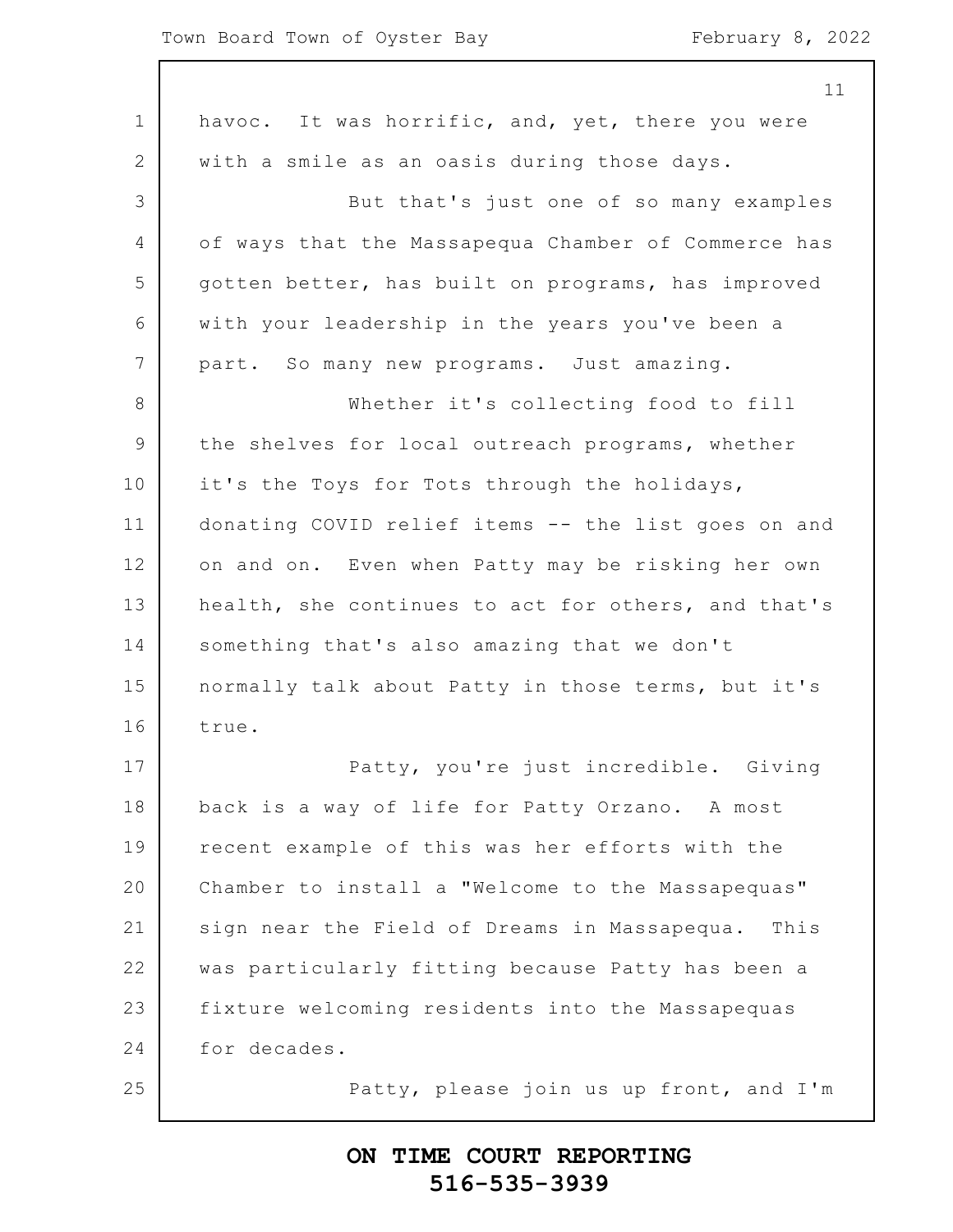|                 | 11                                                  |
|-----------------|-----------------------------------------------------|
| $\mathbf 1$     | havoc. It was horrific, and, yet, there you were    |
| $\mathbf{2}$    | with a smile as an oasis during those days.         |
| 3               | But that's just one of so many examples             |
| $\overline{4}$  | of ways that the Massapequa Chamber of Commerce has |
| 5               | gotten better, has built on programs, has improved  |
| 6               | with your leadership in the years you've been a     |
| $7\phantom{.0}$ | part. So many new programs. Just amazing.           |
| 8               | Whether it's collecting food to fill                |
| $\mathsf 9$     | the shelves for local outreach programs, whether    |
| 10              | it's the Toys for Tots through the holidays,        |
| 11              | donating COVID relief items -- the list goes on and |
| 12              | on and on. Even when Patty may be risking her own   |
| 13              | health, she continues to act for others, and that's |
| 14              | something that's also amazing that we don't         |
| 15              | normally talk about Patty in those terms, but it's  |
| 16              | true.                                               |
| 17              | Patty, you're just incredible. Giving               |
| 18              | back is a way of life for Patty Orzano. A most      |
| 19              | recent example of this was her efforts with the     |
| 20              | Chamber to install a "Welcome to the Massapequas"   |
| 21              | sign near the Field of Dreams in Massapequa. This   |
| 22              | was particularly fitting because Patty has been a   |
| 23              | fixture welcoming residents into the Massapequas    |
| 24              | for decades.                                        |
| 25              | Patty, please join us up front, and I'm             |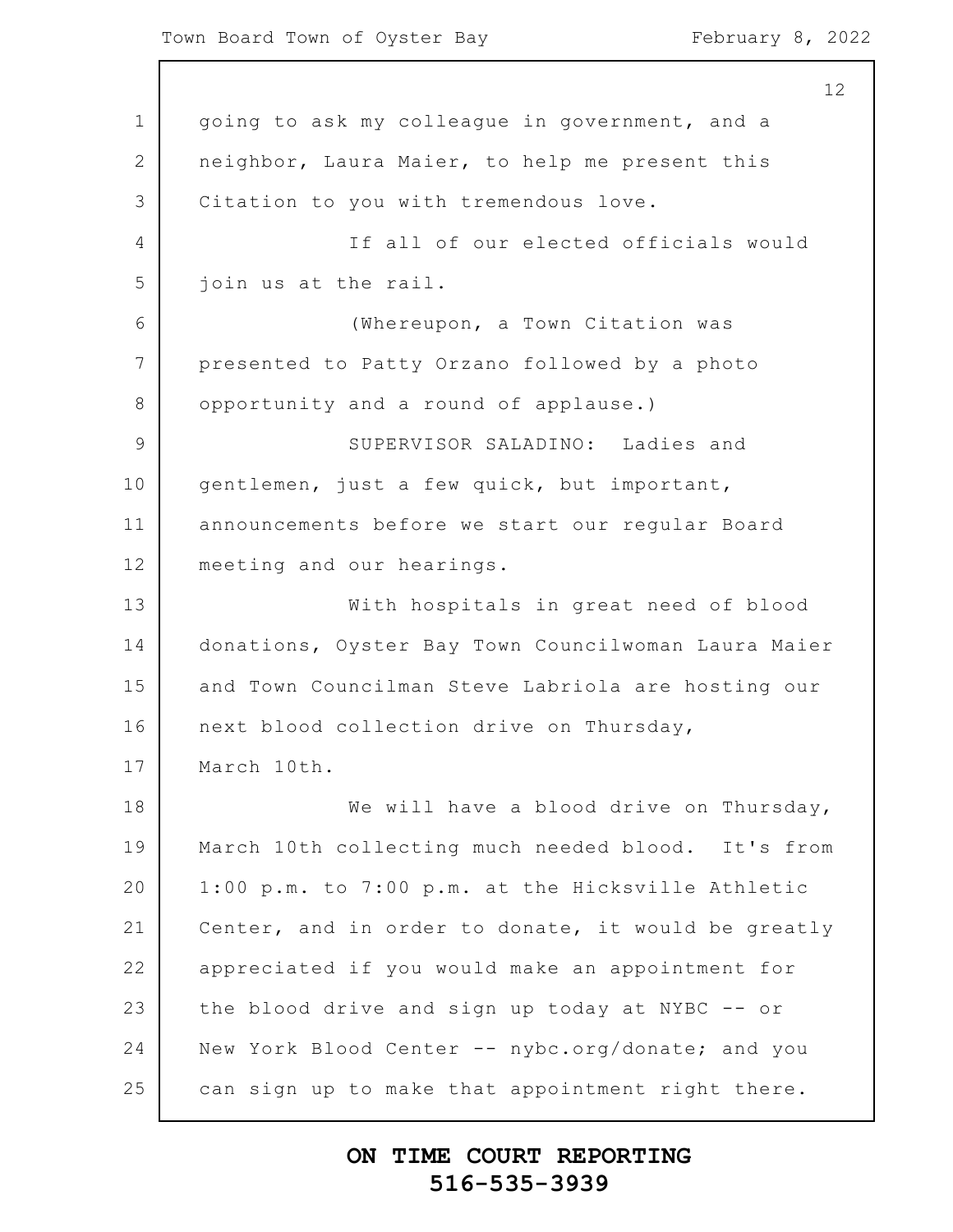Town Board Town of Oyster Bay February 8, 2022

1 2 3 4 5 6 7 8 9 10 11 12 13 14 15 16 17 18 19 20 21 22 23 24 25 going to ask my colleague in government, and a neighbor, Laura Maier, to help me present this Citation to you with tremendous love. If all of our elected officials would join us at the rail. (Whereupon, a Town Citation was presented to Patty Orzano followed by a photo opportunity and a round of applause.) SUPERVISOR SALADINO: Ladies and gentlemen, just a few quick, but important, announcements before we start our regular Board meeting and our hearings. With hospitals in great need of blood donations, Oyster Bay Town Councilwoman Laura Maier and Town Councilman Steve Labriola are hosting our next blood collection drive on Thursday, March 10th. We will have a blood drive on Thursday, March 10th collecting much needed blood. It's from 1:00 p.m. to 7:00 p.m. at the Hicksville Athletic Center, and in order to donate, it would be greatly appreciated if you would make an appointment for the blood drive and sign up today at NYBC -- or New York Blood Center -- nybc.org/donate; and you can sign up to make that appointment right there.

## **ON TIME COURT REPORTING 516-535-3939**

12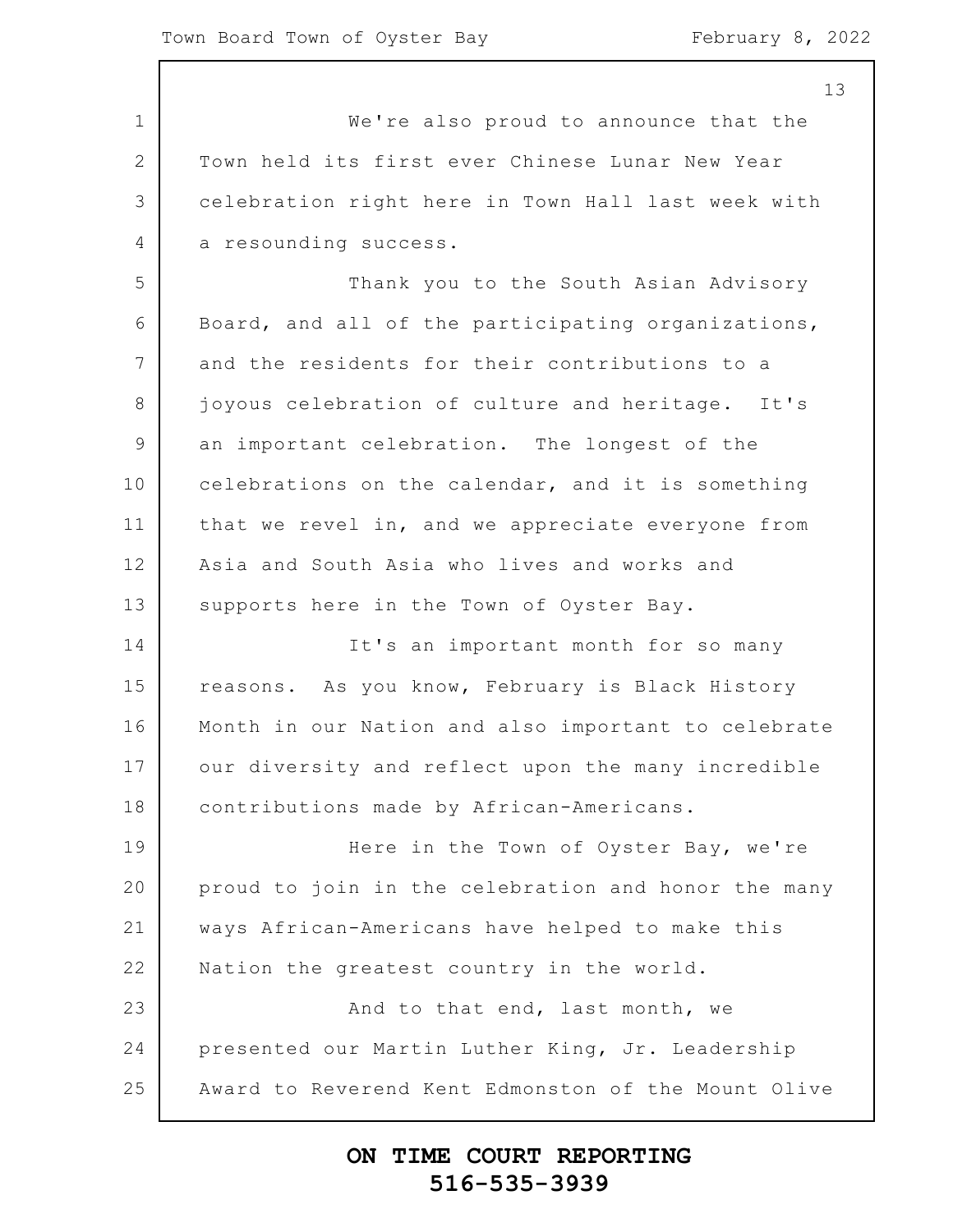1 2 3 4 5 6 7 8 9 10 11 12 13 14 15 16 17 18 19 20 21 22 23 24 25 13 We're also proud to announce that the Town held its first ever Chinese Lunar New Year celebration right here in Town Hall last week with a resounding success. Thank you to the South Asian Advisory Board, and all of the participating organizations, and the residents for their contributions to a joyous celebration of culture and heritage. It's an important celebration. The longest of the celebrations on the calendar, and it is something that we revel in, and we appreciate everyone from Asia and South Asia who lives and works and supports here in the Town of Oyster Bay. It's an important month for so many reasons. As you know, February is Black History Month in our Nation and also important to celebrate our diversity and reflect upon the many incredible contributions made by African-Americans. Here in the Town of Oyster Bay, we're proud to join in the celebration and honor the many ways African-Americans have helped to make this Nation the greatest country in the world. And to that end, last month, we presented our Martin Luther King, Jr. Leadership Award to Reverend Kent Edmonston of the Mount Olive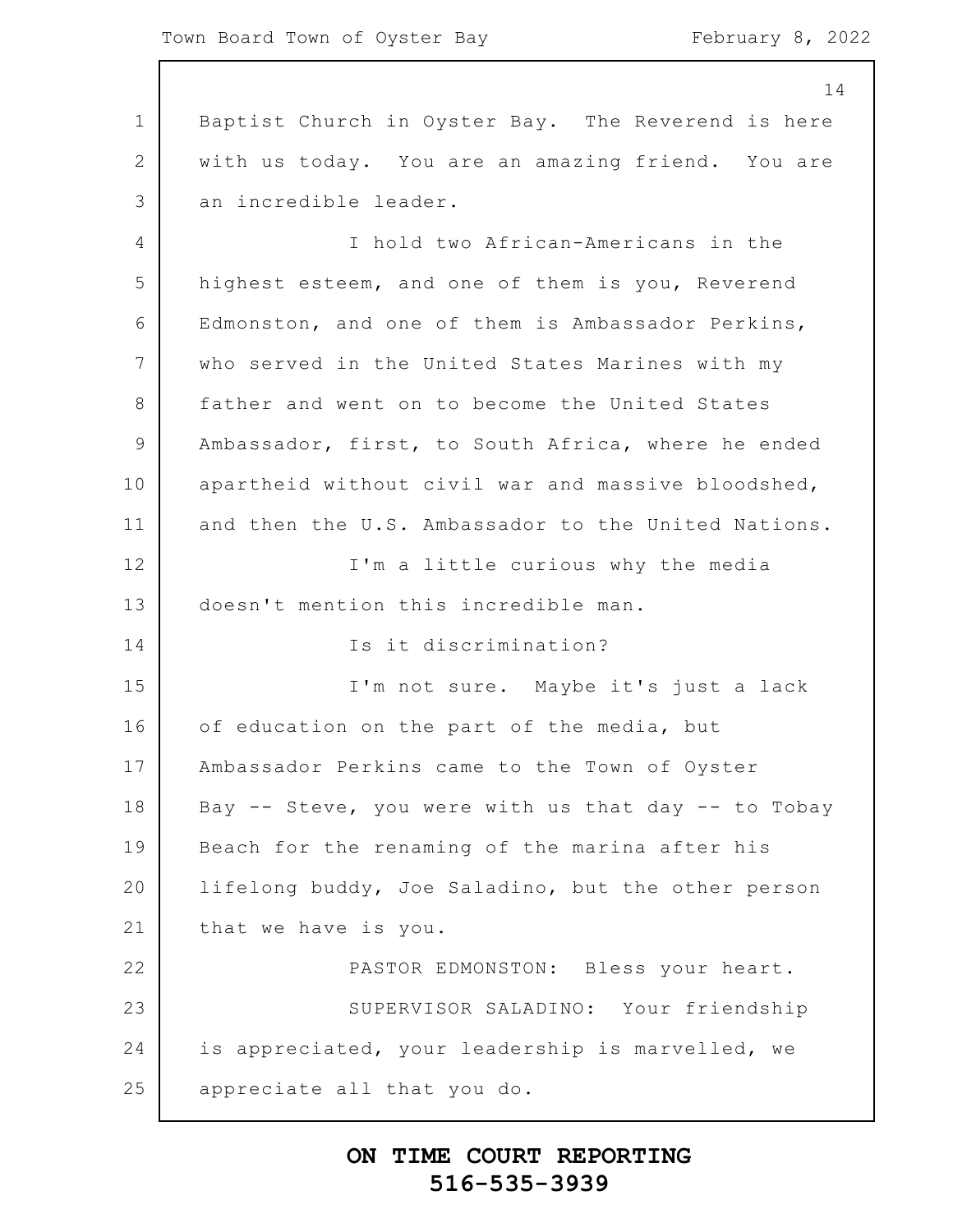1 2 3 4 5 6 7 8 9 10 11 12 13 14 15 16 17 18 19 20 21 22 23 24 25 14 Baptist Church in Oyster Bay. The Reverend is here with us today. You are an amazing friend. You are an incredible leader. I hold two African-Americans in the highest esteem, and one of them is you, Reverend Edmonston, and one of them is Ambassador Perkins, who served in the United States Marines with my father and went on to become the United States Ambassador, first, to South Africa, where he ended apartheid without civil war and massive bloodshed, and then the U.S. Ambassador to the United Nations. I'm a little curious why the media doesn't mention this incredible man. Is it discrimination? I'm not sure. Maybe it's just a lack of education on the part of the media, but Ambassador Perkins came to the Town of Oyster Bay  $--$  Steve, you were with us that day  $--$  to Tobay Beach for the renaming of the marina after his lifelong buddy, Joe Saladino, but the other person that we have is you. PASTOR EDMONSTON: Bless your heart. SUPERVISOR SALADINO: Your friendship is appreciated, your leadership is marvelled, we appreciate all that you do.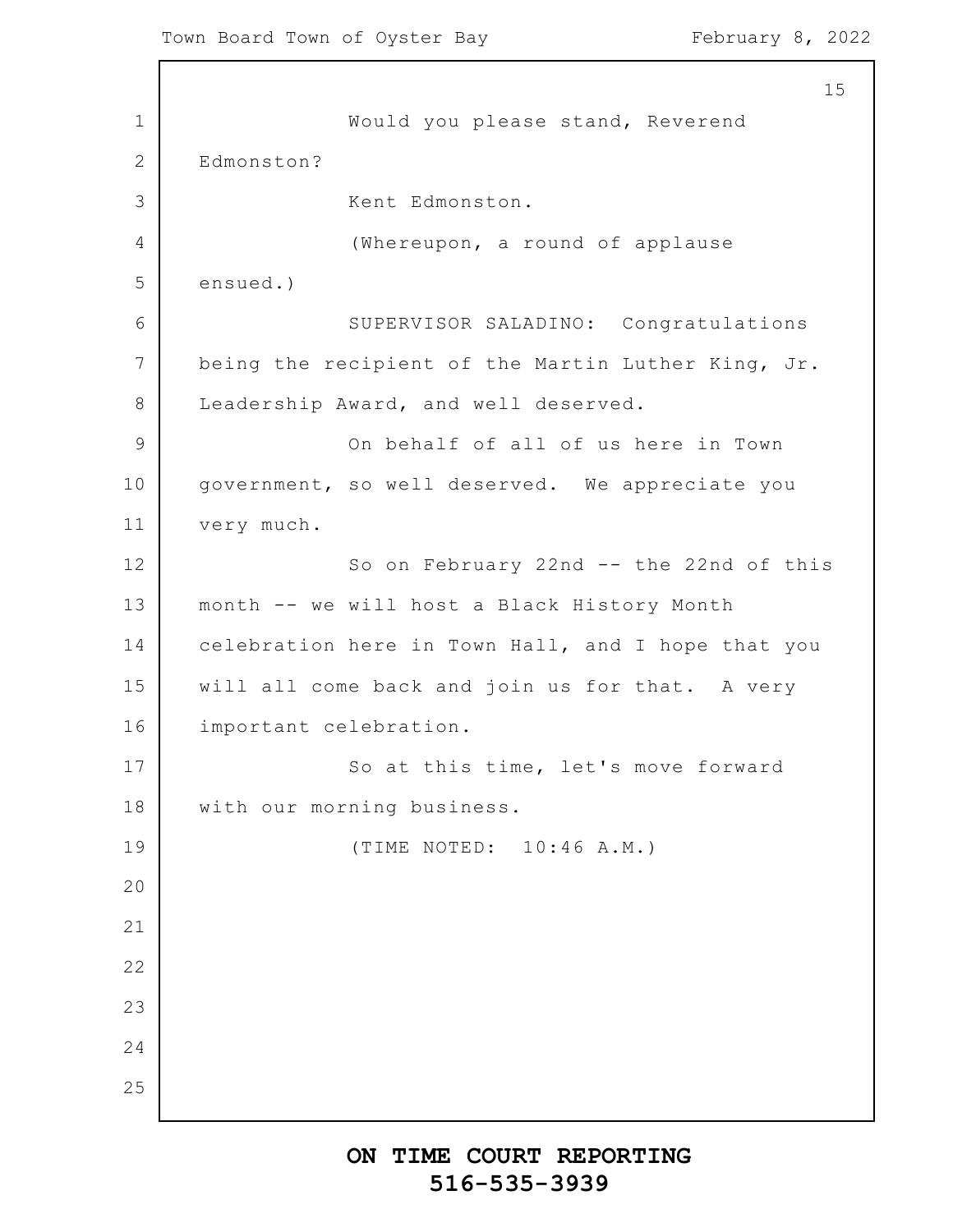1 2 3 4 5 6 7 8 9 10 11 12 13 14 15 16 17 18 19 20 21 22 23 24 25 15 Would you please stand, Reverend Edmonston? Kent Edmonston. (Whereupon, a round of applause ensued.) SUPERVISOR SALADINO: Congratulations being the recipient of the Martin Luther King, Jr. Leadership Award, and well deserved. On behalf of all of us here in Town government, so well deserved. We appreciate you very much. So on February 22nd -- the 22nd of this month -- we will host a Black History Month celebration here in Town Hall, and I hope that you will all come back and join us for that. A very important celebration. So at this time, let's move forward with our morning business. (TIME NOTED: 10:46 A.M.)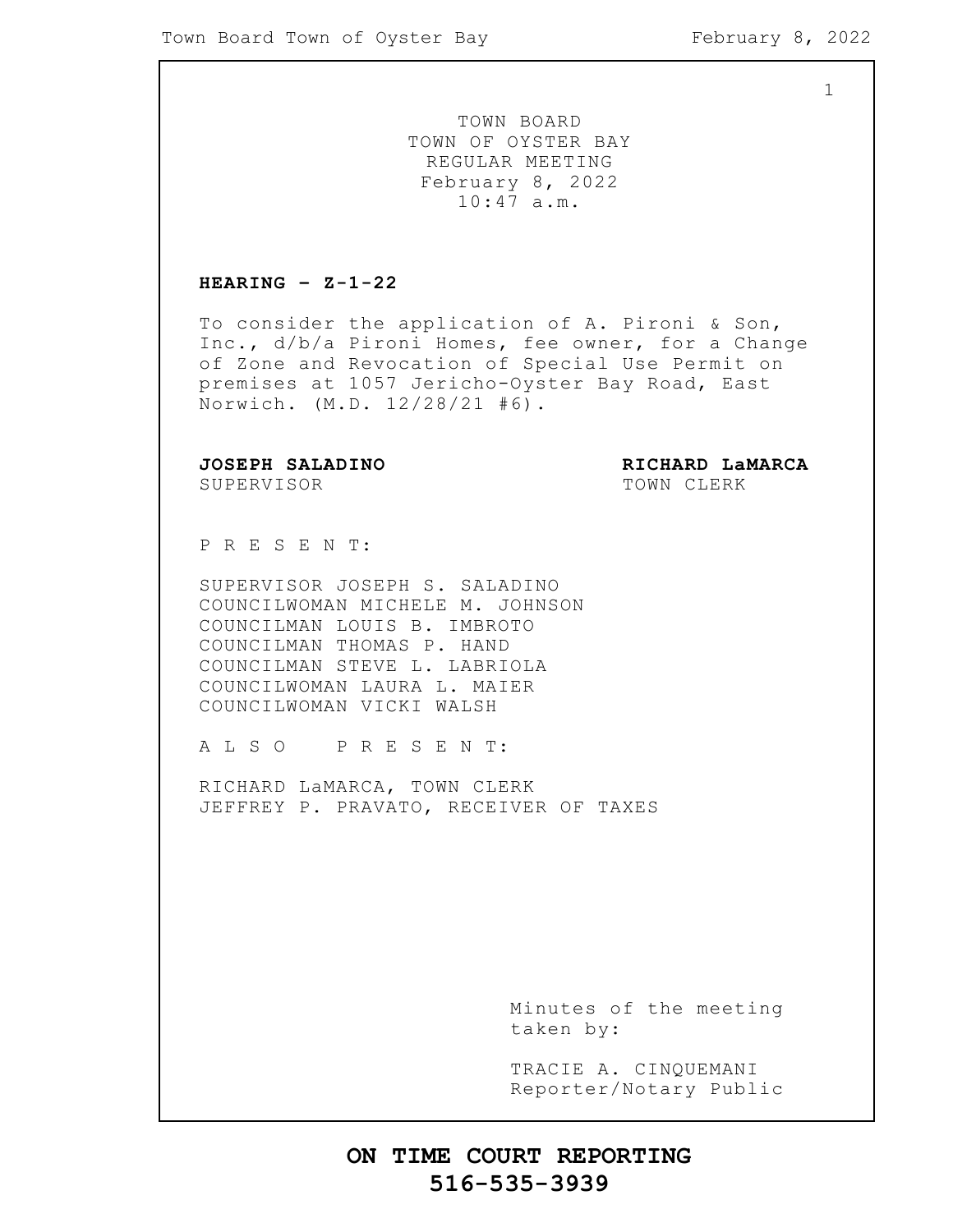1

TOWN BOARD TOWN OF OYSTER BAY REGULAR MEETING February 8, 2022 10:47 a.m.

#### **HEARING – Z-1-22**

To consider the application of A. Pironi & Son, Inc., d/b/a Pironi Homes, fee owner, for a Change of Zone and Revocation of Special Use Permit on premises at 1057 Jericho-Oyster Bay Road, East Norwich. (M.D. 12/28/21 #6).

**JOSEPH SALADINO RICHARD LaMARCA**

SUPERVISOR TOWN CLERK

P R E S E N T:

SUPERVISOR JOSEPH S. SALADINO COUNCILWOMAN MICHELE M. JOHNSON COUNCILMAN LOUIS B. IMBROTO COUNCILMAN THOMAS P. HAND COUNCILMAN STEVE L. LABRIOLA COUNCILWOMAN LAURA L. MAIER COUNCILWOMAN VICKI WALSH

A L S O P R E S E N T:

RICHARD LaMARCA, TOWN CLERK JEFFREY P. PRAVATO, RECEIVER OF TAXES

> Minutes of the meeting taken by:

> TRACIE A. CINQUEMANI Reporter/Notary Public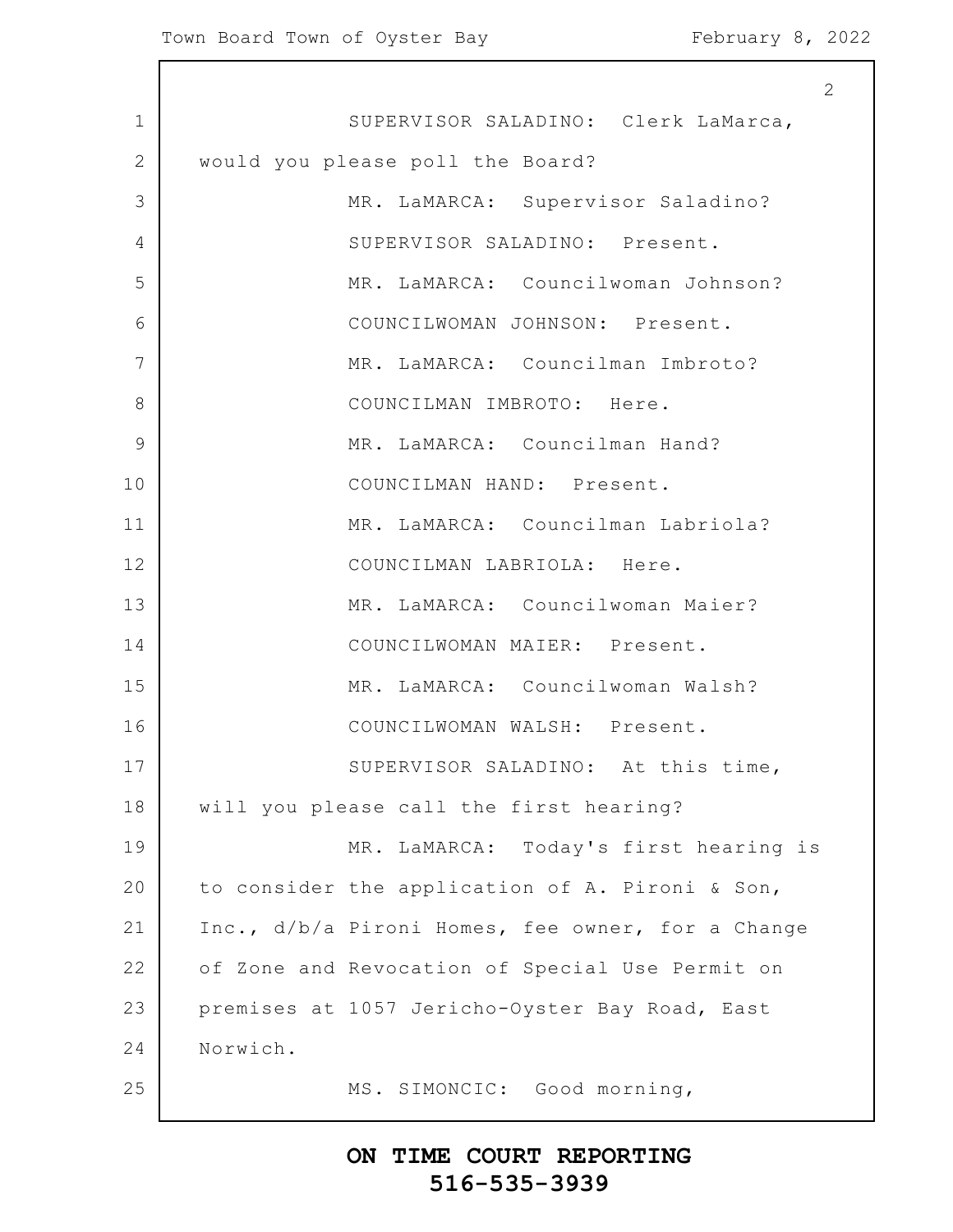$\mathsf{l}$ 

|             | 2                                                 |
|-------------|---------------------------------------------------|
| $\mathbf 1$ | SUPERVISOR SALADINO: Clerk LaMarca,               |
| 2           | would you please poll the Board?                  |
| 3           | MR. LaMARCA: Supervisor Saladino?                 |
| 4           | SUPERVISOR SALADINO: Present.                     |
| 5           | MR. LaMARCA: Councilwoman Johnson?                |
| 6           | COUNCILWOMAN JOHNSON: Present.                    |
| 7           | MR. LaMARCA: Councilman Imbroto?                  |
| 8           | COUNCILMAN IMBROTO: Here.                         |
| 9           | MR. LaMARCA: Councilman Hand?                     |
| 10          | COUNCILMAN HAND: Present.                         |
| 11          | MR. LaMARCA: Councilman Labriola?                 |
| 12          | COUNCILMAN LABRIOLA: Here.                        |
| 13          | MR. LaMARCA: Councilwoman Maier?                  |
| 14          | COUNCILWOMAN MAIER: Present.                      |
| 15          | MR. LaMARCA: Councilwoman Walsh?                  |
| 16          | COUNCILWOMAN WALSH: Present.                      |
| 17          | SUPERVISOR SALADINO: At this time,                |
| 18          | will you please call the first hearing?           |
| 19          | MR. LaMARCA: Today's first hearing is             |
| 20          | to consider the application of A. Pironi & Son,   |
| 21          | Inc., d/b/a Pironi Homes, fee owner, for a Change |
| 22          | of Zone and Revocation of Special Use Permit on   |
| 23          | premises at 1057 Jericho-Oyster Bay Road, East    |
| 24          | Norwich.                                          |
| 25          | MS. SIMONCIC: Good morning,                       |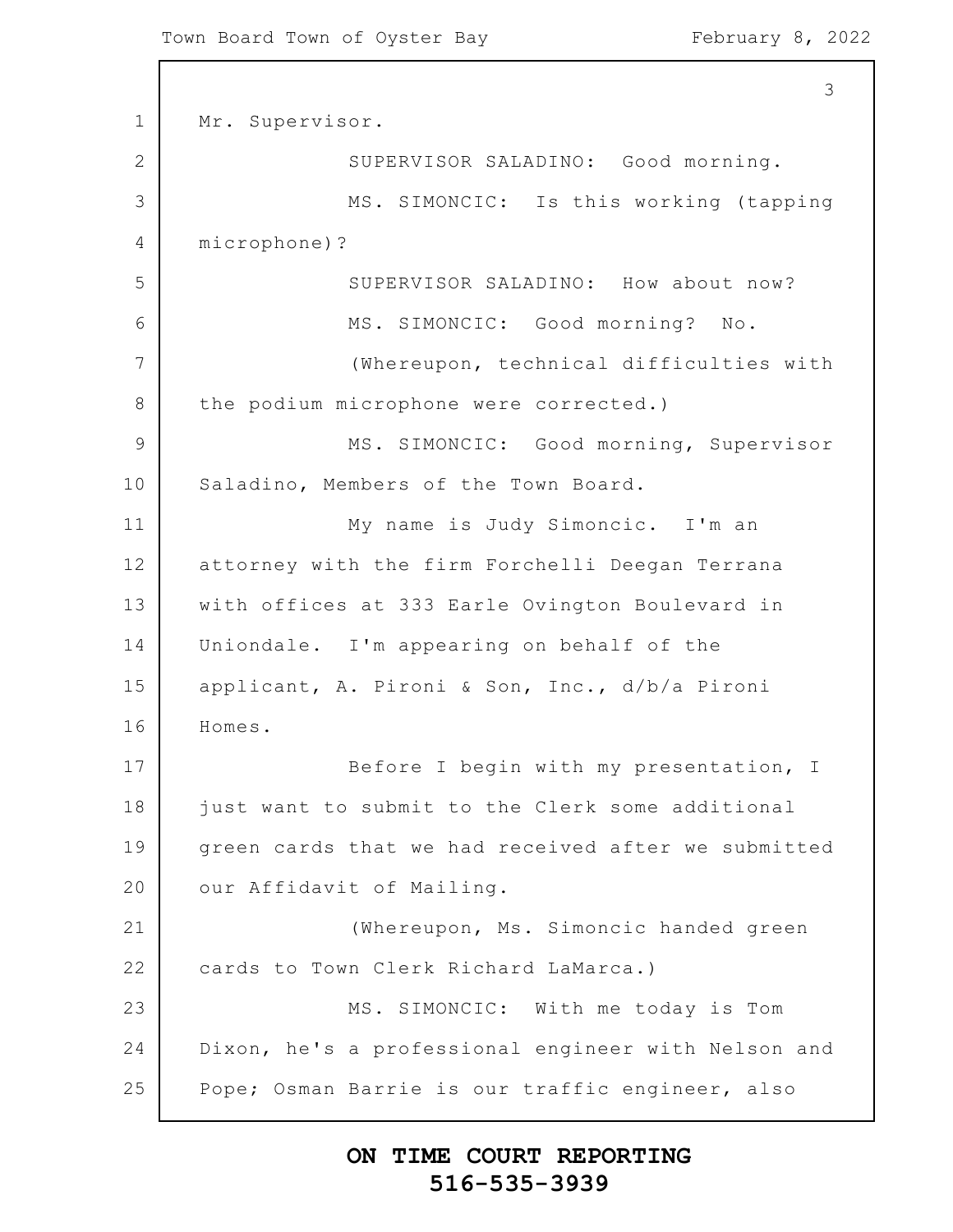1 2 3 4 5 6 7 8 9 10 11 12 13 14 15 16 17 18 19 20 21 22 23 24 25 3 Mr. Supervisor. SUPERVISOR SALADINO: Good morning. MS. SIMONCIC: Is this working (tapping microphone)? SUPERVISOR SALADINO: How about now? MS. SIMONCIC: Good morning? No. (Whereupon, technical difficulties with the podium microphone were corrected.) MS. SIMONCIC: Good morning, Supervisor Saladino, Members of the Town Board. My name is Judy Simoncic. I'm an attorney with the firm Forchelli Deegan Terrana with offices at 333 Earle Ovington Boulevard in Uniondale. I'm appearing on behalf of the applicant, A. Pironi & Son, Inc., d/b/a Pironi Homes. Before I begin with my presentation, I just want to submit to the Clerk some additional green cards that we had received after we submitted our Affidavit of Mailing. (Whereupon, Ms. Simoncic handed green cards to Town Clerk Richard LaMarca.) MS. SIMONCIC: With me today is Tom Dixon, he's a professional engineer with Nelson and Pope; Osman Barrie is our traffic engineer, also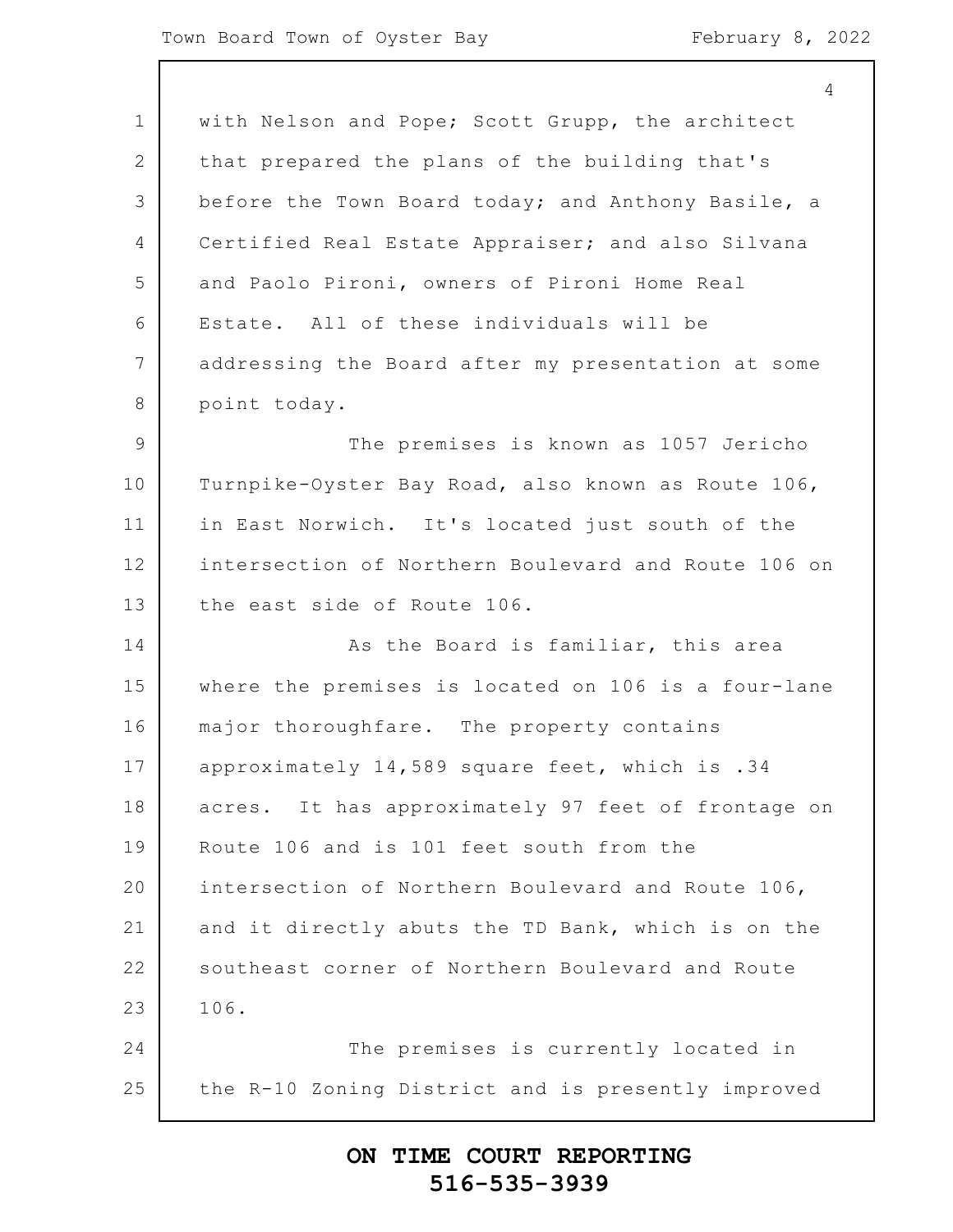|                | $\overline{4}$                                      |
|----------------|-----------------------------------------------------|
| $\mathbf 1$    | with Nelson and Pope; Scott Grupp, the architect    |
| 2              | that prepared the plans of the building that's      |
| 3              | before the Town Board today; and Anthony Basile, a  |
| 4              | Certified Real Estate Appraiser; and also Silvana   |
| 5              | and Paolo Pironi, owners of Pironi Home Real        |
| 6              | Estate. All of these individuals will be            |
| $\overline{7}$ | addressing the Board after my presentation at some  |
| 8              | point today.                                        |
| $\overline{9}$ | The premises is known as 1057 Jericho               |
| 10             | Turnpike-Oyster Bay Road, also known as Route 106,  |
| 11             | in East Norwich. It's located just south of the     |
| 12             | intersection of Northern Boulevard and Route 106 on |
| 13             | the east side of Route 106.                         |
| 14             | As the Board is familiar, this area                 |
| 15             | where the premises is located on 106 is a four-lane |
| 16             | major thoroughfare. The property contains           |
| 17             | approximately 14,589 square feet, which is .34      |
| 18             | acres. It has approximately 97 feet of frontage on  |
| 19             | Route 106 and is 101 feet south from the            |
| 20             | intersection of Northern Boulevard and Route 106,   |
| 21             | and it directly abuts the TD Bank, which is on the  |
| 22             | southeast corner of Northern Boulevard and Route    |
| 23             | 106.                                                |
| 24             | The premises is currently located in                |
| 25             | the R-10 Zoning District and is presently improved  |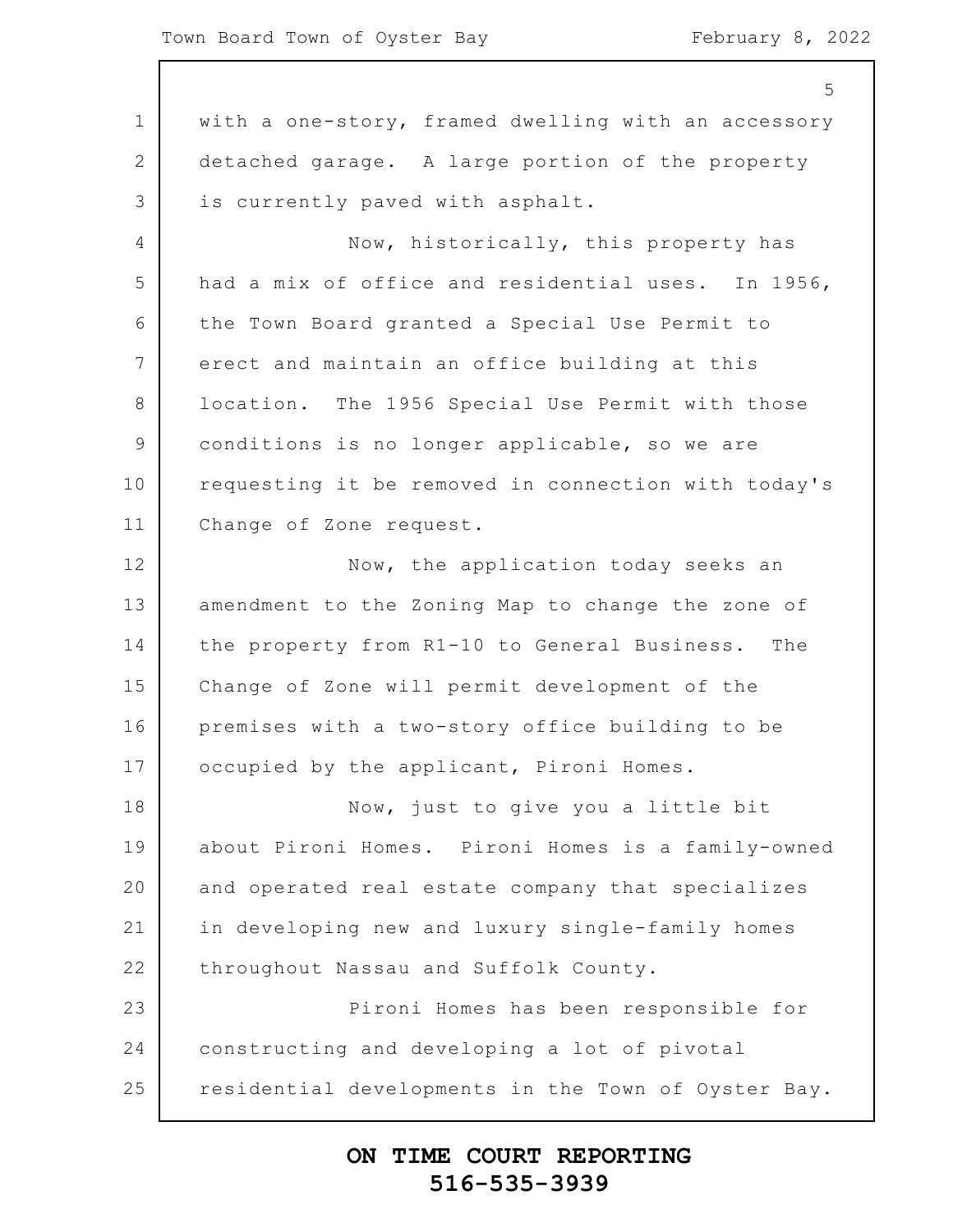1 2 3 4 5 6 7 8 9 10 11 12 13 14 15 16 17 18 19 20 21 22 23 24 25 5 with a one-story, framed dwelling with an accessory detached garage. A large portion of the property is currently paved with asphalt. Now, historically, this property has had a mix of office and residential uses. In 1956, the Town Board granted a Special Use Permit to erect and maintain an office building at this location. The 1956 Special Use Permit with those conditions is no longer applicable, so we are requesting it be removed in connection with today's Change of Zone request. Now, the application today seeks an amendment to the Zoning Map to change the zone of the property from R1-10 to General Business. The Change of Zone will permit development of the premises with a two-story office building to be occupied by the applicant, Pironi Homes. Now, just to give you a little bit about Pironi Homes. Pironi Homes is a family-owned and operated real estate company that specializes in developing new and luxury single-family homes throughout Nassau and Suffolk County. Pironi Homes has been responsible for constructing and developing a lot of pivotal residential developments in the Town of Oyster Bay.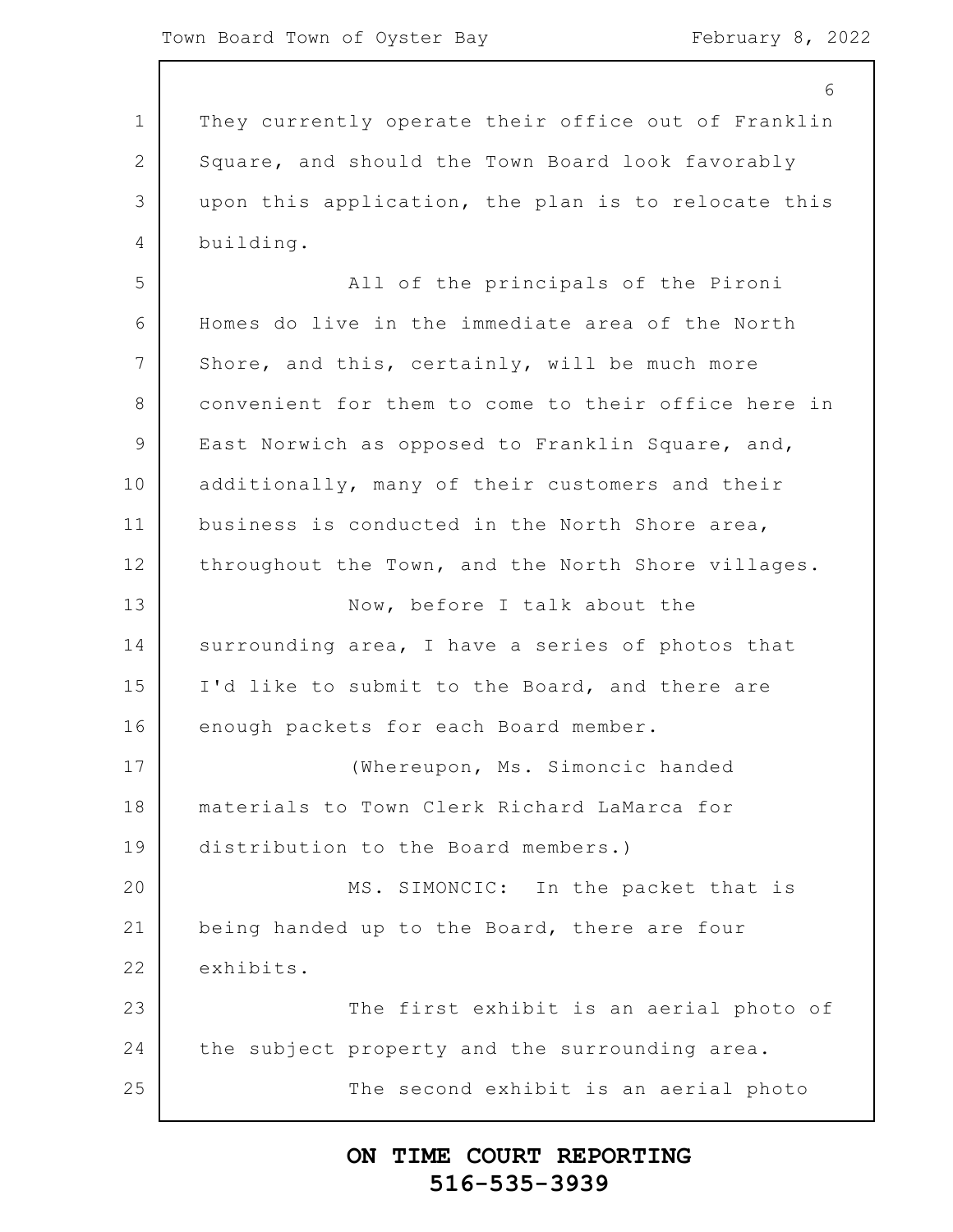1 2 3 4 5 6 7 8 9 10 11 12 13 14 15 16 17 18 19 20 21 22 23 24 25 6 They currently operate their office out of Franklin Square, and should the Town Board look favorably upon this application, the plan is to relocate this building. All of the principals of the Pironi Homes do live in the immediate area of the North Shore, and this, certainly, will be much more convenient for them to come to their office here in East Norwich as opposed to Franklin Square, and, additionally, many of their customers and their business is conducted in the North Shore area, throughout the Town, and the North Shore villages. Now, before I talk about the surrounding area, I have a series of photos that I'd like to submit to the Board, and there are enough packets for each Board member. (Whereupon, Ms. Simoncic handed materials to Town Clerk Richard LaMarca for distribution to the Board members.) MS. SIMONCIC: In the packet that is being handed up to the Board, there are four exhibits. The first exhibit is an aerial photo of the subject property and the surrounding area. The second exhibit is an aerial photo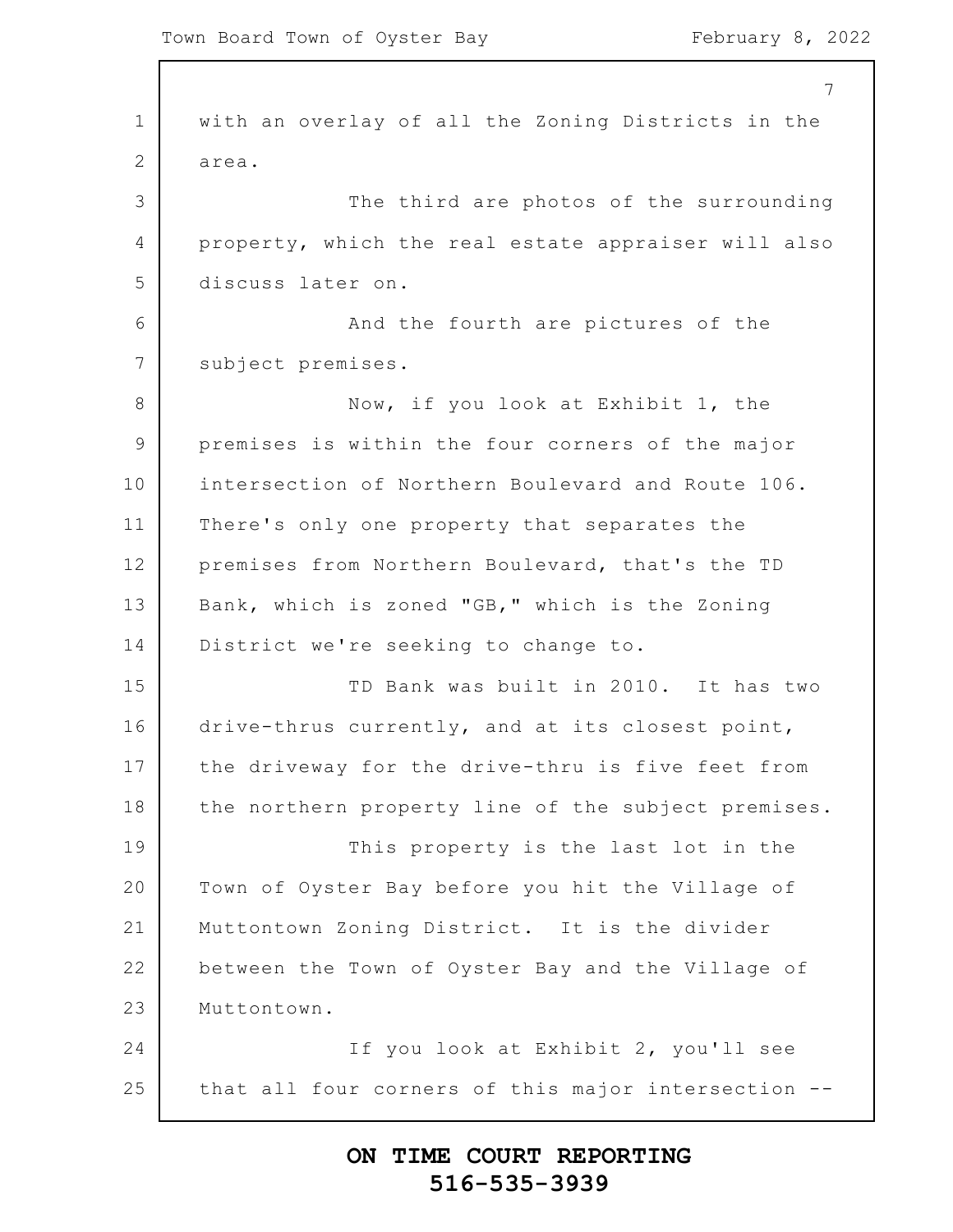1 2 3 4 5 6 7 8 9 10 11 12 13 14 15 16 17 18 19 20 21 22 23 24 25 7 with an overlay of all the Zoning Districts in the area. The third are photos of the surrounding property, which the real estate appraiser will also discuss later on. And the fourth are pictures of the subject premises. Now, if you look at Exhibit 1, the premises is within the four corners of the major intersection of Northern Boulevard and Route 106. There's only one property that separates the premises from Northern Boulevard, that's the TD Bank, which is zoned "GB," which is the Zoning District we're seeking to change to. TD Bank was built in 2010. It has two drive-thrus currently, and at its closest point, the driveway for the drive-thru is five feet from the northern property line of the subject premises. This property is the last lot in the Town of Oyster Bay before you hit the Village of Muttontown Zoning District. It is the divider between the Town of Oyster Bay and the Village of Muttontown. If you look at Exhibit 2, you'll see that all four corners of this major intersection --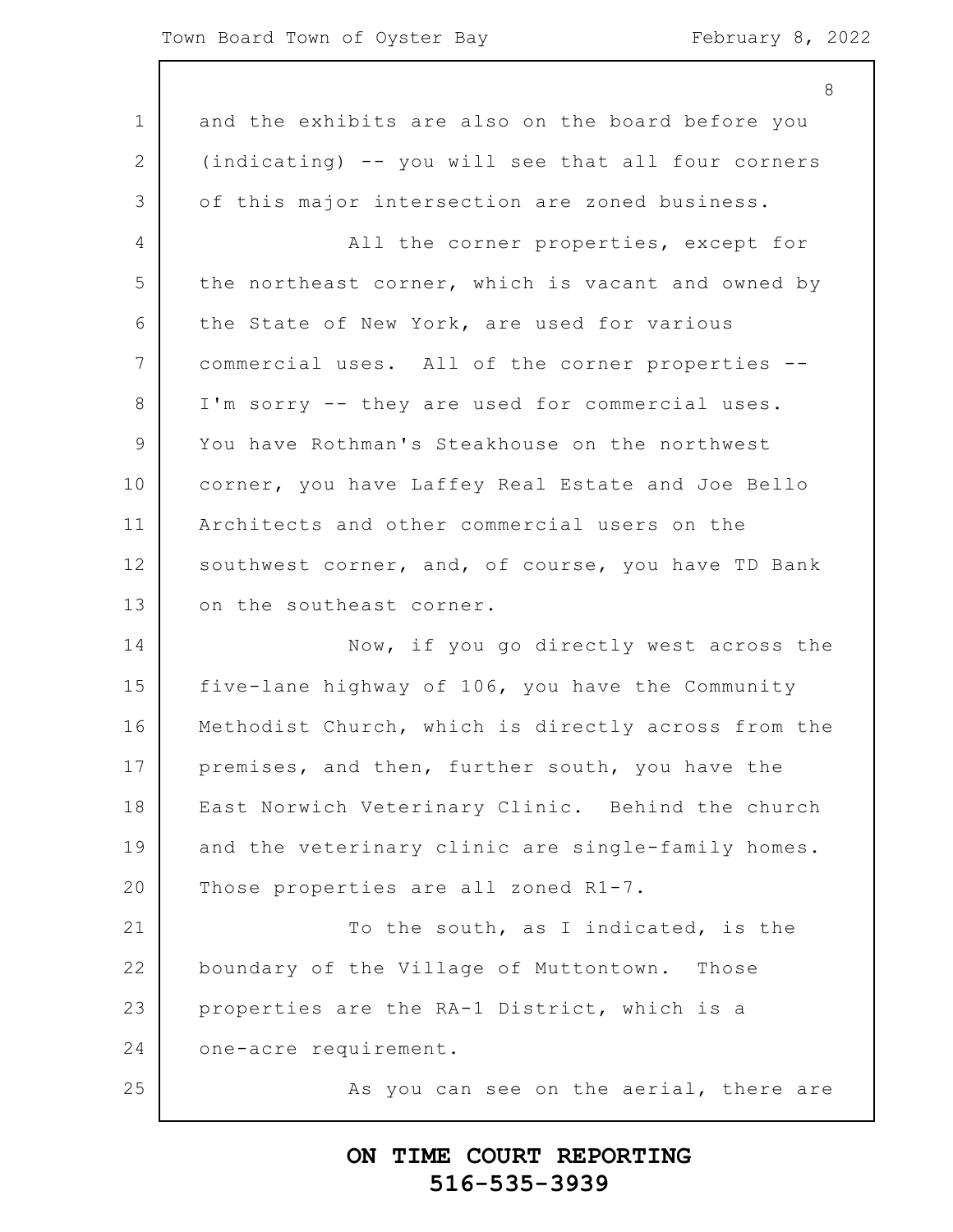|                | 8                                                   |
|----------------|-----------------------------------------------------|
| $\mathbf 1$    | and the exhibits are also on the board before you   |
| $\overline{2}$ | (indicating) -- you will see that all four corners  |
| 3              | of this major intersection are zoned business.      |
| 4              | All the corner properties, except for               |
| 5              | the northeast corner, which is vacant and owned by  |
| 6              | the State of New York, are used for various         |
| $\overline{7}$ | commercial uses. All of the corner properties --    |
| 8              | I'm sorry -- they are used for commercial uses.     |
| 9              | You have Rothman's Steakhouse on the northwest      |
| 10             | corner, you have Laffey Real Estate and Joe Bello   |
| 11             | Architects and other commercial users on the        |
| 12             | southwest corner, and, of course, you have TD Bank  |
| 13             | on the southeast corner.                            |
| 14             | Now, if you go directly west across the             |
| 15             | five-lane highway of 106, you have the Community    |
| 16             | Methodist Church, which is directly across from the |
| 17             | premises, and then, further south, you have the     |
| 18             | East Norwich Veterinary Clinic. Behind the church   |
| 19             | and the veterinary clinic are single-family homes.  |
| 20             | Those properties are all zoned R1-7.                |
| 21             | To the south, as I indicated, is the                |
| 22             | boundary of the Village of Muttontown.<br>Those     |
| 23             | properties are the RA-1 District, which is a        |
| 24             | one-acre requirement.                               |
| 25             | As you can see on the aerial, there are             |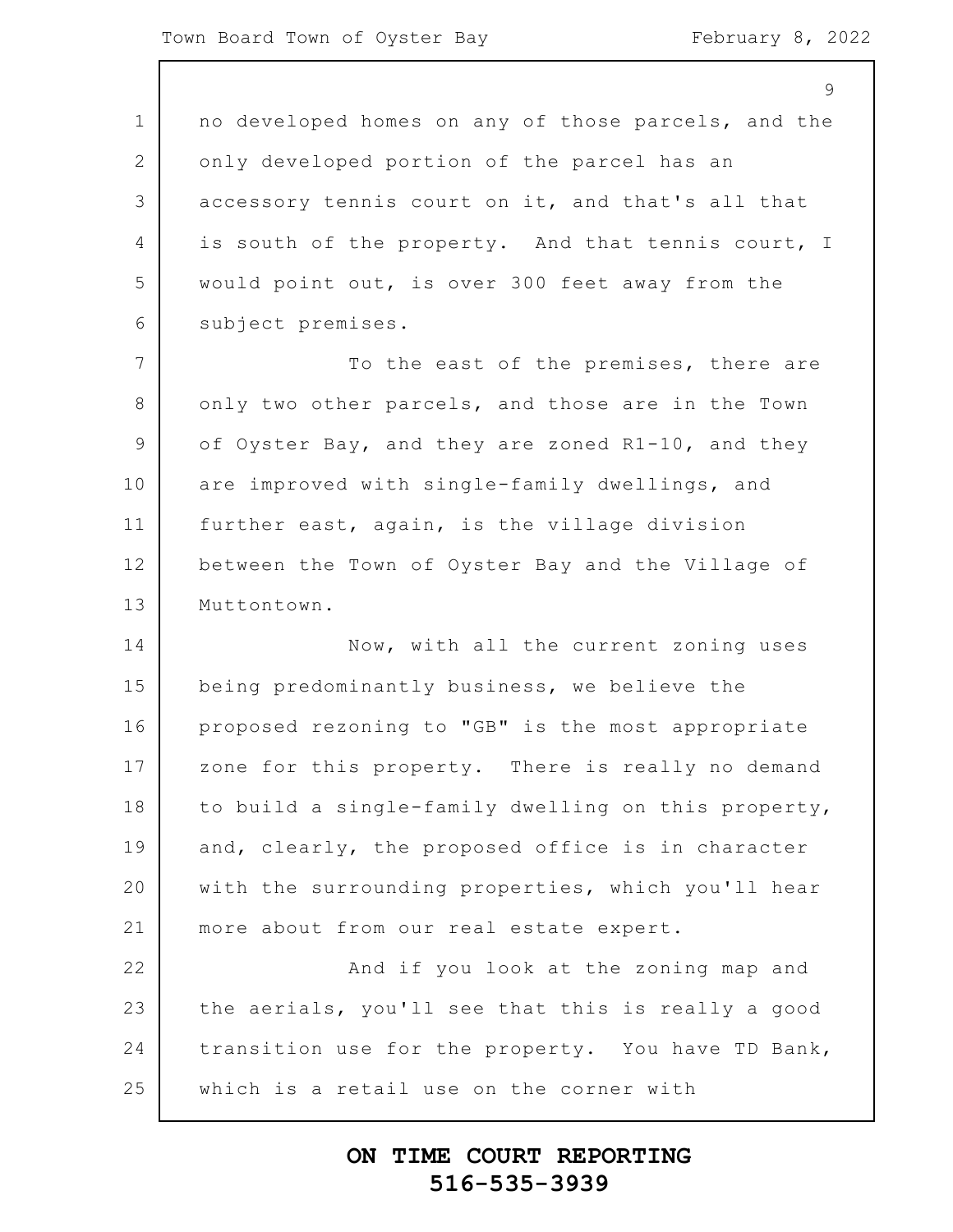1 2 3 4 5 6 7 8 9 10 11 12 13 14 15 16 17 18 19 20 21 22 23 24 25  $\mathsf{Q}$ no developed homes on any of those parcels, and the only developed portion of the parcel has an accessory tennis court on it, and that's all that is south of the property. And that tennis court, I would point out, is over 300 feet away from the subject premises. To the east of the premises, there are only two other parcels, and those are in the Town of Oyster Bay, and they are zoned R1-10, and they are improved with single-family dwellings, and further east, again, is the village division between the Town of Oyster Bay and the Village of Muttontown. Now, with all the current zoning uses being predominantly business, we believe the proposed rezoning to "GB" is the most appropriate zone for this property. There is really no demand to build a single-family dwelling on this property, and, clearly, the proposed office is in character with the surrounding properties, which you'll hear more about from our real estate expert. And if you look at the zoning map and the aerials, you'll see that this is really a good transition use for the property. You have TD Bank, which is a retail use on the corner with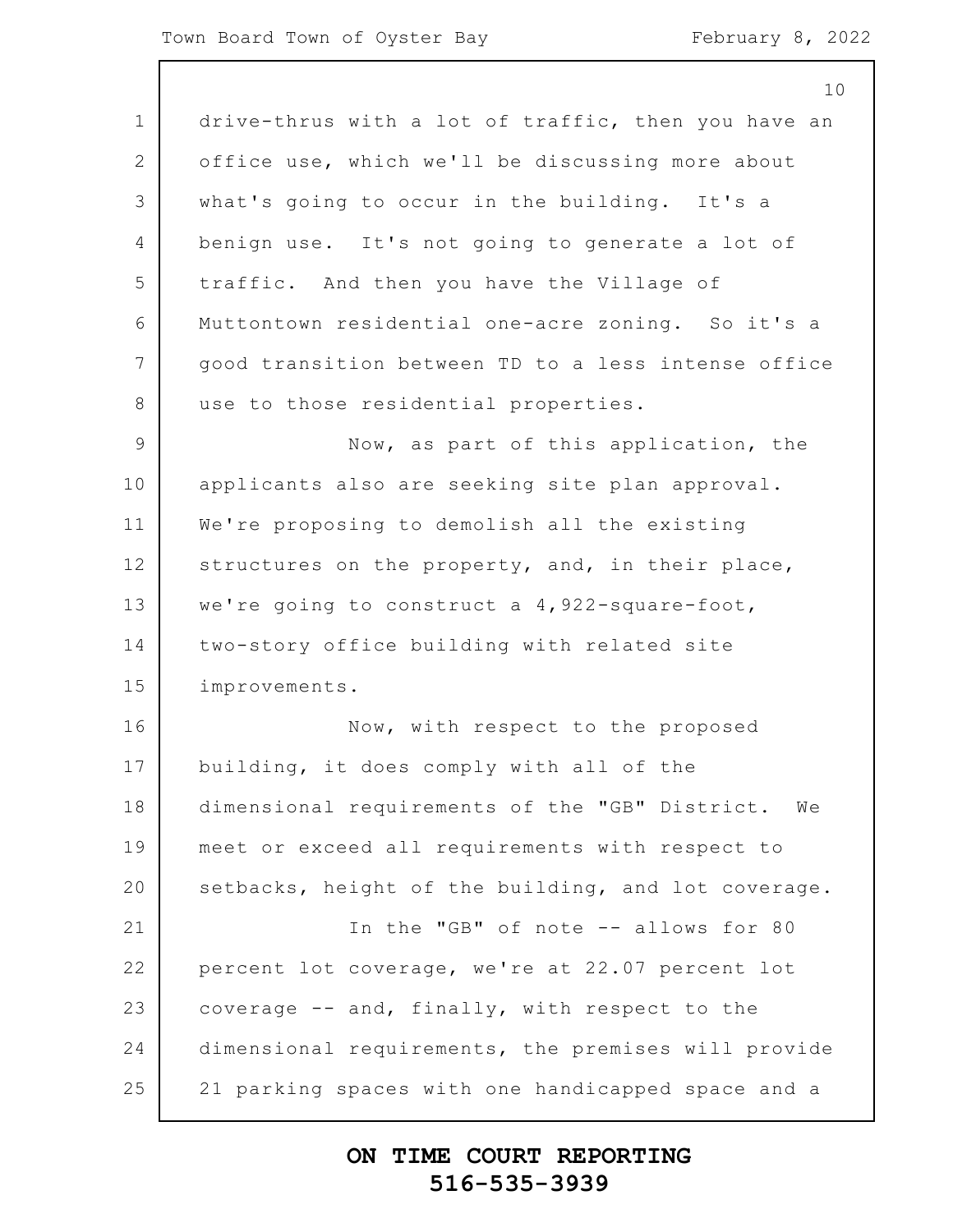1 2 3 4 5 6 7 8 9 10 11 12 13 14 15 16 17 18 19 20 21 22 23 24 25 10 drive-thrus with a lot of traffic, then you have an office use, which we'll be discussing more about what's going to occur in the building. It's a benign use. It's not going to generate a lot of traffic. And then you have the Village of Muttontown residential one-acre zoning. So it's a good transition between TD to a less intense office use to those residential properties. Now, as part of this application, the applicants also are seeking site plan approval. We're proposing to demolish all the existing structures on the property, and, in their place, we're going to construct a 4,922-square-foot, two-story office building with related site improvements. Now, with respect to the proposed building, it does comply with all of the dimensional requirements of the "GB" District. We meet or exceed all requirements with respect to setbacks, height of the building, and lot coverage. In the "GB" of note -- allows for 80 percent lot coverage, we're at 22.07 percent lot coverage -- and, finally, with respect to the dimensional requirements, the premises will provide 21 parking spaces with one handicapped space and a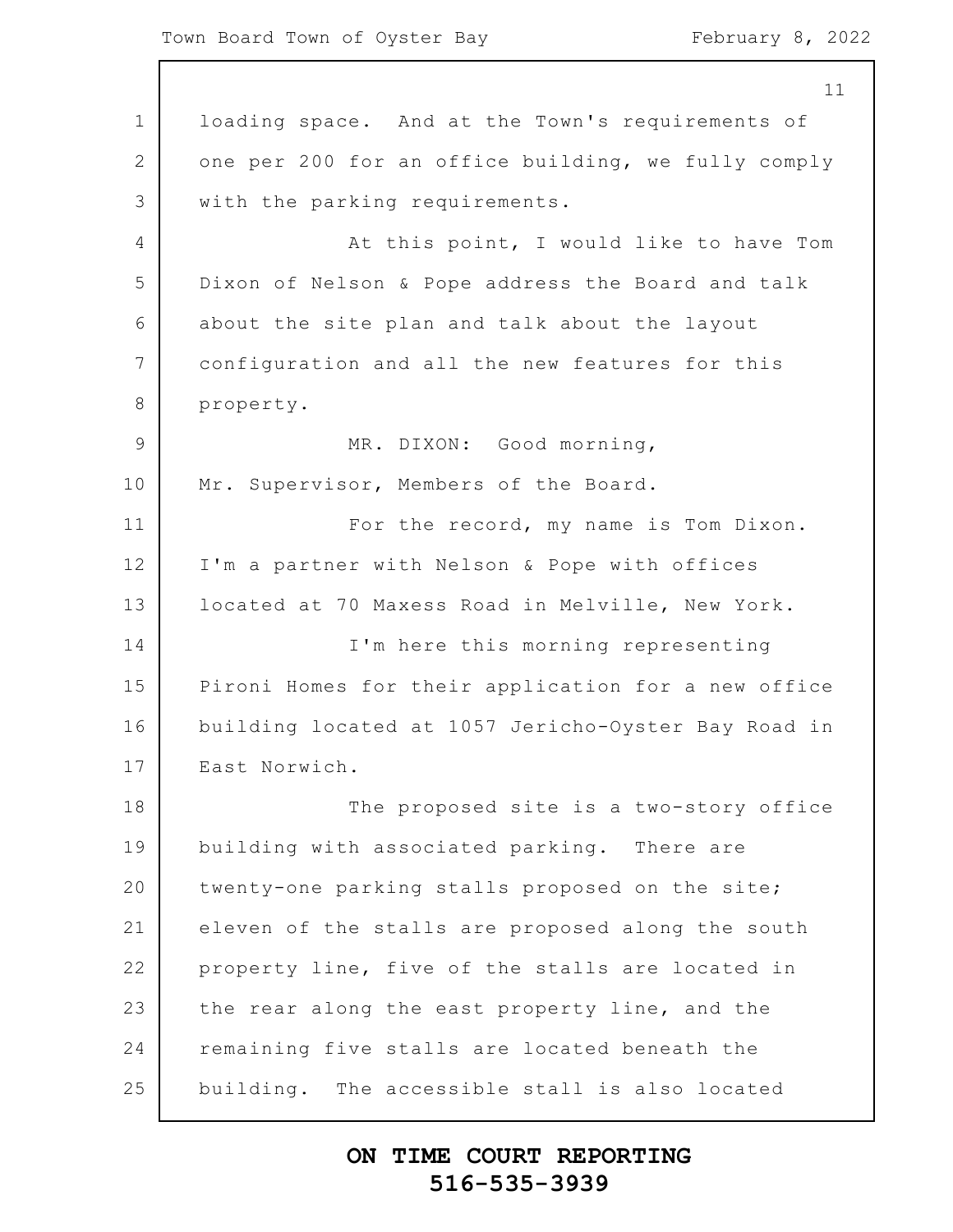1 2 3 4 5 6 7 8 9 10 11 12 13 14 15 16 17 18 19 20 21 22 23 24 25 11 loading space. And at the Town's requirements of one per 200 for an office building, we fully comply with the parking requirements. At this point, I would like to have Tom Dixon of Nelson & Pope address the Board and talk about the site plan and talk about the layout configuration and all the new features for this property. MR. DIXON: Good morning, Mr. Supervisor, Members of the Board. For the record, my name is Tom Dixon. I'm a partner with Nelson & Pope with offices located at 70 Maxess Road in Melville, New York. I'm here this morning representing Pironi Homes for their application for a new office building located at 1057 Jericho-Oyster Bay Road in East Norwich. The proposed site is a two-story office building with associated parking. There are twenty-one parking stalls proposed on the site; eleven of the stalls are proposed along the south property line, five of the stalls are located in the rear along the east property line, and the remaining five stalls are located beneath the building. The accessible stall is also located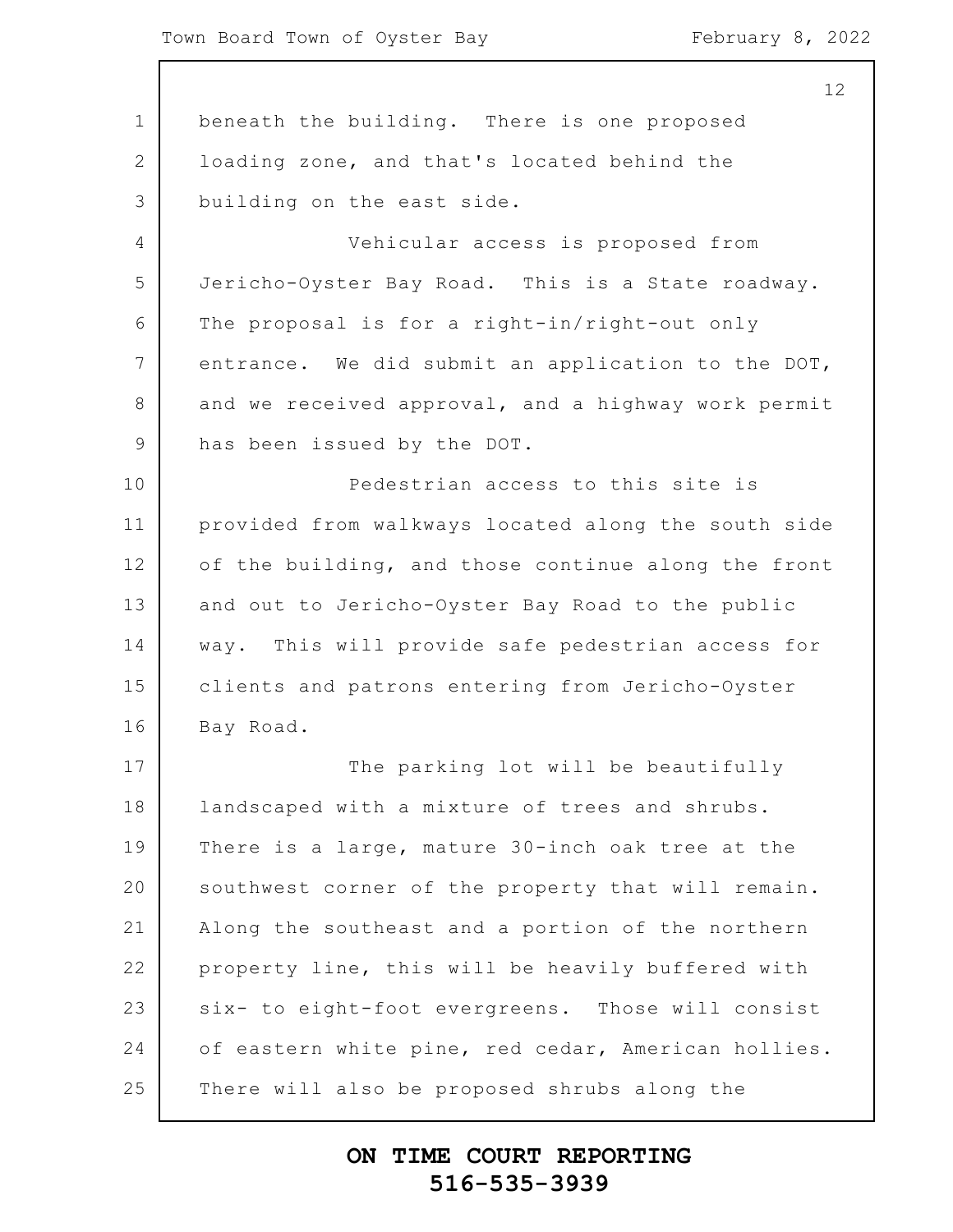1 2 3 4 5 6 7 8 9 10 11 12 13 14 15 16 17 18 19 20 21 22 23 24 25 beneath the building. There is one proposed loading zone, and that's located behind the building on the east side. Vehicular access is proposed from Jericho-Oyster Bay Road. This is a State roadway. The proposal is for a right-in/right-out only entrance. We did submit an application to the DOT, and we received approval, and a highway work permit has been issued by the DOT. Pedestrian access to this site is provided from walkways located along the south side of the building, and those continue along the front and out to Jericho-Oyster Bay Road to the public way. This will provide safe pedestrian access for clients and patrons entering from Jericho-Oyster Bay Road. The parking lot will be beautifully landscaped with a mixture of trees and shrubs. There is a large, mature 30-inch oak tree at the southwest corner of the property that will remain. Along the southeast and a portion of the northern property line, this will be heavily buffered with six- to eight-foot evergreens. Those will consist of eastern white pine, red cedar, American hollies. There will also be proposed shrubs along the

#### **ON TIME COURT REPORTING 516-535-3939**

12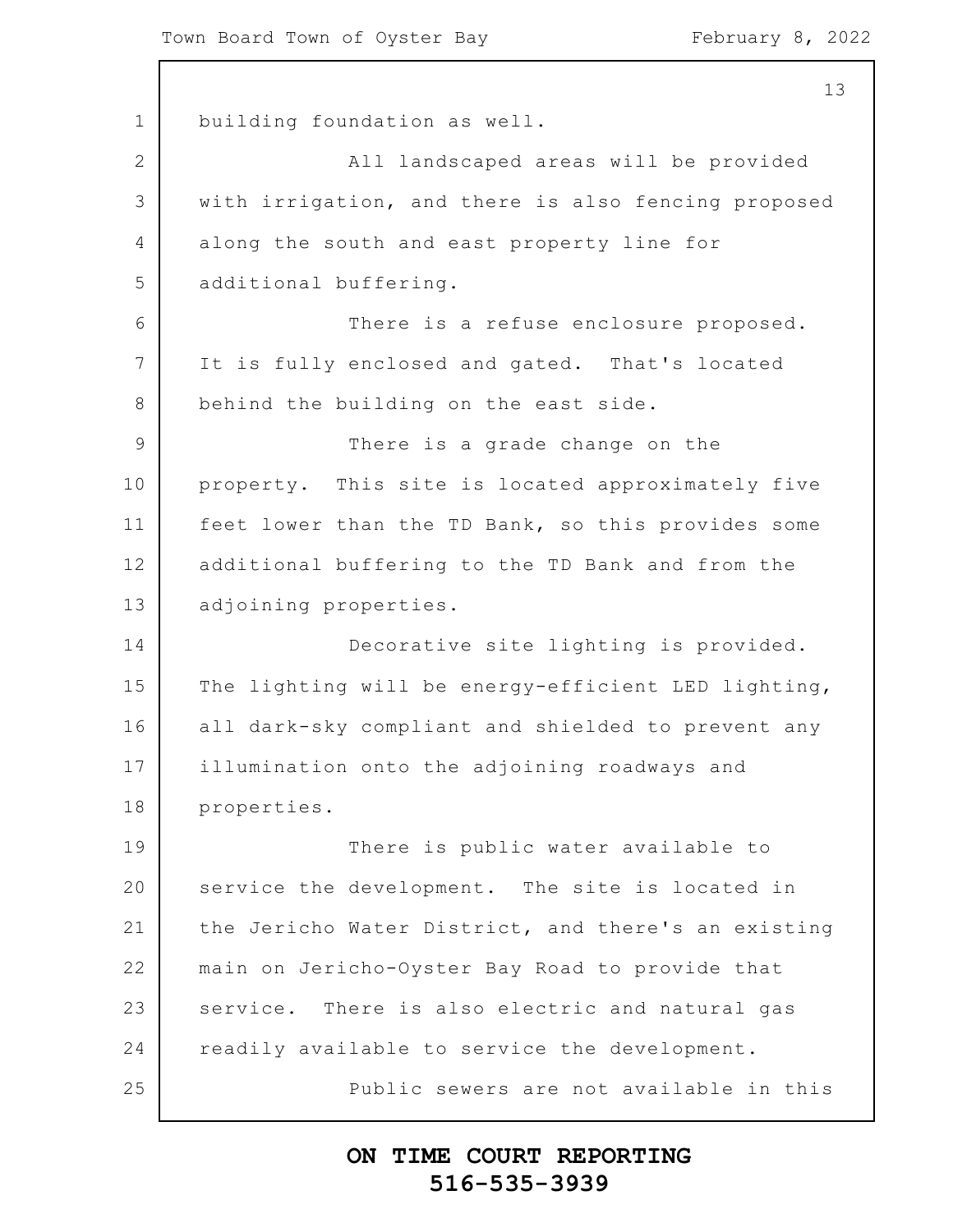1 2 3 4 5 6 7 8 9 10 11 12 13 14 15 16 17 18 19 20 21 22 23 24 25 building foundation as well. All landscaped areas will be provided with irrigation, and there is also fencing proposed along the south and east property line for additional buffering. There is a refuse enclosure proposed. It is fully enclosed and gated. That's located behind the building on the east side. There is a grade change on the property. This site is located approximately five feet lower than the TD Bank, so this provides some additional buffering to the TD Bank and from the adjoining properties. Decorative site lighting is provided. The lighting will be energy-efficient LED lighting, all dark-sky compliant and shielded to prevent any illumination onto the adjoining roadways and properties. There is public water available to service the development. The site is located in the Jericho Water District, and there's an existing main on Jericho-Oyster Bay Road to provide that service. There is also electric and natural gas readily available to service the development. Public sewers are not available in this

## **ON TIME COURT REPORTING 516-535-3939**

13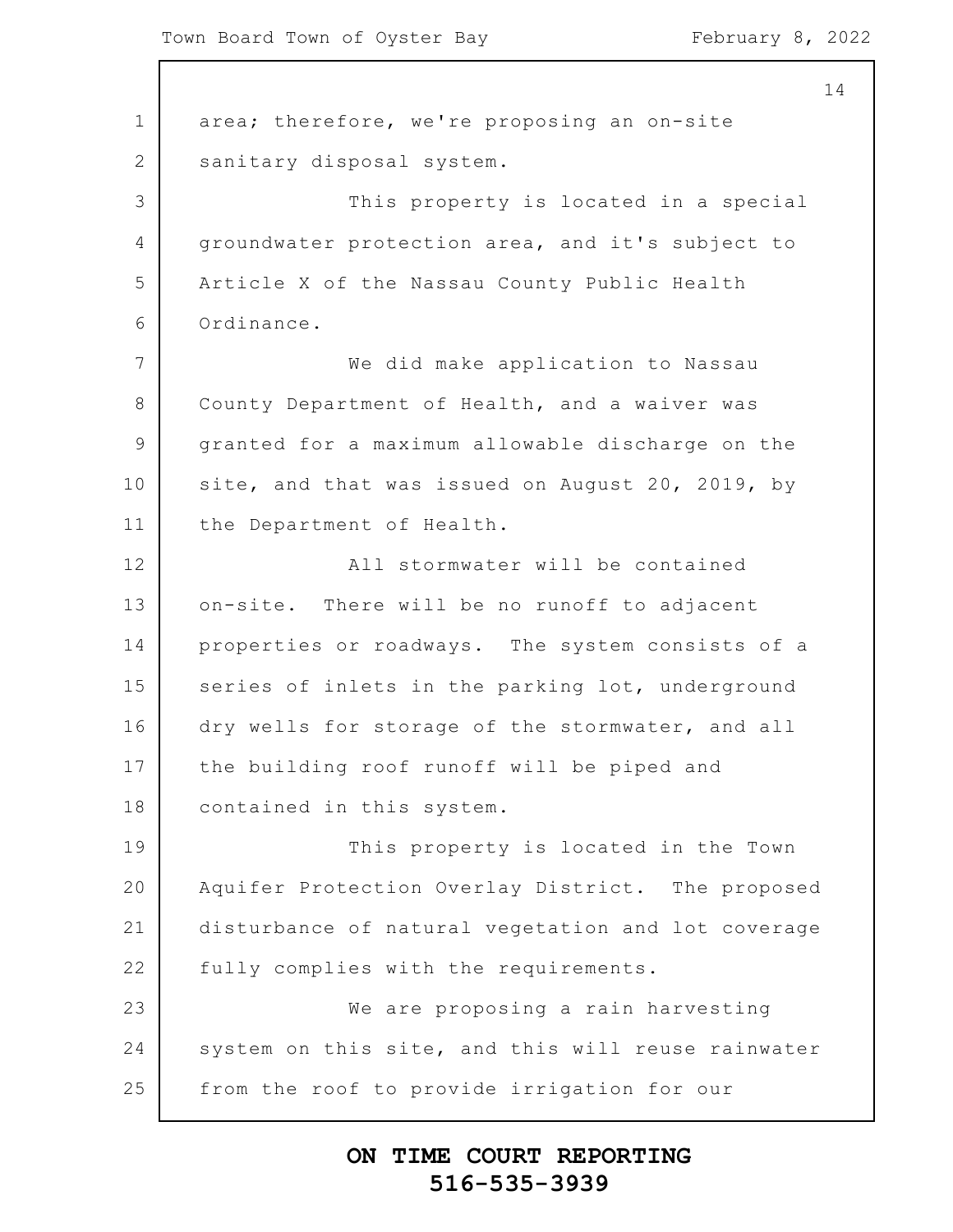$\overline{\phantom{a}}$ 

| 14                                                 |
|----------------------------------------------------|
| area; therefore, we're proposing an on-site        |
| sanitary disposal system.                          |
| This property is located in a special              |
| groundwater protection area, and it's subject to   |
| Article X of the Nassau County Public Health       |
| Ordinance.                                         |
| We did make application to Nassau                  |
| County Department of Health, and a waiver was      |
| granted for a maximum allowable discharge on the   |
| site, and that was issued on August 20, 2019, by   |
| the Department of Health.                          |
| All stormwater will be contained                   |
| on-site. There will be no runoff to adjacent       |
| properties or roadways. The system consists of a   |
| series of inlets in the parking lot, underground   |
| dry wells for storage of the stormwater, and all   |
| the building roof runoff will be piped and         |
| contained in this system.                          |
| This property is located in the Town               |
| Aquifer Protection Overlay District. The proposed  |
| disturbance of natural vegetation and lot coverage |
| fully complies with the requirements.              |
| We are proposing a rain harvesting                 |
| system on this site, and this will reuse rainwater |
| from the roof to provide irrigation for our        |
|                                                    |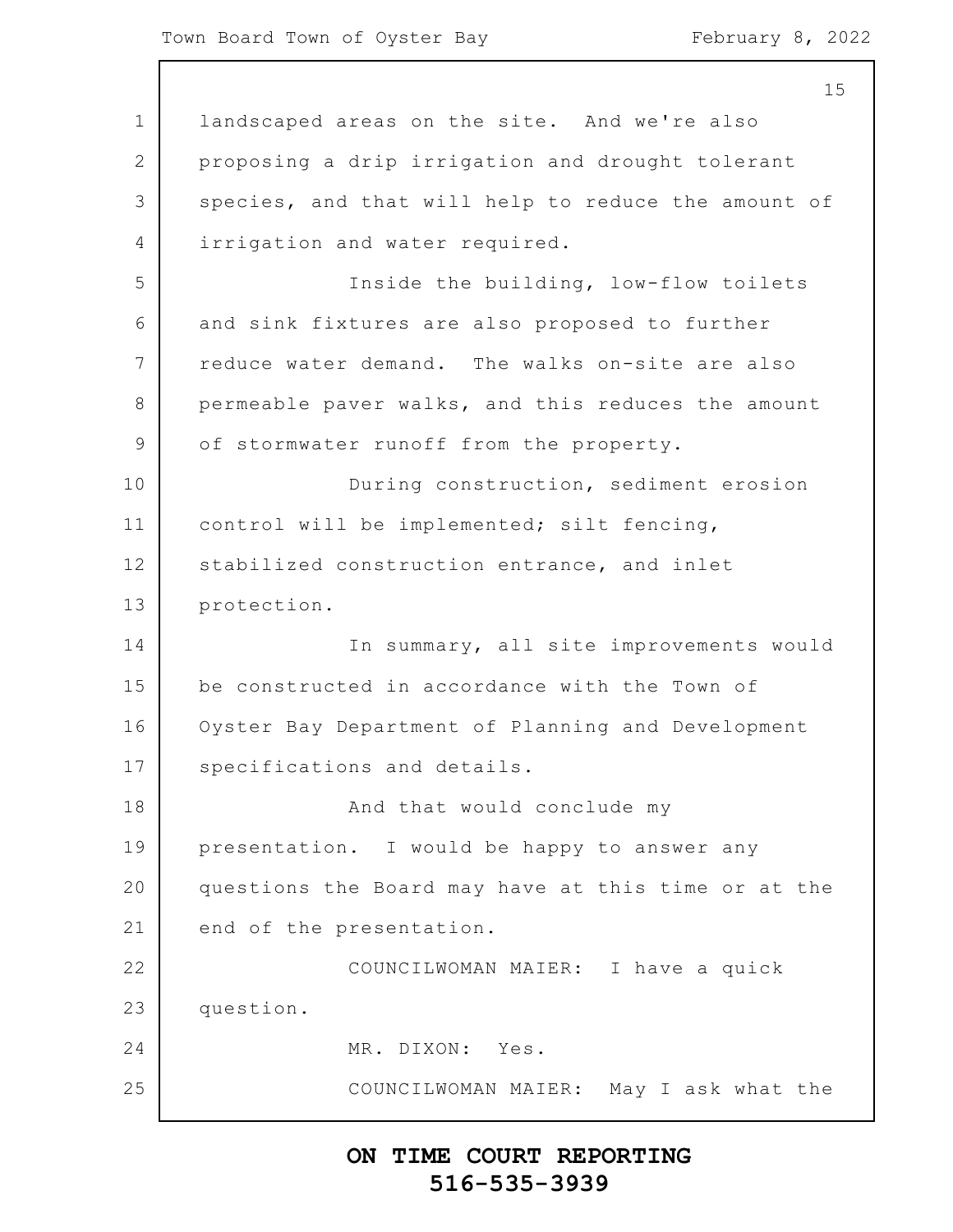1 2 3 4 5 6 7 8 9 10 11 12 13 14 15 16 17 18 19 20 21 22 23 24 25 15 landscaped areas on the site. And we're also proposing a drip irrigation and drought tolerant species, and that will help to reduce the amount of irrigation and water required. Inside the building, low-flow toilets and sink fixtures are also proposed to further reduce water demand. The walks on-site are also permeable paver walks, and this reduces the amount of stormwater runoff from the property. During construction, sediment erosion control will be implemented; silt fencing, stabilized construction entrance, and inlet protection. In summary, all site improvements would be constructed in accordance with the Town of Oyster Bay Department of Planning and Development specifications and details. And that would conclude my presentation. I would be happy to answer any questions the Board may have at this time or at the end of the presentation. COUNCILWOMAN MAIER: I have a quick question. MR. DIXON: Yes. COUNCILWOMAN MAIER: May I ask what the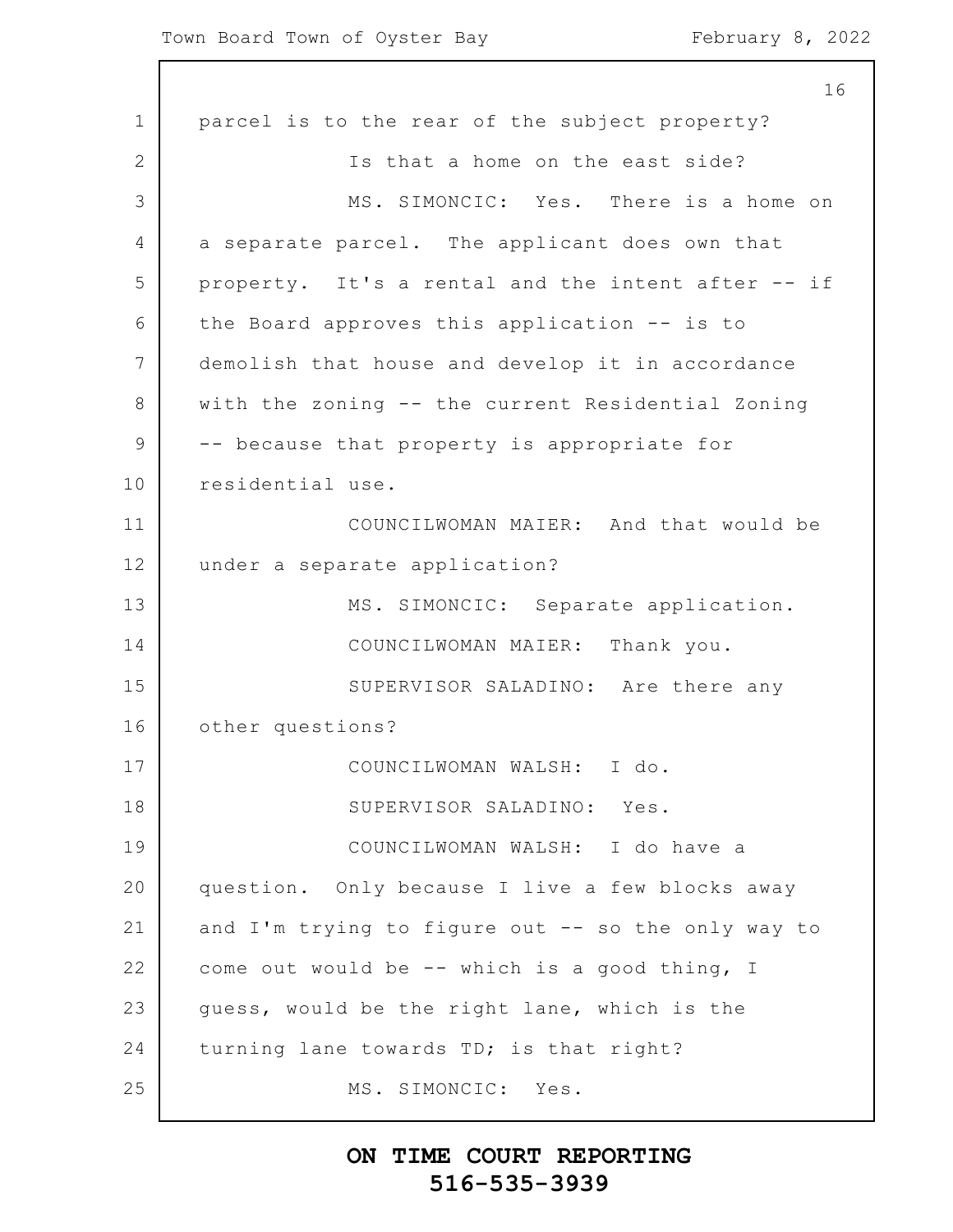1 2 3 4 5 6 7 8 9 10 11 12 13 14 15 16 17 18 19 20 21 22 23 24 25 16 parcel is to the rear of the subject property? Is that a home on the east side? MS. SIMONCIC: Yes. There is a home on a separate parcel. The applicant does own that property. It's a rental and the intent after -- if the Board approves this application -- is to demolish that house and develop it in accordance with the zoning -- the current Residential Zoning -- because that property is appropriate for residential use. COUNCILWOMAN MAIER: And that would be under a separate application? MS. SIMONCIC: Separate application. COUNCILWOMAN MAIER: Thank you. SUPERVISOR SALADINO: Are there any other questions? COUNCILWOMAN WALSH: I do. SUPERVISOR SALADINO: Yes. COUNCILWOMAN WALSH: I do have a question. Only because I live a few blocks away and I'm trying to figure out -- so the only way to come out would be -- which is a good thing, I guess, would be the right lane, which is the turning lane towards TD; is that right? MS. SIMONCIC: Yes.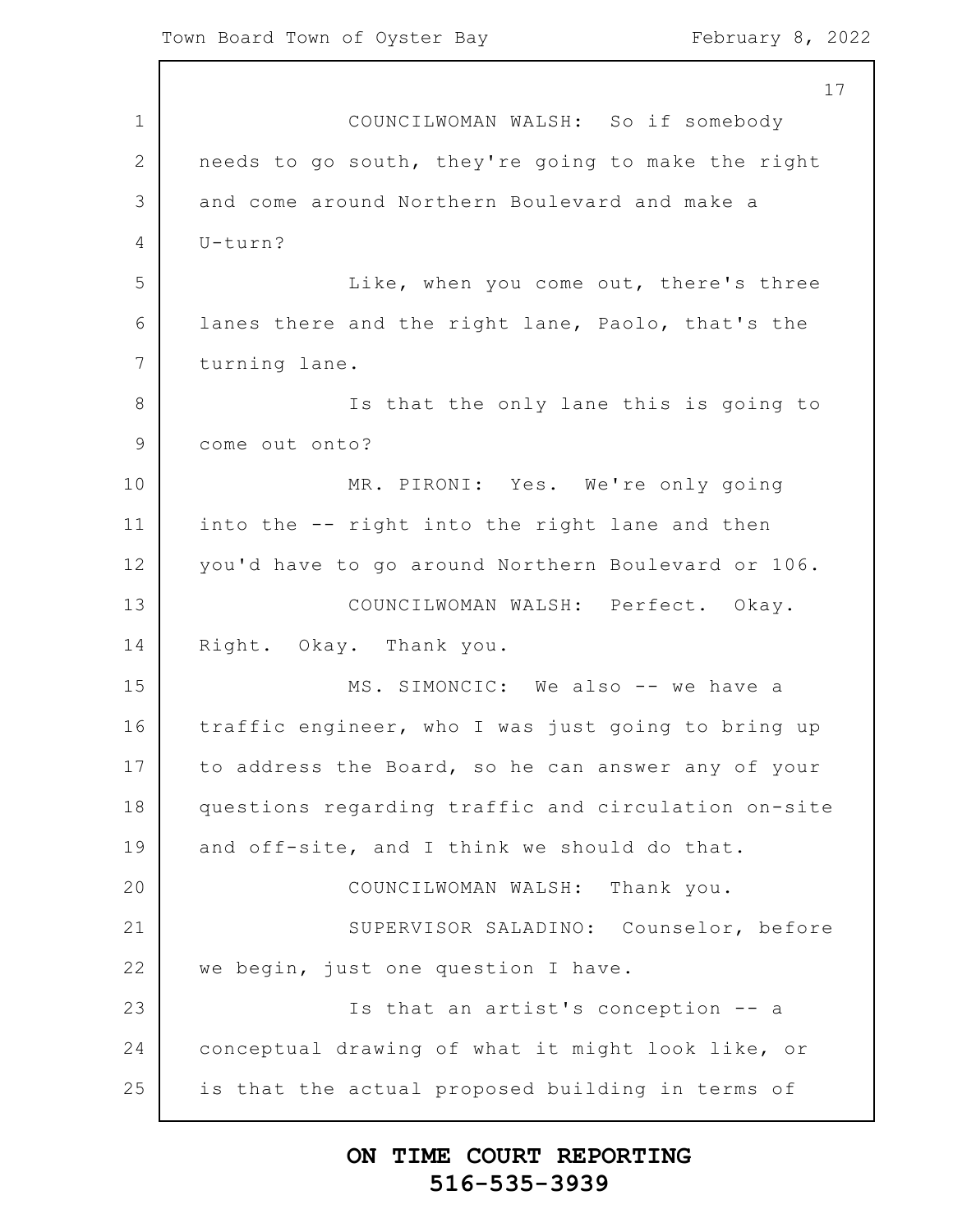$\mathsf{l}$ 

| 17                                                  |
|-----------------------------------------------------|
| COUNCILWOMAN WALSH: So if somebody                  |
| needs to go south, they're going to make the right  |
| and come around Northern Boulevard and make a       |
| U-turn?                                             |
| Like, when you come out, there's three              |
| lanes there and the right lane, Paolo, that's the   |
| turning lane.                                       |
| Is that the only lane this is going to              |
| come out onto?                                      |
| MR. PIRONI: Yes. We're only going                   |
| into the -- right into the right lane and then      |
| you'd have to go around Northern Boulevard or 106.  |
| COUNCILWOMAN WALSH: Perfect. Okay.                  |
| Right. Okay. Thank you.                             |
| MS. SIMONCIC: We also -- we have a                  |
| traffic engineer, who I was just going to bring up  |
| to address the Board, so he can answer any of your  |
| questions regarding traffic and circulation on-site |
| and off-site, and I think we should do that.        |
| COUNCILWOMAN WALSH: Thank you.                      |
| SUPERVISOR SALADINO: Counselor, before              |
| we begin, just one question I have.                 |
| Is that an artist's conception -- a                 |
| conceptual drawing of what it might look like, or   |
| is that the actual proposed building in terms of    |
|                                                     |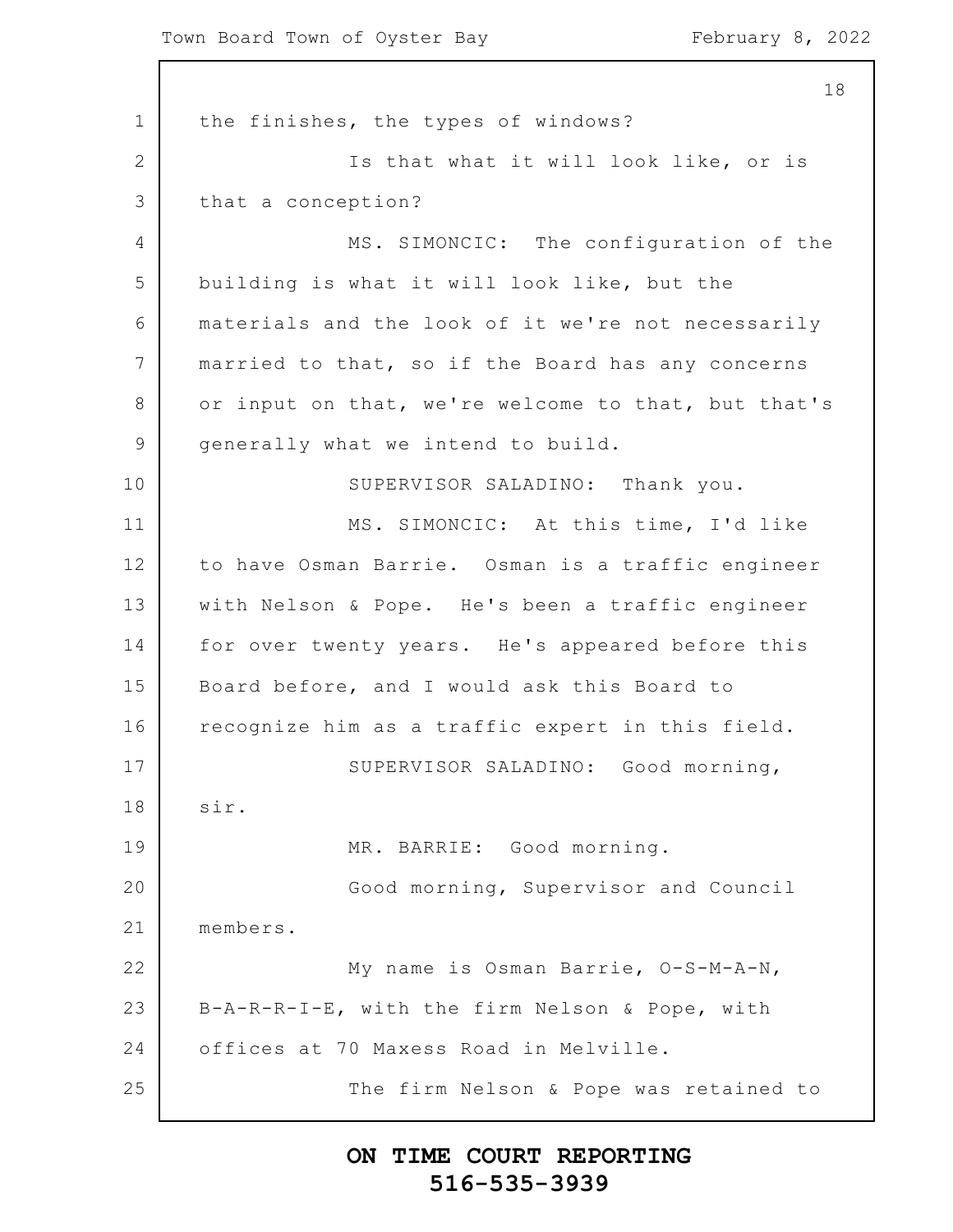1 2 3 4 5 6 7 8 9 10 11 12 13 14 15 16 17 18 19 20 21 22 23 24 25 18 the finishes, the types of windows? Is that what it will look like, or is that a conception? MS. SIMONCIC: The configuration of the building is what it will look like, but the materials and the look of it we're not necessarily married to that, so if the Board has any concerns or input on that, we're welcome to that, but that's generally what we intend to build. SUPERVISOR SALADINO: Thank you. MS. SIMONCIC: At this time, I'd like to have Osman Barrie. Osman is a traffic engineer with Nelson & Pope. He's been a traffic engineer for over twenty years. He's appeared before this Board before, and I would ask this Board to recognize him as a traffic expert in this field. SUPERVISOR SALADINO: Good morning, sir. MR. BARRIE: Good morning. Good morning, Supervisor and Council members. My name is Osman Barrie, O-S-M-A-N, B-A-R-R-I-E, with the firm Nelson & Pope, with offices at 70 Maxess Road in Melville. The firm Nelson & Pope was retained to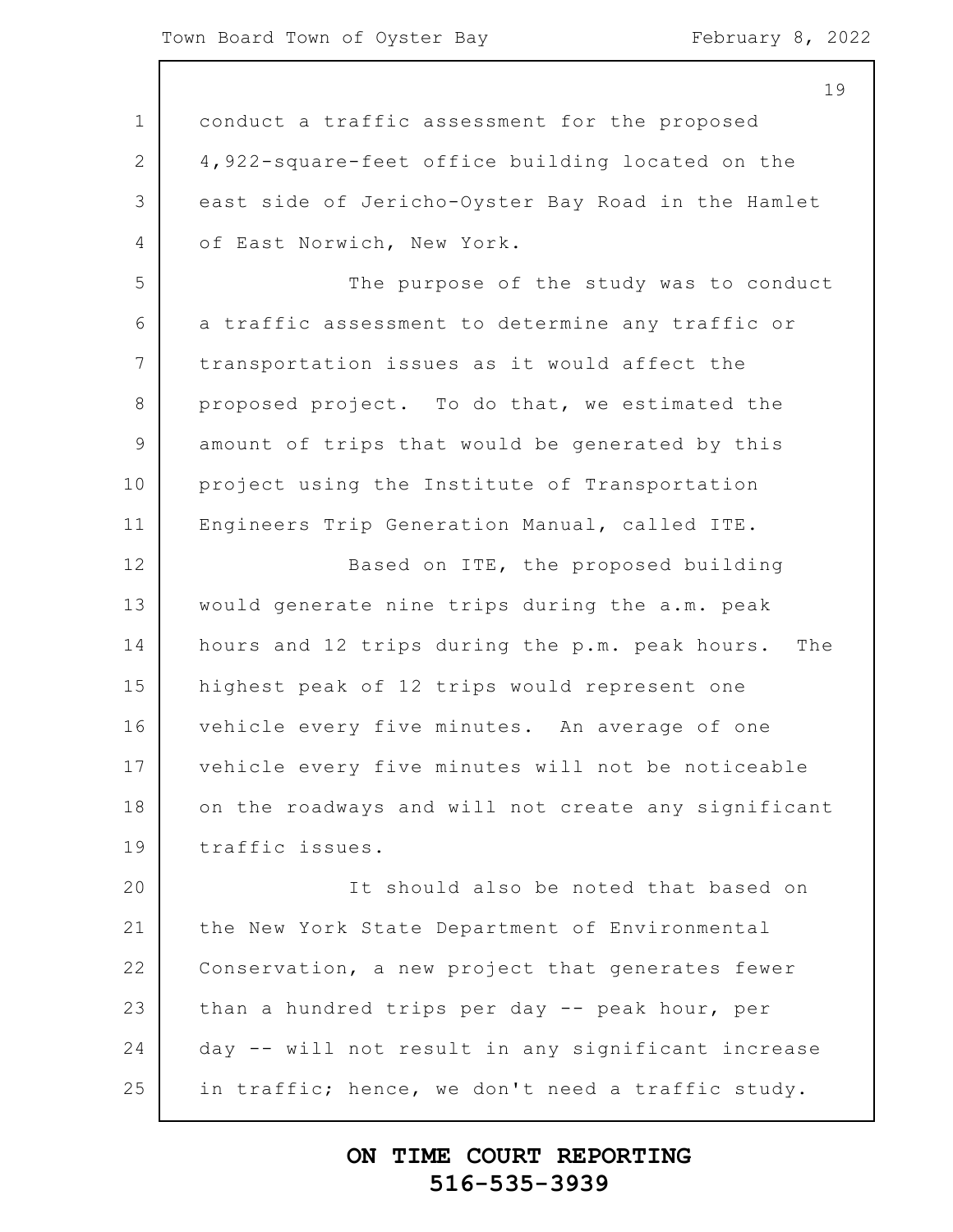1 2 3 4 5 6 7 8 9 10 11 12 13 14 15 16 17 18 19 20 21 22 23 24 25 19 conduct a traffic assessment for the proposed 4,922-square-feet office building located on the east side of Jericho-Oyster Bay Road in the Hamlet of East Norwich, New York. The purpose of the study was to conduct a traffic assessment to determine any traffic or transportation issues as it would affect the proposed project. To do that, we estimated the amount of trips that would be generated by this project using the Institute of Transportation Engineers Trip Generation Manual, called ITE. Based on ITE, the proposed building would generate nine trips during the a.m. peak hours and 12 trips during the p.m. peak hours. The highest peak of 12 trips would represent one vehicle every five minutes. An average of one vehicle every five minutes will not be noticeable on the roadways and will not create any significant traffic issues. It should also be noted that based on the New York State Department of Environmental Conservation, a new project that generates fewer than a hundred trips per day -- peak hour, per day -- will not result in any significant increase in traffic; hence, we don't need a traffic study.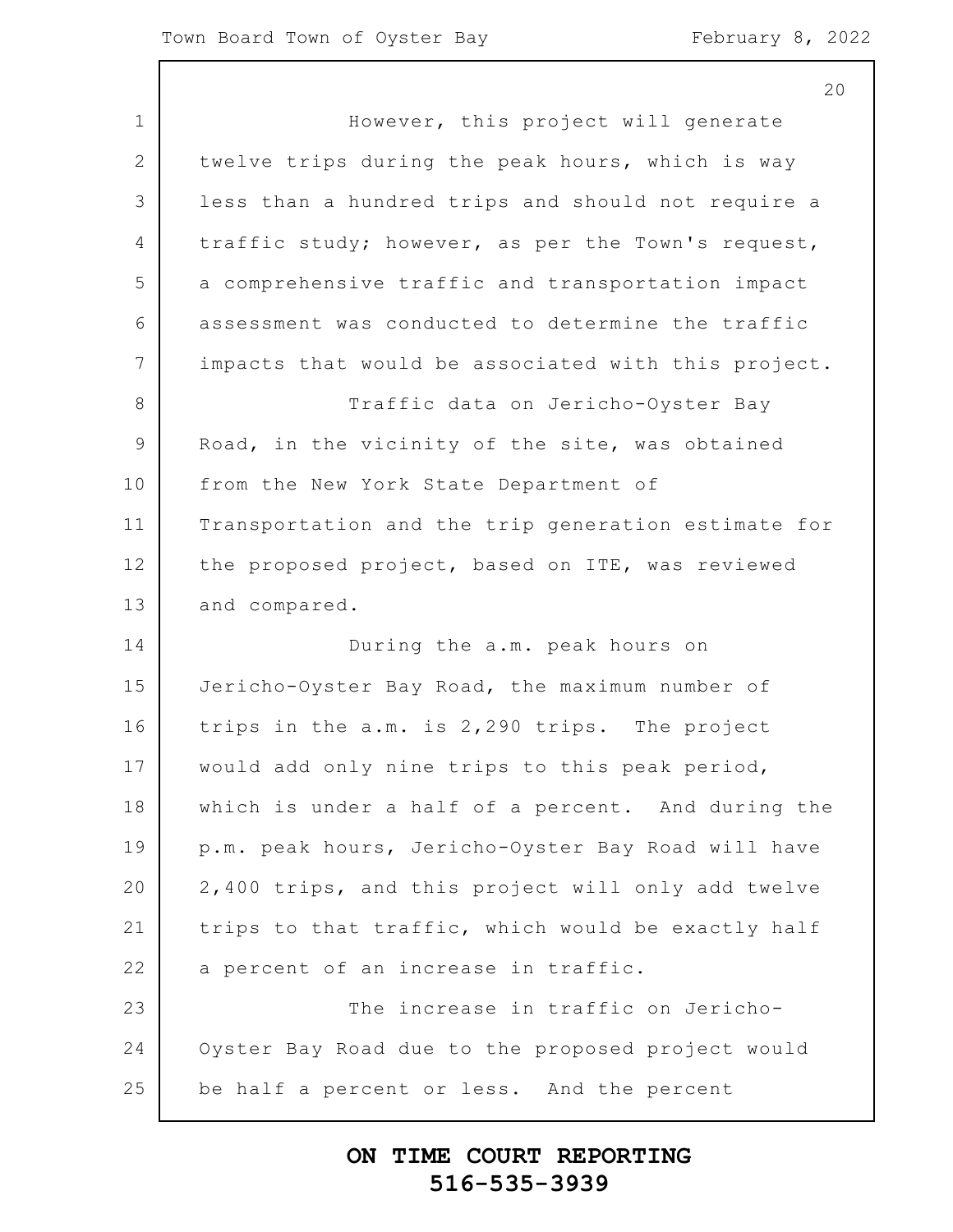1 2 3 4 5 6 7 8 9 10 11 12 13 14 15 16 17 18 19 20 21 22 23 24 25 20 However, this project will generate twelve trips during the peak hours, which is way less than a hundred trips and should not require a traffic study; however, as per the Town's request, a comprehensive traffic and transportation impact assessment was conducted to determine the traffic impacts that would be associated with this project. Traffic data on Jericho-Oyster Bay Road, in the vicinity of the site, was obtained from the New York State Department of Transportation and the trip generation estimate for the proposed project, based on ITE, was reviewed and compared. During the a.m. peak hours on Jericho-Oyster Bay Road, the maximum number of trips in the a.m. is 2,290 trips. The project would add only nine trips to this peak period, which is under a half of a percent. And during the p.m. peak hours, Jericho-Oyster Bay Road will have 2,400 trips, and this project will only add twelve trips to that traffic, which would be exactly half a percent of an increase in traffic. The increase in traffic on Jericho-Oyster Bay Road due to the proposed project would be half a percent or less. And the percent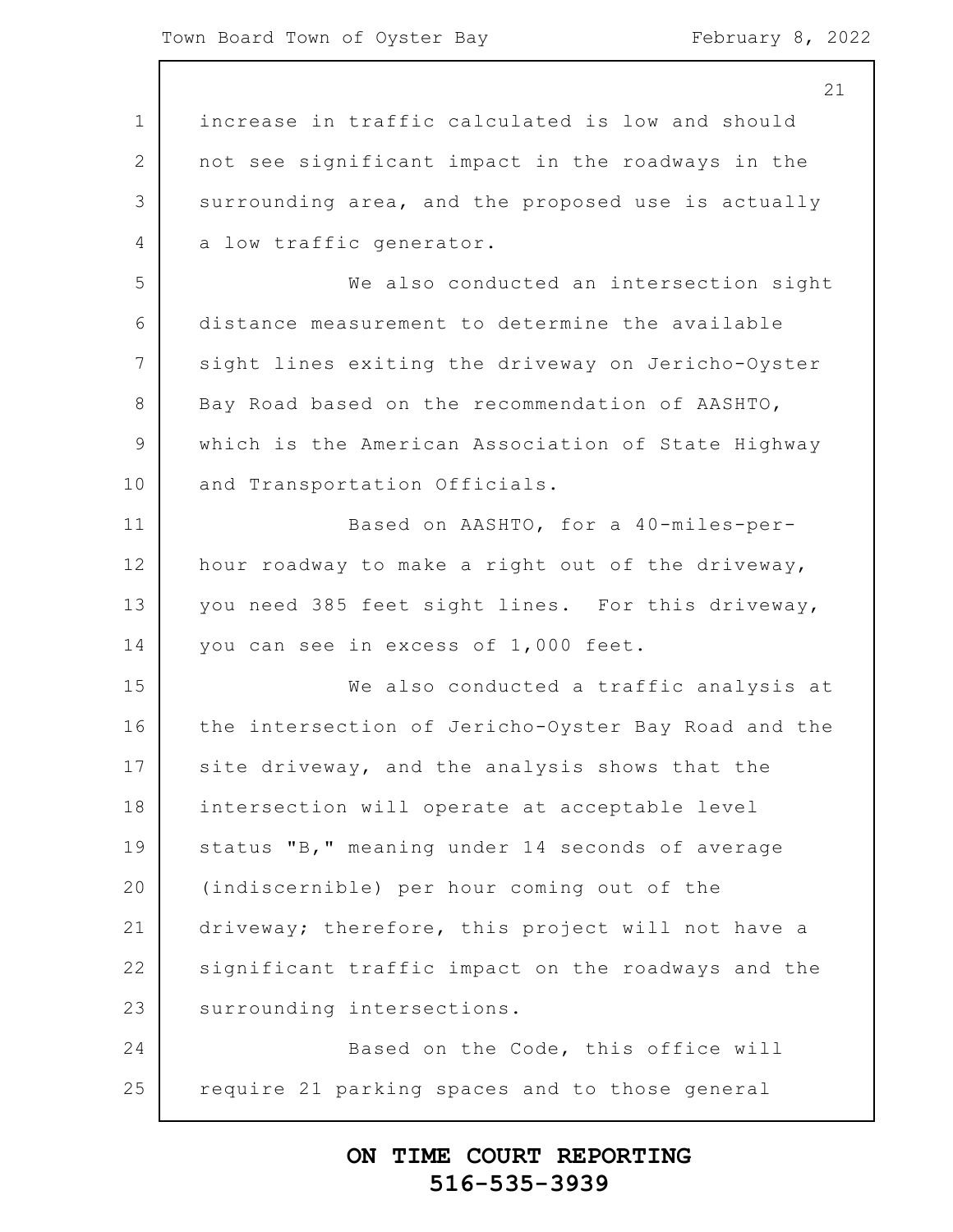|               | 21                                                  |
|---------------|-----------------------------------------------------|
| $\mathbf 1$   | increase in traffic calculated is low and should    |
| 2             | not see significant impact in the roadways in the   |
| 3             | surrounding area, and the proposed use is actually  |
| 4             | a low traffic generator.                            |
| 5             | We also conducted an intersection sight             |
| 6             | distance measurement to determine the available     |
| 7             | sight lines exiting the driveway on Jericho-Oyster  |
| 8             | Bay Road based on the recommendation of AASHTO,     |
| $\mathcal{G}$ | which is the American Association of State Highway  |
| 10            | and Transportation Officials.                       |
| 11            | Based on AASHTO, for a 40-miles-per-                |
| 12            | hour roadway to make a right out of the driveway,   |
| 13            | you need 385 feet sight lines. For this driveway,   |
| 14            | you can see in excess of 1,000 feet.                |
| 15            | We also conducted a traffic analysis at             |
| 16            | the intersection of Jericho-Oyster Bay Road and the |
| 17            | site driveway, and the analysis shows that the      |
| 18            | intersection will operate at acceptable level       |
| 19            | status "B," meaning under 14 seconds of average     |
| 20            | (indiscernible) per hour coming out of the          |
| 21            | driveway; therefore, this project will not have a   |
| 22            | significant traffic impact on the roadways and the  |
| 23            | surrounding intersections.                          |
| 24            | Based on the Code, this office will                 |
| 25            | require 21 parking spaces and to those general      |
|               |                                                     |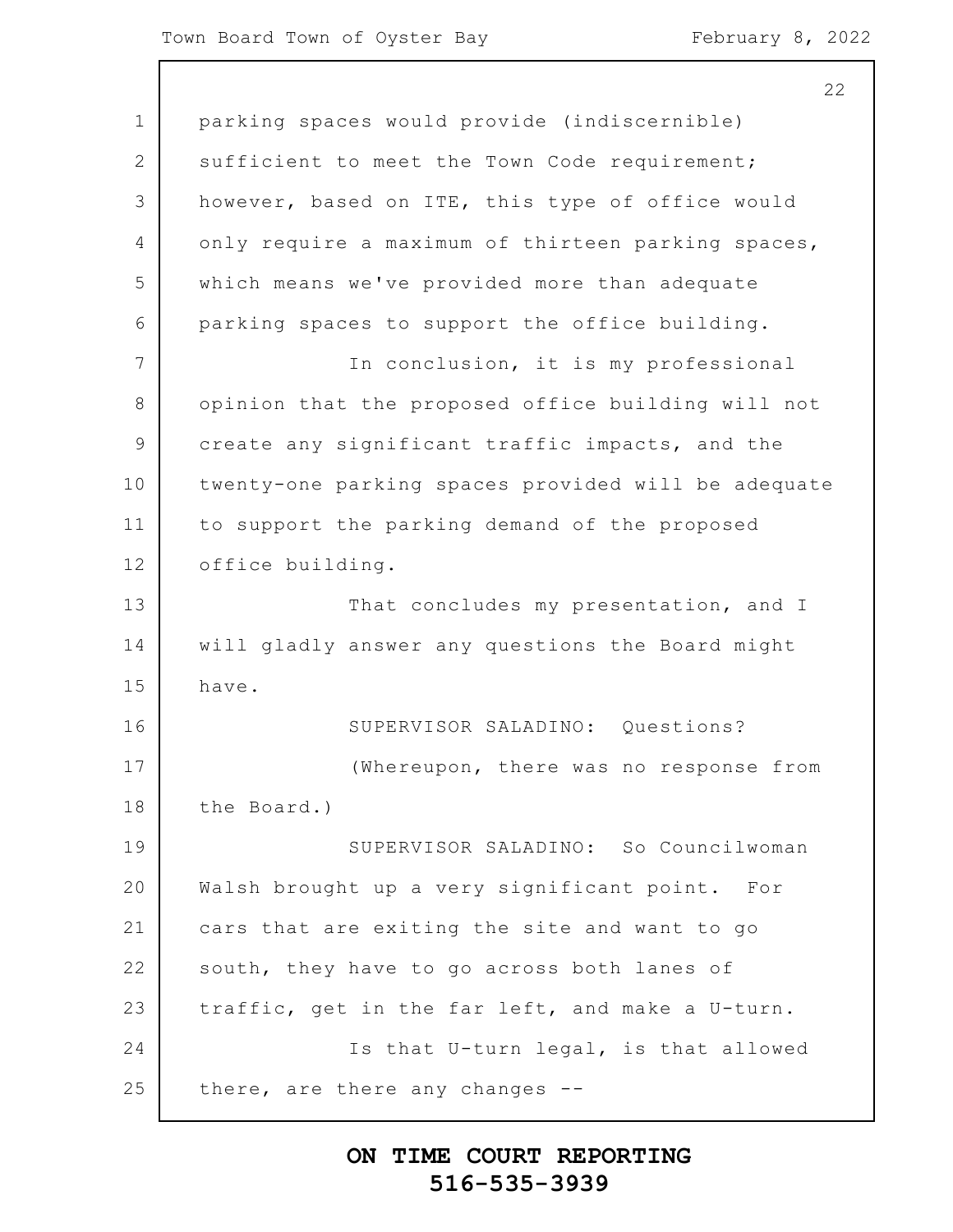|                | 22                                                  |
|----------------|-----------------------------------------------------|
| $\mathbf 1$    | parking spaces would provide (indiscernible)        |
| $\mathbf{2}$   | sufficient to meet the Town Code requirement;       |
| 3              | however, based on ITE, this type of office would    |
| 4              | only require a maximum of thirteen parking spaces,  |
| 5              | which means we've provided more than adequate       |
| 6              | parking spaces to support the office building.      |
| 7              | In conclusion, it is my professional                |
| $8\,$          | opinion that the proposed office building will not  |
| $\overline{9}$ | create any significant traffic impacts, and the     |
| 10             | twenty-one parking spaces provided will be adequate |
| 11             | to support the parking demand of the proposed       |
| 12             | office building.                                    |
| 13             | That concludes my presentation, and I               |
| 14             | will gladly answer any questions the Board might    |
| 15             | have.                                               |
| 16             | SUPERVISOR SALADINO: Questions?                     |
| 17             | (Whereupon, there was no response from              |
| 18             | the Board.)                                         |
| 19             | SUPERVISOR SALADINO: So Councilwoman                |
| 20             | Walsh brought up a very significant point. For      |
| 21             | cars that are exiting the site and want to go       |
| 22             | south, they have to go across both lanes of         |
| 23             | traffic, get in the far left, and make a U-turn.    |
| 24             | Is that U-turn legal, is that allowed               |
| 25             | there, are there any changes                        |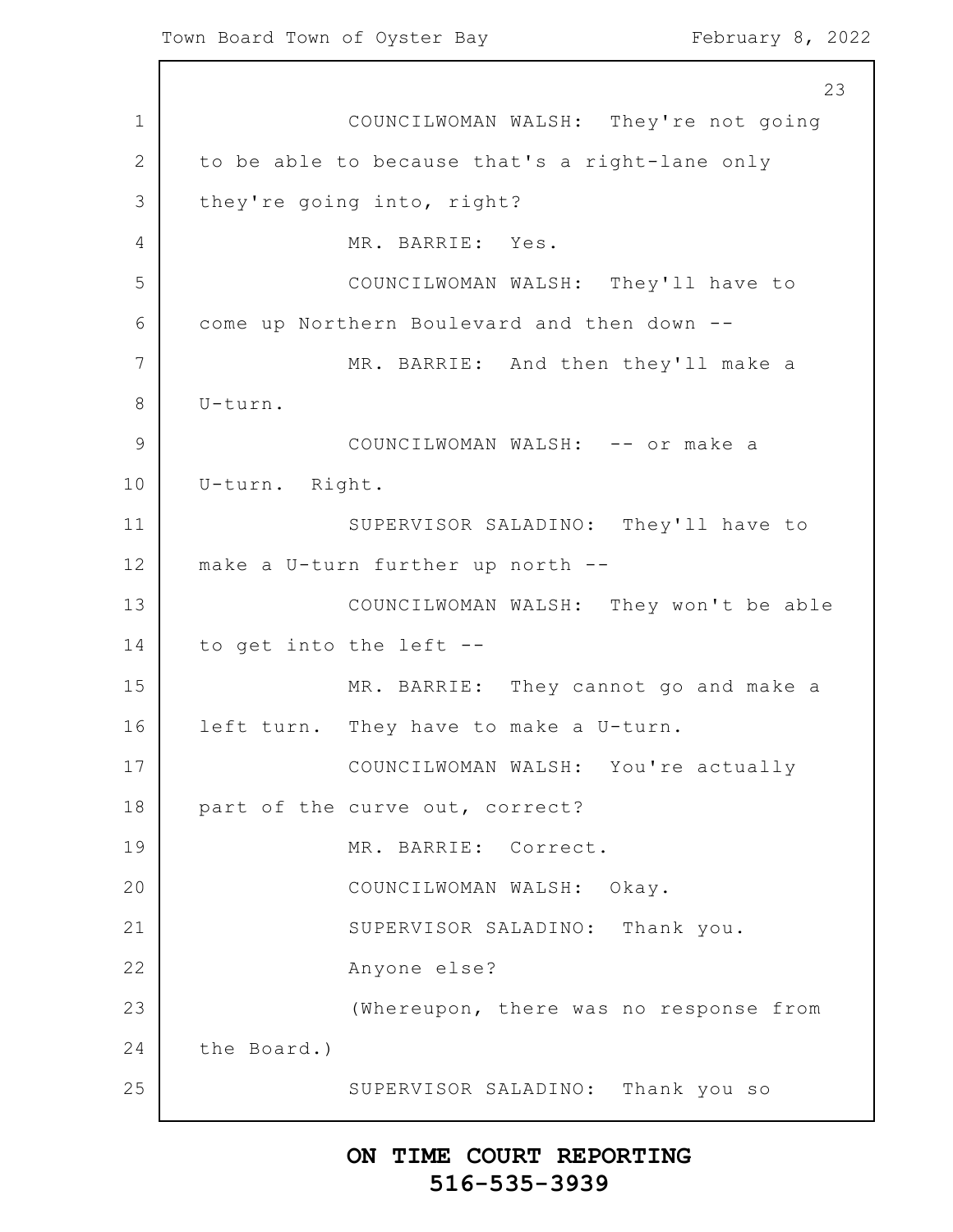1 2 3 4 5 6 7 8 9 10 11 12 13 14 15 16 17 18 19 20 21 22 23 24 25 23 COUNCILWOMAN WALSH: They're not going to be able to because that's a right-lane only they're going into, right? MR. BARRIE: Yes. COUNCILWOMAN WALSH: They'll have to come up Northern Boulevard and then down -- MR. BARRIE: And then they'll make a U-turn. COUNCILWOMAN WALSH: -- or make a U-turn. Right. SUPERVISOR SALADINO: They'll have to make a U-turn further up north -- COUNCILWOMAN WALSH: They won't be able to get into the left -- MR. BARRIE: They cannot go and make a left turn. They have to make a U-turn. COUNCILWOMAN WALSH: You're actually part of the curve out, correct? MR. BARRIE: Correct. COUNCILWOMAN WALSH: Okay. SUPERVISOR SALADINO: Thank you. Anyone else? (Whereupon, there was no response from the Board.) SUPERVISOR SALADINO: Thank you so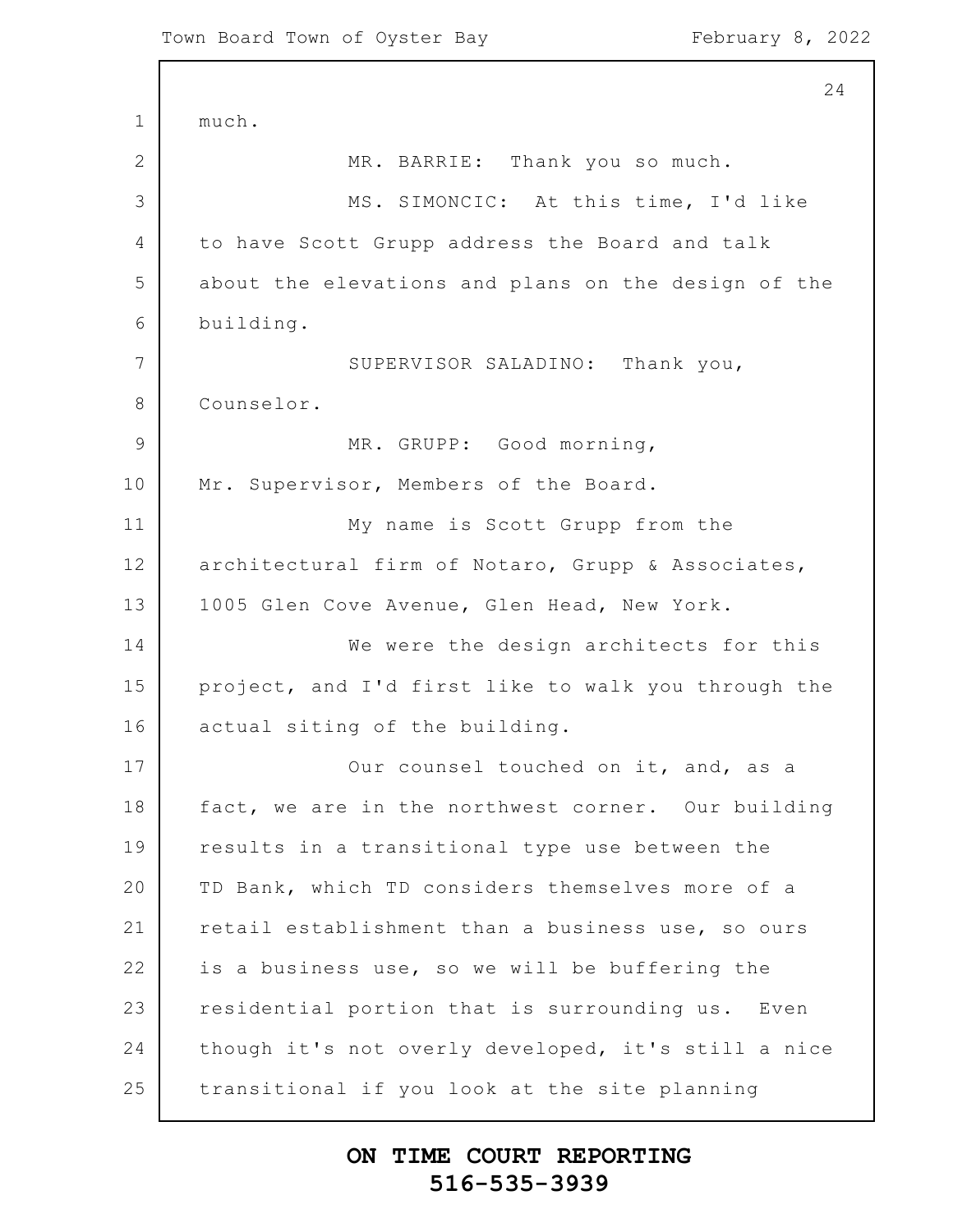1 2 3 4 5 6 7 8 9 10 11 12 13 14 15 16 17 18 19 20 21 22 23 24 25 24 much. MR. BARRIE: Thank you so much. MS. SIMONCIC: At this time, I'd like to have Scott Grupp address the Board and talk about the elevations and plans on the design of the building. SUPERVISOR SALADINO: Thank you, Counselor. MR. GRUPP: Good morning, Mr. Supervisor, Members of the Board. My name is Scott Grupp from the architectural firm of Notaro, Grupp & Associates, 1005 Glen Cove Avenue, Glen Head, New York. We were the design architects for this project, and I'd first like to walk you through the actual siting of the building. Our counsel touched on it, and, as a fact, we are in the northwest corner. Our building results in a transitional type use between the TD Bank, which TD considers themselves more of a retail establishment than a business use, so ours is a business use, so we will be buffering the residential portion that is surrounding us. Even though it's not overly developed, it's still a nice transitional if you look at the site planning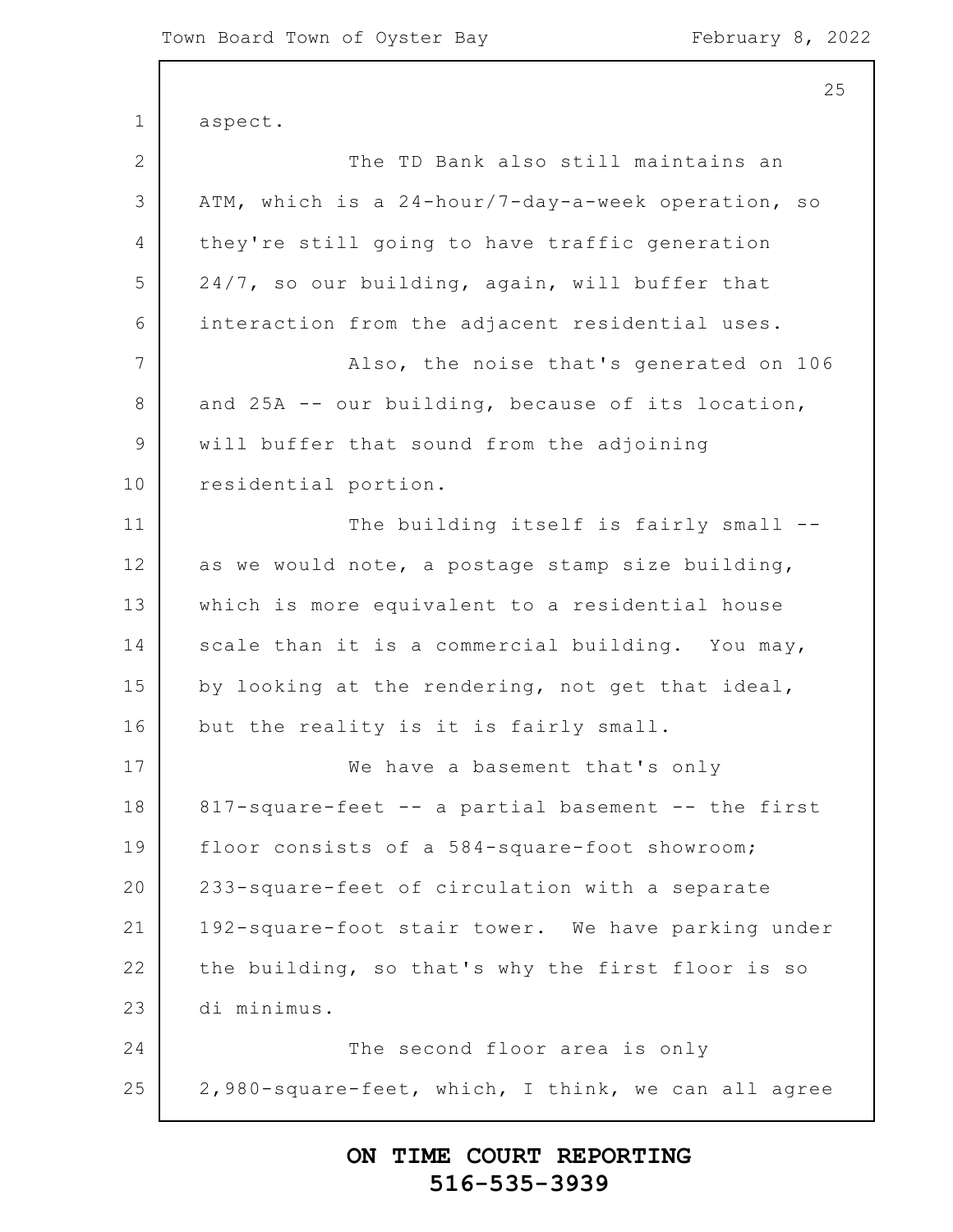1 2 3 4 5 6 7 8 9 10 11 12 13 14 15 16 17 18 19 20 21 22 23 24 25 25 aspect. The TD Bank also still maintains an ATM, which is a 24-hour/7-day-a-week operation, so they're still going to have traffic generation 24/7, so our building, again, will buffer that interaction from the adjacent residential uses. Also, the noise that's generated on 106 and 25A -- our building, because of its location, will buffer that sound from the adjoining residential portion. The building itself is fairly small -as we would note, a postage stamp size building, which is more equivalent to a residential house scale than it is a commercial building. You may, by looking at the rendering, not get that ideal, but the reality is it is fairly small. We have a basement that's only 817-square-feet -- a partial basement -- the first floor consists of a 584-square-foot showroom; 233-square-feet of circulation with a separate 192-square-foot stair tower. We have parking under the building, so that's why the first floor is so di minimus. The second floor area is only 2,980-square-feet, which, I think, we can all agree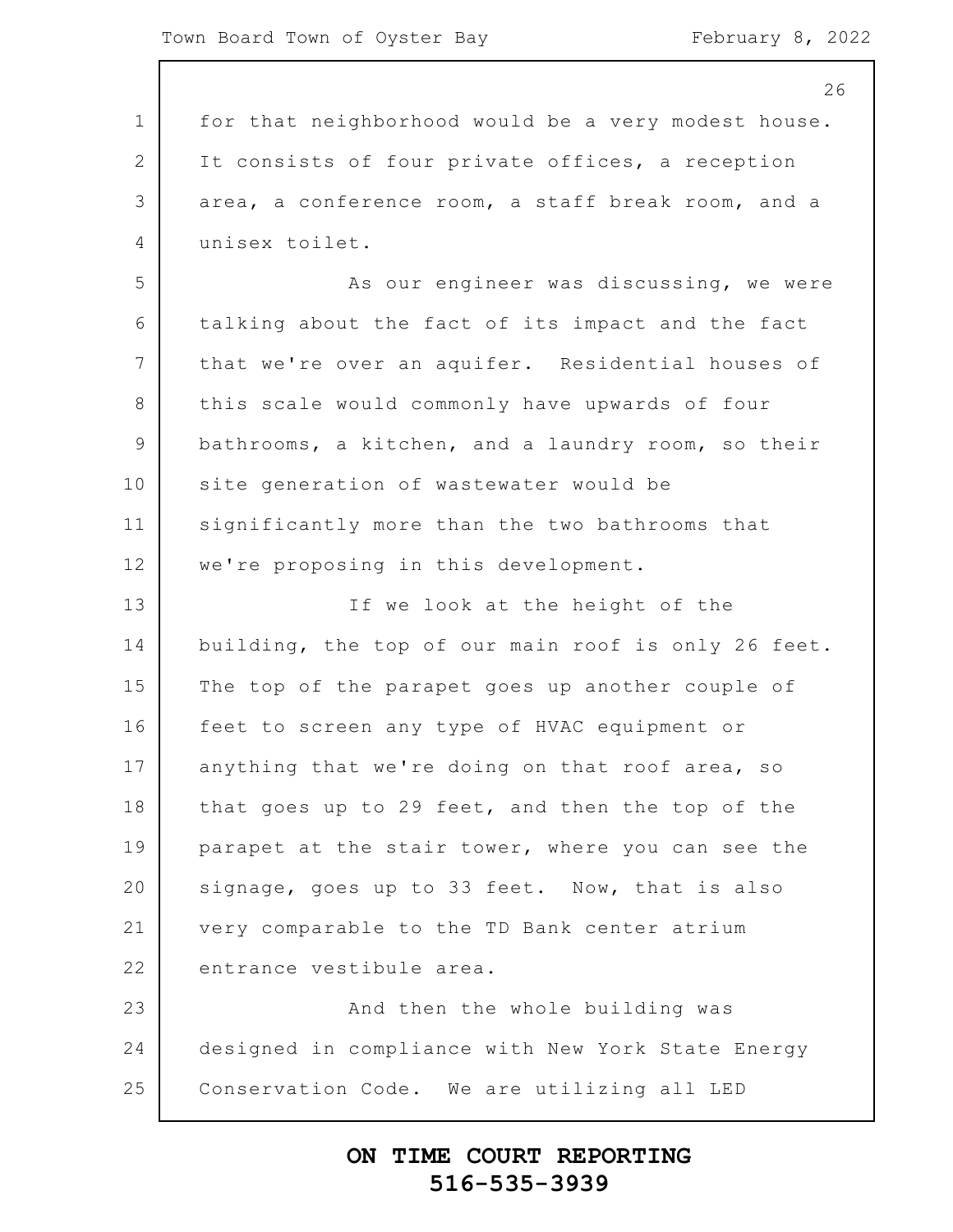|                 | 26                                                  |
|-----------------|-----------------------------------------------------|
| $\mathbf 1$     | for that neighborhood would be a very modest house. |
| 2               | It consists of four private offices, a reception    |
| 3               | area, a conference room, a staff break room, and a  |
| 4               | unisex toilet.                                      |
| 5               | As our engineer was discussing, we were             |
| 6               | talking about the fact of its impact and the fact   |
| $7\phantom{.0}$ | that we're over an aquifer. Residential houses of   |
| 8               | this scale would commonly have upwards of four      |
| 9               | bathrooms, a kitchen, and a laundry room, so their  |
| 10              | site generation of wastewater would be              |
| 11              | significantly more than the two bathrooms that      |
| 12              | we're proposing in this development.                |
| 13              | If we look at the height of the                     |
| 14              | building, the top of our main roof is only 26 feet. |
| 15              | The top of the parapet goes up another couple of    |
| 16              | feet to screen any type of HVAC equipment or        |
| 17              | anything that we're doing on that roof area, so     |
| 18              | that goes up to 29 feet, and then the top of the    |
| 19              | parapet at the stair tower, where you can see the   |
| 20              | signage, goes up to 33 feet. Now, that is also      |
| 21              | very comparable to the TD Bank center atrium        |
| 22              | entrance vestibule area.                            |
| 23              | And then the whole building was                     |
| 24              | designed in compliance with New York State Energy   |
| 25              | Conservation Code. We are utilizing all LED         |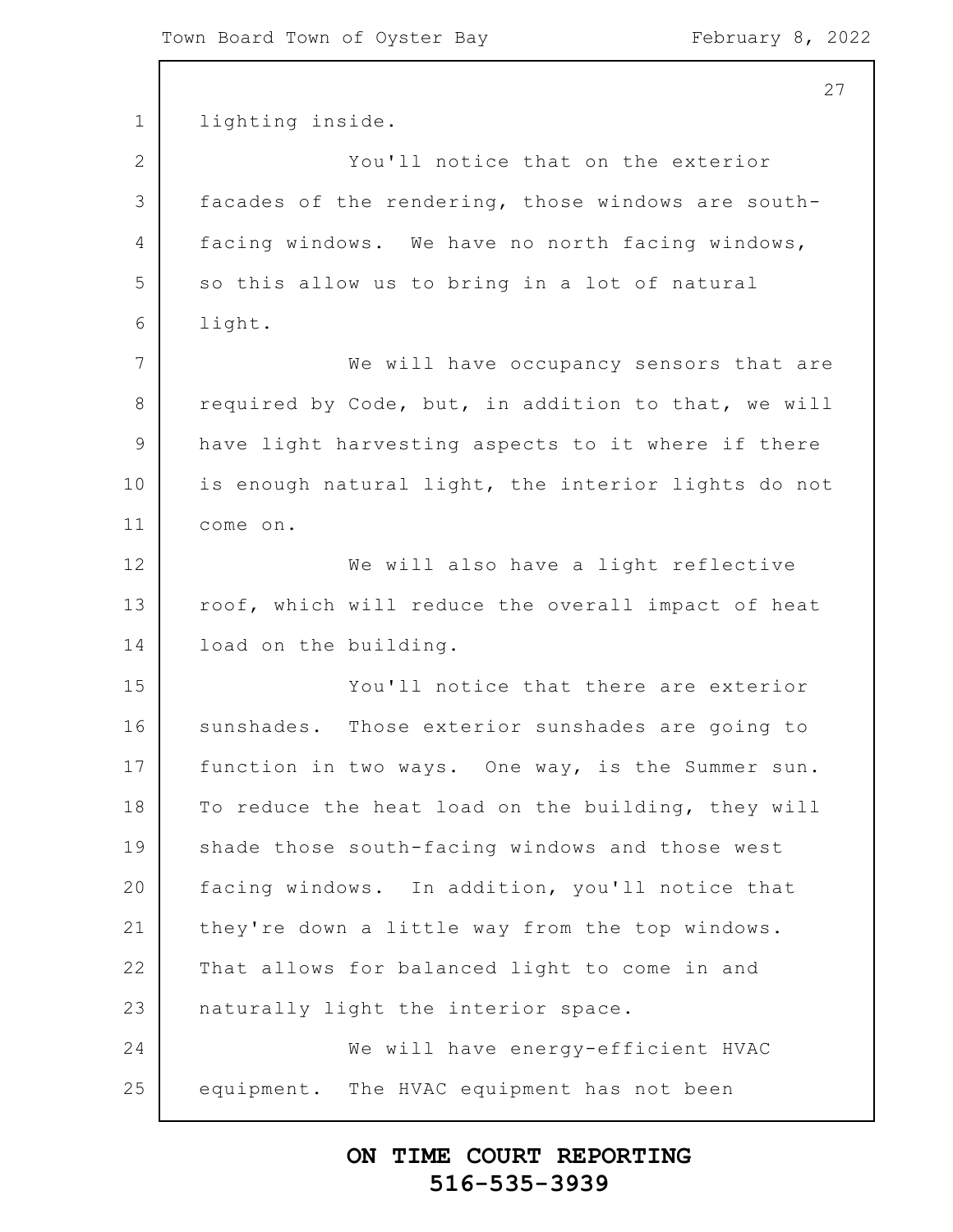1 2 3 4 5 6 7 8 9 10 11 12 13 14 15 16 17 18 19 20 21 22 23 24 25 27 lighting inside. You'll notice that on the exterior facades of the rendering, those windows are southfacing windows. We have no north facing windows, so this allow us to bring in a lot of natural light. We will have occupancy sensors that are required by Code, but, in addition to that, we will have light harvesting aspects to it where if there is enough natural light, the interior lights do not come on. We will also have a light reflective roof, which will reduce the overall impact of heat load on the building. You'll notice that there are exterior sunshades. Those exterior sunshades are going to function in two ways. One way, is the Summer sun. To reduce the heat load on the building, they will shade those south-facing windows and those west facing windows. In addition, you'll notice that they're down a little way from the top windows. That allows for balanced light to come in and naturally light the interior space. We will have energy-efficient HVAC equipment. The HVAC equipment has not been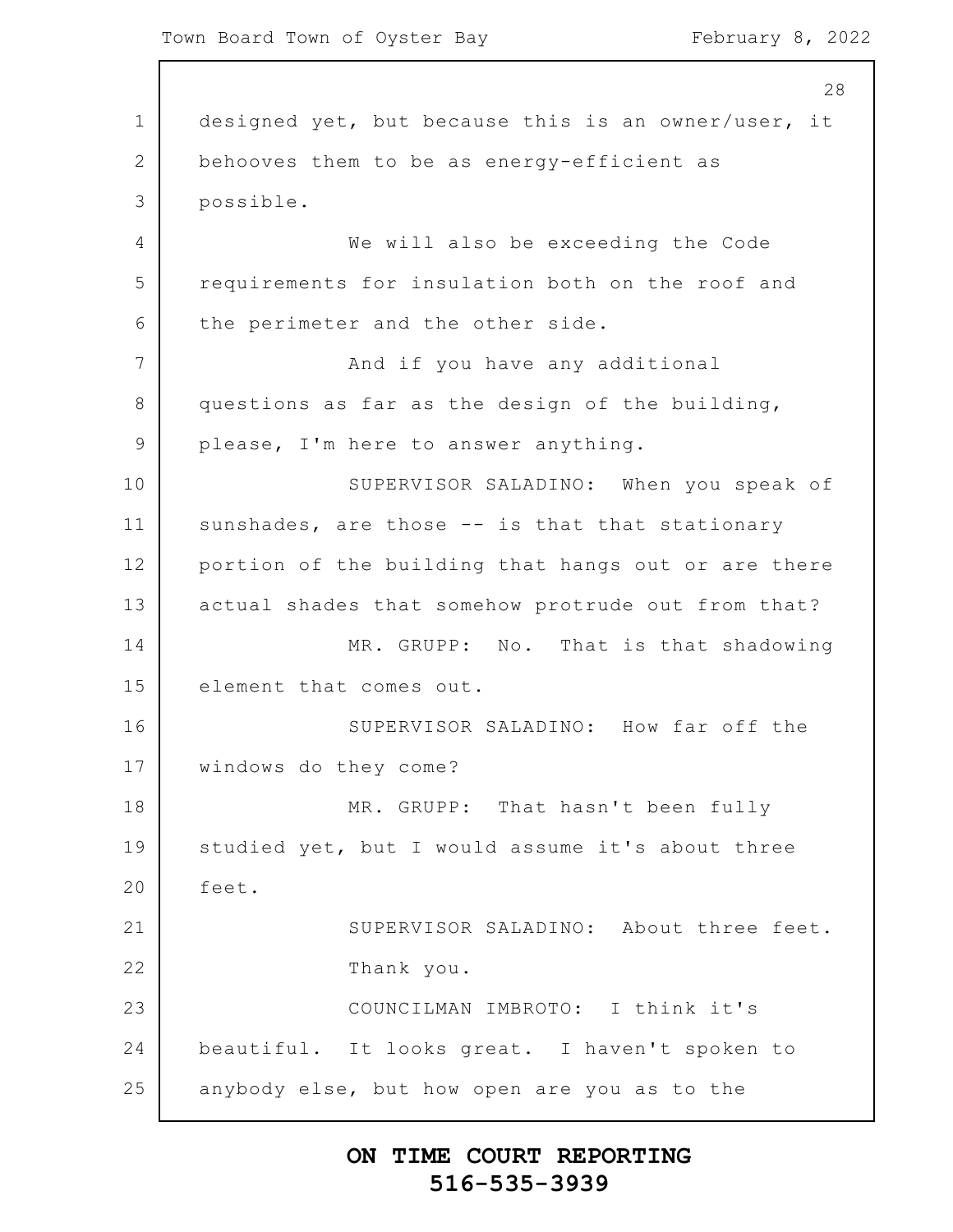1 2 3 4 5 6 7 8 9 10 11 12 13 14 15 16 17 18 19 20 21 22 23 24 25 28 designed yet, but because this is an owner/user, it behooves them to be as energy-efficient as possible. We will also be exceeding the Code requirements for insulation both on the roof and the perimeter and the other side. And if you have any additional questions as far as the design of the building, please, I'm here to answer anything. SUPERVISOR SALADINO: When you speak of sunshades, are those -- is that that stationary portion of the building that hangs out or are there actual shades that somehow protrude out from that? MR. GRUPP: No. That is that shadowing element that comes out. SUPERVISOR SALADINO: How far off the windows do they come? MR. GRUPP: That hasn't been fully studied yet, but I would assume it's about three feet. SUPERVISOR SALADINO: About three feet. Thank you. COUNCILMAN IMBROTO: I think it's beautiful. It looks great. I haven't spoken to anybody else, but how open are you as to the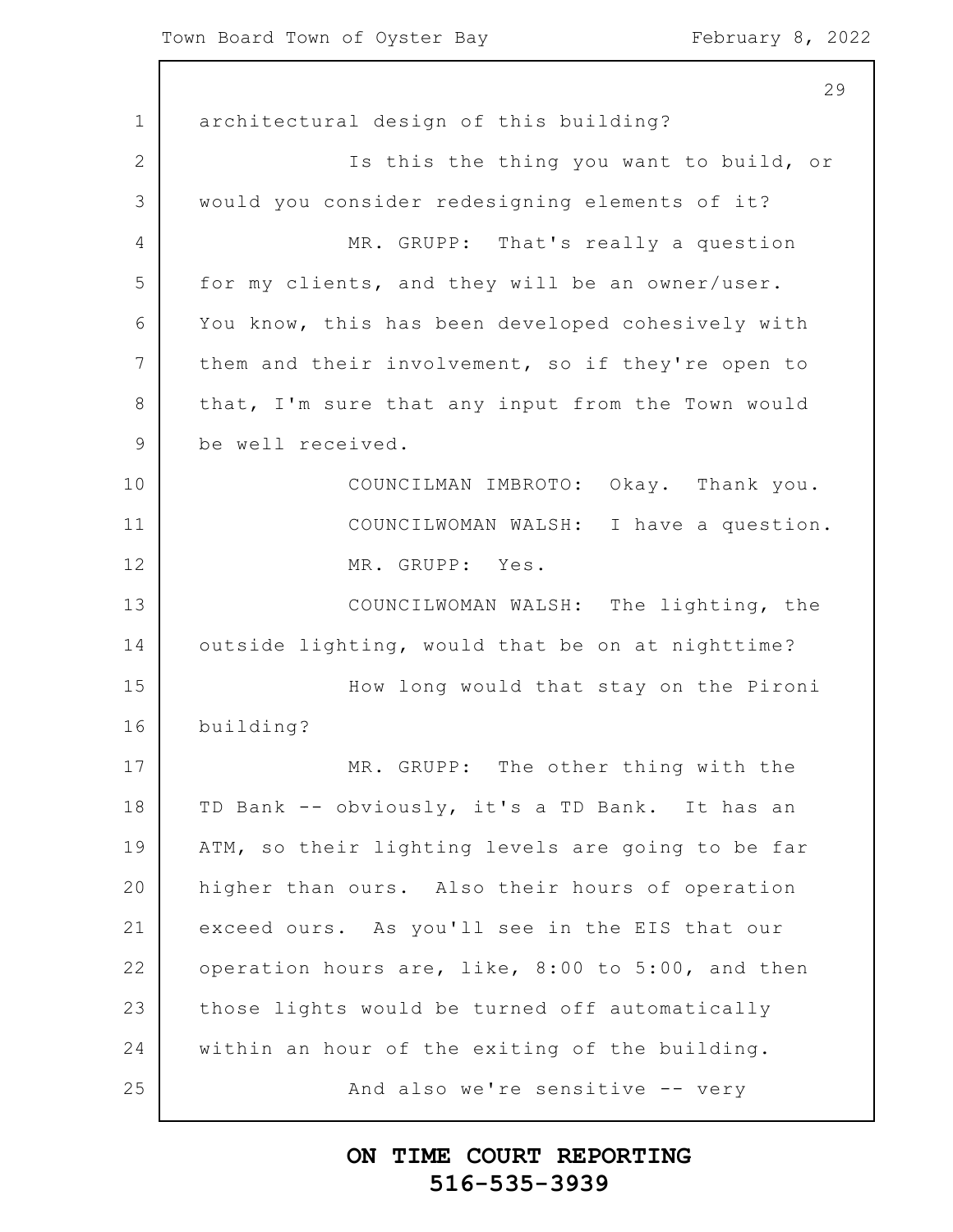1 2 3 4 5 6 7 8 9 10 11 12 13 14 15 16 17 18 19 20 21 22 23 24 25 29 architectural design of this building? Is this the thing you want to build, or would you consider redesigning elements of it? MR. GRUPP: That's really a question for my clients, and they will be an owner/user. You know, this has been developed cohesively with them and their involvement, so if they're open to that, I'm sure that any input from the Town would be well received. COUNCILMAN IMBROTO: Okay. Thank you. COUNCILWOMAN WALSH: I have a question. MR. GRUPP: Yes. COUNCILWOMAN WALSH: The lighting, the outside lighting, would that be on at nighttime? How long would that stay on the Pironi building? MR. GRUPP: The other thing with the TD Bank -- obviously, it's a TD Bank. It has an ATM, so their lighting levels are going to be far higher than ours. Also their hours of operation exceed ours. As you'll see in the EIS that our operation hours are, like, 8:00 to 5:00, and then those lights would be turned off automatically within an hour of the exiting of the building. And also we're sensitive -- very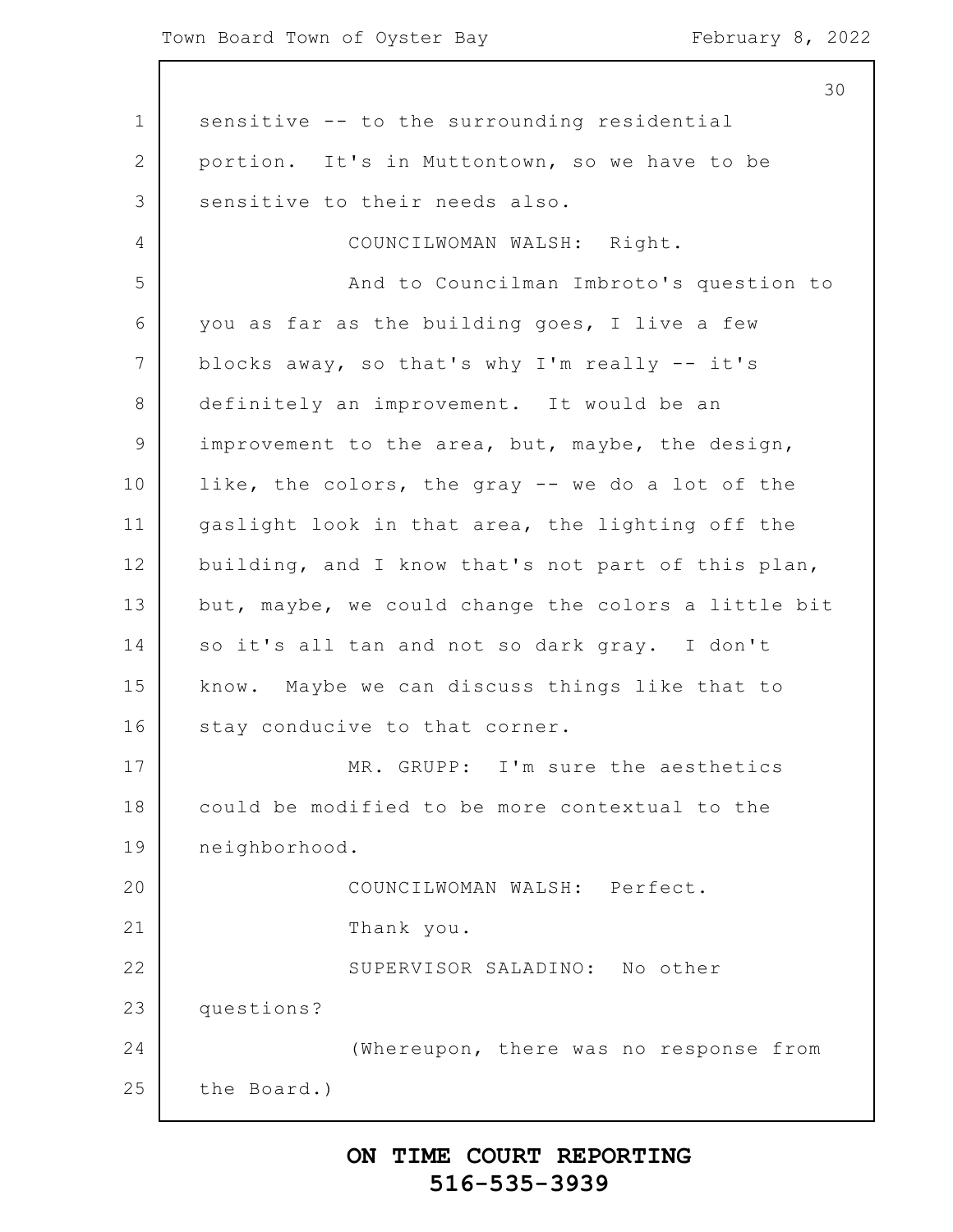| 30                                                  |
|-----------------------------------------------------|
| sensitive -- to the surrounding residential         |
| portion. It's in Muttontown, so we have to be       |
| sensitive to their needs also.                      |
| COUNCILWOMAN WALSH: Right.                          |
| And to Councilman Imbroto's question to             |
| you as far as the building goes, I live a few       |
| blocks away, so that's why I'm really -- it's       |
| definitely an improvement. It would be an           |
| improvement to the area, but, maybe, the design,    |
| like, the colors, the gray -- we do a lot of the    |
| gaslight look in that area, the lighting off the    |
| building, and I know that's not part of this plan,  |
| but, maybe, we could change the colors a little bit |
| so it's all tan and not so dark gray. I don't       |
| know. Maybe we can discuss things like that to      |
| stay conducive to that corner.                      |
| MR. GRUPP: I'm sure the aesthetics                  |
| could be modified to be more contextual to the      |
| neighborhood.                                       |
| COUNCILWOMAN WALSH: Perfect.                        |
| Thank you.                                          |
| SUPERVISOR SALADINO: No other                       |
| questions?                                          |
| (Whereupon, there was no response from              |
| the Board.)                                         |
|                                                     |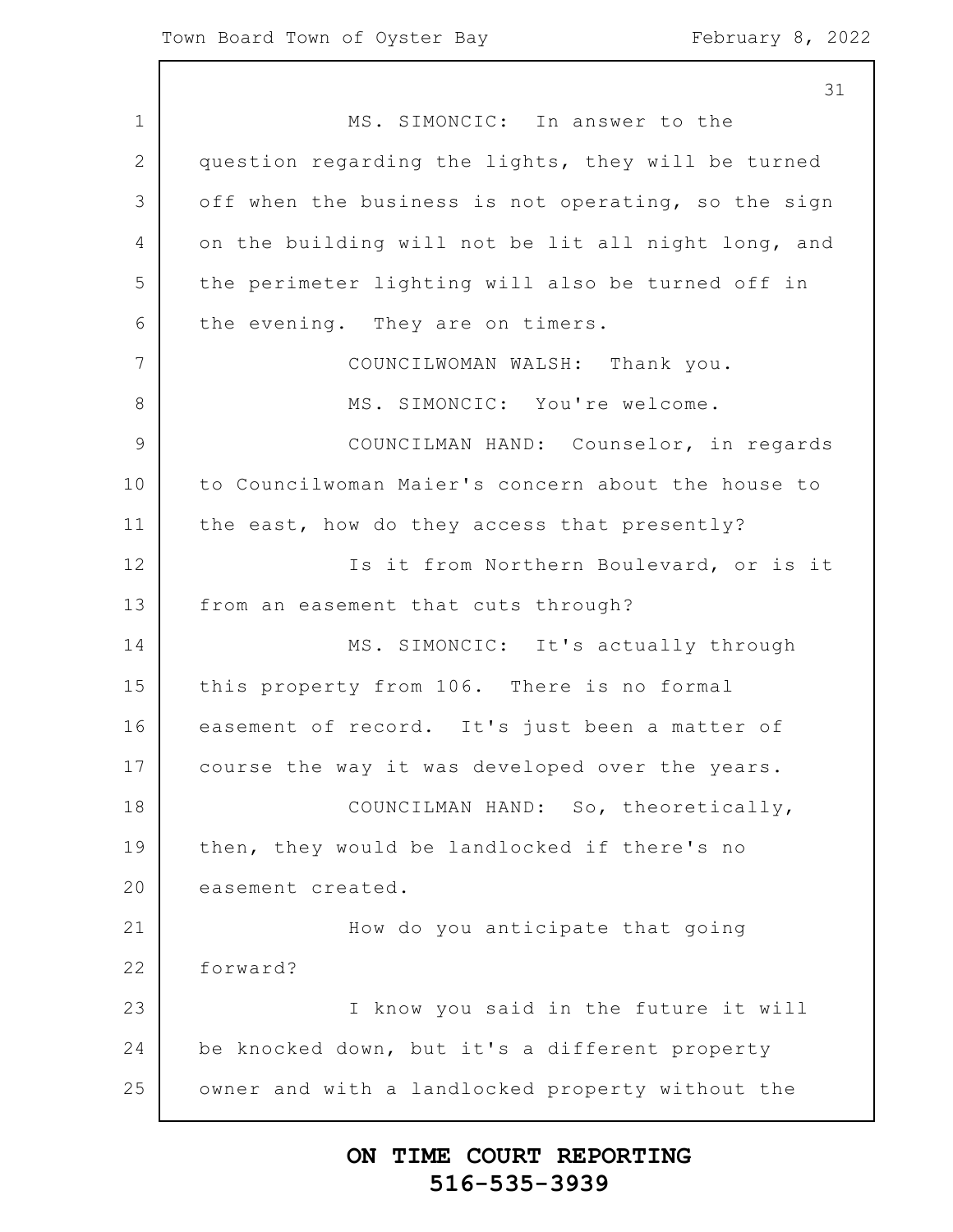31

1 2 3 4 5 6 7 8 9 10 11 12 13 14 15 16 17 18 19 20 21 22 23 24 25 MS. SIMONCIC: In answer to the question regarding the lights, they will be turned off when the business is not operating, so the sign on the building will not be lit all night long, and the perimeter lighting will also be turned off in the evening. They are on timers. COUNCILWOMAN WALSH: Thank you. MS. SIMONCIC: You're welcome. COUNCILMAN HAND: Counselor, in regards to Councilwoman Maier's concern about the house to the east, how do they access that presently? Is it from Northern Boulevard, or is it from an easement that cuts through? MS. SIMONCIC: It's actually through this property from 106. There is no formal easement of record. It's just been a matter of course the way it was developed over the years. COUNCILMAN HAND: So, theoretically, then, they would be landlocked if there's no easement created. How do you anticipate that going forward? I know you said in the future it will be knocked down, but it's a different property owner and with a landlocked property without the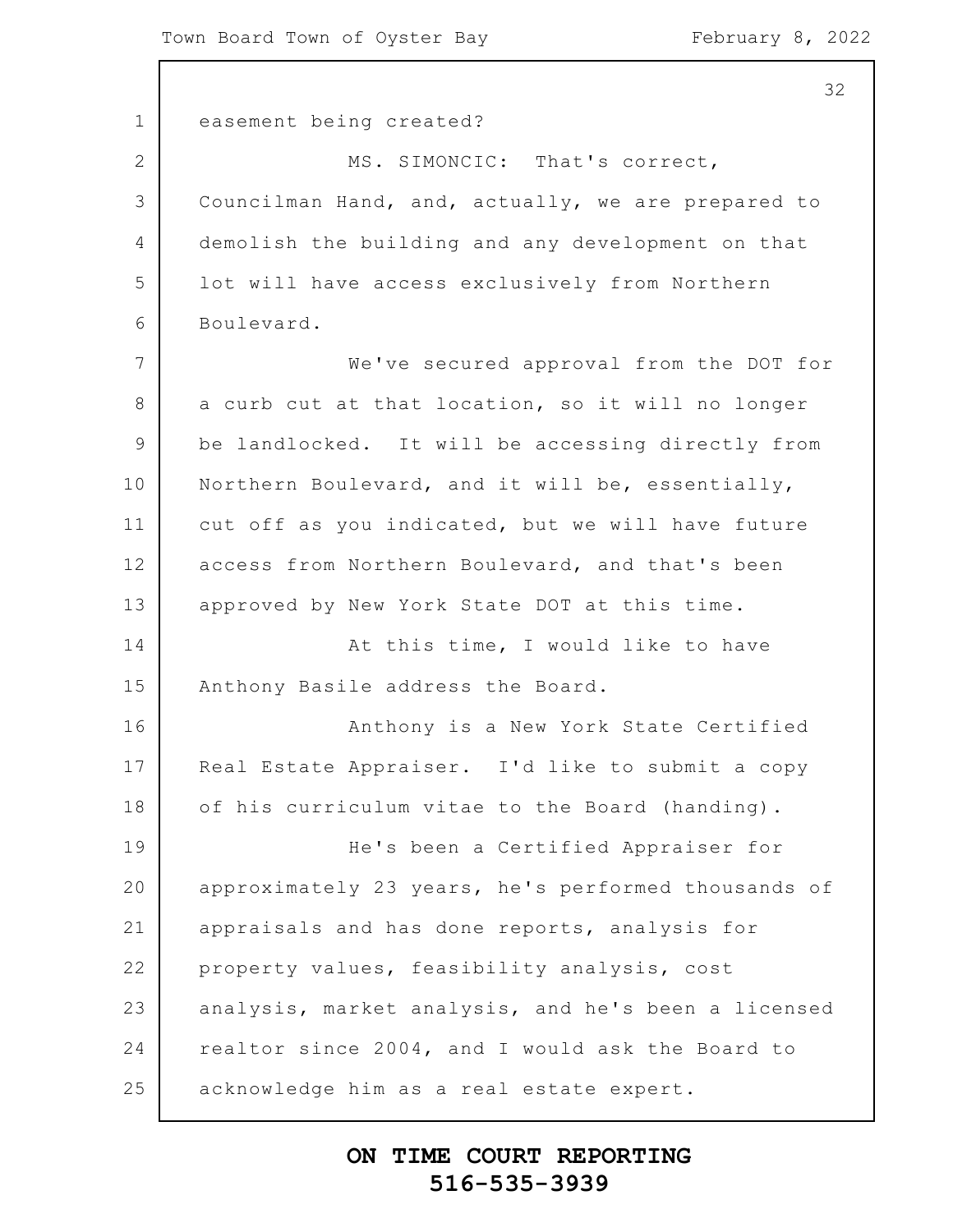$\overline{\phantom{a}}$ 

|             | 32                                                  |
|-------------|-----------------------------------------------------|
| $\mathbf 1$ | easement being created?                             |
| 2           | MS. SIMONCIC: That's correct,                       |
| 3           | Councilman Hand, and, actually, we are prepared to  |
| 4           | demolish the building and any development on that   |
| 5           | lot will have access exclusively from Northern      |
| 6           | Boulevard.                                          |
| 7           | We've secured approval from the DOT for             |
| 8           | a curb cut at that location, so it will no longer   |
| $\mathsf 9$ | be landlocked. It will be accessing directly from   |
| 10          | Northern Boulevard, and it will be, essentially,    |
| 11          | cut off as you indicated, but we will have future   |
| 12          | access from Northern Boulevard, and that's been     |
| 13          | approved by New York State DOT at this time.        |
| 14          | At this time, I would like to have                  |
| 15          | Anthony Basile address the Board.                   |
| 16          | Anthony is a New York State Certified               |
| 17          | Real Estate Appraiser. I'd like to submit a copy    |
| 18          | of his curriculum vitae to the Board (handing).     |
| 19          | He's been a Certified Appraiser for                 |
| 20          | approximately 23 years, he's performed thousands of |
| 21          | appraisals and has done reports, analysis for       |
| 22          | property values, feasibility analysis, cost         |
| 23          | analysis, market analysis, and he's been a licensed |
| 24          | realtor since 2004, and I would ask the Board to    |
| 25          | acknowledge him as a real estate expert.            |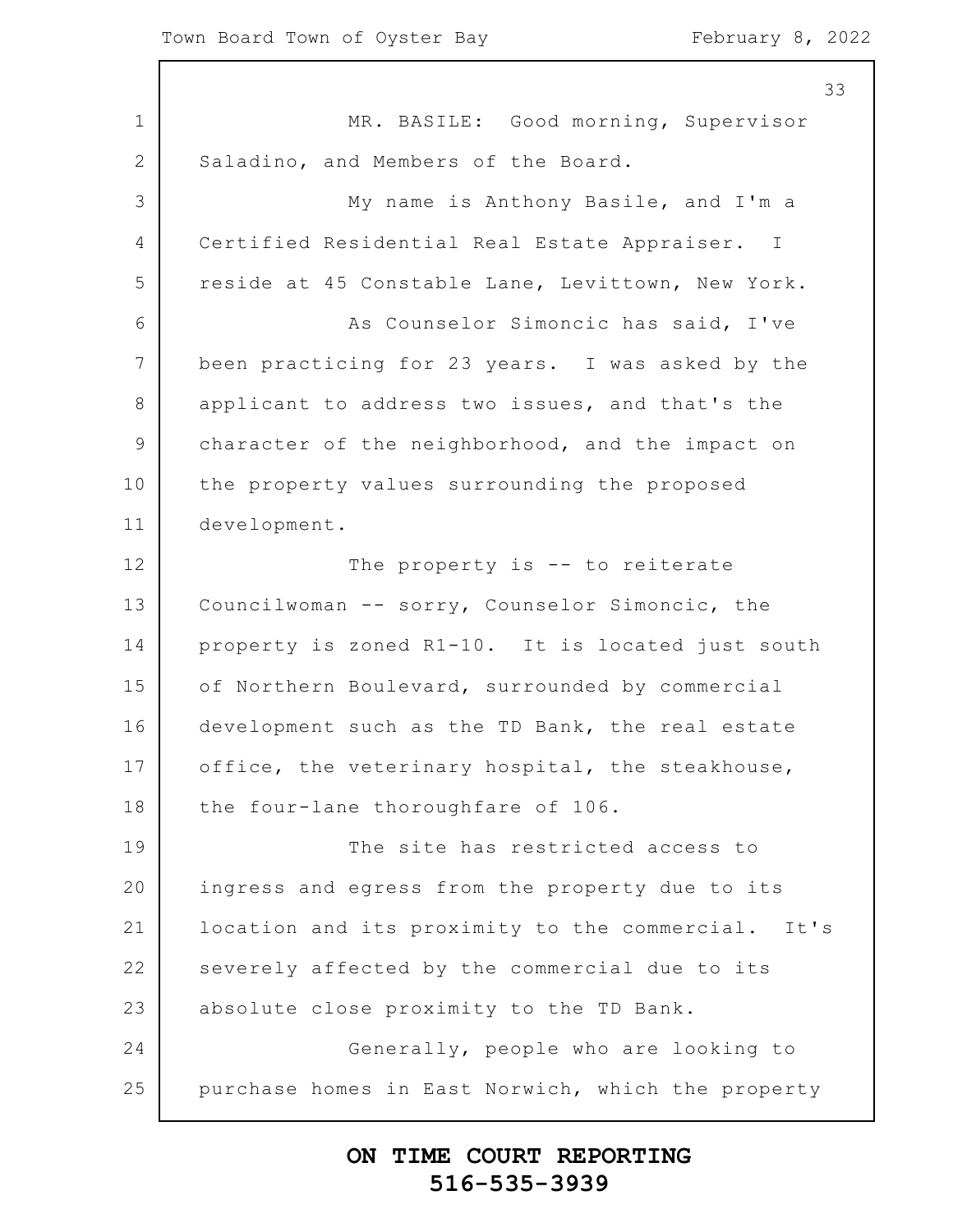$\mathsf{l}$ 

|                 | 33                                                 |
|-----------------|----------------------------------------------------|
| 1               | MR. BASILE: Good morning, Supervisor               |
| 2               | Saladino, and Members of the Board.                |
| 3               | My name is Anthony Basile, and I'm a               |
| 4               | Certified Residential Real Estate Appraiser. I     |
| 5               | reside at 45 Constable Lane, Levittown, New York.  |
| 6               | As Counselor Simoncic has said, I've               |
| $7\phantom{.0}$ | been practicing for 23 years. I was asked by the   |
| 8               | applicant to address two issues, and that's the    |
| $\mathcal{G}$   | character of the neighborhood, and the impact on   |
| 10              | the property values surrounding the proposed       |
| 11              | development.                                       |
| 12              | The property is -- to reiterate                    |
| 13              | Councilwoman -- sorry, Counselor Simoncic, the     |
| 14              | property is zoned R1-10. It is located just south  |
| 15              | of Northern Boulevard, surrounded by commercial    |
| 16              | development such as the TD Bank, the real estate   |
| 17              | office, the veterinary hospital, the steakhouse,   |
| 18              | the four-lane thoroughfare of 106.                 |
| 19              | The site has restricted access to                  |
| 20              | ingress and egress from the property due to its    |
| 21              | location and its proximity to the commercial. It's |
| 22              | severely affected by the commercial due to its     |
| 23              | absolute close proximity to the TD Bank.           |
| 24              | Generally, people who are looking to               |
| 25              | purchase homes in East Norwich, which the property |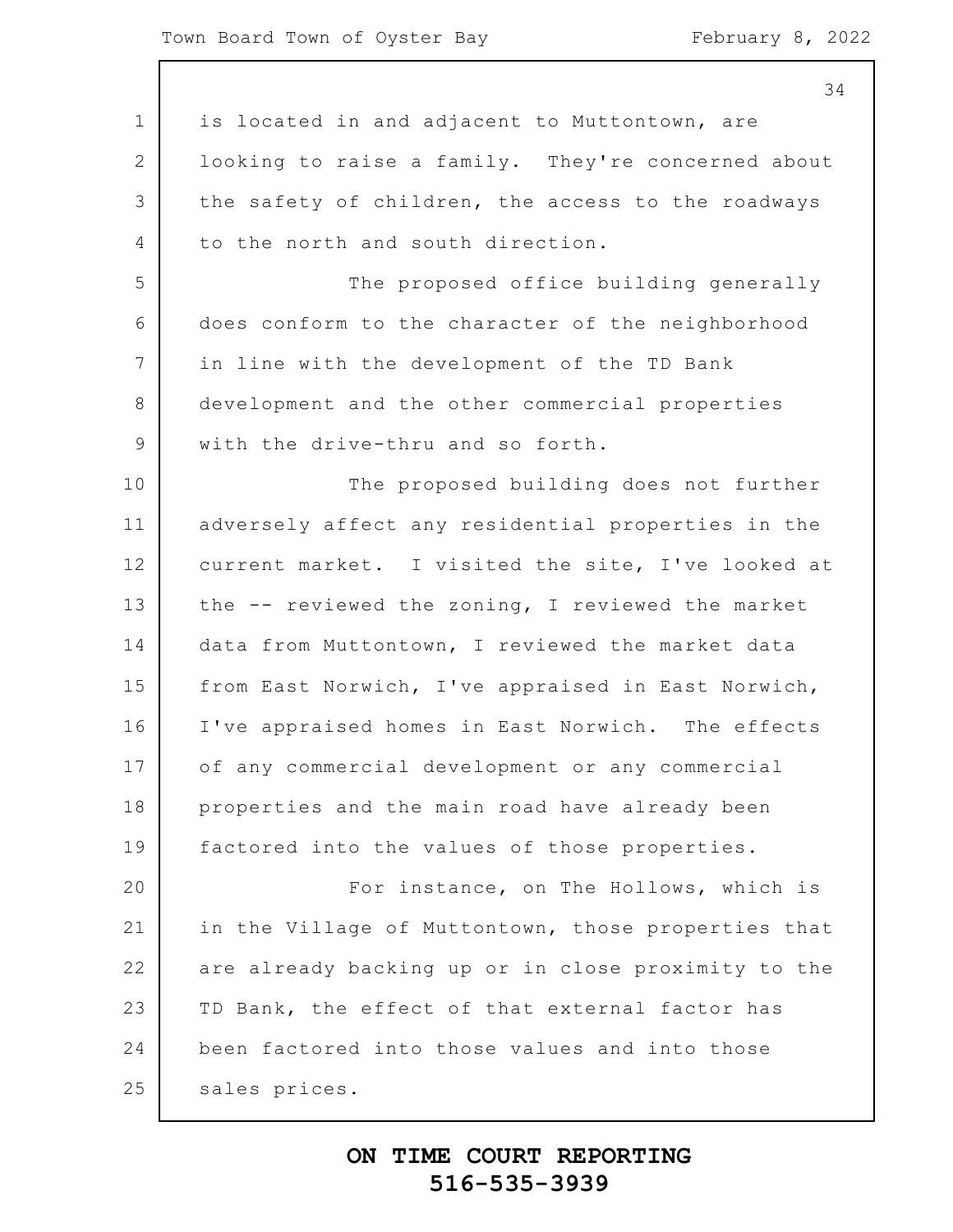1 2 3 4 5 6 7 8 9 10 11 12 13 14 15 16 17 18 19 20 21 22 23 24 25 34 is located in and adjacent to Muttontown, are looking to raise a family. They're concerned about the safety of children, the access to the roadways to the north and south direction. The proposed office building generally does conform to the character of the neighborhood in line with the development of the TD Bank development and the other commercial properties with the drive-thru and so forth. The proposed building does not further adversely affect any residential properties in the current market. I visited the site, I've looked at the -- reviewed the zoning, I reviewed the market data from Muttontown, I reviewed the market data from East Norwich, I've appraised in East Norwich, I've appraised homes in East Norwich. The effects of any commercial development or any commercial properties and the main road have already been factored into the values of those properties. For instance, on The Hollows, which is in the Village of Muttontown, those properties that are already backing up or in close proximity to the TD Bank, the effect of that external factor has been factored into those values and into those sales prices.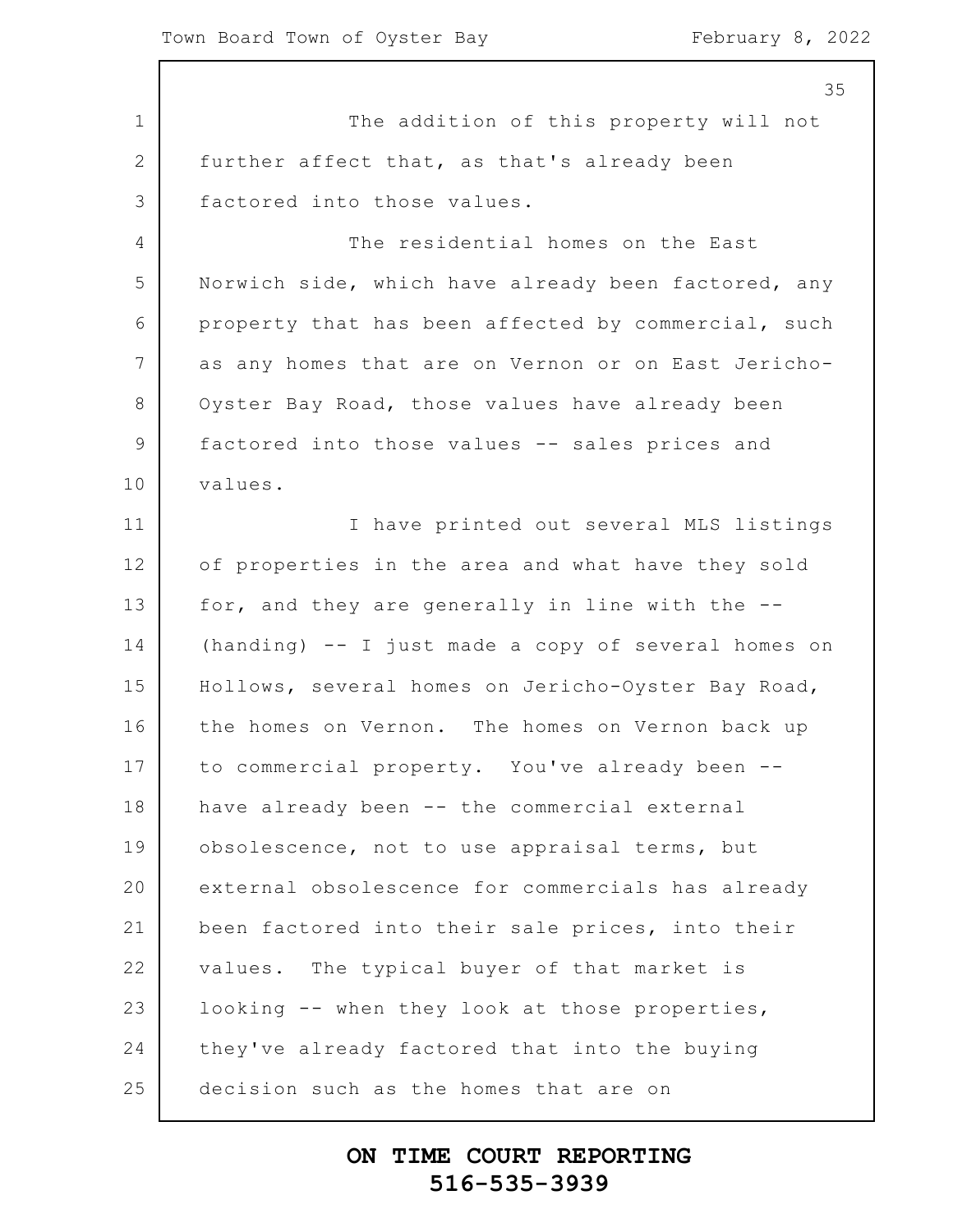1 2 3 4 5 6 7 8 9 10 11 12 13 14 15 16 17 18 19 20 21 22 23 24 25 35 The addition of this property will not further affect that, as that's already been factored into those values. The residential homes on the East Norwich side, which have already been factored, any property that has been affected by commercial, such as any homes that are on Vernon or on East Jericho-Oyster Bay Road, those values have already been factored into those values -- sales prices and values. I have printed out several MLS listings of properties in the area and what have they sold for, and they are generally in line with the -- (handing) -- I just made a copy of several homes on Hollows, several homes on Jericho-Oyster Bay Road, the homes on Vernon. The homes on Vernon back up to commercial property. You've already been - have already been -- the commercial external obsolescence, not to use appraisal terms, but external obsolescence for commercials has already been factored into their sale prices, into their values. The typical buyer of that market is looking -- when they look at those properties, they've already factored that into the buying decision such as the homes that are on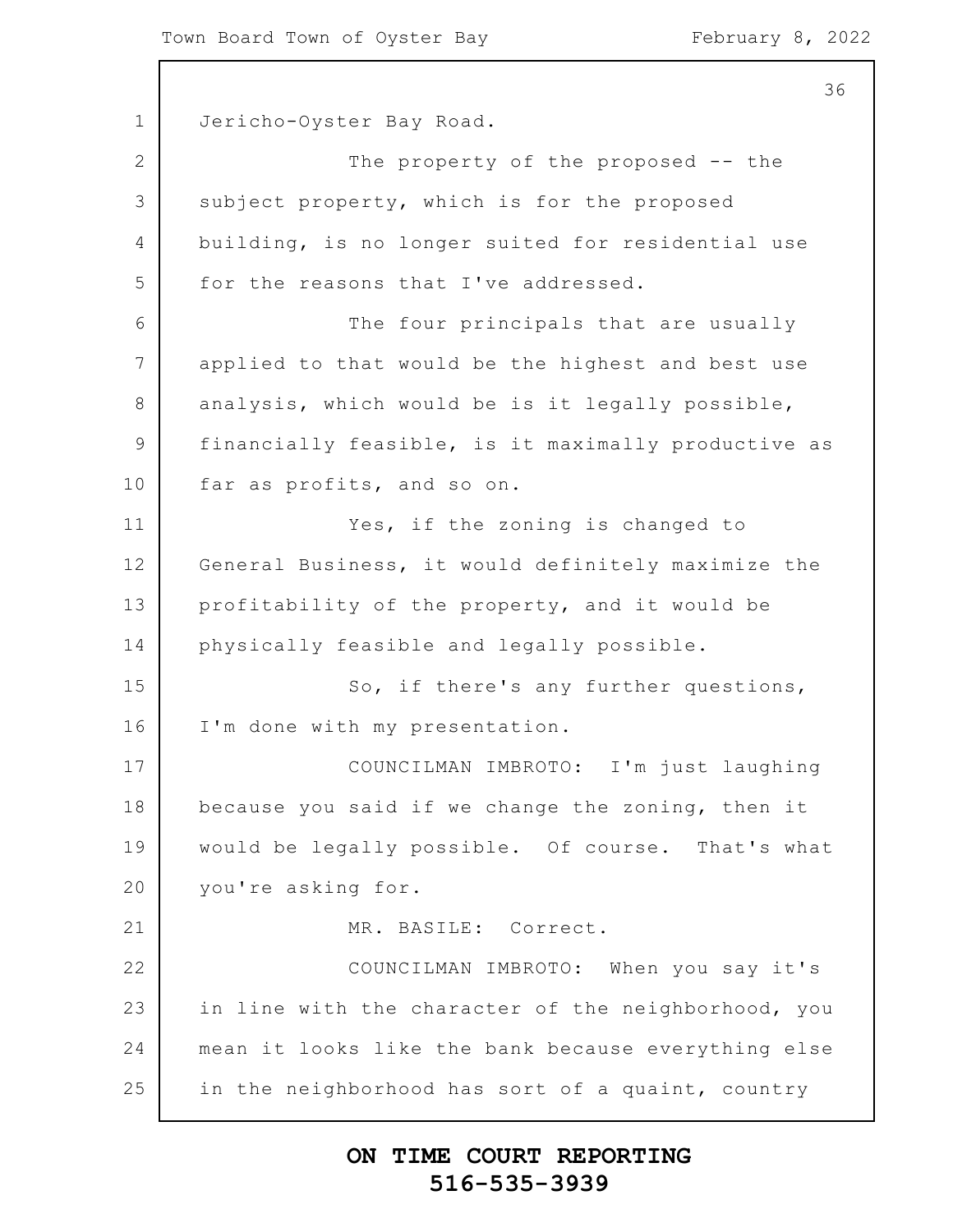36

1 2 3 4 5 6 7 8 9 10 11 12 13 14 15 16 17 18 19 20 21 22 23 24 25 Jericho-Oyster Bay Road. The property of the proposed -- the subject property, which is for the proposed building, is no longer suited for residential use for the reasons that I've addressed. The four principals that are usually applied to that would be the highest and best use analysis, which would be is it legally possible, financially feasible, is it maximally productive as far as profits, and so on. Yes, if the zoning is changed to General Business, it would definitely maximize the profitability of the property, and it would be physically feasible and legally possible. So, if there's any further questions, I'm done with my presentation. COUNCILMAN IMBROTO: I'm just laughing because you said if we change the zoning, then it would be legally possible. Of course. That's what you're asking for. MR. BASILE: Correct. COUNCILMAN IMBROTO: When you say it's in line with the character of the neighborhood, you mean it looks like the bank because everything else in the neighborhood has sort of a quaint, country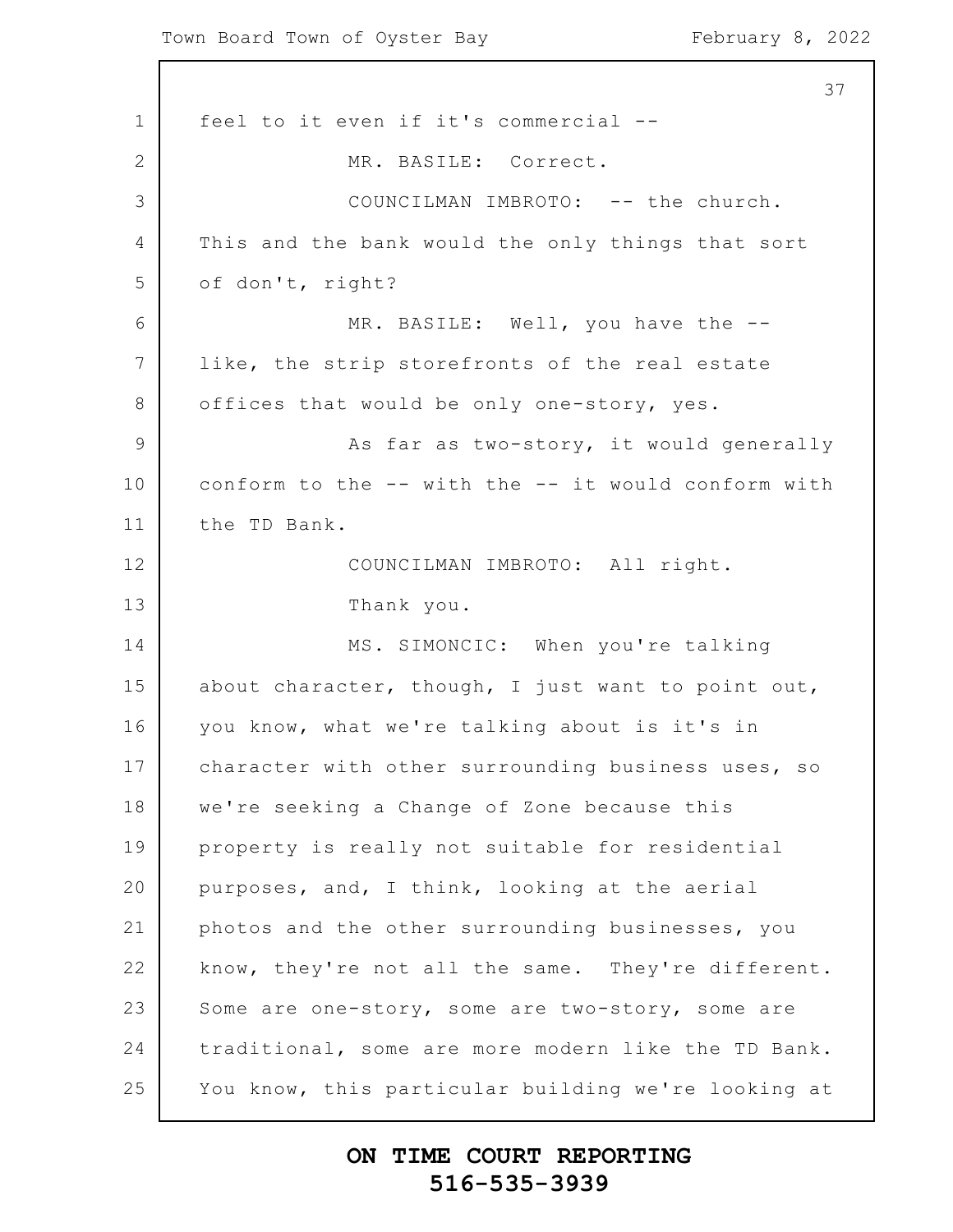1 2 3 4 5 6 7 8 9 10 11 12 13 14 15 16 17 18 19 20 21 22 23 24 25 37 feel to it even if it's commercial -- MR. BASILE: Correct. COUNCILMAN IMBROTO: -- the church. This and the bank would the only things that sort of don't, right? MR. BASILE: Well, you have the -like, the strip storefronts of the real estate offices that would be only one-story, yes. As far as two-story, it would generally conform to the -- with the -- it would conform with the TD Bank. COUNCILMAN IMBROTO: All right. Thank you. MS. SIMONCIC: When you're talking about character, though, I just want to point out, you know, what we're talking about is it's in character with other surrounding business uses, so we're seeking a Change of Zone because this property is really not suitable for residential purposes, and, I think, looking at the aerial photos and the other surrounding businesses, you know, they're not all the same. They're different. Some are one-story, some are two-story, some are traditional, some are more modern like the TD Bank. You know, this particular building we're looking at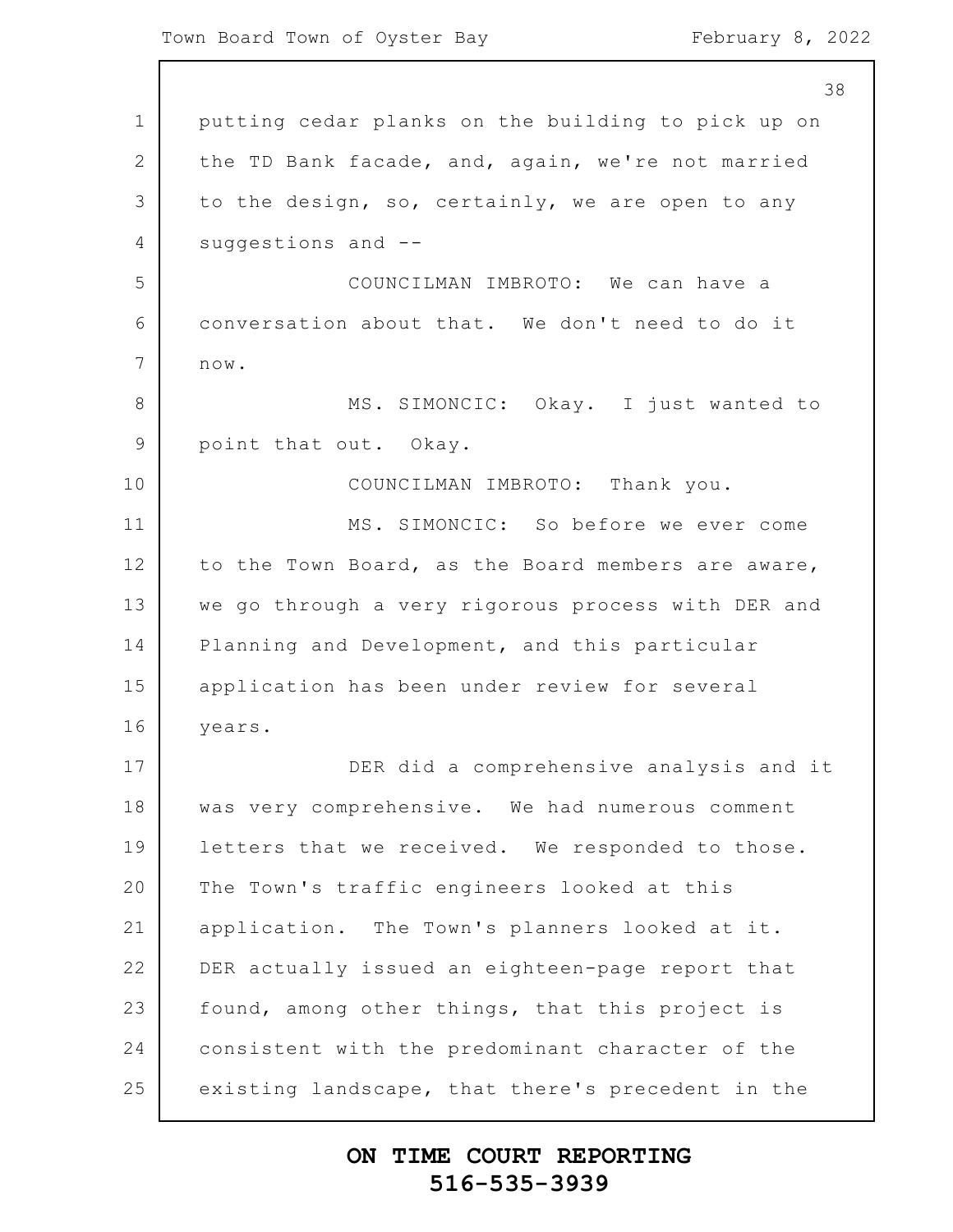|                | 38                                                 |
|----------------|----------------------------------------------------|
| $\mathbf 1$    | putting cedar planks on the building to pick up on |
| 2              | the TD Bank facade, and, again, we're not married  |
| 3              | to the design, so, certainly, we are open to any   |
| 4              | suggestions and --                                 |
| 5              | COUNCILMAN IMBROTO: We can have a                  |
| 6              | conversation about that. We don't need to do it    |
| 7              | $\texttt{now.}$                                    |
| 8              | MS. SIMONCIC: Okay. I just wanted to               |
| $\overline{9}$ | point that out. Okay.                              |
| 10             | COUNCILMAN IMBROTO: Thank you.                     |
| 11             | MS. SIMONCIC: So before we ever come               |
| 12             | to the Town Board, as the Board members are aware, |
| 13             | we go through a very rigorous process with DER and |
| 14             | Planning and Development, and this particular      |
| 15             | application has been under review for several      |
| 16             | years.                                             |
| 17             | DER did a comprehensive analysis and it            |
| 18             | was very comprehensive. We had numerous comment    |
| 19             | letters that we received. We responded to those.   |
| 20             | The Town's traffic engineers looked at this        |
| 21             | application. The Town's planners looked at it.     |
| 22             | DER actually issued an eighteen-page report that   |
| 23             | found, among other things, that this project is    |
| 24             | consistent with the predominant character of the   |
| 25             | existing landscape, that there's precedent in the  |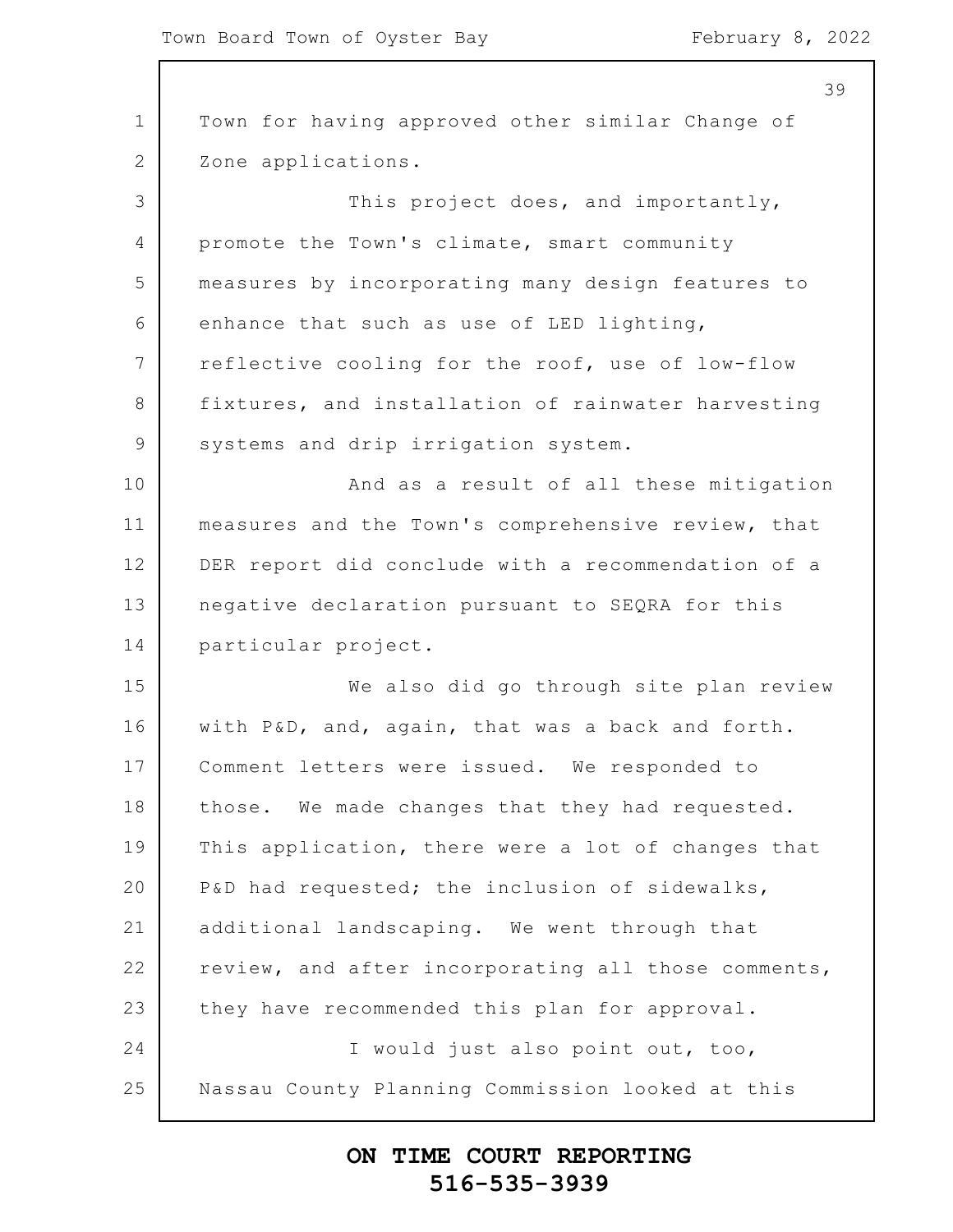1 2 3 4 5 6 7 8 9 10 11 12 13 14 15 16 17 18 19 20 21 22 23 24 25 39 Town for having approved other similar Change of Zone applications. This project does, and importantly, promote the Town's climate, smart community measures by incorporating many design features to enhance that such as use of LED lighting, reflective cooling for the roof, use of low-flow fixtures, and installation of rainwater harvesting systems and drip irrigation system. And as a result of all these mitigation measures and the Town's comprehensive review, that DER report did conclude with a recommendation of a negative declaration pursuant to SEQRA for this particular project. We also did go through site plan review with P&D, and, again, that was a back and forth. Comment letters were issued. We responded to those. We made changes that they had requested. This application, there were a lot of changes that P&D had requested; the inclusion of sidewalks, additional landscaping. We went through that review, and after incorporating all those comments, they have recommended this plan for approval. I would just also point out, too, Nassau County Planning Commission looked at this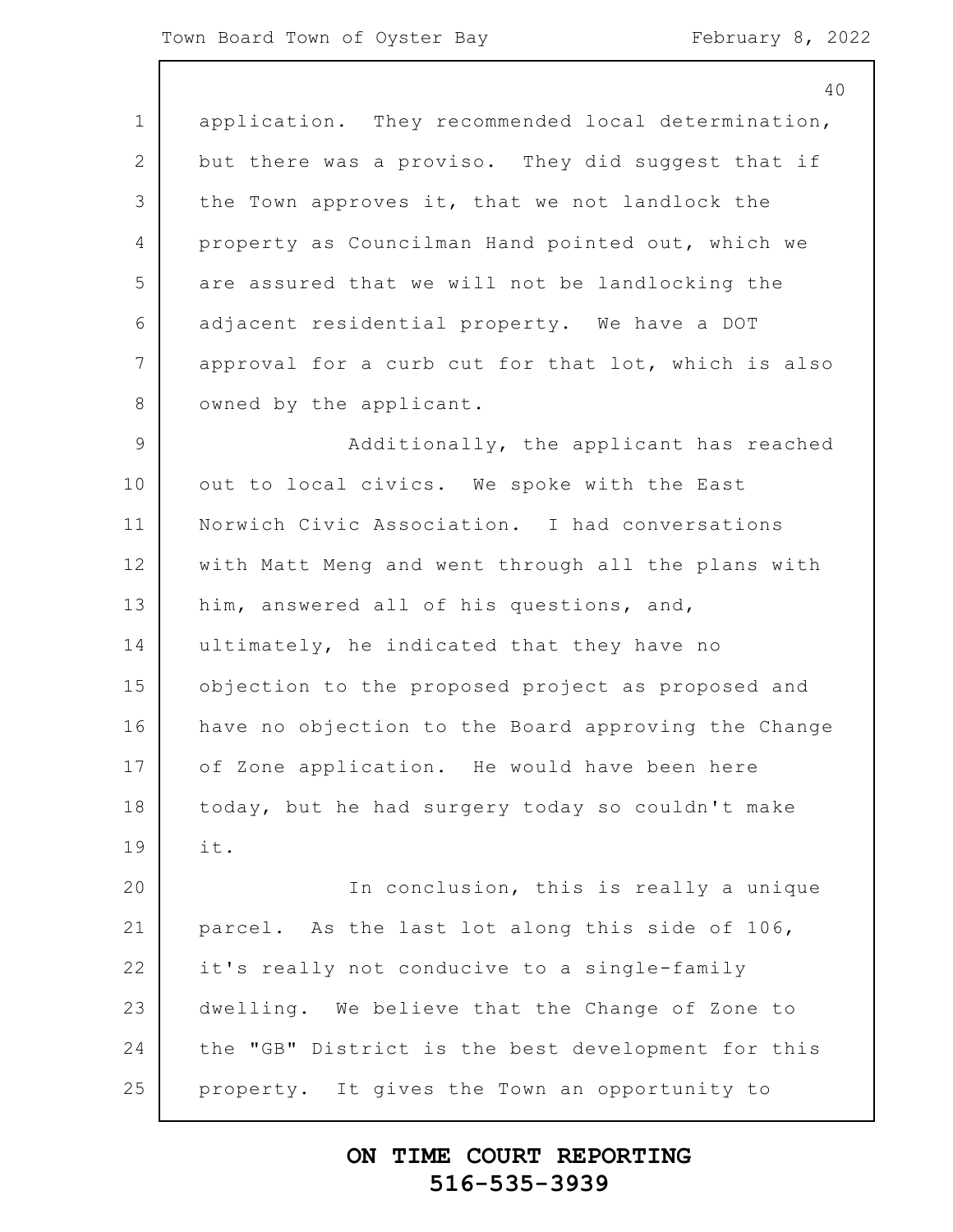|                 | 40                                                  |
|-----------------|-----------------------------------------------------|
| $\mathbf 1$     | application. They recommended local determination,  |
| 2               | but there was a proviso. They did suggest that if   |
| 3               | the Town approves it, that we not landlock the      |
| 4               | property as Councilman Hand pointed out, which we   |
| 5               | are assured that we will not be landlocking the     |
| 6               | adjacent residential property. We have a DOT        |
| $7\overline{ }$ | approval for a curb cut for that lot, which is also |
| 8               | owned by the applicant.                             |
| $\mathcal{G}$   | Additionally, the applicant has reached             |
| 10              | out to local civics. We spoke with the East         |
| 11              | Norwich Civic Association. I had conversations      |
| 12              | with Matt Meng and went through all the plans with  |
| 13              | him, answered all of his questions, and,            |
| 14              | ultimately, he indicated that they have no          |
| 15              | objection to the proposed project as proposed and   |
| 16              | have no objection to the Board approving the Change |
| 17              | of Zone application. He would have been here        |
| 18              | today, but he had surgery today so couldn't make    |
| 19              | it.                                                 |
| 20              | In conclusion, this is really a unique              |
| 21              | parcel. As the last lot along this side of 106,     |
| 22              | it's really not conducive to a single-family        |
| 23              | dwelling. We believe that the Change of Zone to     |
| 24              | the "GB" District is the best development for this  |
| 25              | property. It gives the Town an opportunity to       |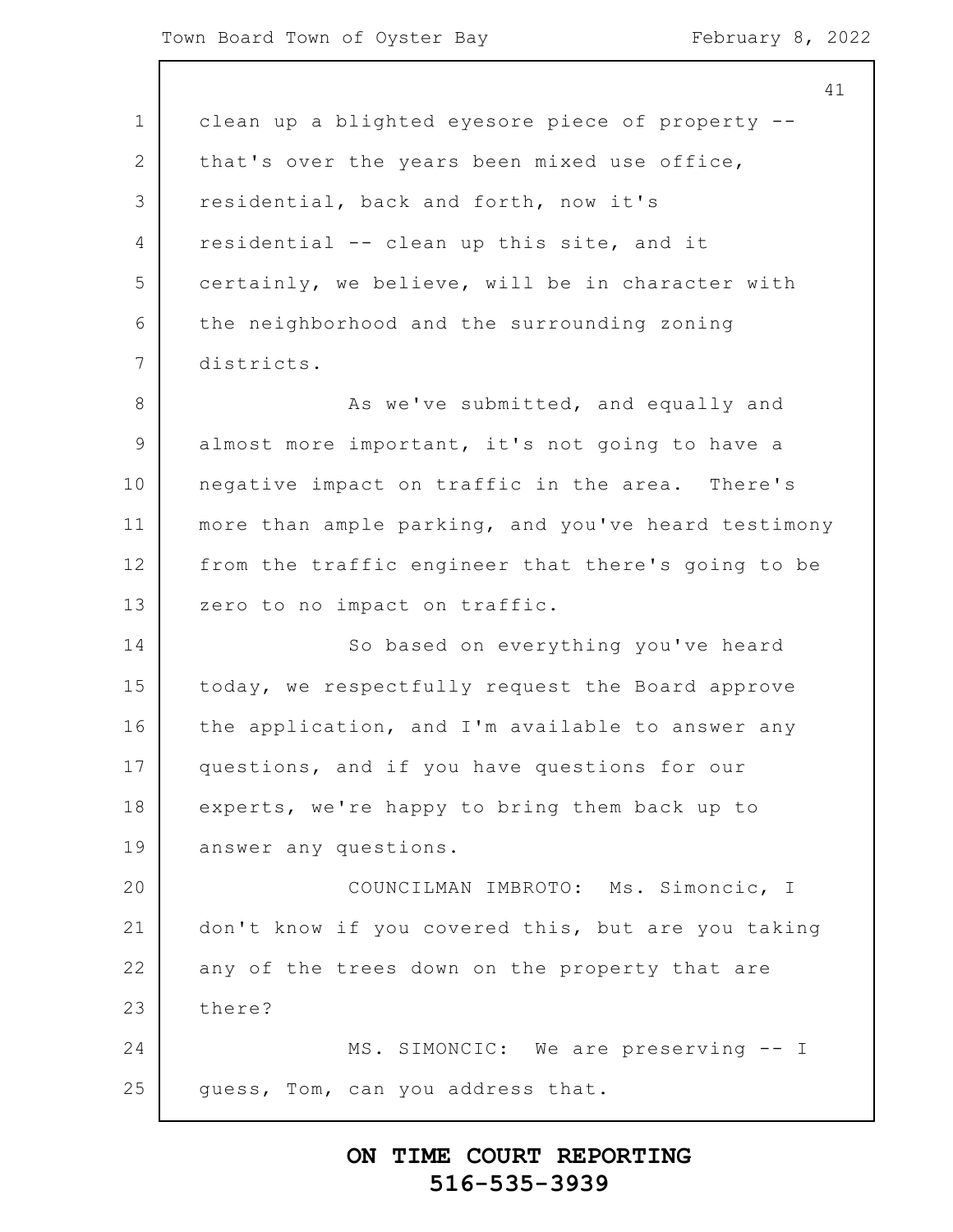1 2 3 4 5 6 7 8 9 10 11 12 13 14 15 16 17 18 19 20 21 22 23 24 25 clean up a blighted eyesore piece of property - that's over the years been mixed use office, residential, back and forth, now it's residential -- clean up this site, and it certainly, we believe, will be in character with the neighborhood and the surrounding zoning districts. As we've submitted, and equally and almost more important, it's not going to have a negative impact on traffic in the area. There's more than ample parking, and you've heard testimony from the traffic engineer that there's going to be zero to no impact on traffic. So based on everything you've heard today, we respectfully request the Board approve the application, and I'm available to answer any questions, and if you have questions for our experts, we're happy to bring them back up to answer any questions. COUNCILMAN IMBROTO: Ms. Simoncic, I don't know if you covered this, but are you taking any of the trees down on the property that are there? MS. SIMONCIC: We are preserving -- I guess, Tom, can you address that.

## **ON TIME COURT REPORTING 516-535-3939**

41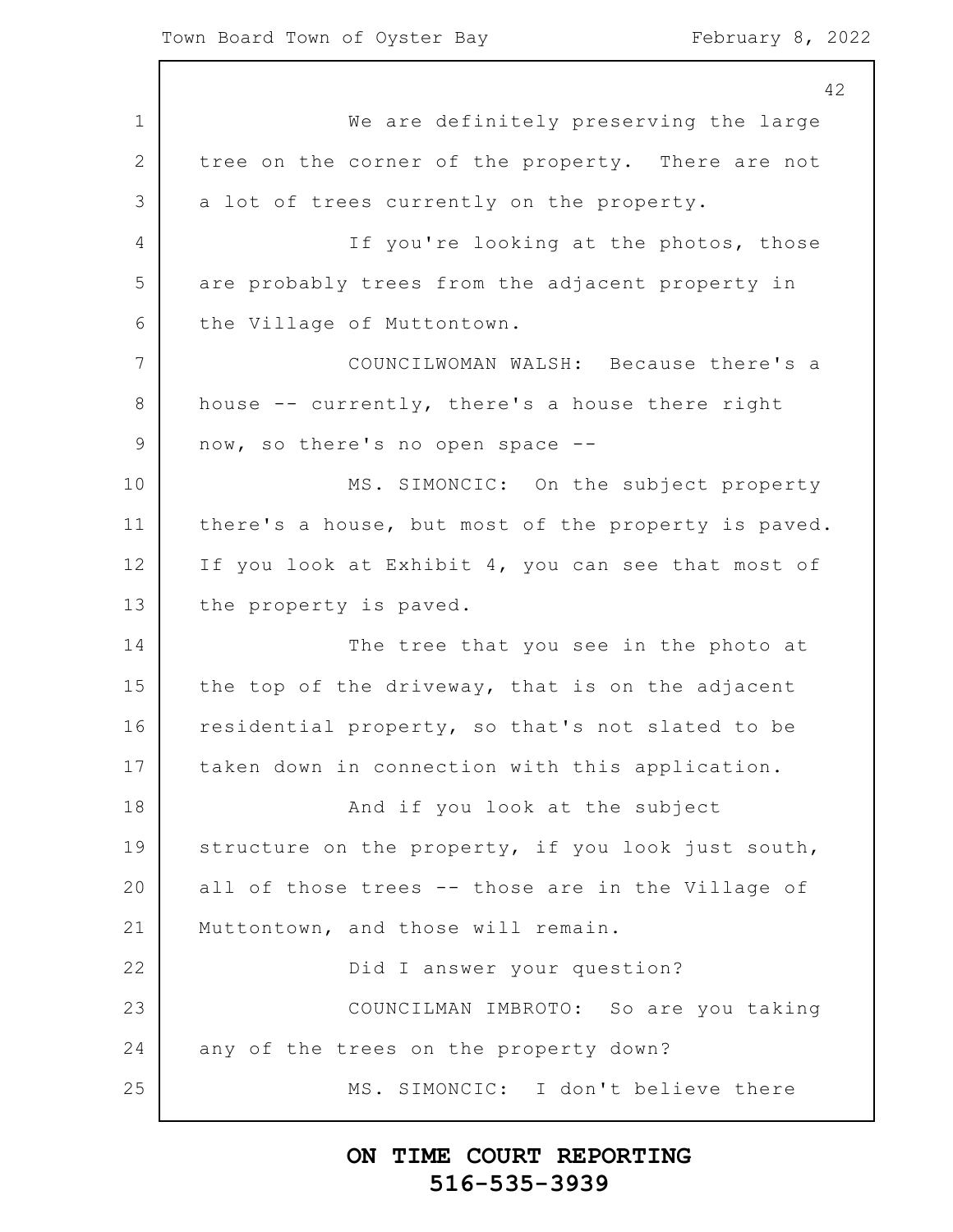1 2 3 4 5 6 7 8 9 10 11 12 13 14 15 16 17 18 19 20 21 22 23 24 25 42 We are definitely preserving the large tree on the corner of the property. There are not a lot of trees currently on the property. If you're looking at the photos, those are probably trees from the adjacent property in the Village of Muttontown. COUNCILWOMAN WALSH: Because there's a house -- currently, there's a house there right now, so there's no open space -- MS. SIMONCIC: On the subject property there's a house, but most of the property is paved. If you look at Exhibit 4, you can see that most of the property is paved. The tree that you see in the photo at the top of the driveway, that is on the adjacent residential property, so that's not slated to be taken down in connection with this application. And if you look at the subject structure on the property, if you look just south, all of those trees -- those are in the Village of Muttontown, and those will remain. Did I answer your question? COUNCILMAN IMBROTO: So are you taking any of the trees on the property down? MS. SIMONCIC: I don't believe there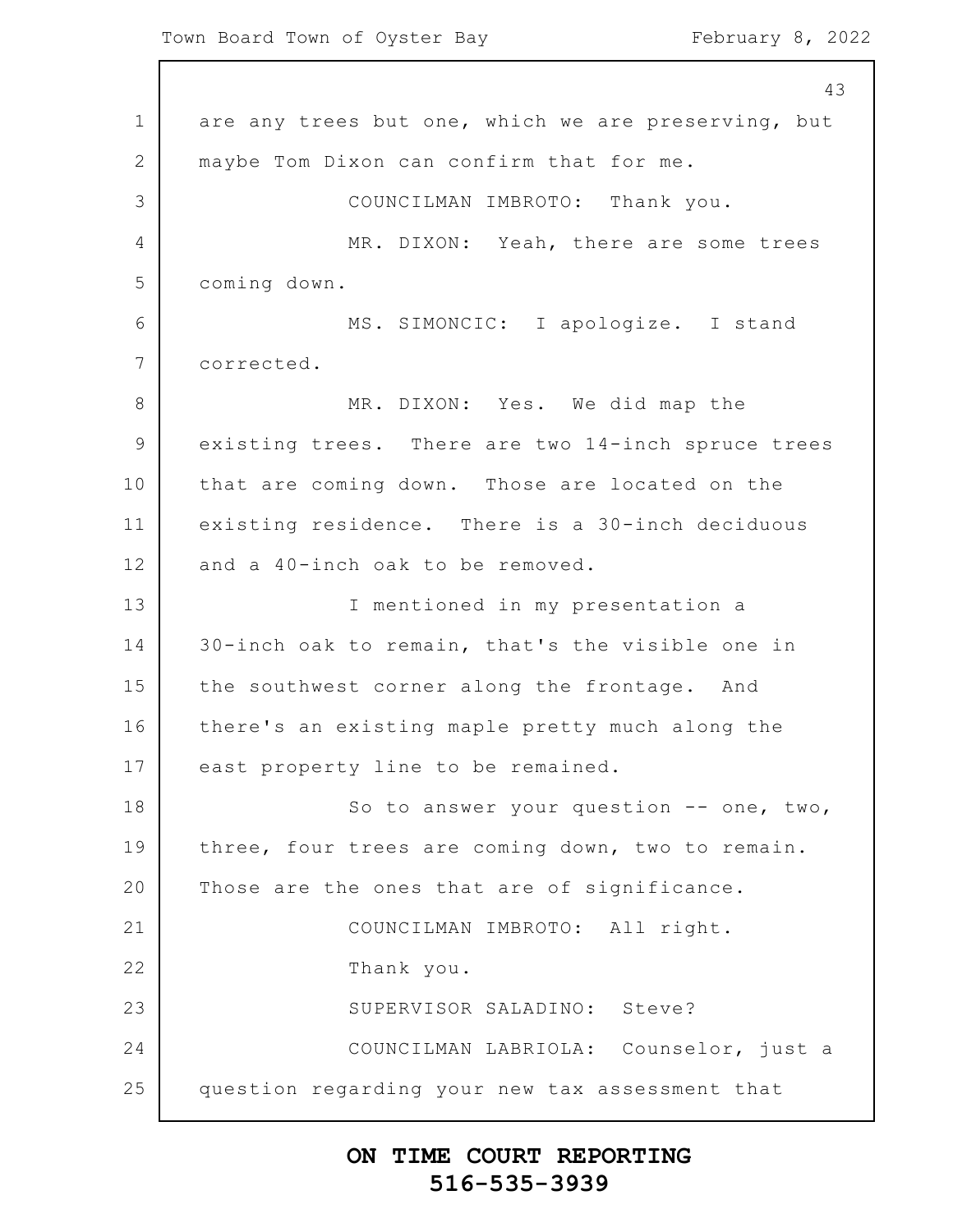Town Board Town of Oyster Bay February 8, 2022

1 2 3 4 5 6 7 8 9 10 11 12 13 14 15 16 17 18 19 20 21 22 23 24 25 43 are any trees but one, which we are preserving, but maybe Tom Dixon can confirm that for me. COUNCILMAN IMBROTO: Thank you. MR. DIXON: Yeah, there are some trees coming down. MS. SIMONCIC: I apologize. I stand corrected. MR. DIXON: Yes. We did map the existing trees. There are two 14-inch spruce trees that are coming down. Those are located on the existing residence. There is a 30-inch deciduous and a 40-inch oak to be removed. I mentioned in my presentation a 30-inch oak to remain, that's the visible one in the southwest corner along the frontage. And there's an existing maple pretty much along the east property line to be remained. So to answer your question -- one, two, three, four trees are coming down, two to remain. Those are the ones that are of significance. COUNCILMAN IMBROTO: All right. Thank you. SUPERVISOR SALADINO: Steve? COUNCILMAN LABRIOLA: Counselor, just a question regarding your new tax assessment that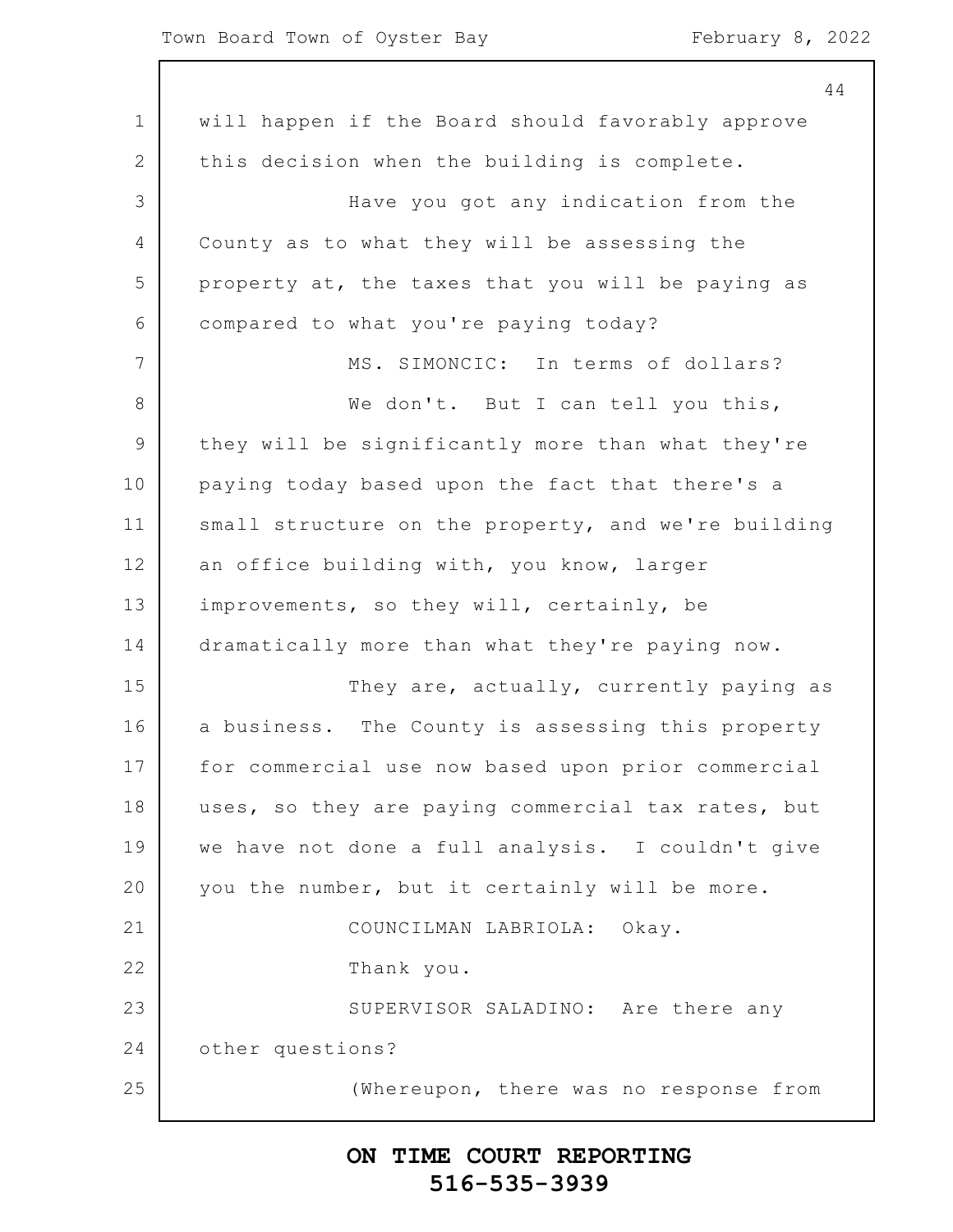#### Town Board Town of Oyster Bay February 8, 2022

 $\mathsf{l}$ 

|               | 44                                                  |
|---------------|-----------------------------------------------------|
| $\mathbf 1$   | will happen if the Board should favorably approve   |
| 2             | this decision when the building is complete.        |
| 3             | Have you got any indication from the                |
| 4             | County as to what they will be assessing the        |
| 5             | property at, the taxes that you will be paying as   |
| 6             | compared to what you're paying today?               |
| 7             | MS. SIMONCIC: In terms of dollars?                  |
| 8             | We don't. But I can tell you this,                  |
| $\mathcal{G}$ | they will be significantly more than what they're   |
| 10            | paying today based upon the fact that there's a     |
| 11            | small structure on the property, and we're building |
| 12            | an office building with, you know, larger           |
| 13            | improvements, so they will, certainly, be           |
| 14            | dramatically more than what they're paying now.     |
| 15            | They are, actually, currently paying as             |
| 16            | a business. The County is assessing this property   |
| 17            | for commercial use now based upon prior commercial  |
| 18            | uses, so they are paying commercial tax rates, but  |
| 19            | we have not done a full analysis. I couldn't give   |
| 20            | you the number, but it certainly will be more.      |
| 21            | COUNCILMAN LABRIOLA: Okay.                          |
| 22            | Thank you.                                          |
| 23            | SUPERVISOR SALADINO: Are there any                  |
| 24            | other questions?                                    |
| 25            | (Whereupon, there was no response from              |
|               |                                                     |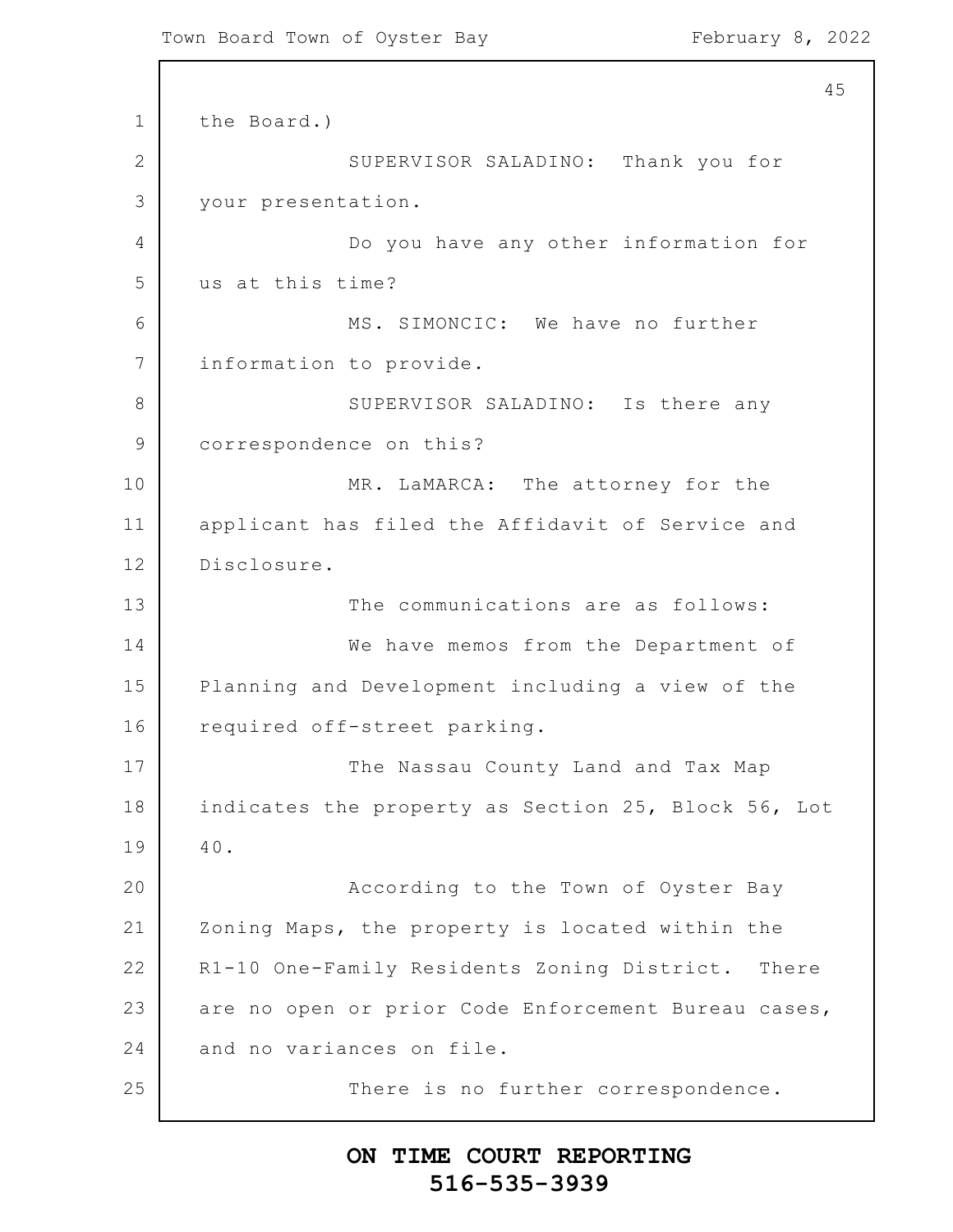1 2 3 4 5 6 7 8 9 10 11 12 13 14 15 16 17 18 19 20 21 22 23 24 25 45 the Board.) SUPERVISOR SALADINO: Thank you for your presentation. Do you have any other information for us at this time? MS. SIMONCIC: We have no further information to provide. SUPERVISOR SALADINO: Is there any correspondence on this? MR. LaMARCA: The attorney for the applicant has filed the Affidavit of Service and Disclosure. The communications are as follows: We have memos from the Department of Planning and Development including a view of the required off-street parking. The Nassau County Land and Tax Map indicates the property as Section 25, Block 56, Lot 40. According to the Town of Oyster Bay Zoning Maps, the property is located within the R1-10 One-Family Residents Zoning District. There are no open or prior Code Enforcement Bureau cases, and no variances on file. There is no further correspondence.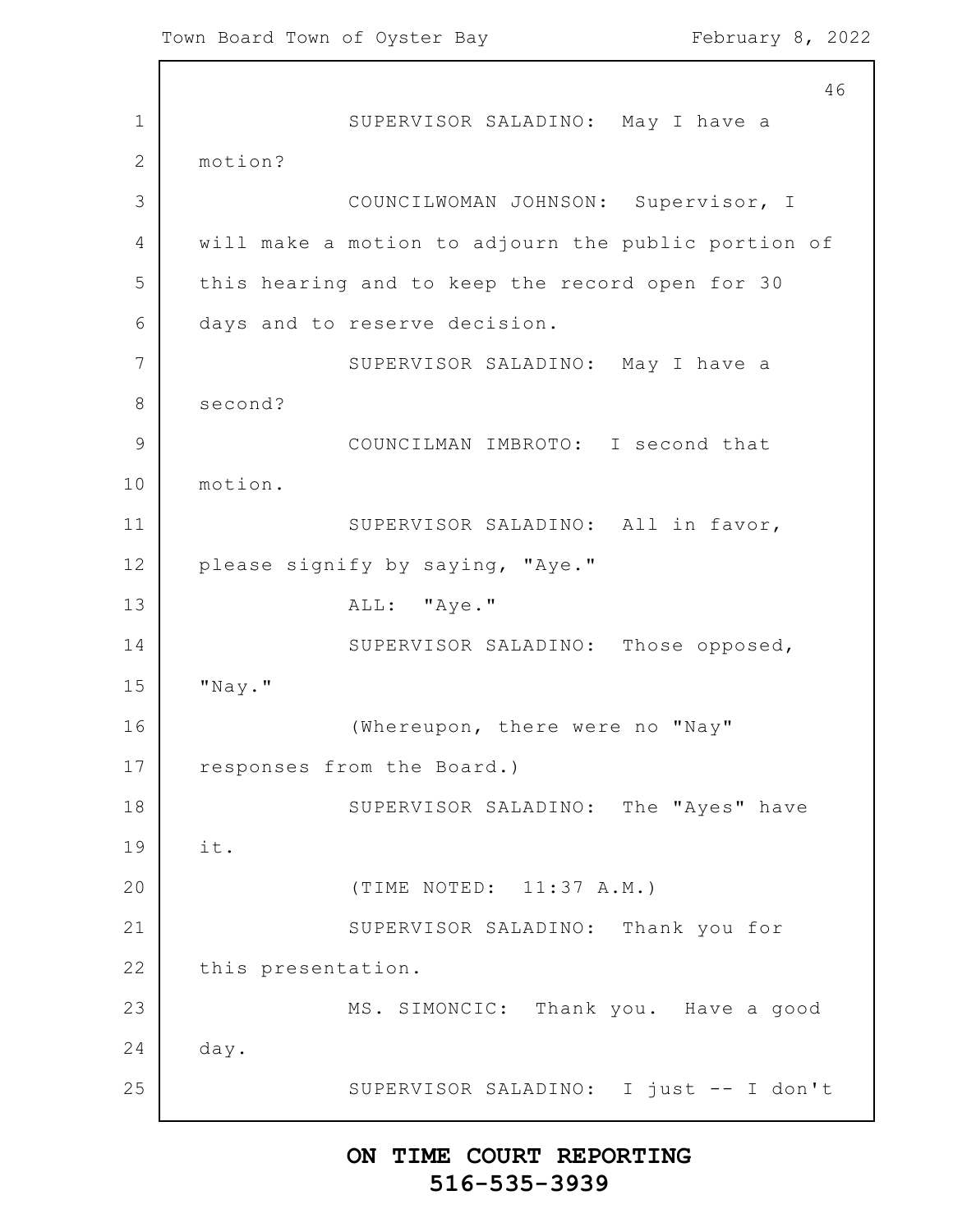1 2 3 4 5 6 7 8 9 10 11 12 13 14 15 16 17 18 19 20 21 22 23 24 25 46 SUPERVISOR SALADINO: May I have a motion? COUNCILWOMAN JOHNSON: Supervisor, I will make a motion to adjourn the public portion of this hearing and to keep the record open for 30 days and to reserve decision. SUPERVISOR SALADINO: May I have a second? COUNCILMAN IMBROTO: I second that motion. SUPERVISOR SALADINO: All in favor, please signify by saying, "Aye." ALL: "Aye." SUPERVISOR SALADINO: Those opposed, "Nay." (Whereupon, there were no "Nay" responses from the Board.) SUPERVISOR SALADINO: The "Ayes" have it. (TIME NOTED: 11:37 A.M.) SUPERVISOR SALADINO: Thank you for this presentation. MS. SIMONCIC: Thank you. Have a good day. SUPERVISOR SALADINO: I just -- I don't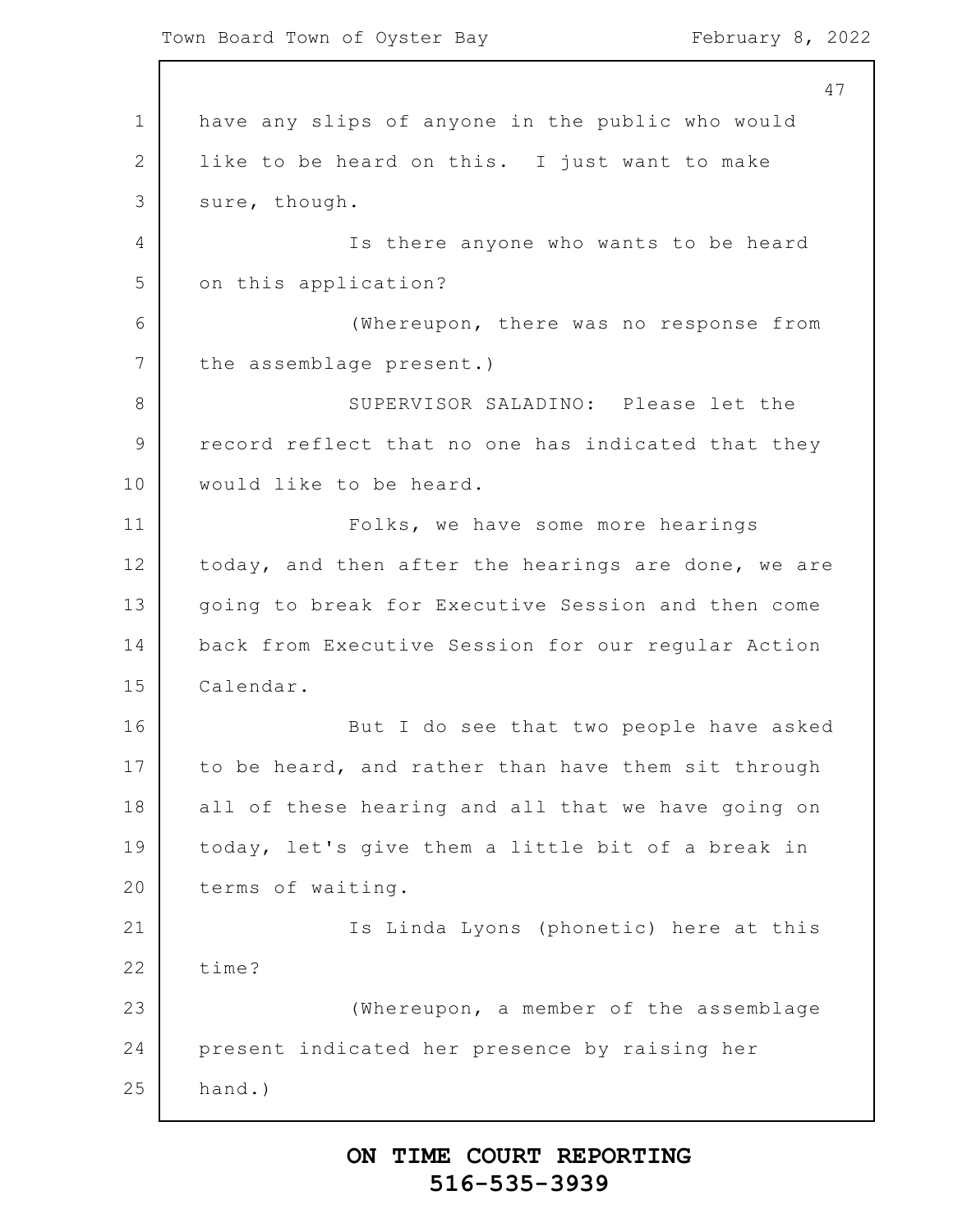Town Board Town of Oyster Bay February 8, 2022

1 2 3 4 5 6 7 8 9 10 11 12 13 14 15 16 17 18 19 20 21 22 23 24 25 47 have any slips of anyone in the public who would like to be heard on this. I just want to make sure, though. Is there anyone who wants to be heard on this application? (Whereupon, there was no response from the assemblage present.) SUPERVISOR SALADINO: Please let the record reflect that no one has indicated that they would like to be heard. Folks, we have some more hearings today, and then after the hearings are done, we are going to break for Executive Session and then come back from Executive Session for our regular Action Calendar. But I do see that two people have asked to be heard, and rather than have them sit through all of these hearing and all that we have going on today, let's give them a little bit of a break in terms of waiting. Is Linda Lyons (phonetic) here at this time? (Whereupon, a member of the assemblage present indicated her presence by raising her hand.)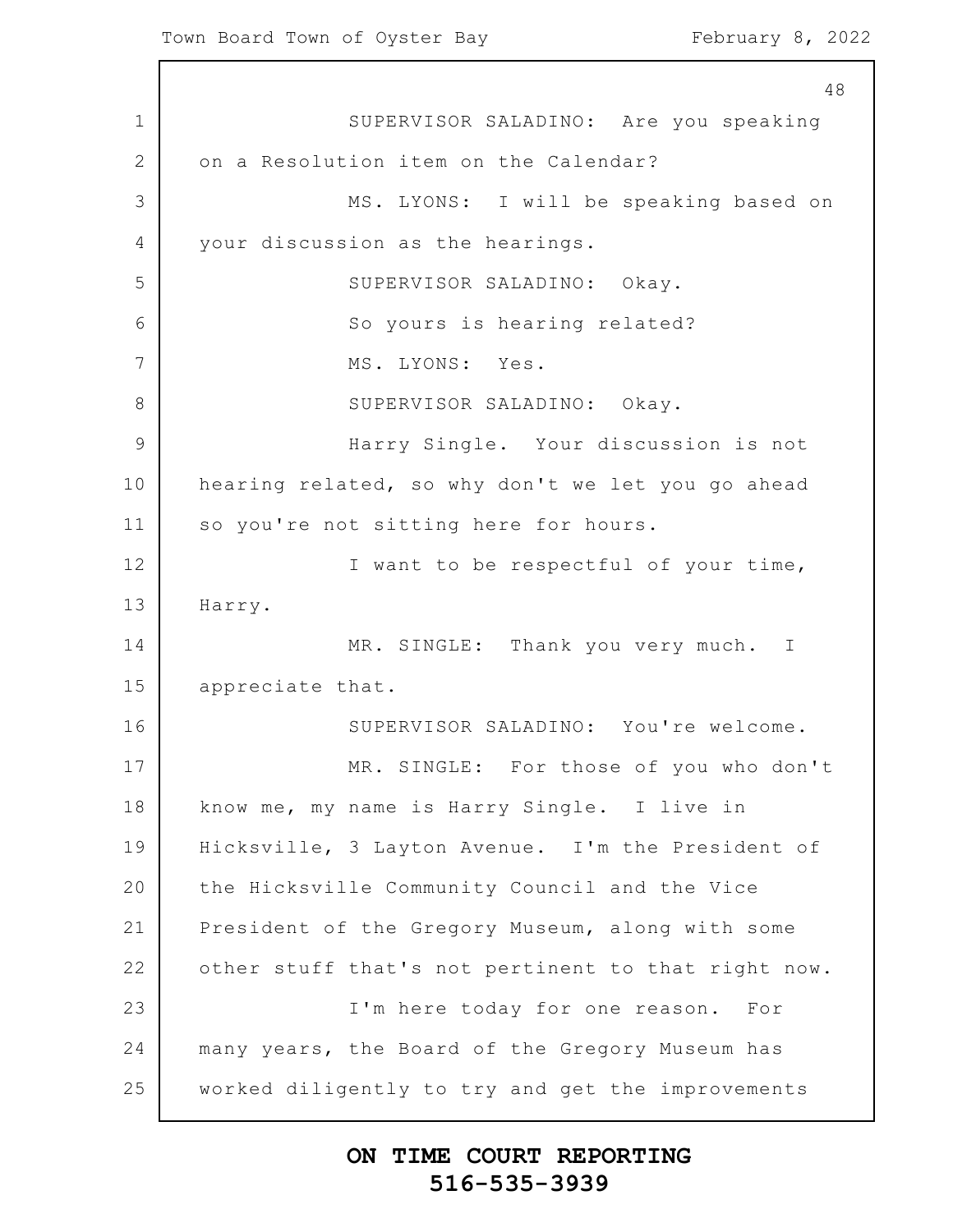1 2 3 4 5 6 7 8 9 10 11 12 13 14 15 16 17 18 19 20 21 22 23 24 25 48 SUPERVISOR SALADINO: Are you speaking on a Resolution item on the Calendar? MS. LYONS: I will be speaking based on your discussion as the hearings. SUPERVISOR SALADINO: Okay. So yours is hearing related? MS. LYONS: Yes. SUPERVISOR SALADINO: Okay. Harry Single. Your discussion is not hearing related, so why don't we let you go ahead so you're not sitting here for hours. I want to be respectful of your time, Harry. MR. SINGLE: Thank you very much. I appreciate that. SUPERVISOR SALADINO: You're welcome. MR. SINGLE: For those of you who don't know me, my name is Harry Single. I live in Hicksville, 3 Layton Avenue. I'm the President of the Hicksville Community Council and the Vice President of the Gregory Museum, along with some other stuff that's not pertinent to that right now. I'm here today for one reason. For many years, the Board of the Gregory Museum has worked diligently to try and get the improvements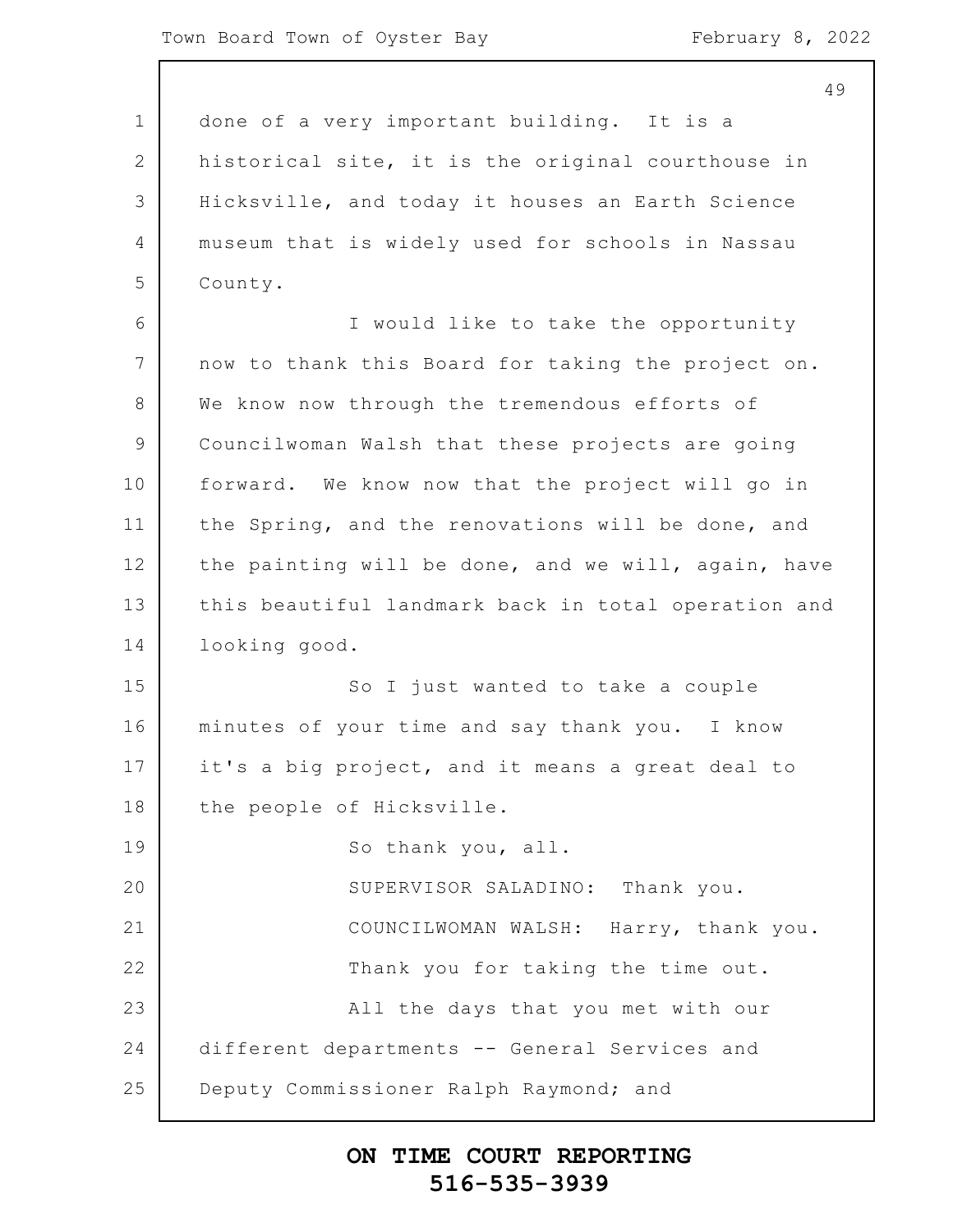1 2 3 4 5 6 7 8 9 10 11 12 13 14 15 16 17 18 19 20 21 22 23 24 25 done of a very important building. It is a historical site, it is the original courthouse in Hicksville, and today it houses an Earth Science museum that is widely used for schools in Nassau County. I would like to take the opportunity now to thank this Board for taking the project on. We know now through the tremendous efforts of Councilwoman Walsh that these projects are going forward. We know now that the project will go in the Spring, and the renovations will be done, and the painting will be done, and we will, again, have this beautiful landmark back in total operation and looking good. So I just wanted to take a couple minutes of your time and say thank you. I know it's a big project, and it means a great deal to the people of Hicksville. So thank you, all. SUPERVISOR SALADINO: Thank you. COUNCILWOMAN WALSH: Harry, thank you. Thank you for taking the time out. All the days that you met with our different departments -- General Services and Deputy Commissioner Ralph Raymond; and

#### **ON TIME COURT REPORTING 516-535-3939**

49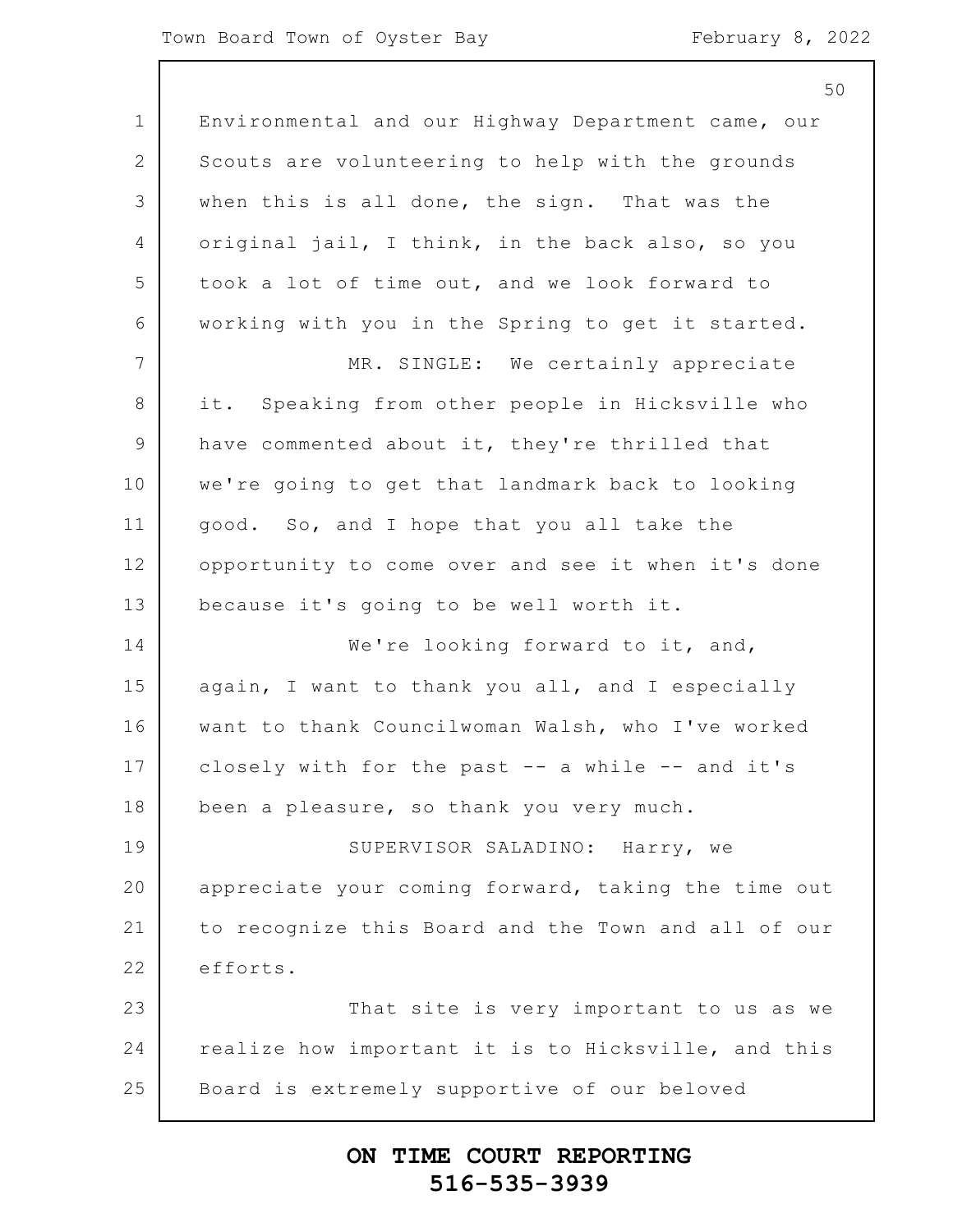#### Town Board Town of Oyster Bay February 8, 2022

|                | 50                                                  |
|----------------|-----------------------------------------------------|
| $\mathbf 1$    | Environmental and our Highway Department came, our  |
| $\overline{2}$ | Scouts are volunteering to help with the grounds    |
| 3              | when this is all done, the sign. That was the       |
| $\overline{4}$ | original jail, I think, in the back also, so you    |
| 5              | took a lot of time out, and we look forward to      |
| 6              | working with you in the Spring to get it started.   |
| 7              | MR. SINGLE: We certainly appreciate                 |
| $\,8\,$        | Speaking from other people in Hicksville who<br>it. |
| $\mathcal{G}$  | have commented about it, they're thrilled that      |
| 10             | we're going to get that landmark back to looking    |
| 11             | good. So, and I hope that you all take the          |
| 12             | opportunity to come over and see it when it's done  |
| 13             | because it's going to be well worth it.             |
| 14             | We're looking forward to it, and,                   |
| 15             | again, I want to thank you all, and I especially    |
| 16             | want to thank Councilwoman Walsh, who I've worked   |
| 17             | closely with for the past -- a while -- and it's    |
| 18             | been a pleasure, so thank you very much.            |
| 19             | SUPERVISOR SALADINO: Harry, we                      |
| 20             | appreciate your coming forward, taking the time out |
| 21             | to recognize this Board and the Town and all of our |
| 22             | efforts.                                            |
| 23             | That site is very important to us as we             |
| 24             | realize how important it is to Hicksville, and this |
| 25             | Board is extremely supportive of our beloved        |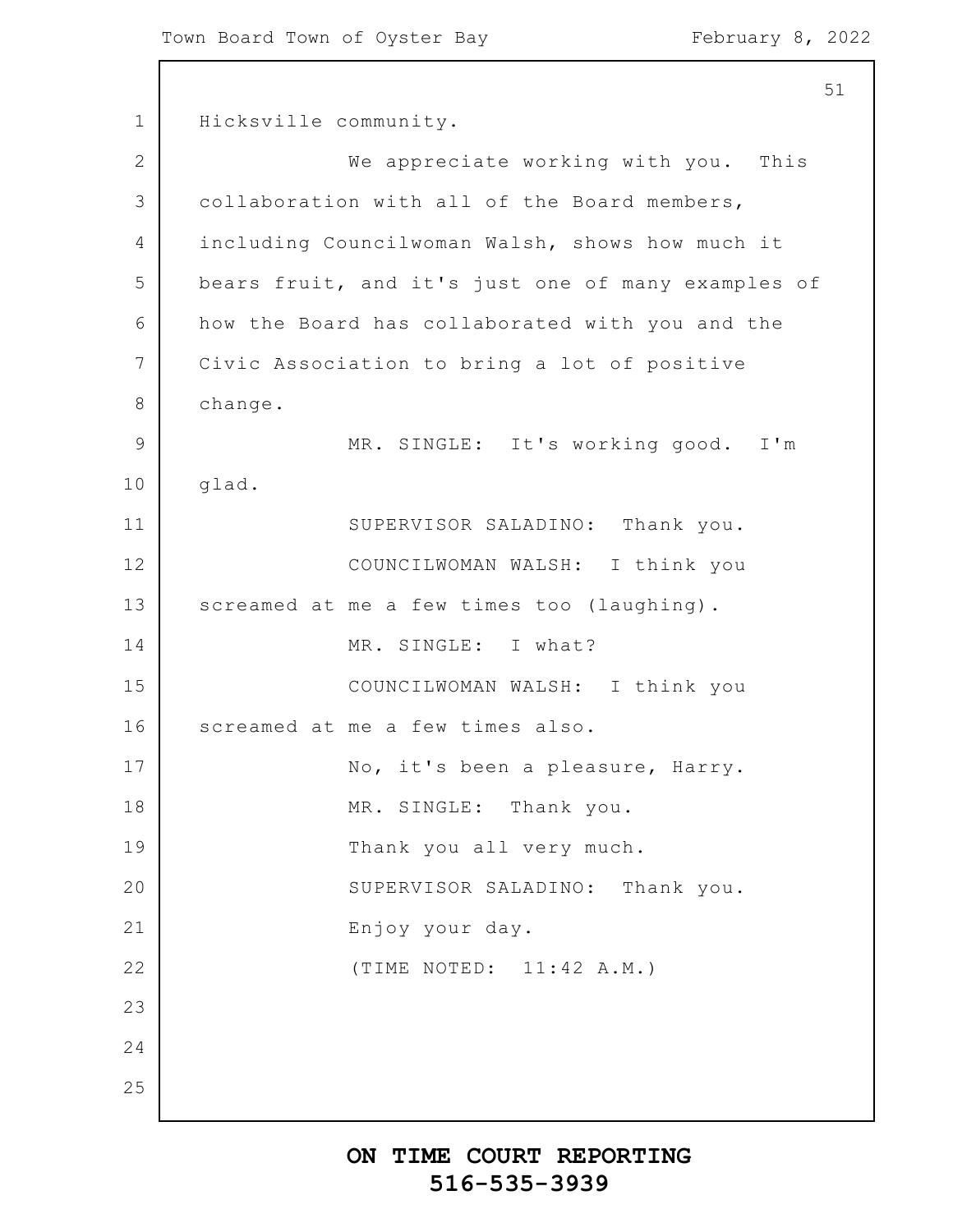1 2 3 4 5 6 7 8 9 10 11 12 13 14 15 16 17 18 19 20 21 22 23 24 25 51 Hicksville community. We appreciate working with you. This collaboration with all of the Board members, including Councilwoman Walsh, shows how much it bears fruit, and it's just one of many examples of how the Board has collaborated with you and the Civic Association to bring a lot of positive change. MR. SINGLE: It's working good. I'm glad. SUPERVISOR SALADINO: Thank you. COUNCILWOMAN WALSH: I think you screamed at me a few times too (laughing). MR. SINGLE: I what? COUNCILWOMAN WALSH: I think you screamed at me a few times also. No, it's been a pleasure, Harry. MR. SINGLE: Thank you. Thank you all very much. SUPERVISOR SALADINO: Thank you. Enjoy your day. (TIME NOTED: 11:42 A.M.)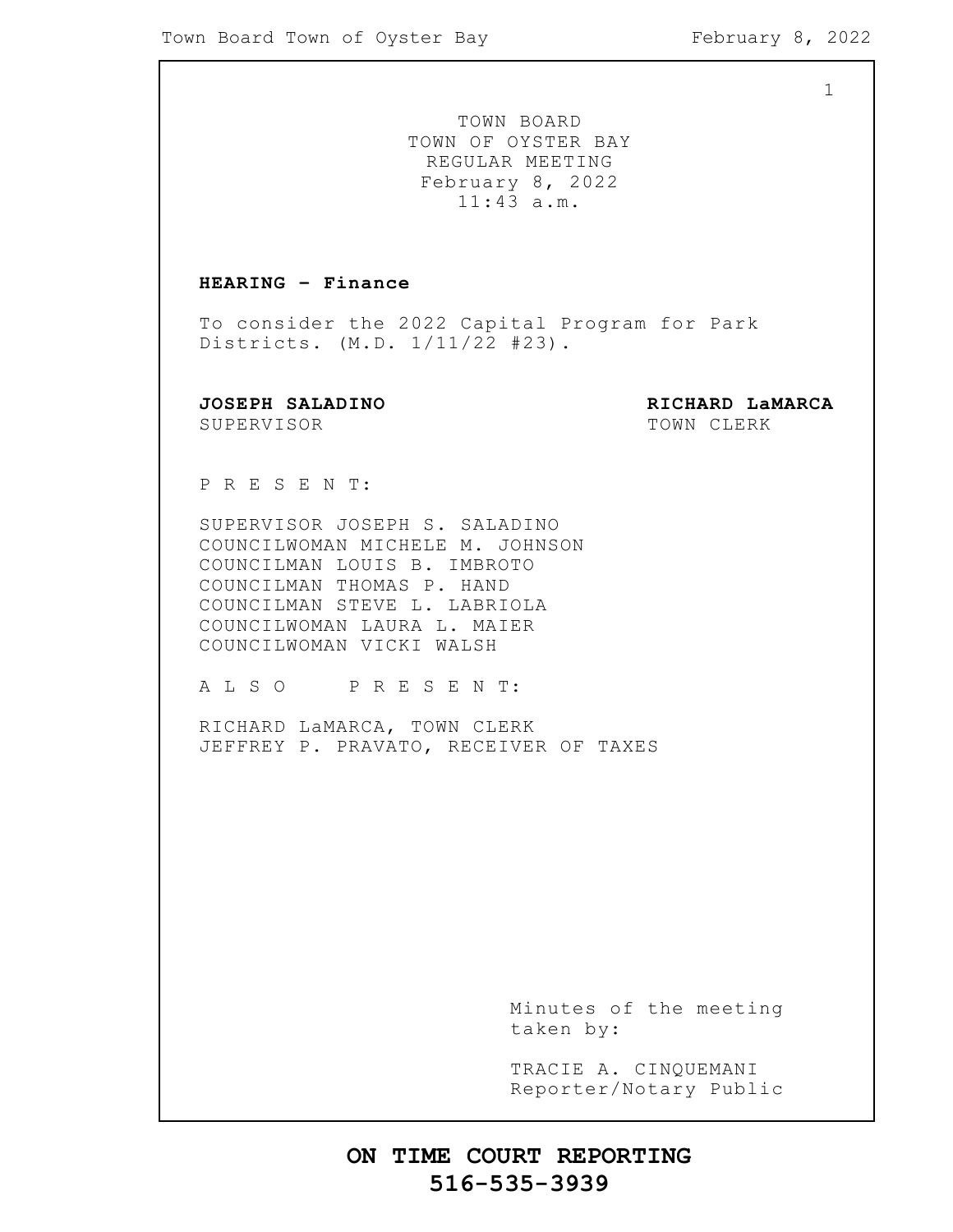1

TOWN BOARD TOWN OF OYSTER BAY REGULAR MEETING February 8, 2022 11:43 a.m.

#### **HEARING – Finance**

To consider the 2022 Capital Program for Park Districts. (M.D. 1/11/22 #23).

SUPERVISOR TOWN CLERK

**JOSEPH SALADINO RICHARD LaMARCA**

P R E S E N T:

SUPERVISOR JOSEPH S. SALADINO COUNCILWOMAN MICHELE M. JOHNSON COUNCILMAN LOUIS B. IMBROTO COUNCILMAN THOMAS P. HAND COUNCILMAN STEVE L. LABRIOLA COUNCILWOMAN LAURA L. MAIER COUNCILWOMAN VICKI WALSH

A L S O P R E S E N T:

RICHARD LaMARCA, TOWN CLERK JEFFREY P. PRAVATO, RECEIVER OF TAXES

> Minutes of the meeting taken by:

> TRACIE A. CINQUEMANI Reporter/Notary Public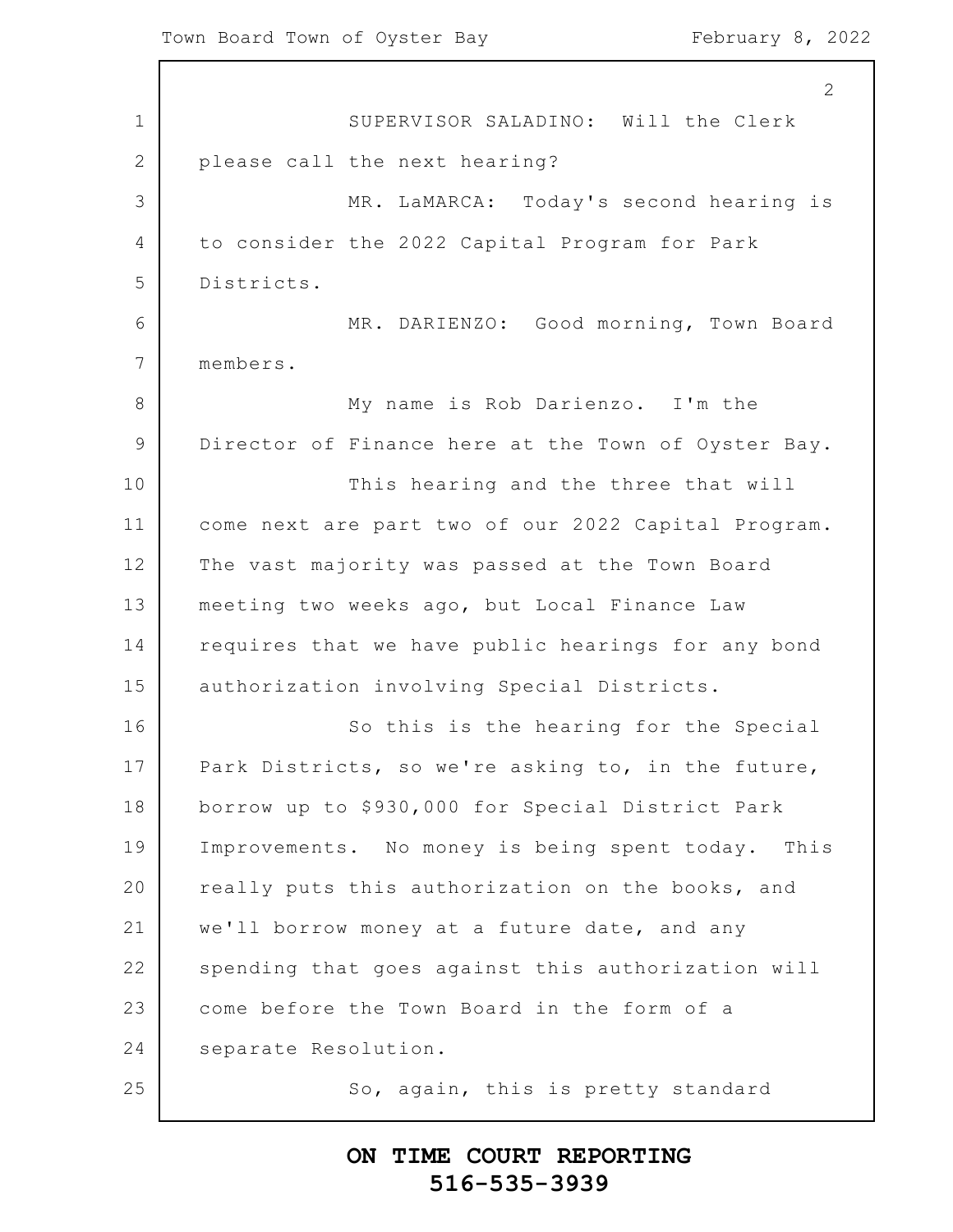$\Gamma$ 

|              | 2                                                   |
|--------------|-----------------------------------------------------|
| 1            | SUPERVISOR SALADINO: Will the Clerk                 |
| $\mathbf{2}$ | please call the next hearing?                       |
| 3            | MR. LaMARCA: Today's second hearing is              |
| 4            | to consider the 2022 Capital Program for Park       |
| 5            | Districts.                                          |
| 6            | MR. DARIENZO: Good morning, Town Board              |
| 7            | members.                                            |
| 8            | My name is Rob Darienzo. I'm the                    |
| 9            | Director of Finance here at the Town of Oyster Bay. |
| 10           | This hearing and the three that will                |
| 11           | come next are part two of our 2022 Capital Program. |
| 12           | The vast majority was passed at the Town Board      |
| 13           | meeting two weeks ago, but Local Finance Law        |
| 14           | requires that we have public hearings for any bond  |
| 15           | authorization involving Special Districts.          |
| 16           | So this is the hearing for the Special              |
| 17           | Park Districts, so we're asking to, in the future,  |
| 18           | borrow up to \$930,000 for Special District Park    |
| 19           | Improvements. No money is being spent today. This   |
| 20           | really puts this authorization on the books, and    |
| 21           | we'll borrow money at a future date, and any        |
| 22           | spending that goes against this authorization will  |
| 23           | come before the Town Board in the form of a         |
| 24           | separate Resolution.                                |
| 25           | So, again, this is pretty standard                  |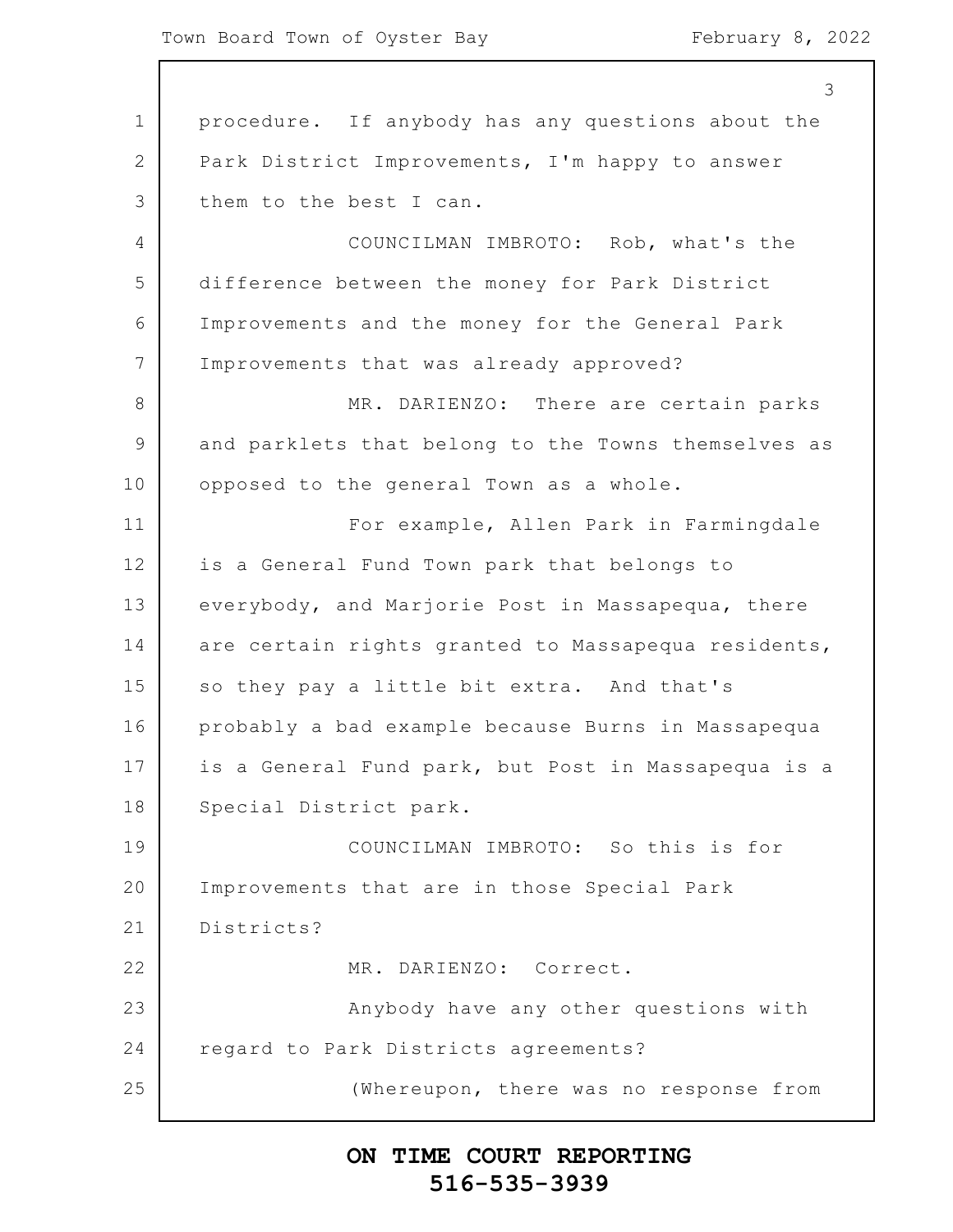|                 | 3                                                   |
|-----------------|-----------------------------------------------------|
| $\mathbf 1$     | procedure. If anybody has any questions about the   |
| 2               | Park District Improvements, I'm happy to answer     |
| 3               | them to the best I can.                             |
| $\overline{4}$  | COUNCILMAN IMBROTO: Rob, what's the                 |
| 5               | difference between the money for Park District      |
| 6               | Improvements and the money for the General Park     |
| $7\phantom{.0}$ | Improvements that was already approved?             |
| 8               | MR. DARIENZO: There are certain parks               |
| $\mathsf 9$     | and parklets that belong to the Towns themselves as |
| 10              | opposed to the general Town as a whole.             |
| 11              | For example, Allen Park in Farmingdale              |
| 12              | is a General Fund Town park that belongs to         |
| 13              | everybody, and Marjorie Post in Massapequa, there   |
| 14              | are certain rights granted to Massapequa residents, |
| 15              | so they pay a little bit extra. And that's          |
| 16              | probably a bad example because Burns in Massapequa  |
| 17              | is a General Fund park, but Post in Massapequa is a |
| 18              | Special District park.                              |
| 19              | COUNCILMAN IMBROTO: So this is for                  |
| 20              | Improvements that are in those Special Park         |
| 21              | Districts?                                          |
| 22              | MR. DARIENZO: Correct.                              |
| 23              | Anybody have any other questions with               |
| 24              | regard to Park Districts agreements?                |
| 25              | (Whereupon, there was no response from              |
|                 |                                                     |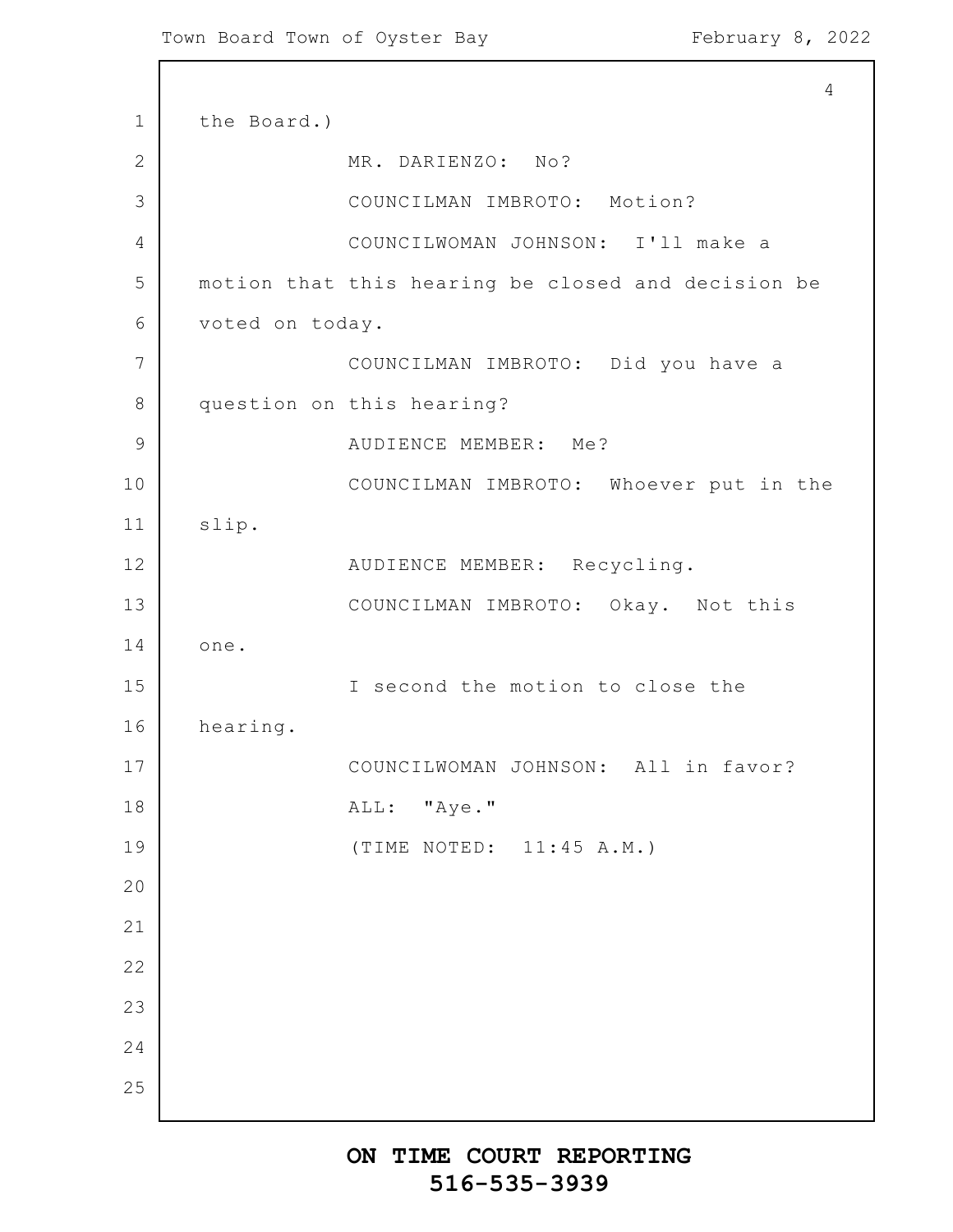```
1
2
3
4
5
6
7
8
9
10
11
12
13
14
15
16
17
18
19
20
21
22
23
24
25
                                                          4
      the Board.)
                  MR. DARIENZO: No?
                  COUNCILMAN IMBROTO: Motion?
                  COUNCILWOMAN JOHNSON: I'll make a
      motion that this hearing be closed and decision be
      voted on today.
                  COUNCILMAN IMBROTO: Did you have a
      question on this hearing?
                  AUDIENCE MEMBER: Me?
                  COUNCILMAN IMBROTO: Whoever put in the
      slip.
                  AUDIENCE MEMBER: Recycling.
                  COUNCILMAN IMBROTO: Okay. Not this
      one.
                  I second the motion to close the
      hearing.
                  COUNCILWOMAN JOHNSON: All in favor?
                  ALL: "Aye."
                  (TIME NOTED: 11:45 A.M.)
```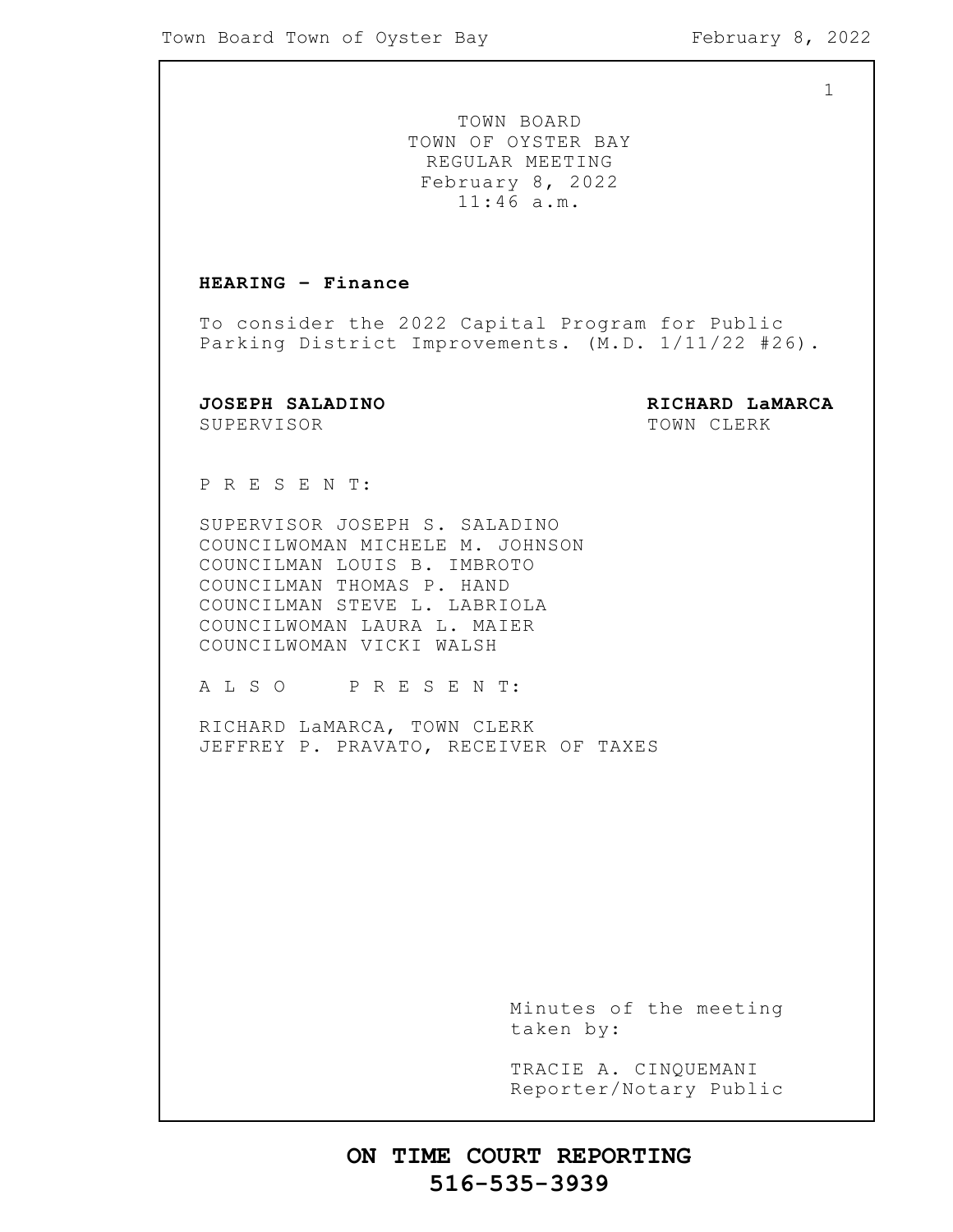1

TOWN BOARD TOWN OF OYSTER BAY REGULAR MEETING February 8, 2022 11:46 a.m.

#### **HEARING – Finance**

To consider the 2022 Capital Program for Public Parking District Improvements. (M.D. 1/11/22 #26).

SUPERVISOR TOWN CLERK

**JOSEPH SALADINO RICHARD LaMARCA**

P R E S E N T:

SUPERVISOR JOSEPH S. SALADINO COUNCILWOMAN MICHELE M. JOHNSON COUNCILMAN LOUIS B. IMBROTO COUNCILMAN THOMAS P. HAND COUNCILMAN STEVE L. LABRIOLA COUNCILWOMAN LAURA L. MAIER COUNCILWOMAN VICKI WALSH

A L S O P R E S E N T:

RICHARD LaMARCA, TOWN CLERK JEFFREY P. PRAVATO, RECEIVER OF TAXES

> Minutes of the meeting taken by:

> TRACIE A. CINQUEMANI Reporter/Notary Public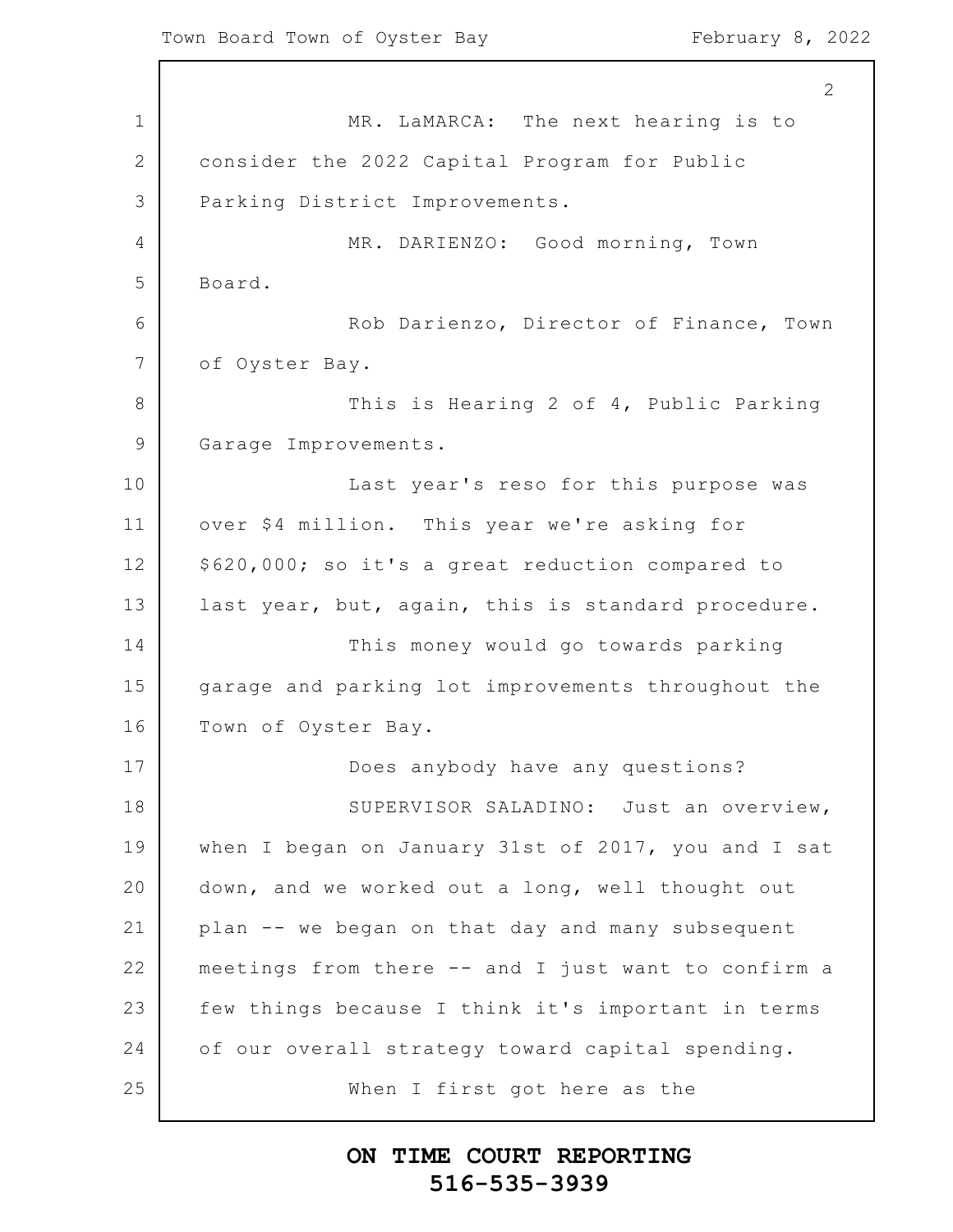1 2 3 4 5 6 7 8 9 10 11 12 13 14 15 16 17 18 19 20 21 22 23 24 25 2 MR. LaMARCA: The next hearing is to consider the 2022 Capital Program for Public Parking District Improvements. MR. DARIENZO: Good morning, Town Board. Rob Darienzo, Director of Finance, Town of Oyster Bay. This is Hearing 2 of 4, Public Parking Garage Improvements. Last year's reso for this purpose was over \$4 million. This year we're asking for \$620,000; so it's a great reduction compared to last year, but, again, this is standard procedure. This money would go towards parking garage and parking lot improvements throughout the Town of Oyster Bay. Does anybody have any questions? SUPERVISOR SALADINO: Just an overview, when I began on January 31st of 2017, you and I sat down, and we worked out a long, well thought out plan -- we began on that day and many subsequent meetings from there -- and I just want to confirm a few things because I think it's important in terms of our overall strategy toward capital spending. When I first got here as the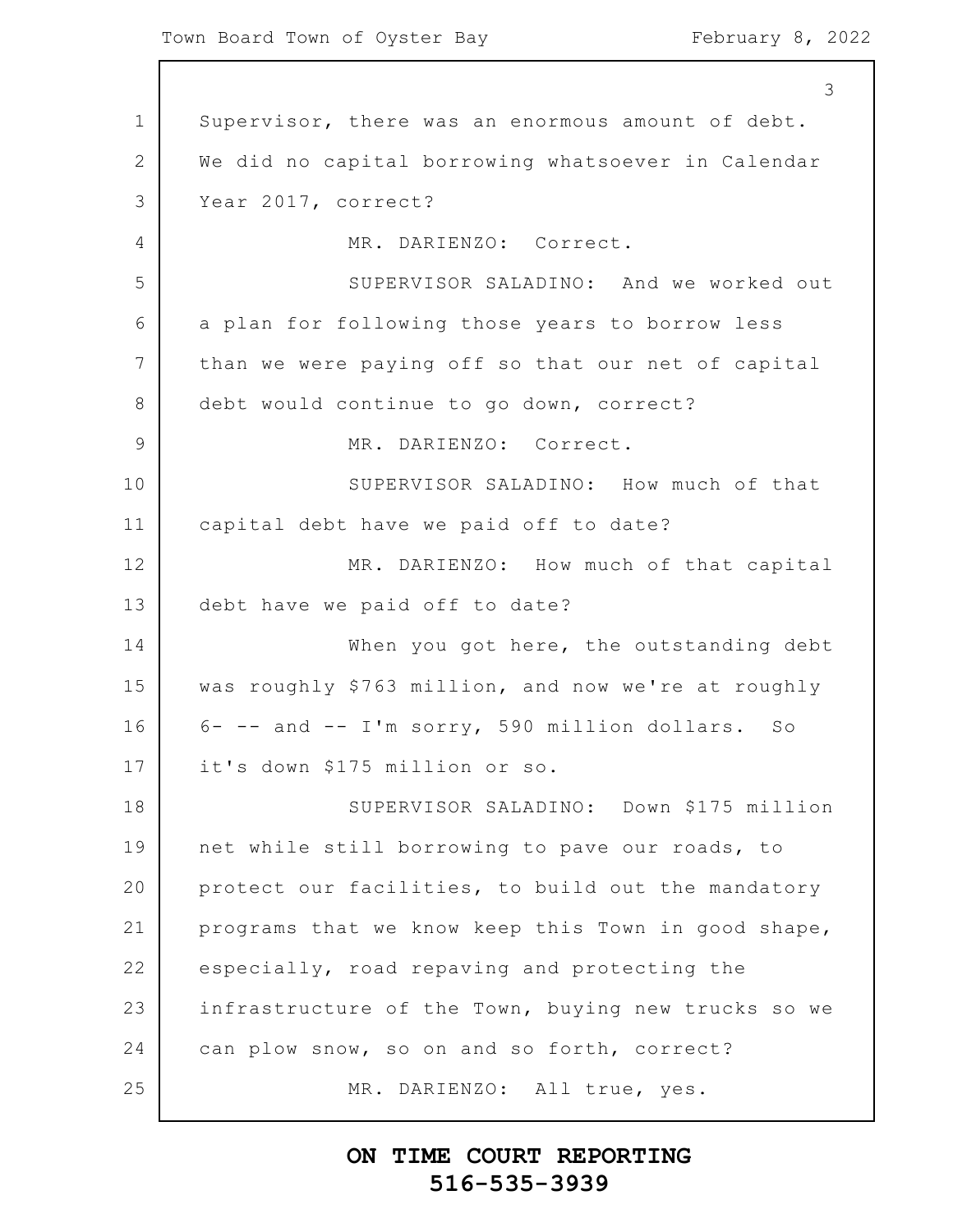1 2 3 4 5 6 7 8 9 10 11 12 13 14 15 16 17 18 19 20 21 22 23 24 25 3 Supervisor, there was an enormous amount of debt. We did no capital borrowing whatsoever in Calendar Year 2017, correct? MR. DARIENZO: Correct. SUPERVISOR SALADINO: And we worked out a plan for following those years to borrow less than we were paying off so that our net of capital debt would continue to go down, correct? MR. DARIENZO: Correct. SUPERVISOR SALADINO: How much of that capital debt have we paid off to date? MR. DARIENZO: How much of that capital debt have we paid off to date? When you got here, the outstanding debt was roughly \$763 million, and now we're at roughly 6- -- and -- I'm sorry, 590 million dollars. So it's down \$175 million or so. SUPERVISOR SALADINO: Down \$175 million net while still borrowing to pave our roads, to protect our facilities, to build out the mandatory programs that we know keep this Town in good shape, especially, road repaving and protecting the infrastructure of the Town, buying new trucks so we can plow snow, so on and so forth, correct? MR. DARIENZO: All true, yes.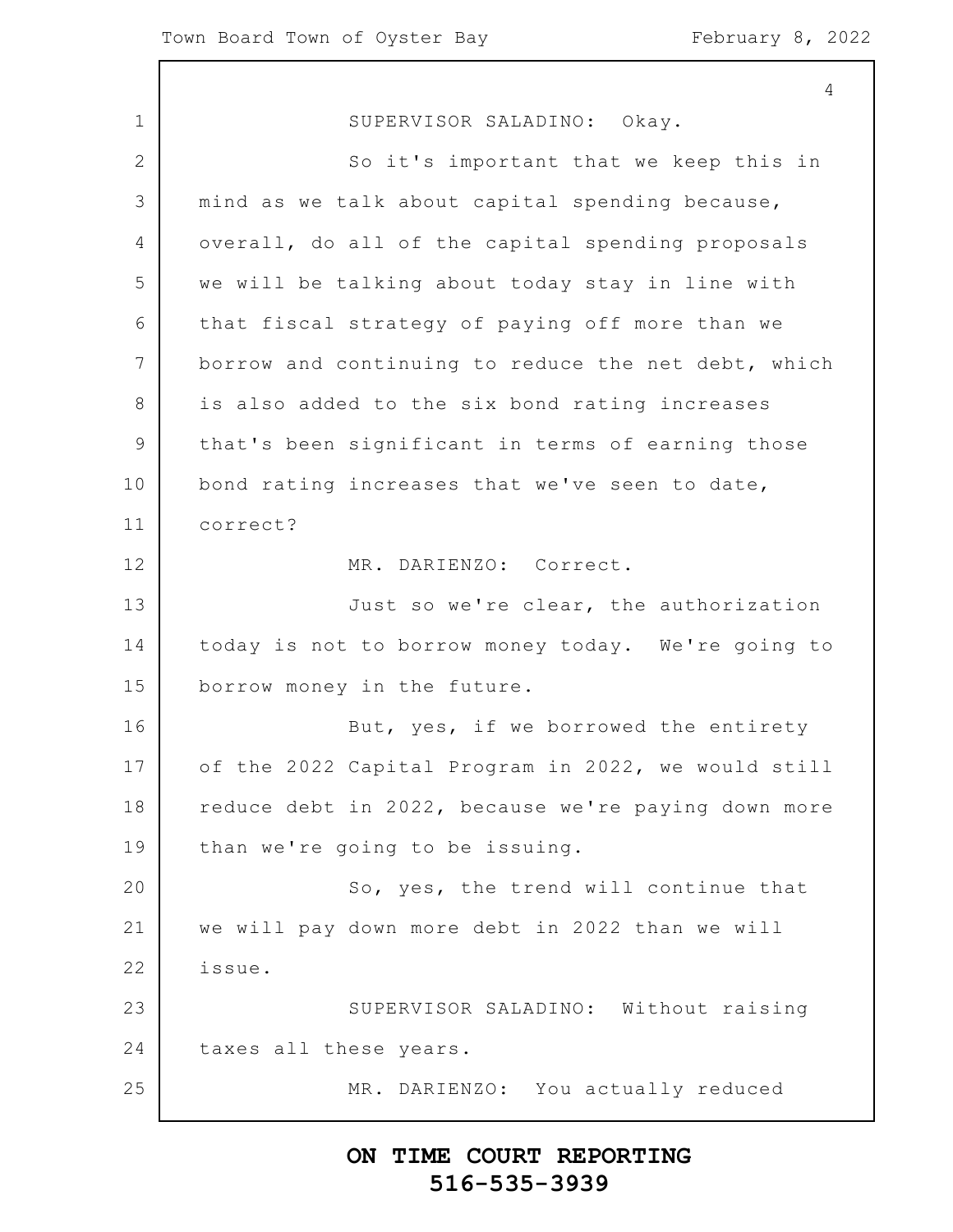1 2 3 4 5 6 7 8 9 10 11 12 13 14 15 16 17 18 19 20 21 22 23 24 25 SUPERVISOR SALADINO: Okay. So it's important that we keep this in mind as we talk about capital spending because, overall, do all of the capital spending proposals we will be talking about today stay in line with that fiscal strategy of paying off more than we borrow and continuing to reduce the net debt, which is also added to the six bond rating increases that's been significant in terms of earning those bond rating increases that we've seen to date, correct? MR. DARIENZO: Correct. Just so we're clear, the authorization today is not to borrow money today. We're going to borrow money in the future. But, yes, if we borrowed the entirety of the 2022 Capital Program in 2022, we would still reduce debt in 2022, because we're paying down more than we're going to be issuing. So, yes, the trend will continue that we will pay down more debt in 2022 than we will issue. SUPERVISOR SALADINO: Without raising taxes all these years. MR. DARIENZO: You actually reduced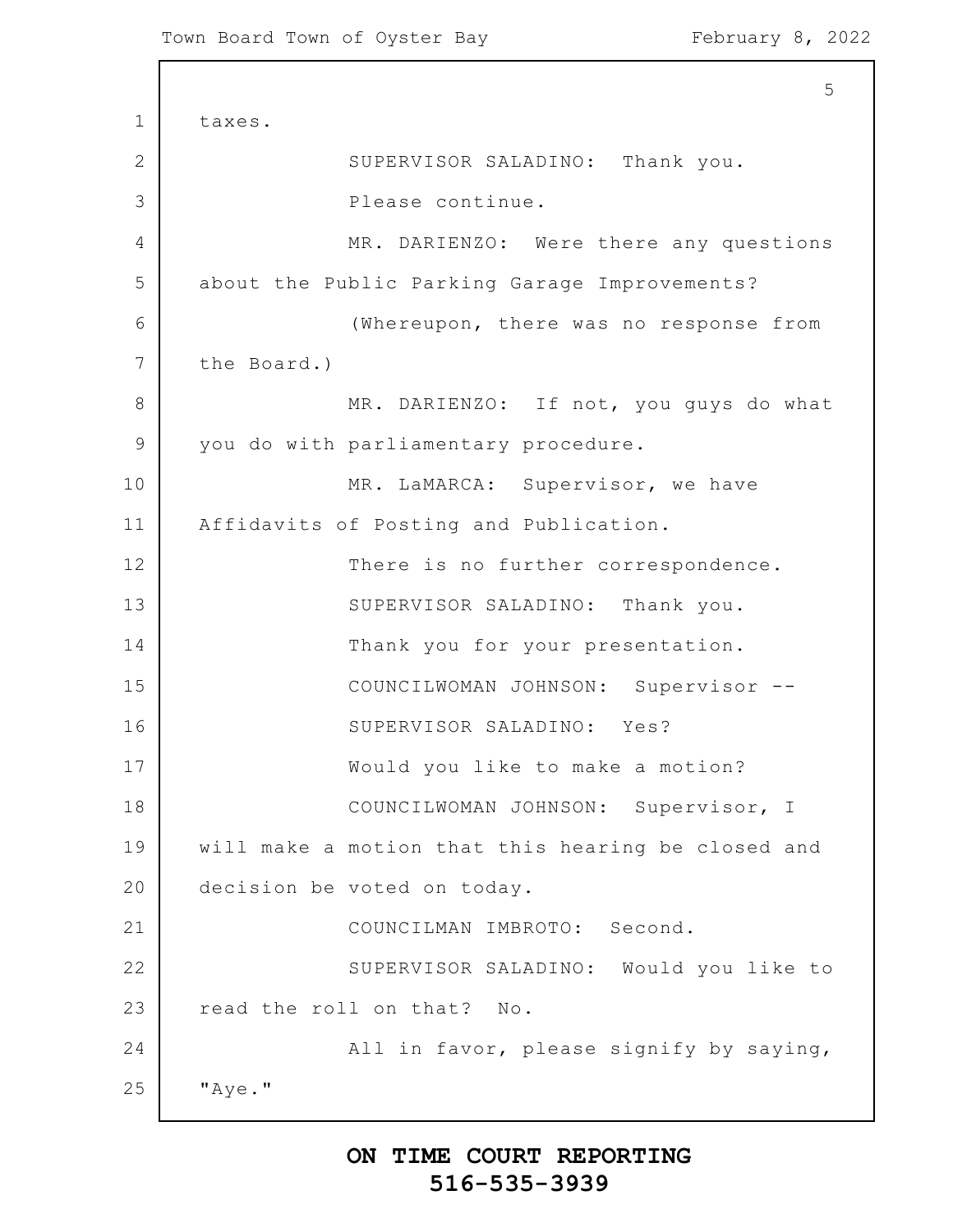1 2 3 4 5 6 7 8 9 10 11 12 13 14 15 16 17 18 19 20 21 22 23 24 25 5 taxes. SUPERVISOR SALADINO: Thank you. Please continue. MR. DARIENZO: Were there any questions about the Public Parking Garage Improvements? (Whereupon, there was no response from the Board.) MR. DARIENZO: If not, you guys do what you do with parliamentary procedure. MR. LaMARCA: Supervisor, we have Affidavits of Posting and Publication. There is no further correspondence. SUPERVISOR SALADINO: Thank you. Thank you for your presentation. COUNCILWOMAN JOHNSON: Supervisor -- SUPERVISOR SALADINO: Yes? Would you like to make a motion? COUNCILWOMAN JOHNSON: Supervisor, I will make a motion that this hearing be closed and decision be voted on today. COUNCILMAN IMBROTO: Second. SUPERVISOR SALADINO: Would you like to read the roll on that? No. All in favor, please signify by saying, "Aye."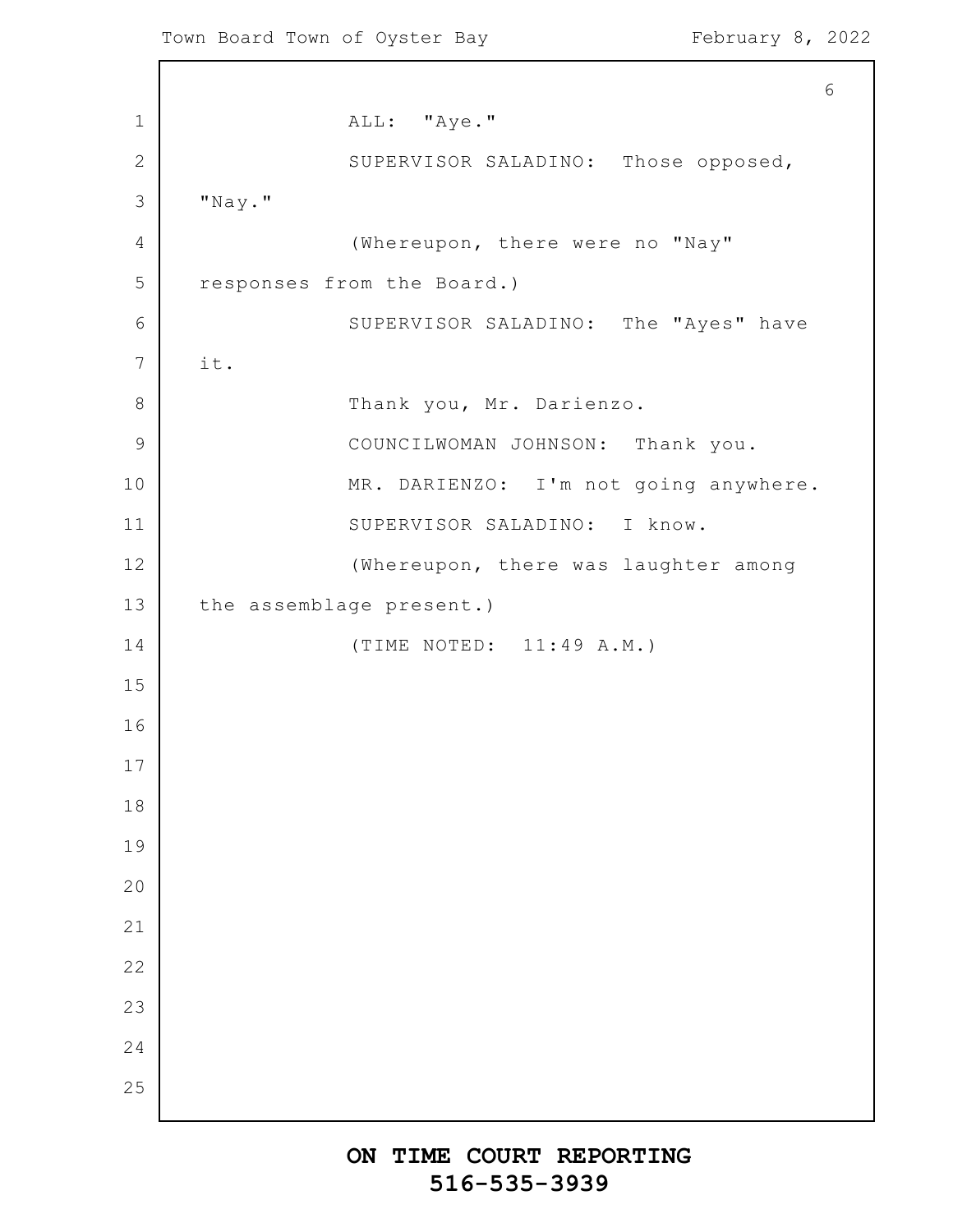ALL: "Aye." SUPERVISOR SALADINO: Those opposed, "Nay." (Whereupon, there were no "Nay" responses from the Board.) SUPERVISOR SALADINO: The "Ayes" have it. Thank you, Mr. Darienzo. COUNCILWOMAN JOHNSON: Thank you. MR. DARIENZO: I'm not going anywhere. SUPERVISOR SALADINO: I know. (Whereupon, there was laughter among the assemblage present.) (TIME NOTED: 11:49 A.M.)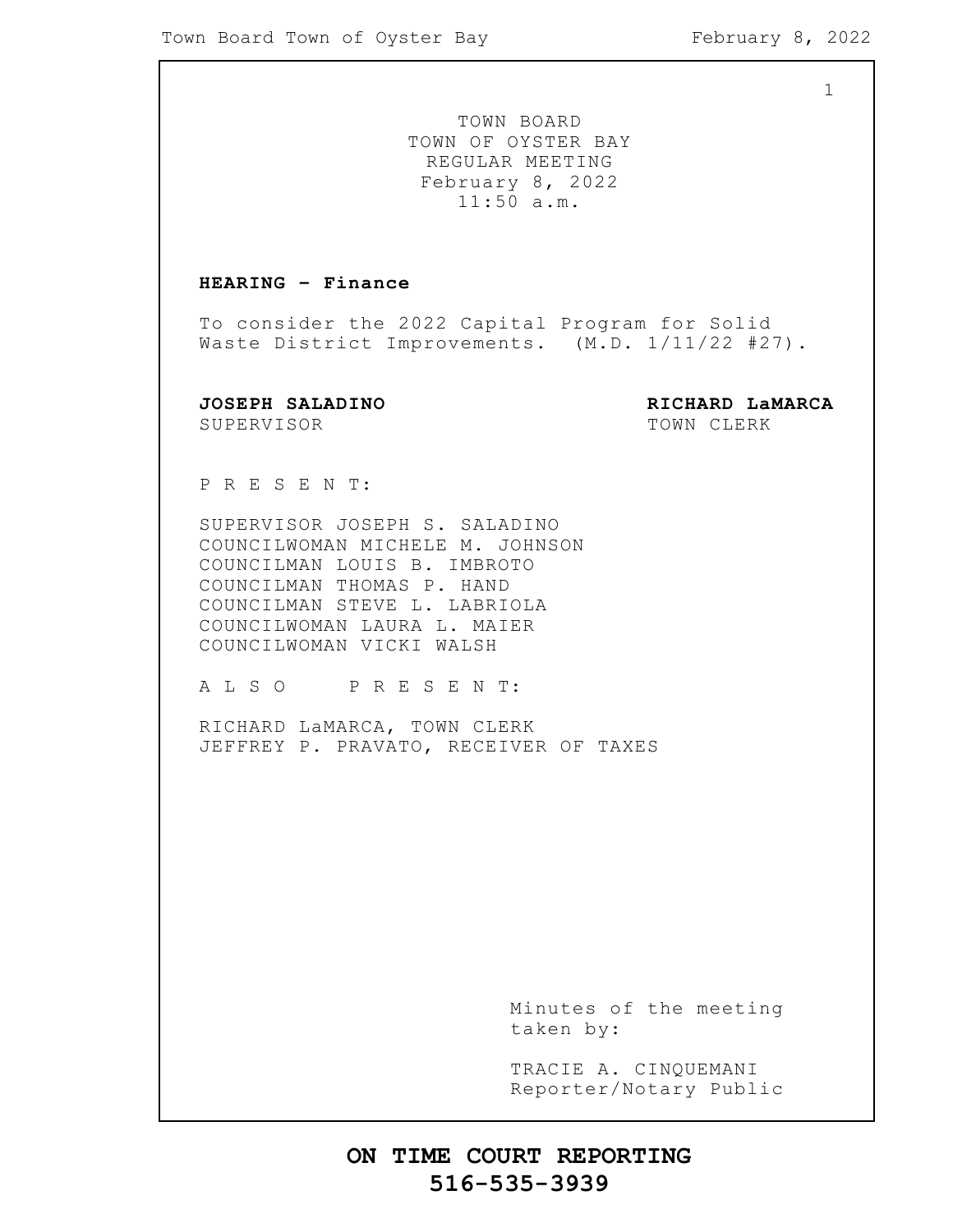TOWN BOARD TOWN OF OYSTER BAY REGULAR MEETING February 8, 2022 11:50 a.m.

### **HEARING – Finance**

To consider the 2022 Capital Program for Solid Waste District Improvements. (M.D. 1/11/22 #27).

SUPERVISOR TOWN CLERK

**JOSEPH SALADINO RICHARD LaMARCA**

P R E S E N T:

SUPERVISOR JOSEPH S. SALADINO COUNCILWOMAN MICHELE M. JOHNSON COUNCILMAN LOUIS B. IMBROTO COUNCILMAN THOMAS P. HAND COUNCILMAN STEVE L. LABRIOLA COUNCILWOMAN LAURA L. MAIER COUNCILWOMAN VICKI WALSH

A L S O P R E S E N T:

RICHARD LaMARCA, TOWN CLERK JEFFREY P. PRAVATO, RECEIVER OF TAXES

> Minutes of the meeting taken by:

> TRACIE A. CINQUEMANI Reporter/Notary Public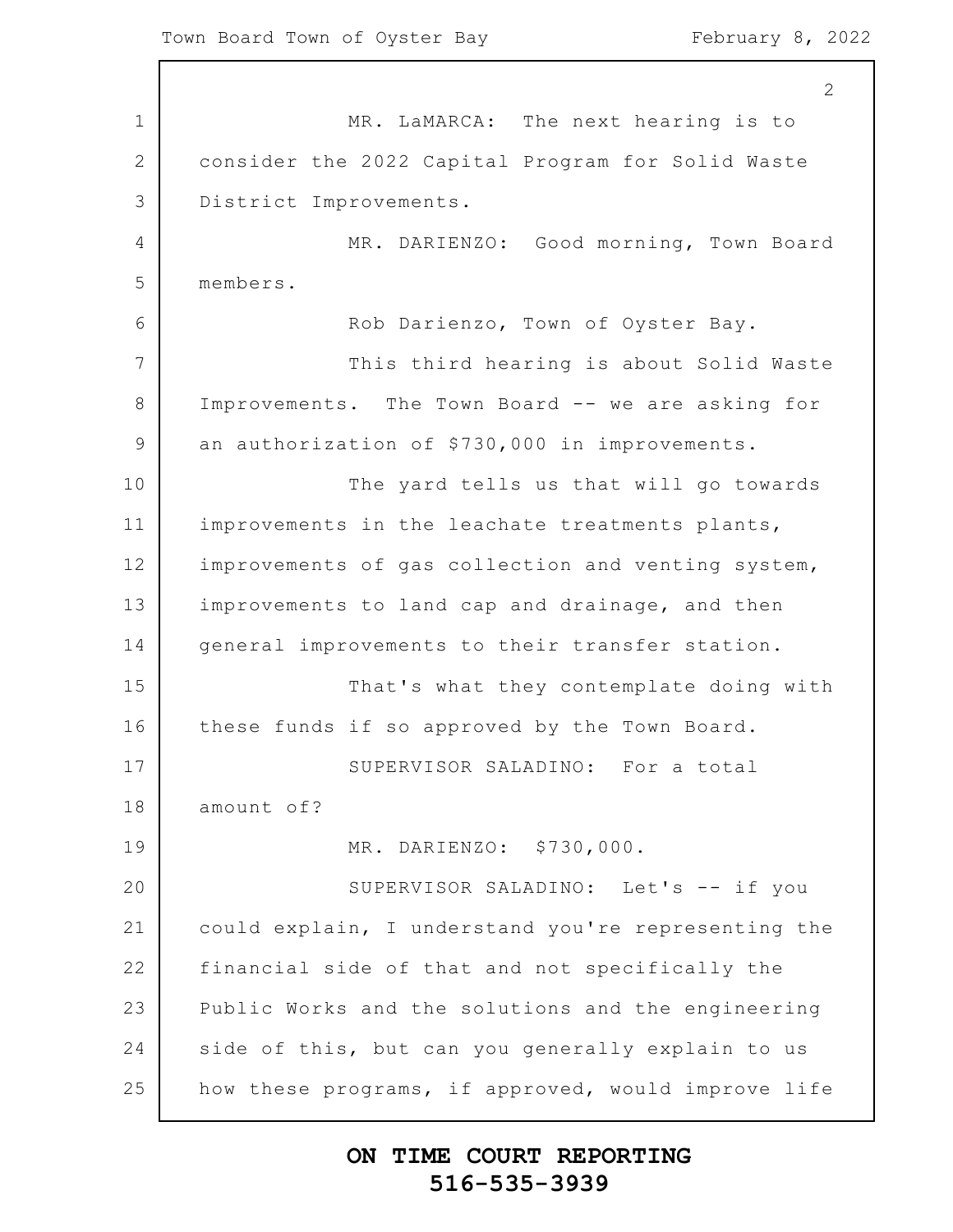1 2 3 4 5 6 7 8 9 10 11 12 13 14 15 16 17 18 19 20 21 22 23 24 25 MR. LaMARCA: The next hearing is to consider the 2022 Capital Program for Solid Waste District Improvements. MR. DARIENZO: Good morning, Town Board members. Rob Darienzo, Town of Oyster Bay. This third hearing is about Solid Waste Improvements. The Town Board -- we are asking for an authorization of \$730,000 in improvements. The yard tells us that will go towards improvements in the leachate treatments plants, improvements of gas collection and venting system, improvements to land cap and drainage, and then general improvements to their transfer station. That's what they contemplate doing with these funds if so approved by the Town Board. SUPERVISOR SALADINO: For a total amount of? MR. DARIENZO: \$730,000. SUPERVISOR SALADINO: Let's -- if you could explain, I understand you're representing the financial side of that and not specifically the Public Works and the solutions and the engineering side of this, but can you generally explain to us how these programs, if approved, would improve life

### **ON TIME COURT REPORTING 516-535-3939**

2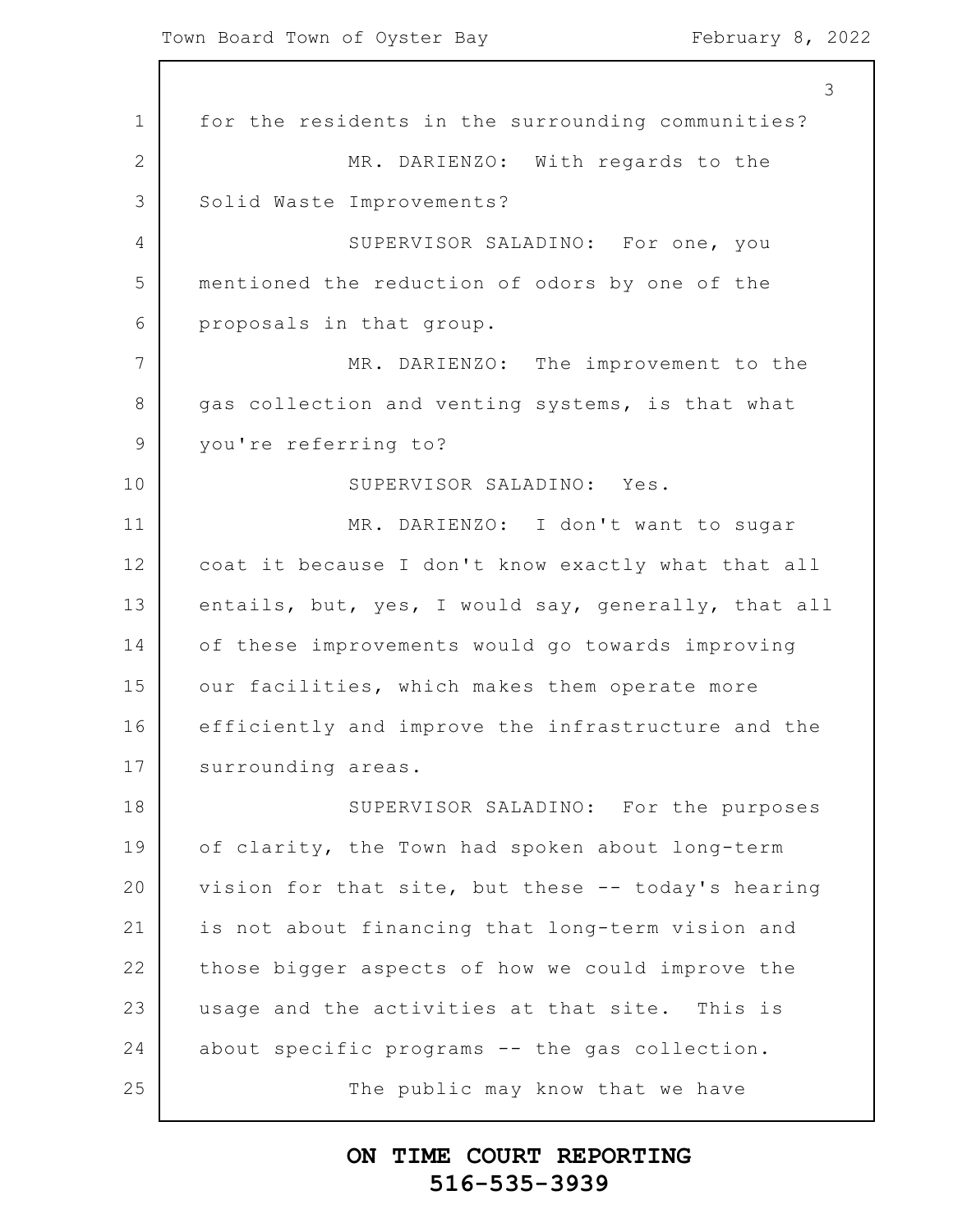1 2 3 4 5 6 7 8 9 10 11 12 13 14 15 16 17 18 19 20 21 22 23 24 25 3 for the residents in the surrounding communities? MR. DARIENZO: With regards to the Solid Waste Improvements? SUPERVISOR SALADINO: For one, you mentioned the reduction of odors by one of the proposals in that group. MR. DARIENZO: The improvement to the gas collection and venting systems, is that what you're referring to? SUPERVISOR SALADINO: Yes. MR. DARIENZO: I don't want to sugar coat it because I don't know exactly what that all entails, but, yes, I would say, generally, that all of these improvements would go towards improving our facilities, which makes them operate more efficiently and improve the infrastructure and the surrounding areas. SUPERVISOR SALADINO: For the purposes of clarity, the Town had spoken about long-term vision for that site, but these -- today's hearing is not about financing that long-term vision and those bigger aspects of how we could improve the usage and the activities at that site. This is about specific programs -- the gas collection. The public may know that we have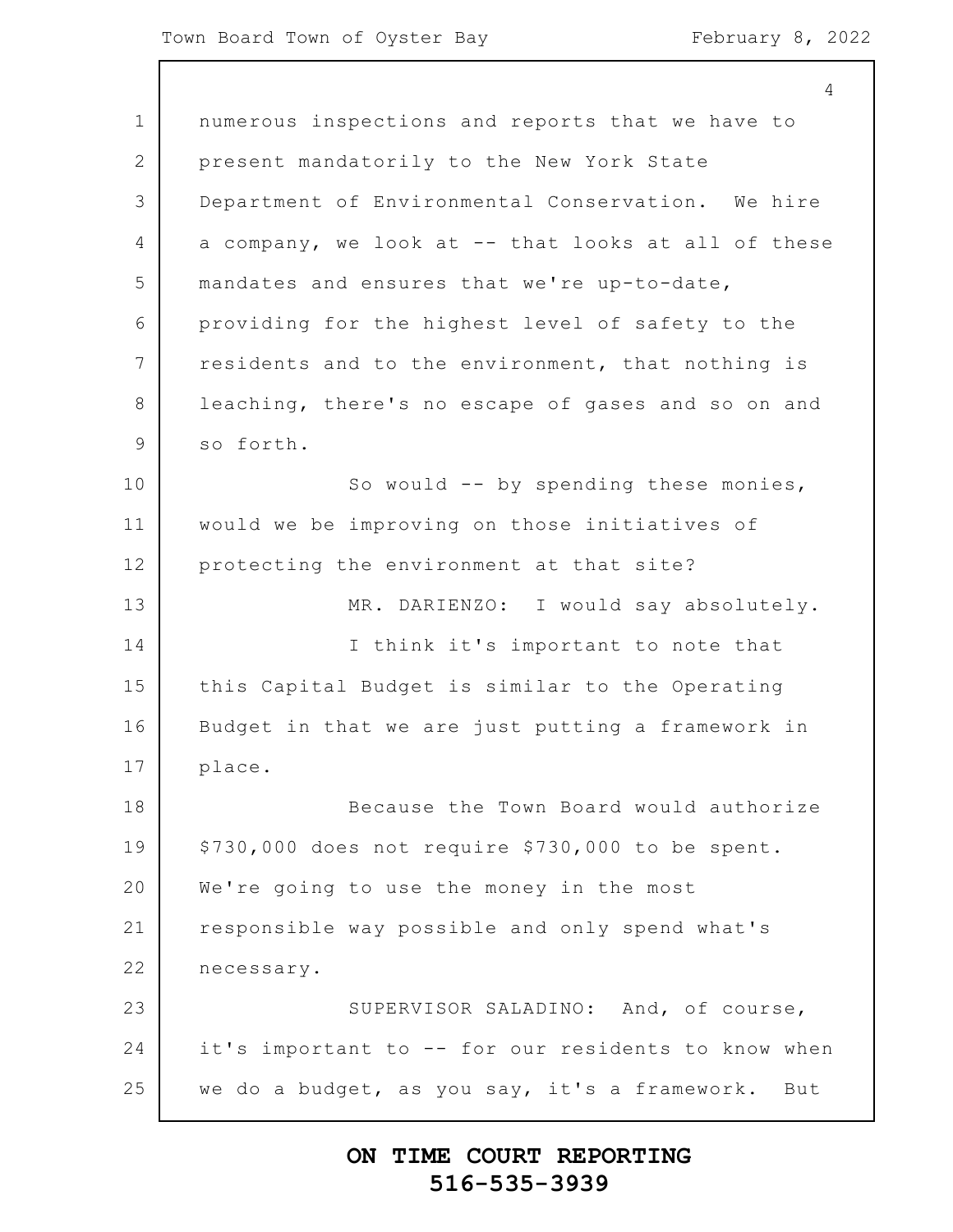1 2 3 4 5 6 7 8 9 10 11 12 13 14 15 16 17 18 19 20 21 22 23 24 25 4 numerous inspections and reports that we have to present mandatorily to the New York State Department of Environmental Conservation. We hire a company, we look at -- that looks at all of these mandates and ensures that we're up-to-date, providing for the highest level of safety to the residents and to the environment, that nothing is leaching, there's no escape of gases and so on and so forth. So would -- by spending these monies, would we be improving on those initiatives of protecting the environment at that site? MR. DARIENZO: I would say absolutely. I think it's important to note that this Capital Budget is similar to the Operating Budget in that we are just putting a framework in place. Because the Town Board would authorize \$730,000 does not require \$730,000 to be spent. We're going to use the money in the most responsible way possible and only spend what's necessary. SUPERVISOR SALADINO: And, of course, it's important to -- for our residents to know when we do a budget, as you say, it's a framework. But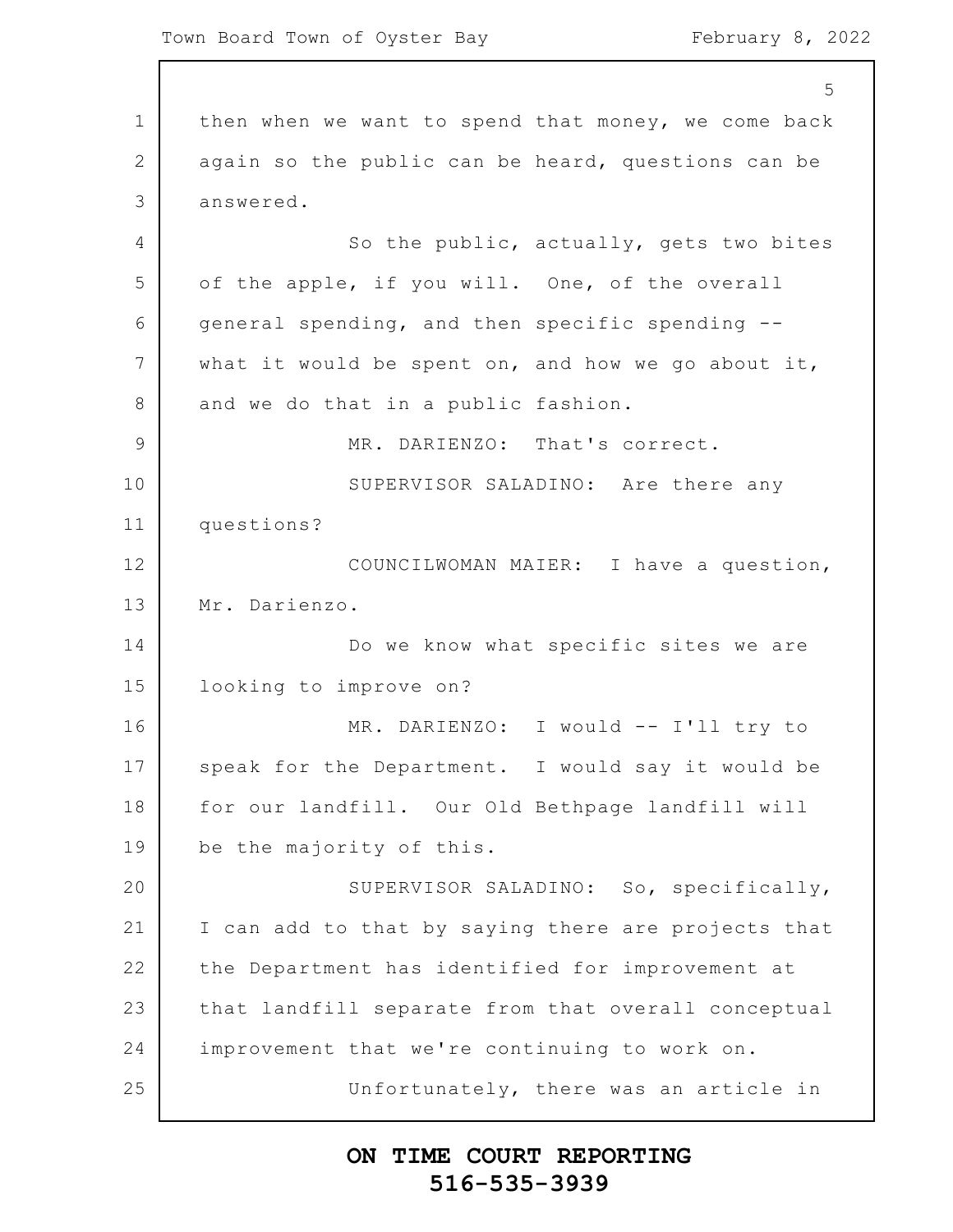1 2 3 4 5 6 7 8 9 10 11 12 13 14 15 16 17 18 19 20 21 22 23 24 25 5 then when we want to spend that money, we come back again so the public can be heard, questions can be answered. So the public, actually, gets two bites of the apple, if you will. One, of the overall general spending, and then specific spending - what it would be spent on, and how we go about it, and we do that in a public fashion. MR. DARIENZO: That's correct. SUPERVISOR SALADINO: Are there any questions? COUNCILWOMAN MAIER: I have a question, Mr. Darienzo. Do we know what specific sites we are looking to improve on? MR. DARIENZO: I would -- I'll try to speak for the Department. I would say it would be for our landfill. Our Old Bethpage landfill will be the majority of this. SUPERVISOR SALADINO: So, specifically, I can add to that by saying there are projects that the Department has identified for improvement at that landfill separate from that overall conceptual improvement that we're continuing to work on. Unfortunately, there was an article in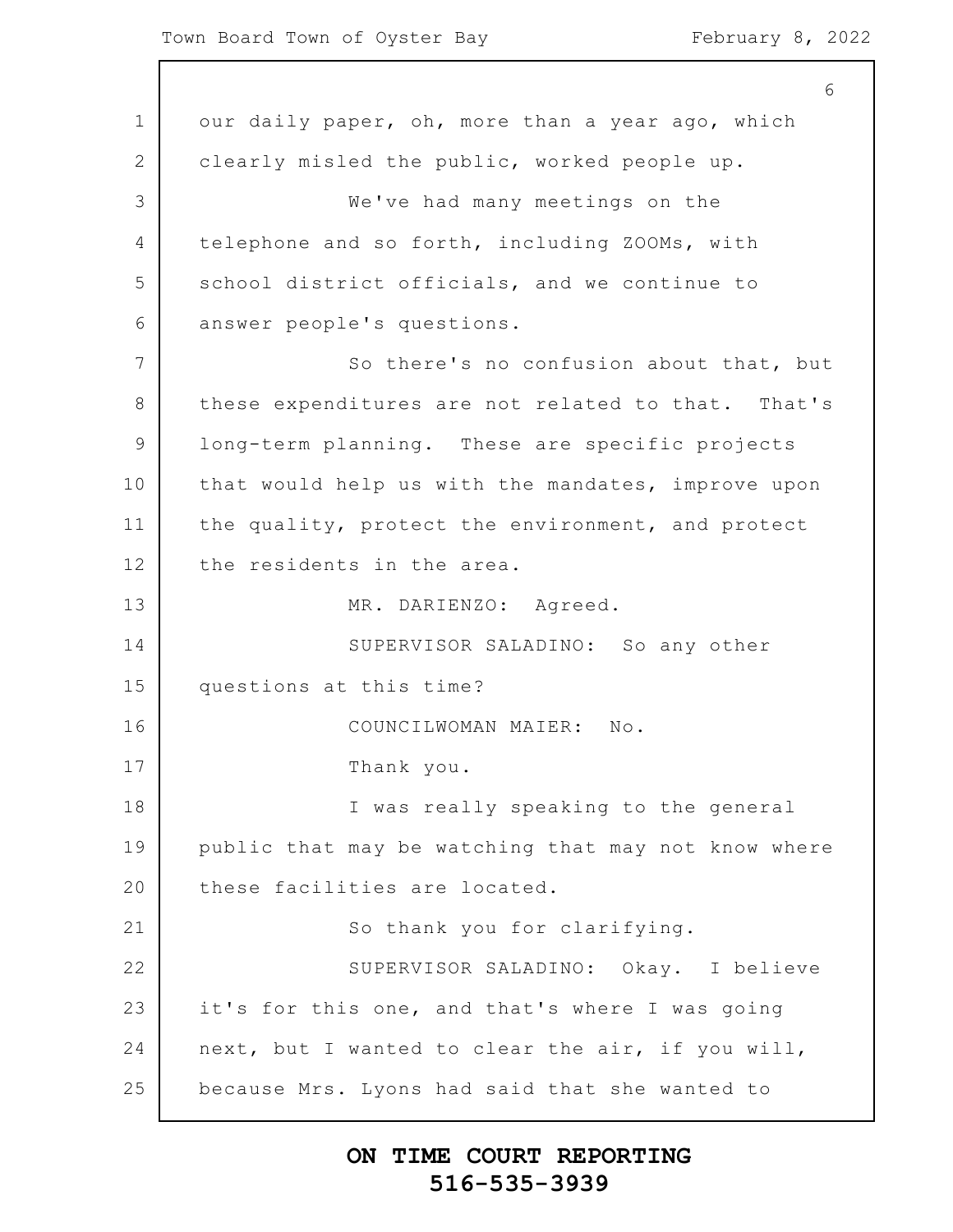1 2 3 4 5 6 7 8 9 10 11 12 13 14 15 16 17 18 19 20 21 22 23 24 25 6 our daily paper, oh, more than a year ago, which clearly misled the public, worked people up. We've had many meetings on the telephone and so forth, including ZOOMs, with school district officials, and we continue to answer people's questions. So there's no confusion about that, but these expenditures are not related to that. That's long-term planning. These are specific projects that would help us with the mandates, improve upon the quality, protect the environment, and protect the residents in the area. MR. DARIENZO: Agreed. SUPERVISOR SALADINO: So any other questions at this time? COUNCILWOMAN MAIER: No. Thank you. I was really speaking to the general public that may be watching that may not know where these facilities are located. So thank you for clarifying. SUPERVISOR SALADINO: Okay. I believe it's for this one, and that's where I was going next, but I wanted to clear the air, if you will, because Mrs. Lyons had said that she wanted to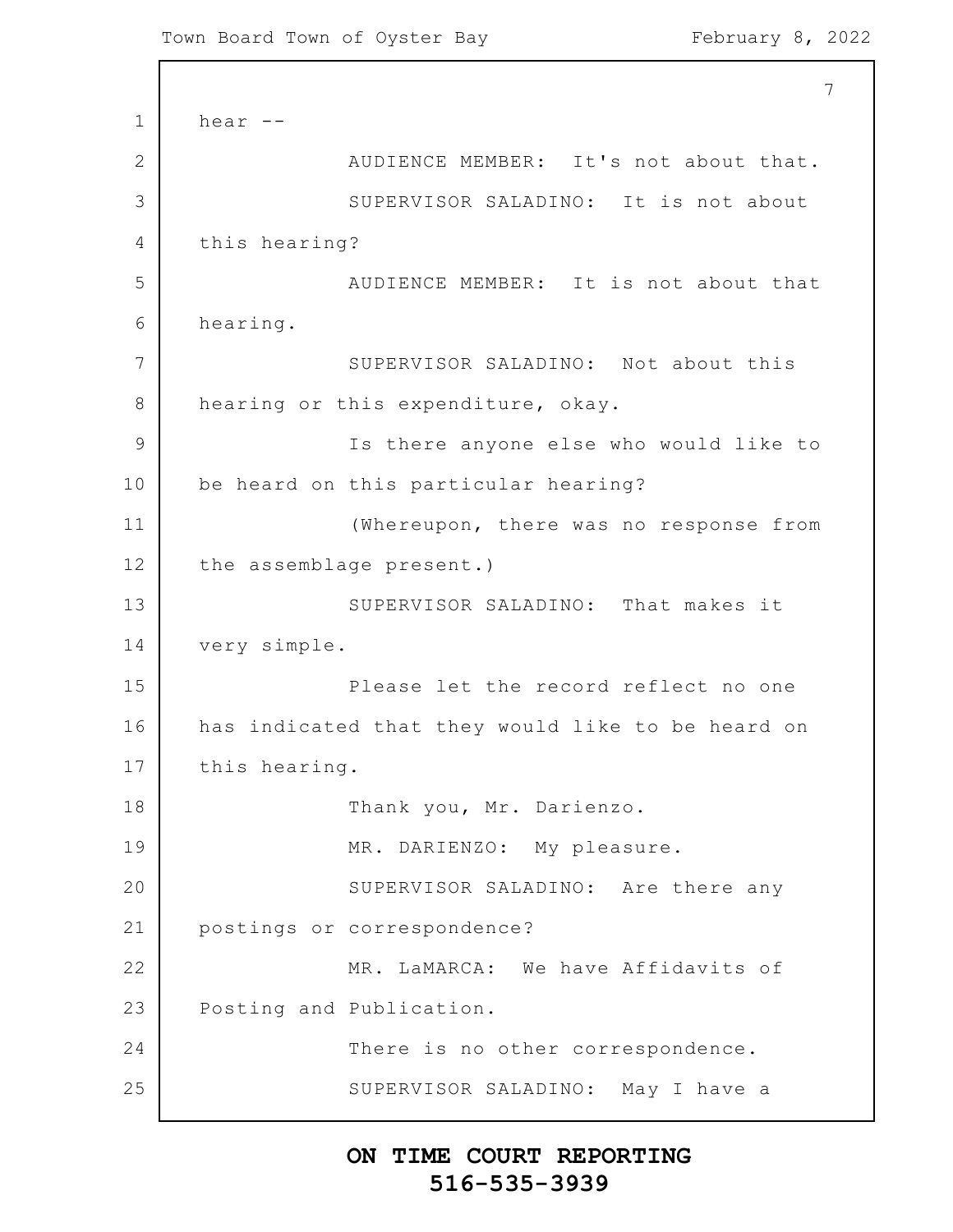1 2 3 4 5 6 7 8 9 10 11 12 13 14 15 16 17 18 19 20 21 22 23 24 25 7 hear -- AUDIENCE MEMBER: It's not about that. SUPERVISOR SALADINO: It is not about this hearing? AUDIENCE MEMBER: It is not about that hearing. SUPERVISOR SALADINO: Not about this hearing or this expenditure, okay. Is there anyone else who would like to be heard on this particular hearing? (Whereupon, there was no response from the assemblage present.) SUPERVISOR SALADINO: That makes it very simple. Please let the record reflect no one has indicated that they would like to be heard on this hearing. Thank you, Mr. Darienzo. MR. DARIENZO: My pleasure. SUPERVISOR SALADINO: Are there any postings or correspondence? MR. LaMARCA: We have Affidavits of Posting and Publication. There is no other correspondence. SUPERVISOR SALADINO: May I have a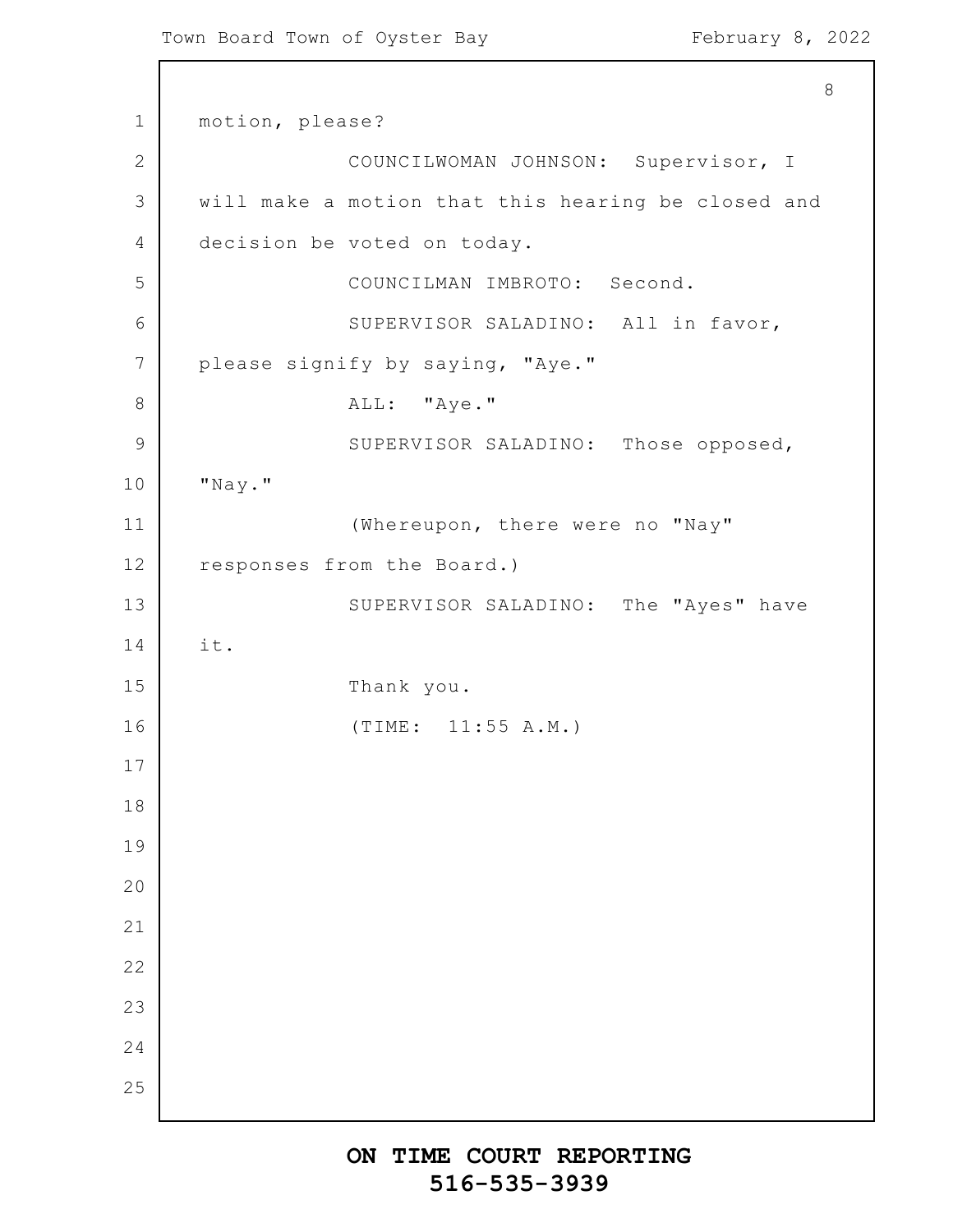```
1
2
3
4
5
6
7
8
9
10
11
12
13
14
15
16
17
18
19
20
21
22
23
24
25
                                                           8
      motion, please?
                   COUNCILWOMAN JOHNSON: Supervisor, I
      will make a motion that this hearing be closed and
      decision be voted on today.
                   COUNCILMAN IMBROTO: Second.
                   SUPERVISOR SALADINO: All in favor,
      please signify by saying, "Aye."
                   ALL: "Aye."
                   SUPERVISOR SALADINO: Those opposed,
      "Nay."
                   (Whereupon, there were no "Nay"
      responses from the Board.)
                   SUPERVISOR SALADINO: The "Ayes" have
      it.
                   Thank you.
                   (TIME: 11:55 A.M.)
```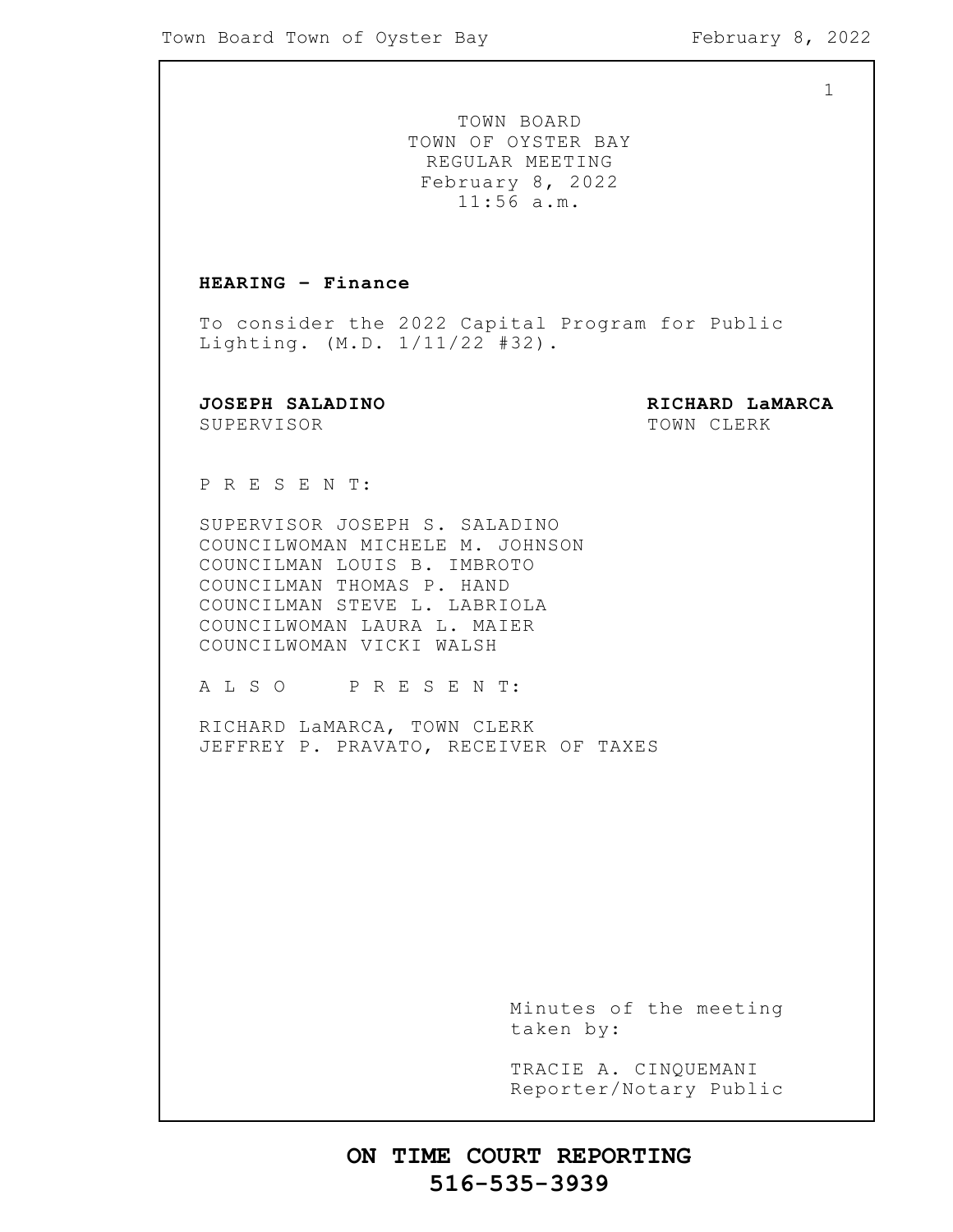TOWN BOARD TOWN OF OYSTER BAY REGULAR MEETING February 8, 2022 11:56 a.m.

### **HEARING – Finance**

To consider the 2022 Capital Program for Public Lighting. (M.D. 1/11/22 #32).

SUPERVISOR TOWN CLERK

**JOSEPH SALADINO RICHARD LaMARCA**

P R E S E N T:

SUPERVISOR JOSEPH S. SALADINO COUNCILWOMAN MICHELE M. JOHNSON COUNCILMAN LOUIS B. IMBROTO COUNCILMAN THOMAS P. HAND COUNCILMAN STEVE L. LABRIOLA COUNCILWOMAN LAURA L. MAIER COUNCILWOMAN VICKI WALSH

A L S O P R E S E N T:

RICHARD LaMARCA, TOWN CLERK JEFFREY P. PRAVATO, RECEIVER OF TAXES

> Minutes of the meeting taken by:

> TRACIE A. CINQUEMANI Reporter/Notary Public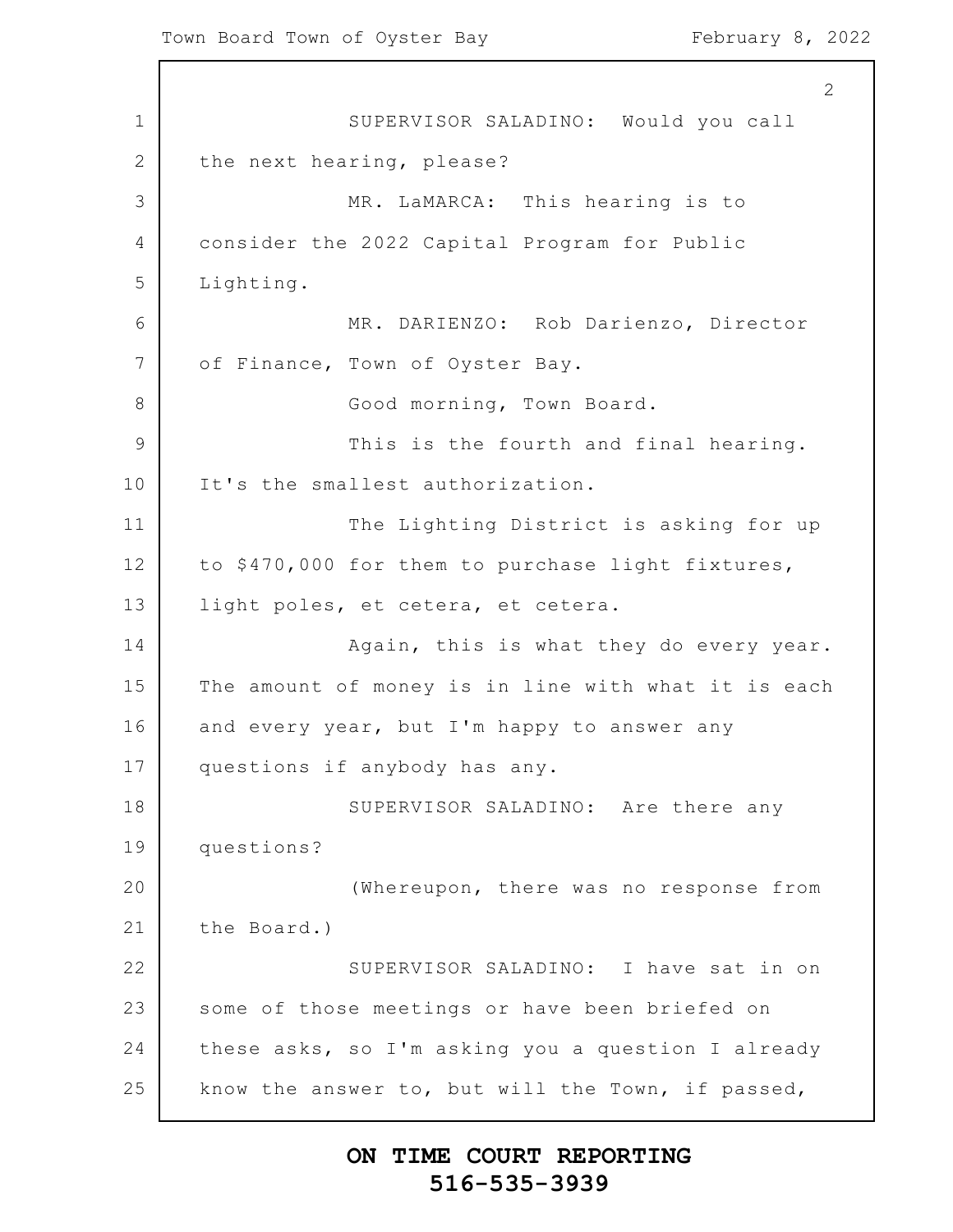1 2 3 4 5 6 7 8 9 10 11 12 13 14 15 16 17 18 19 20 21 22 23 24 25 2 SUPERVISOR SALADINO: Would you call the next hearing, please? MR. LaMARCA: This hearing is to consider the 2022 Capital Program for Public Lighting. MR. DARIENZO: Rob Darienzo, Director of Finance, Town of Oyster Bay. Good morning, Town Board. This is the fourth and final hearing. It's the smallest authorization. The Lighting District is asking for up to \$470,000 for them to purchase light fixtures, light poles, et cetera, et cetera. Again, this is what they do every year. The amount of money is in line with what it is each and every year, but I'm happy to answer any questions if anybody has any. SUPERVISOR SALADINO: Are there any questions? (Whereupon, there was no response from the Board.) SUPERVISOR SALADINO: I have sat in on some of those meetings or have been briefed on these asks, so I'm asking you a question I already know the answer to, but will the Town, if passed,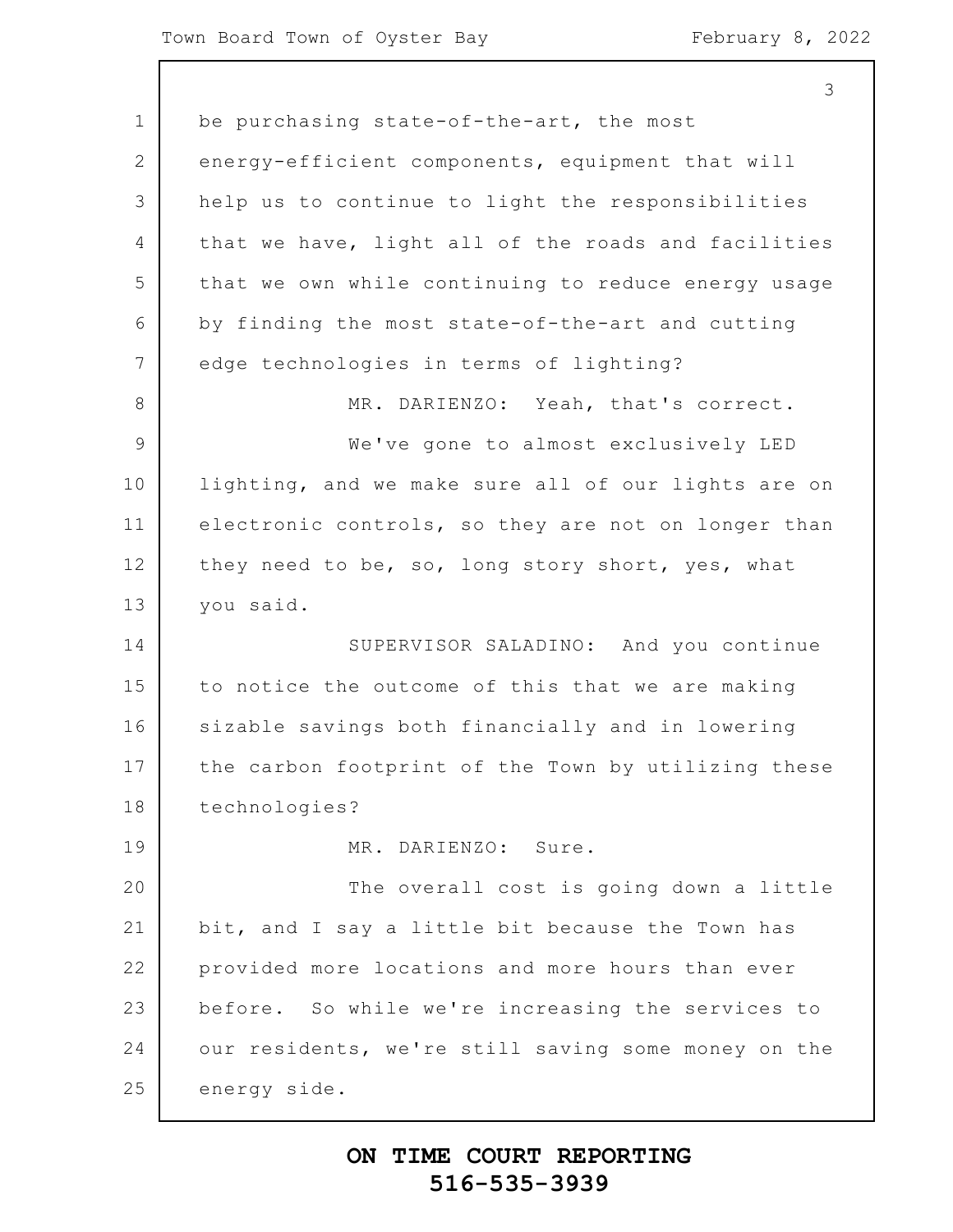1 2 3 4 5 6 7 8 9 10 11 12 13 14 15 16 17 18 19 20 21 22 23 24 25 be purchasing state-of-the-art, the most energy-efficient components, equipment that will help us to continue to light the responsibilities that we have, light all of the roads and facilities that we own while continuing to reduce energy usage by finding the most state-of-the-art and cutting edge technologies in terms of lighting? MR. DARIENZO: Yeah, that's correct. We've gone to almost exclusively LED lighting, and we make sure all of our lights are on electronic controls, so they are not on longer than they need to be, so, long story short, yes, what you said. SUPERVISOR SALADINO: And you continue to notice the outcome of this that we are making sizable savings both financially and in lowering the carbon footprint of the Town by utilizing these technologies? MR. DARIENZO: Sure. The overall cost is going down a little bit, and I say a little bit because the Town has provided more locations and more hours than ever before. So while we're increasing the services to our residents, we're still saving some money on the energy side.

### **ON TIME COURT REPORTING 516-535-3939**

3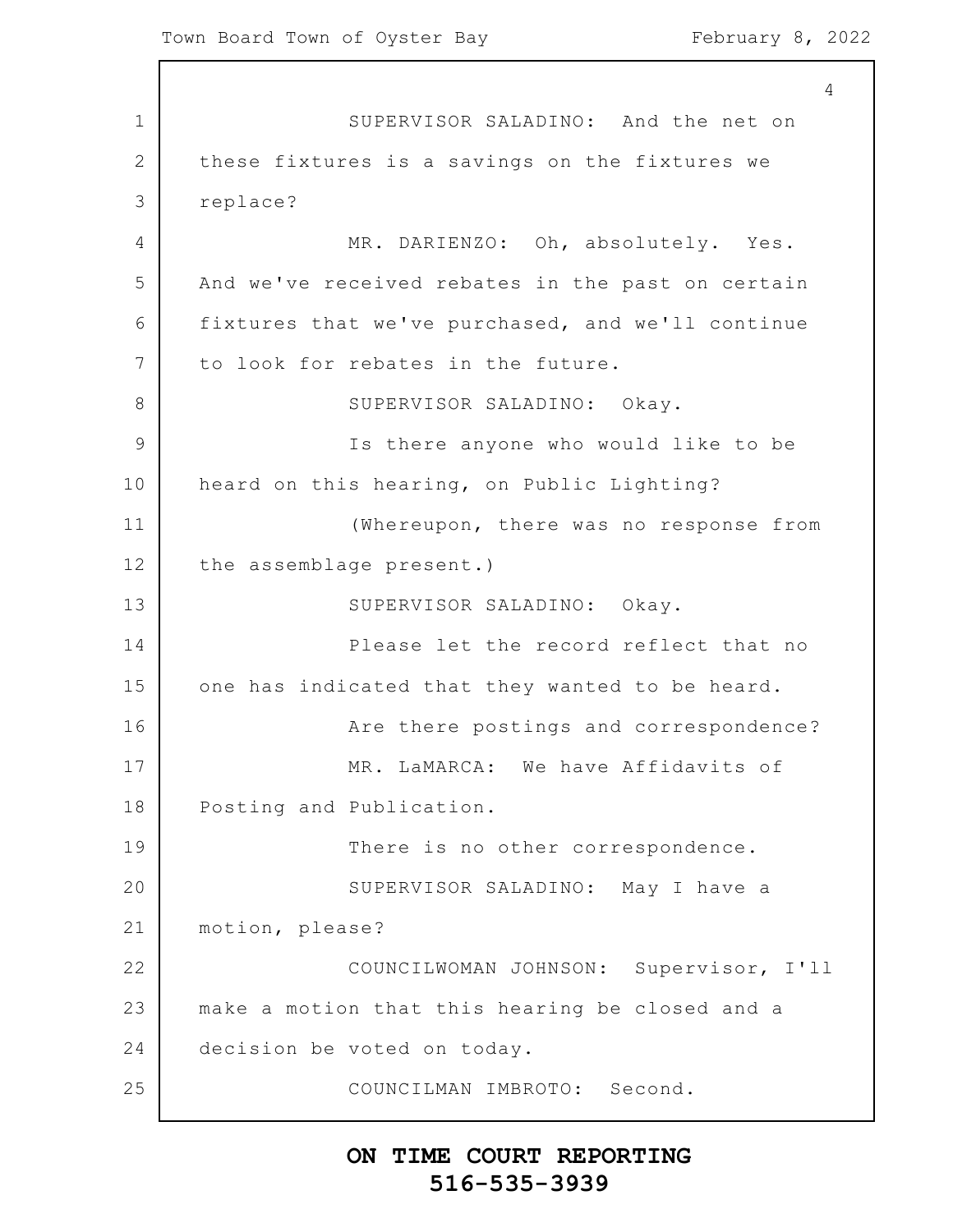1 2 3 4 5 6 7 8 9 10 11 12 13 14 15 16 17 18 19 20 21 22 23 24 25 4 SUPERVISOR SALADINO: And the net on these fixtures is a savings on the fixtures we replace? MR. DARIENZO: Oh, absolutely. Yes. And we've received rebates in the past on certain fixtures that we've purchased, and we'll continue to look for rebates in the future. SUPERVISOR SALADINO: Okay. Is there anyone who would like to be heard on this hearing, on Public Lighting? (Whereupon, there was no response from the assemblage present.) SUPERVISOR SALADINO: Okay. Please let the record reflect that no one has indicated that they wanted to be heard. Are there postings and correspondence? MR. LaMARCA: We have Affidavits of Posting and Publication. There is no other correspondence. SUPERVISOR SALADINO: May I have a motion, please? COUNCILWOMAN JOHNSON: Supervisor, I'll make a motion that this hearing be closed and a decision be voted on today. COUNCILMAN IMBROTO: Second.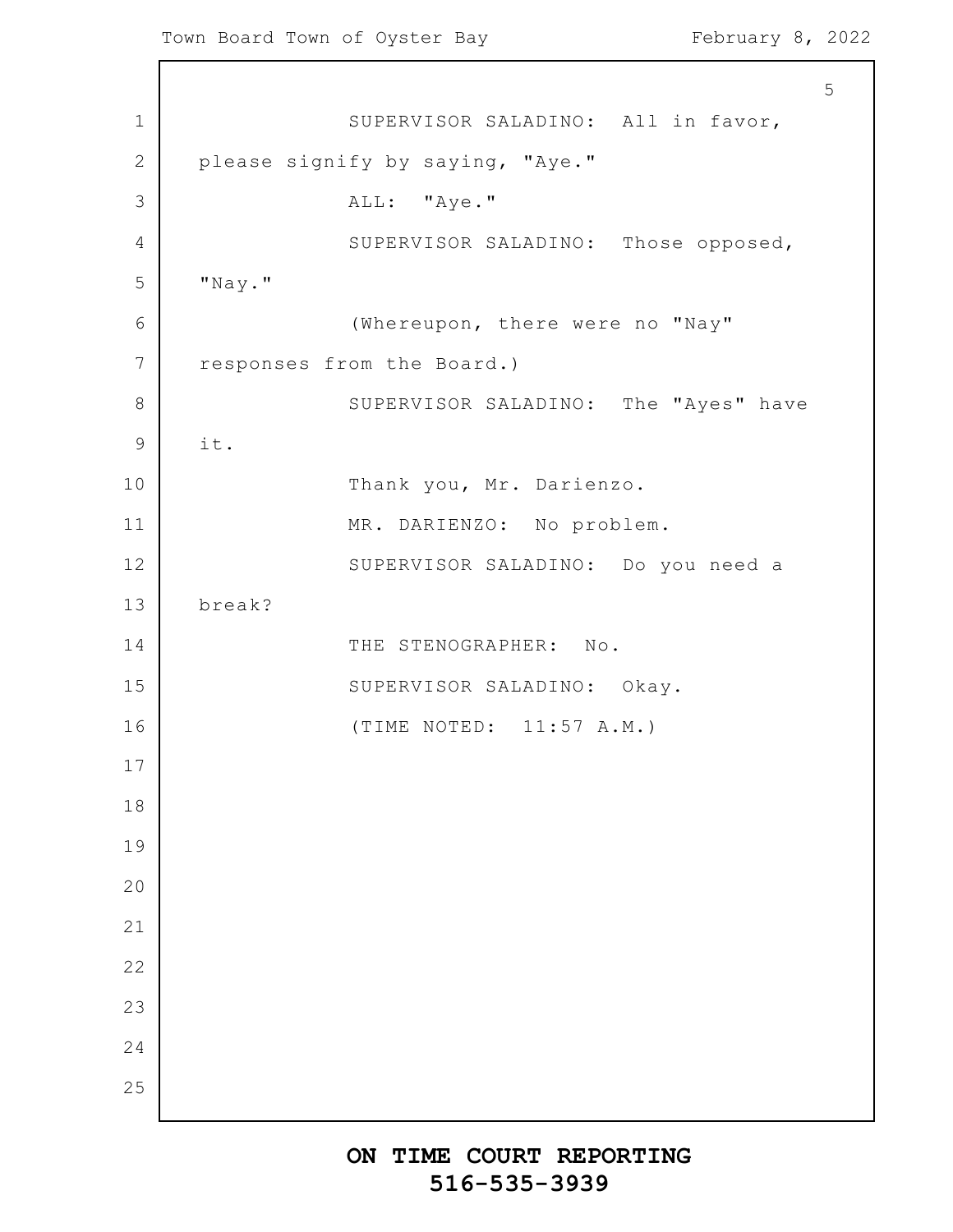1 2 3 4 5 6 7 8 9 10 11 12 13 14 15 16 17 18 19 20 21 22 23 24 25 5 SUPERVISOR SALADINO: All in favor, please signify by saying, "Aye." ALL: "Aye." SUPERVISOR SALADINO: Those opposed, "Nay." (Whereupon, there were no "Nay" responses from the Board.) SUPERVISOR SALADINO: The "Ayes" have it. Thank you, Mr. Darienzo. MR. DARIENZO: No problem. SUPERVISOR SALADINO: Do you need a break? THE STENOGRAPHER: No. SUPERVISOR SALADINO: Okay. (TIME NOTED: 11:57 A.M.)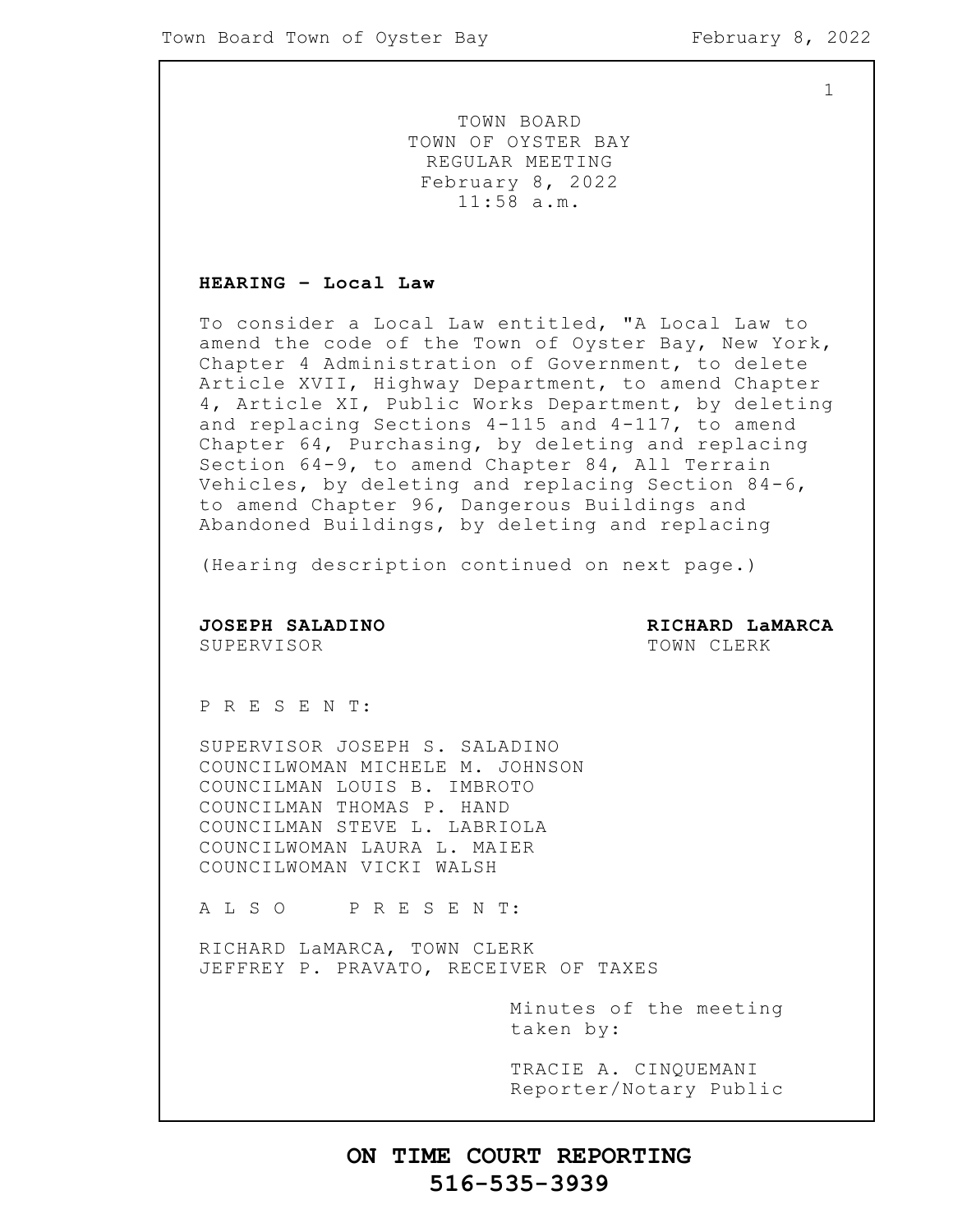TOWN BOARD TOWN OF OYSTER BAY REGULAR MEETING February 8, 2022 11:58 a.m.

### **HEARING – Local Law**

To consider a Local Law entitled, "A Local Law to amend the code of the Town of Oyster Bay, New York, Chapter 4 Administration of Government, to delete Article XVII, Highway Department, to amend Chapter 4, Article XI, Public Works Department, by deleting and replacing Sections 4-115 and 4-117, to amend Chapter 64, Purchasing, by deleting and replacing Section 64-9, to amend Chapter 84, All Terrain Vehicles, by deleting and replacing Section 84-6, to amend Chapter 96, Dangerous Buildings and Abandoned Buildings, by deleting and replacing

(Hearing description continued on next page.)

**JOSEPH SALADINO RICHARD LaMARCA** SUPERVISOR **TOWN CLERK** 

P R E S E N T:

SUPERVISOR JOSEPH S. SALADINO COUNCILWOMAN MICHELE M. JOHNSON COUNCILMAN LOUIS B. IMBROTO COUNCILMAN THOMAS P. HAND COUNCILMAN STEVE L. LABRIOLA COUNCILWOMAN LAURA L. MAIER COUNCILWOMAN VICKI WALSH

A L S O P R E S E N T:

RICHARD LaMARCA, TOWN CLERK JEFFREY P. PRAVATO, RECEIVER OF TAXES

> Minutes of the meeting taken by:

> TRACIE A. CINQUEMANI Reporter/Notary Public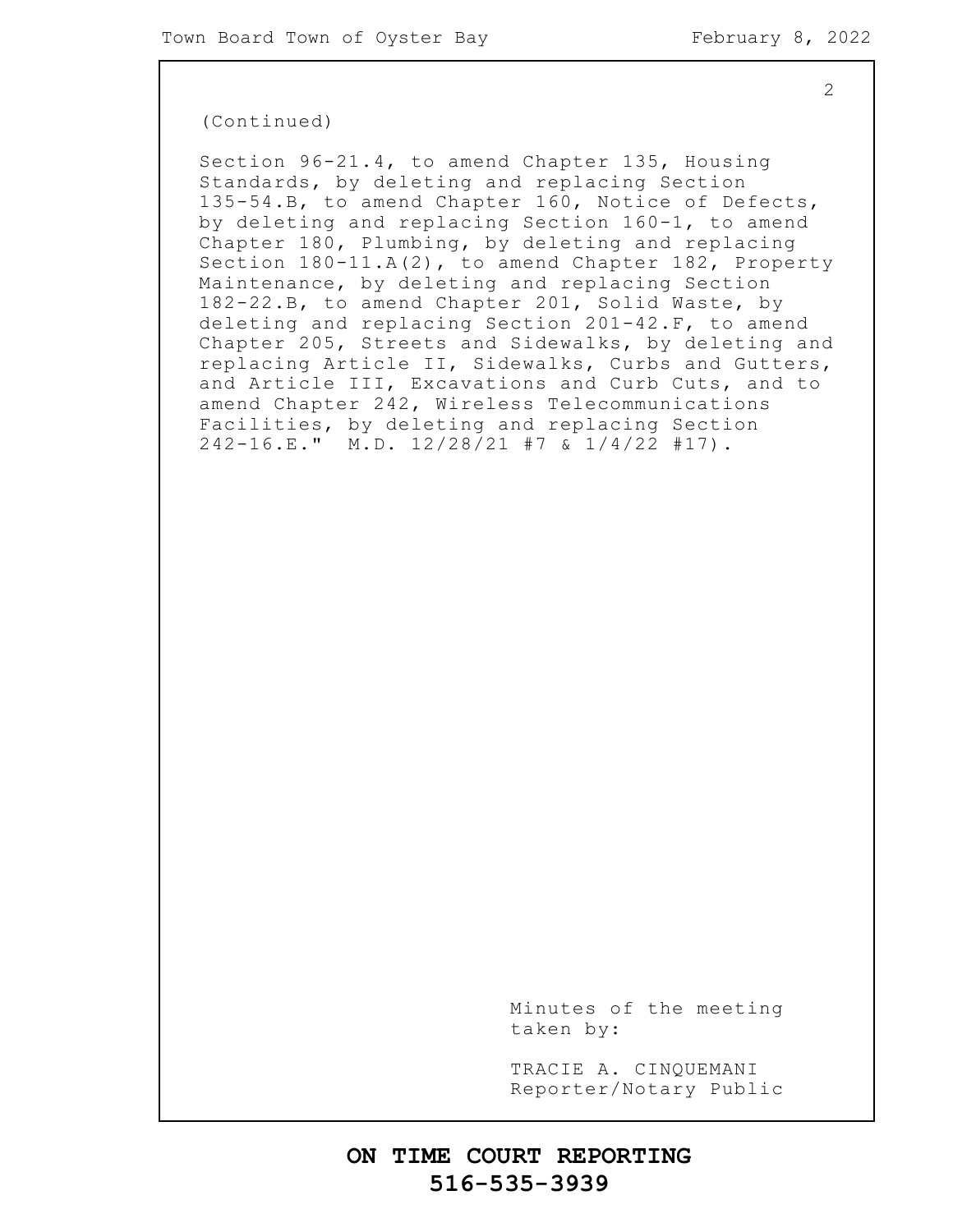### (Continued)

Section 96-21.4, to amend Chapter 135, Housing Standards, by deleting and replacing Section 135-54.B, to amend Chapter 160, Notice of Defects, by deleting and replacing Section 160-1, to amend Chapter 180, Plumbing, by deleting and replacing Section 180-11.A(2), to amend Chapter 182, Property Maintenance, by deleting and replacing Section 182-22.B, to amend Chapter 201, Solid Waste, by deleting and replacing Section 201-42.F, to amend Chapter 205, Streets and Sidewalks, by deleting and replacing Article II, Sidewalks, Curbs and Gutters, and Article III, Excavations and Curb Cuts, and to amend Chapter 242, Wireless Telecommunications Facilities, by deleting and replacing Section 242-16.E." M.D. 12/28/21 #7 & 1/4/22 #17).

> Minutes of the meeting taken by:

> TRACIE A. CINQUEMANI Reporter/Notary Public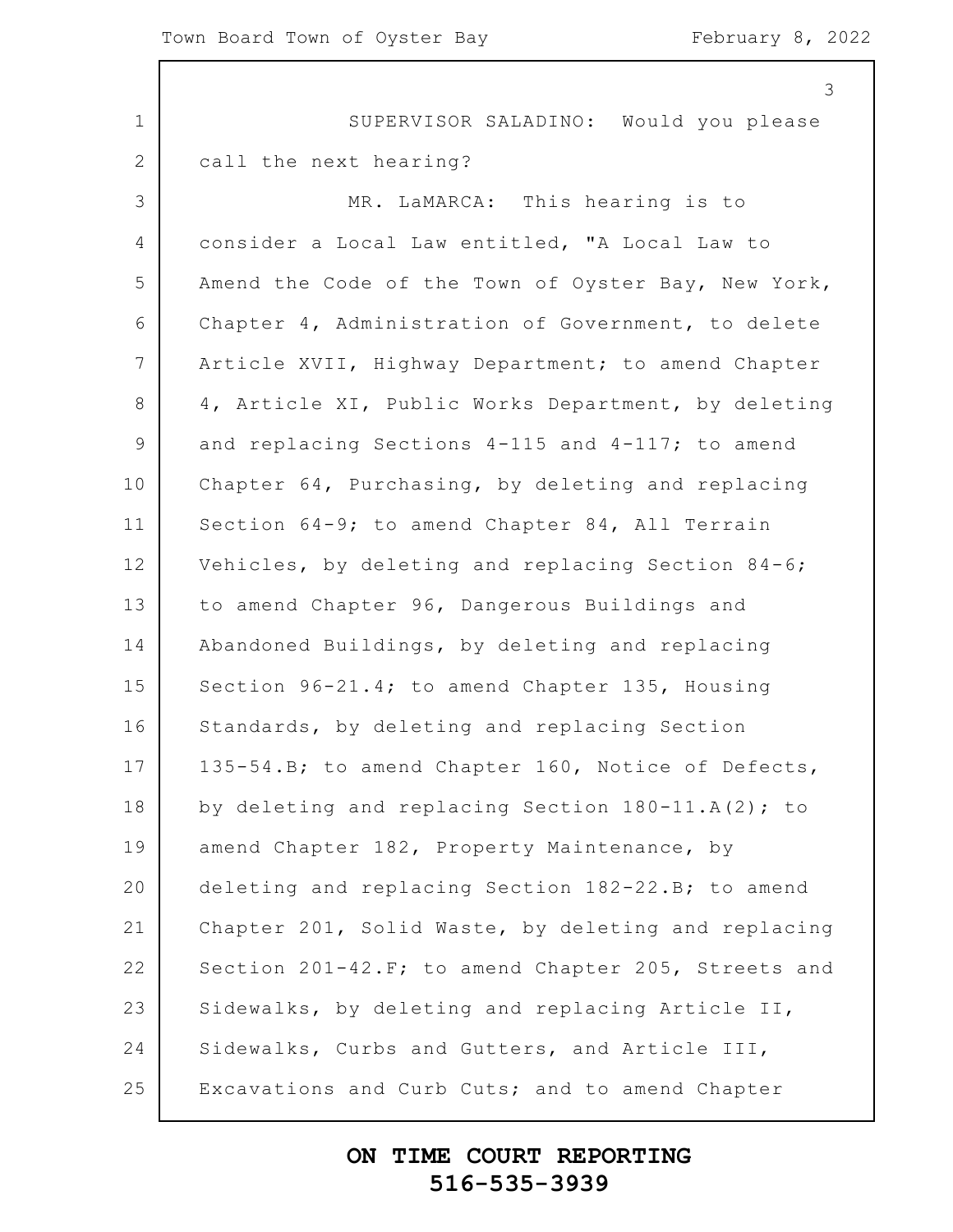|                 | 3                                                    |
|-----------------|------------------------------------------------------|
| $\mathbf 1$     | SUPERVISOR SALADINO: Would you please                |
| $\mathbf{2}$    | call the next hearing?                               |
| 3               | MR. LaMARCA: This hearing is to                      |
| 4               | consider a Local Law entitled, "A Local Law to       |
| 5               | Amend the Code of the Town of Oyster Bay, New York,  |
| 6               | Chapter 4, Administration of Government, to delete   |
| $7\phantom{.0}$ | Article XVII, Highway Department; to amend Chapter   |
| 8               | 4, Article XI, Public Works Department, by deleting  |
| $\mathsf 9$     | and replacing Sections 4-115 and 4-117; to amend     |
| 10              | Chapter 64, Purchasing, by deleting and replacing    |
| 11              | Section 64-9; to amend Chapter 84, All Terrain       |
| 12              | Vehicles, by deleting and replacing Section 84-6;    |
| 13              | to amend Chapter 96, Dangerous Buildings and         |
| 14              | Abandoned Buildings, by deleting and replacing       |
| 15              | Section 96-21.4; to amend Chapter 135, Housing       |
| 16              | Standards, by deleting and replacing Section         |
| 17              | 135-54.B; to amend Chapter 160, Notice of Defects,   |
| 18              | by deleting and replacing Section $180-11.A(2)$ ; to |
| 19              | amend Chapter 182, Property Maintenance, by          |
| 20              | deleting and replacing Section 182-22. B; to amend   |
| 21              | Chapter 201, Solid Waste, by deleting and replacing  |
| 22              | Section 201-42. F; to amend Chapter 205, Streets and |
| 23              | Sidewalks, by deleting and replacing Article II,     |
| 24              | Sidewalks, Curbs and Gutters, and Article III,       |
| 25              | Excavations and Curb Cuts; and to amend Chapter      |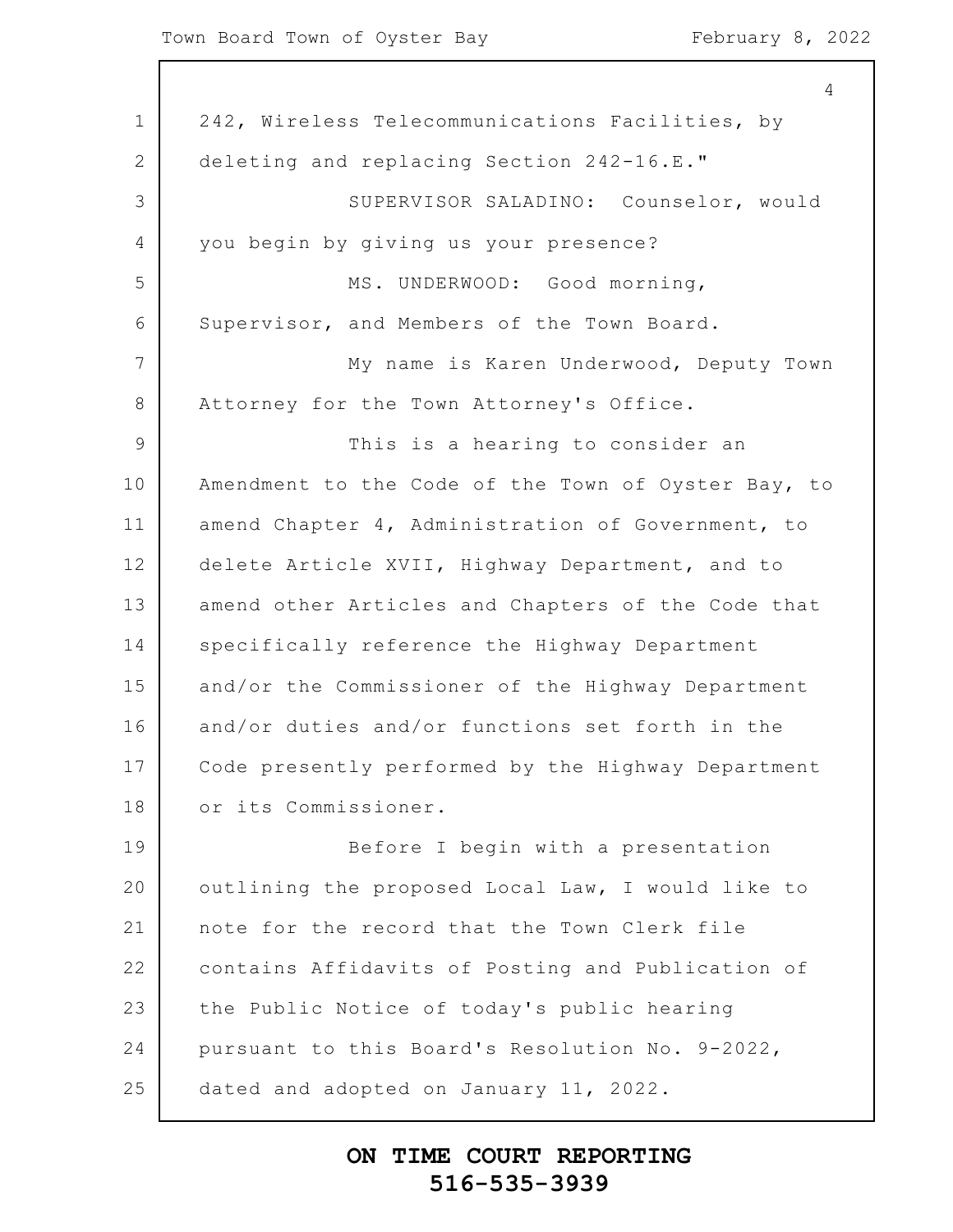### Town Board Town of Oyster Bay February 8, 2022

|                | 4                                                   |
|----------------|-----------------------------------------------------|
| $\mathbf 1$    | 242, Wireless Telecommunications Facilities, by     |
| $\overline{2}$ | deleting and replacing Section 242-16.E."           |
| 3              | SUPERVISOR SALADINO: Counselor, would               |
| 4              | you begin by giving us your presence?               |
| 5              | MS. UNDERWOOD: Good morning,                        |
| 6              | Supervisor, and Members of the Town Board.          |
| 7              | My name is Karen Underwood, Deputy Town             |
| 8              | Attorney for the Town Attorney's Office.            |
| $\mathcal{G}$  | This is a hearing to consider an                    |
| 10             | Amendment to the Code of the Town of Oyster Bay, to |
| 11             | amend Chapter 4, Administration of Government, to   |
| 12             | delete Article XVII, Highway Department, and to     |
| 13             | amend other Articles and Chapters of the Code that  |
| 14             | specifically reference the Highway Department       |
| 15             | and/or the Commissioner of the Highway Department   |
| 16             | and/or duties and/or functions set forth in the     |
| 17             | Code presently performed by the Highway Department  |
| 18             | or its Commissioner.                                |
| 19             | Before I begin with a presentation                  |
| 20             | outlining the proposed Local Law, I would like to   |
| 21             | note for the record that the Town Clerk file        |
| 22             | contains Affidavits of Posting and Publication of   |
| 23             | the Public Notice of today's public hearing         |
| 24             | pursuant to this Board's Resolution No. 9-2022,     |
| 25             | dated and adopted on January 11, 2022.              |
|                |                                                     |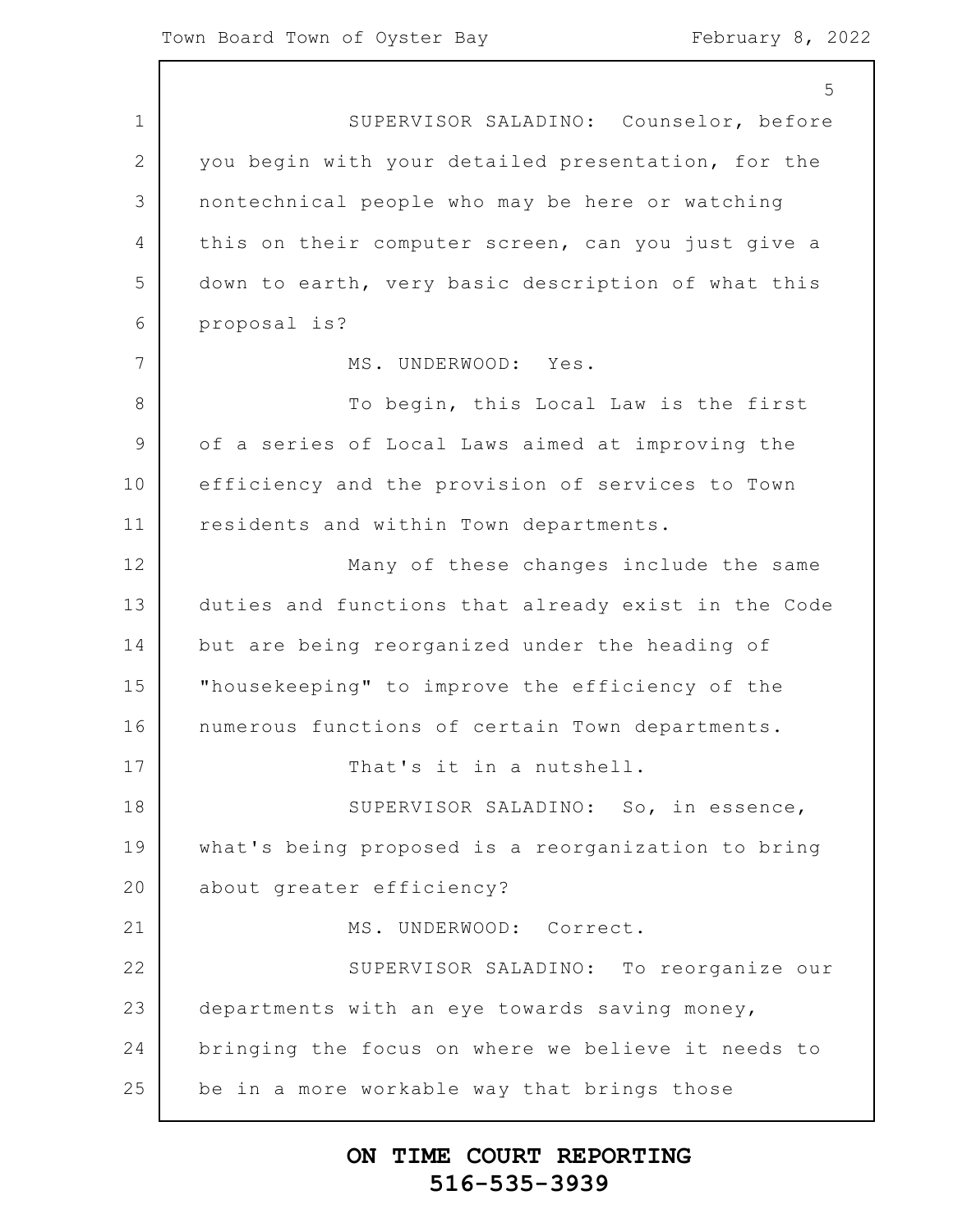1 2 3 4 5 6 7 8 9 10 11 12 13 14 15 16 17 18 19 20 21 22 23 24 25 5 SUPERVISOR SALADINO: Counselor, before you begin with your detailed presentation, for the nontechnical people who may be here or watching this on their computer screen, can you just give a down to earth, very basic description of what this proposal is? MS. UNDERWOOD: Yes. To begin, this Local Law is the first of a series of Local Laws aimed at improving the efficiency and the provision of services to Town residents and within Town departments. Many of these changes include the same duties and functions that already exist in the Code but are being reorganized under the heading of "housekeeping" to improve the efficiency of the numerous functions of certain Town departments. That's it in a nutshell. SUPERVISOR SALADINO: So, in essence, what's being proposed is a reorganization to bring about greater efficiency? MS. UNDERWOOD: Correct. SUPERVISOR SALADINO: To reorganize our departments with an eye towards saving money, bringing the focus on where we believe it needs to be in a more workable way that brings those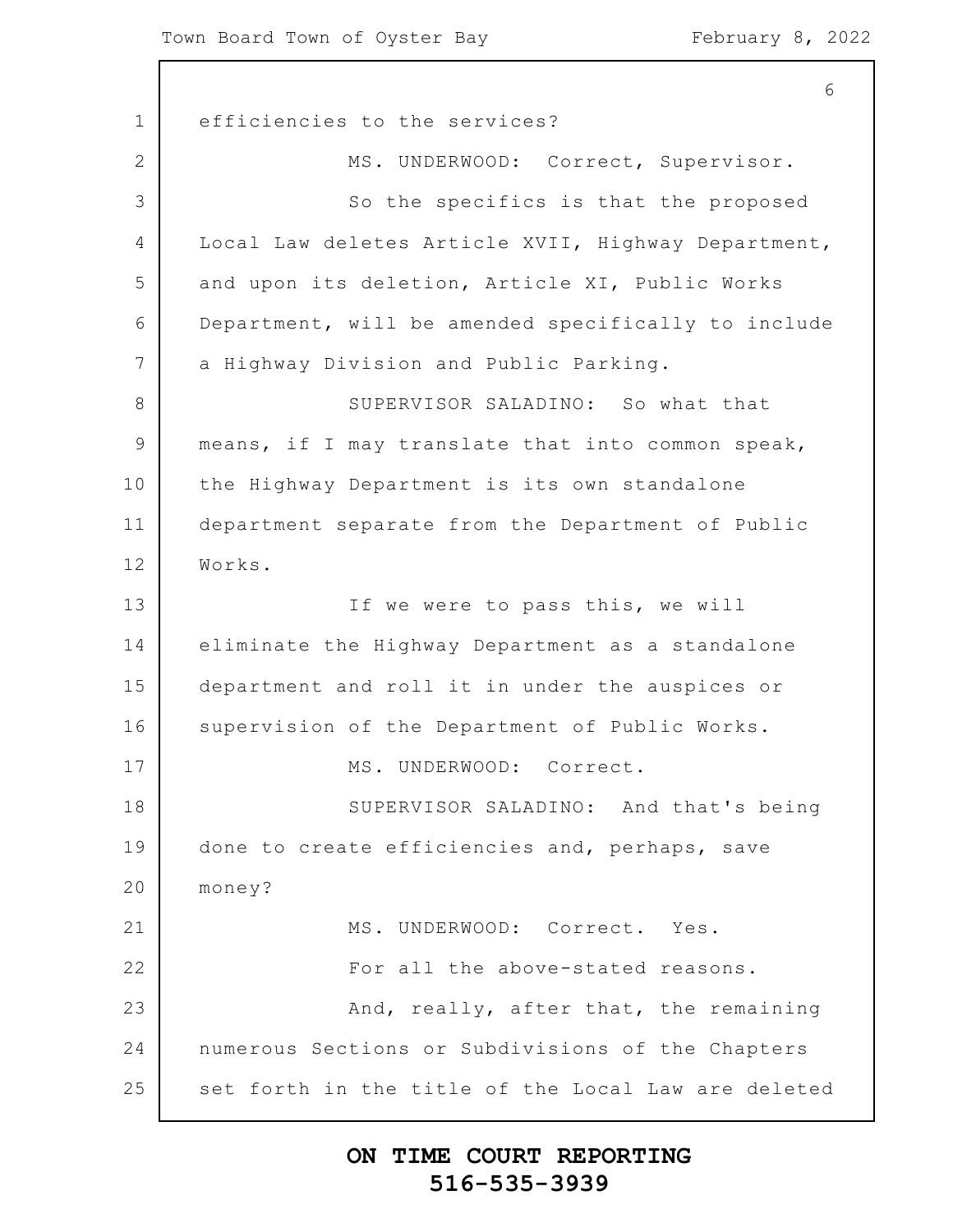1 2 3 4 5 6 7 8 9 10 11 12 13 14 15 16 17 18 19 20 21 22 23 24 25 6 efficiencies to the services? MS. UNDERWOOD: Correct, Supervisor. So the specifics is that the proposed Local Law deletes Article XVII, Highway Department, and upon its deletion, Article XI, Public Works Department, will be amended specifically to include a Highway Division and Public Parking. SUPERVISOR SALADINO: So what that means, if I may translate that into common speak, the Highway Department is its own standalone department separate from the Department of Public Works. If we were to pass this, we will eliminate the Highway Department as a standalone department and roll it in under the auspices or supervision of the Department of Public Works. MS. UNDERWOOD: Correct. SUPERVISOR SALADINO: And that's being done to create efficiencies and, perhaps, save money? MS. UNDERWOOD: Correct. Yes. For all the above-stated reasons. And, really, after that, the remaining numerous Sections or Subdivisions of the Chapters set forth in the title of the Local Law are deleted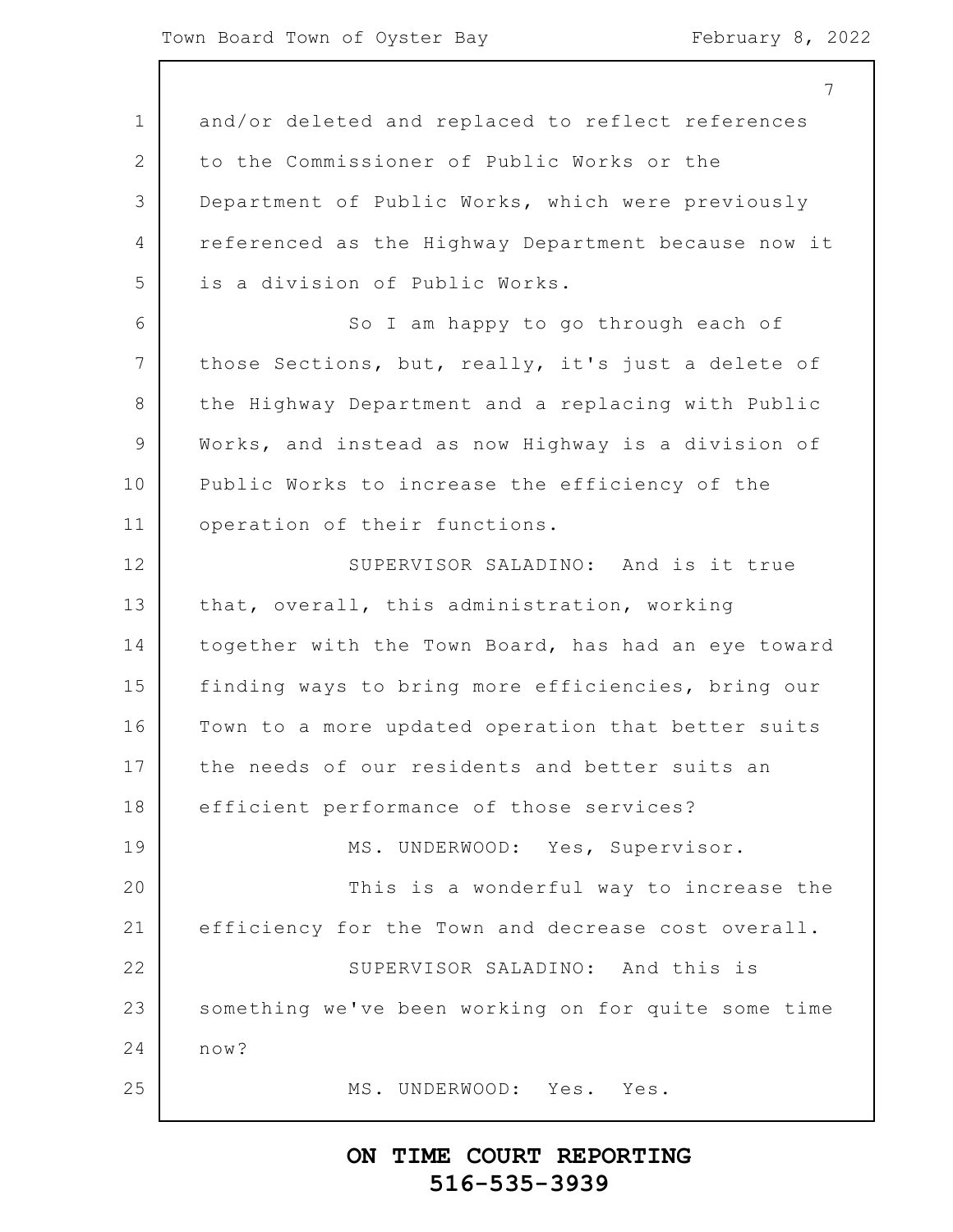1 2 3 4 5 6 7 8 9 10 11 12 13 14 15 16 17 18 19 20 21 22 23 24 25 and/or deleted and replaced to reflect references to the Commissioner of Public Works or the Department of Public Works, which were previously referenced as the Highway Department because now it is a division of Public Works. So I am happy to go through each of those Sections, but, really, it's just a delete of the Highway Department and a replacing with Public Works, and instead as now Highway is a division of Public Works to increase the efficiency of the operation of their functions. SUPERVISOR SALADINO: And is it true that, overall, this administration, working together with the Town Board, has had an eye toward finding ways to bring more efficiencies, bring our Town to a more updated operation that better suits the needs of our residents and better suits an efficient performance of those services? MS. UNDERWOOD: Yes, Supervisor. This is a wonderful way to increase the efficiency for the Town and decrease cost overall. SUPERVISOR SALADINO: And this is something we've been working on for quite some time now? MS. UNDERWOOD: Yes. Yes.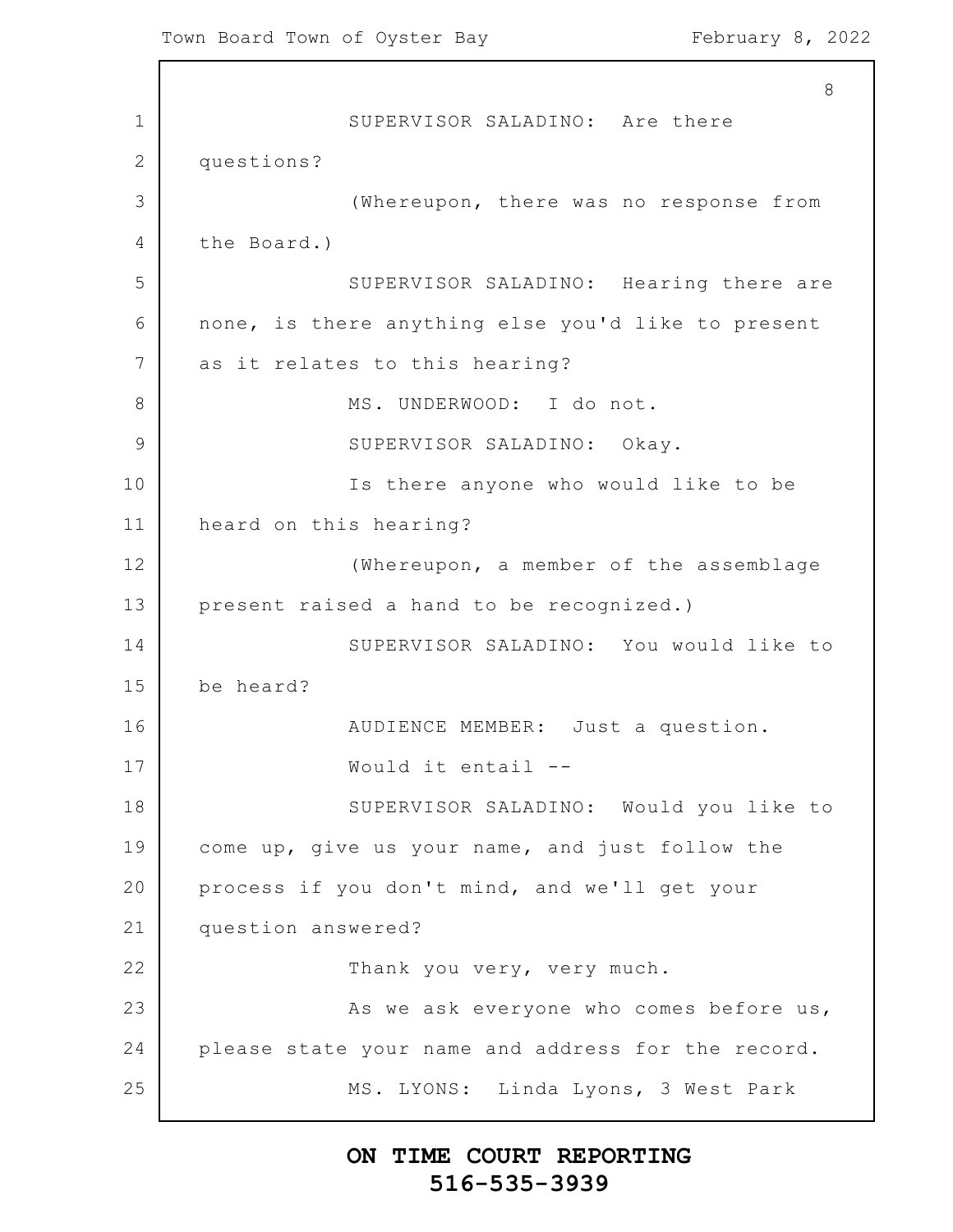1 2 3 4 5 6 7 8 9 10 11 12 13 14 15 16 17 18 19 20 21 22 23 24 25 8 SUPERVISOR SALADINO: Are there questions? (Whereupon, there was no response from the Board.) SUPERVISOR SALADINO: Hearing there are none, is there anything else you'd like to present as it relates to this hearing? MS. UNDERWOOD: I do not. SUPERVISOR SALADINO: Okay. Is there anyone who would like to be heard on this hearing? (Whereupon, a member of the assemblage present raised a hand to be recognized.) SUPERVISOR SALADINO: You would like to be heard? AUDIENCE MEMBER: Just a question. Would it entail -- SUPERVISOR SALADINO: Would you like to come up, give us your name, and just follow the process if you don't mind, and we'll get your question answered? Thank you very, very much. As we ask everyone who comes before us, please state your name and address for the record. MS. LYONS: Linda Lyons, 3 West Park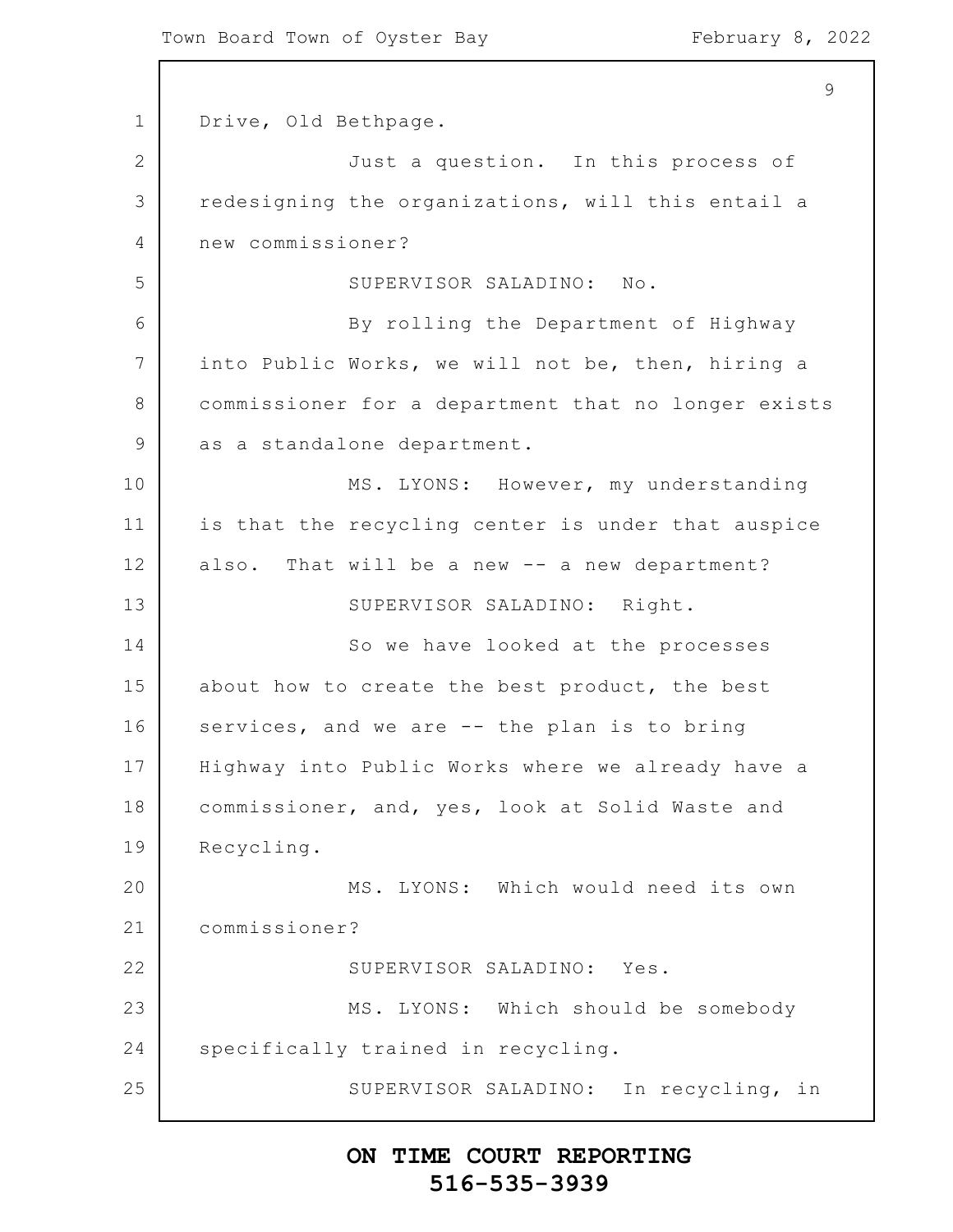1 2 3 4 5 6 7 8 9 10 11 12 13 14 15 16 17 18 19 20 21 22 23 24 25 9 Drive, Old Bethpage. Just a question. In this process of redesigning the organizations, will this entail a new commissioner? SUPERVISOR SALADINO: No. By rolling the Department of Highway into Public Works, we will not be, then, hiring a commissioner for a department that no longer exists as a standalone department. MS. LYONS: However, my understanding is that the recycling center is under that auspice also. That will be a new -- a new department? SUPERVISOR SALADINO: Right. So we have looked at the processes about how to create the best product, the best services, and we are -- the plan is to bring Highway into Public Works where we already have a commissioner, and, yes, look at Solid Waste and Recycling. MS. LYONS: Which would need its own commissioner? SUPERVISOR SALADINO: Yes. MS. LYONS: Which should be somebody specifically trained in recycling. SUPERVISOR SALADINO: In recycling, in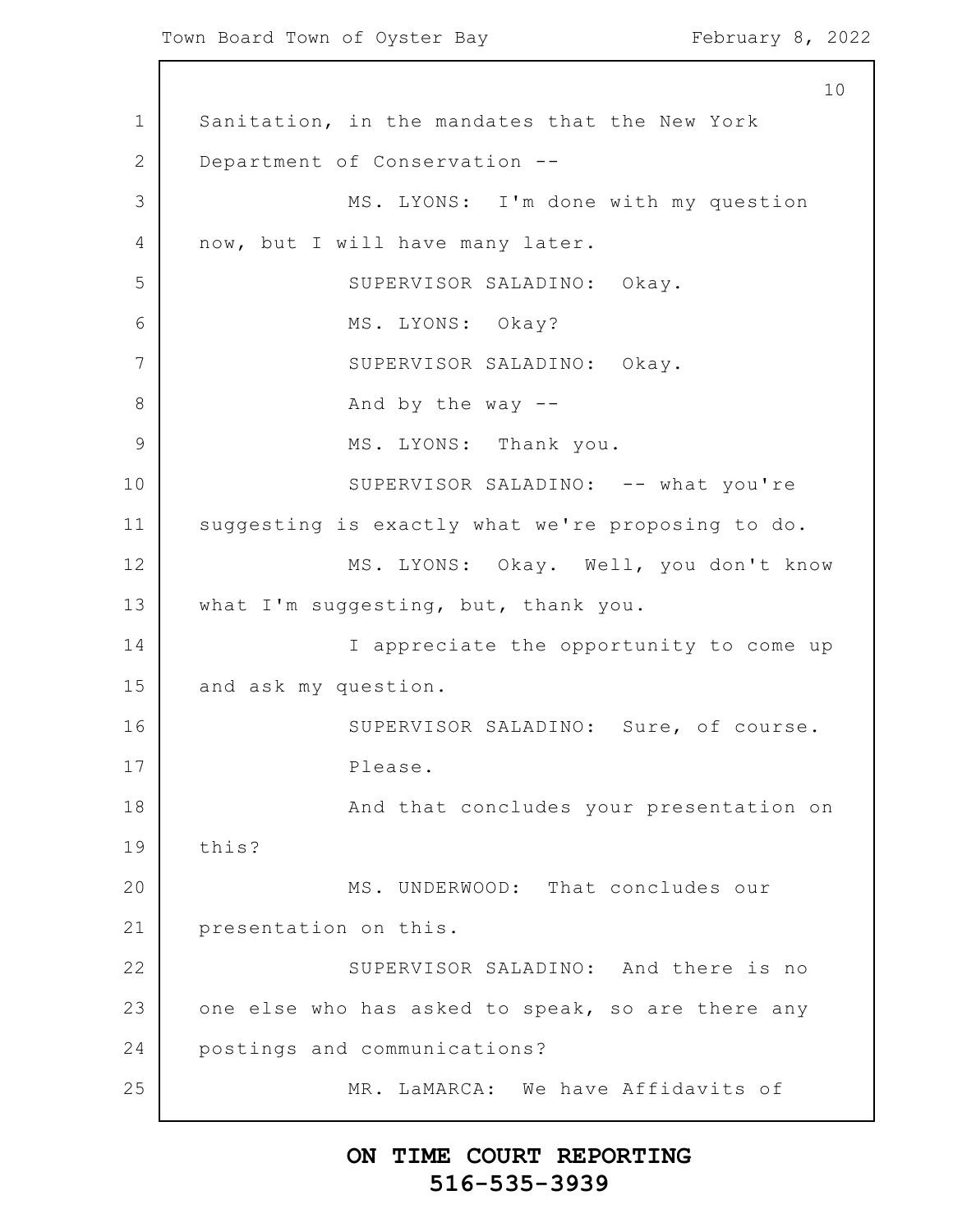Town Board Town of Oyster Bay February 8, 2022

1 2 3 4 5 6 7 8 9 10 11 12 13 14 15 16 17 18 19 20 21 22 23 24 25 10 Sanitation, in the mandates that the New York Department of Conservation -- MS. LYONS: I'm done with my question now, but I will have many later. SUPERVISOR SALADINO: Okay. MS. LYONS: Okay? SUPERVISOR SALADINO: Okay. And by the way  $-$ MS. LYONS: Thank you. SUPERVISOR SALADINO: -- what you're suggesting is exactly what we're proposing to do. MS. LYONS: Okay. Well, you don't know what I'm suggesting, but, thank you. I appreciate the opportunity to come up and ask my question. SUPERVISOR SALADINO: Sure, of course. Please. And that concludes your presentation on this? MS. UNDERWOOD: That concludes our presentation on this. SUPERVISOR SALADINO: And there is no one else who has asked to speak, so are there any postings and communications? MR. LaMARCA: We have Affidavits of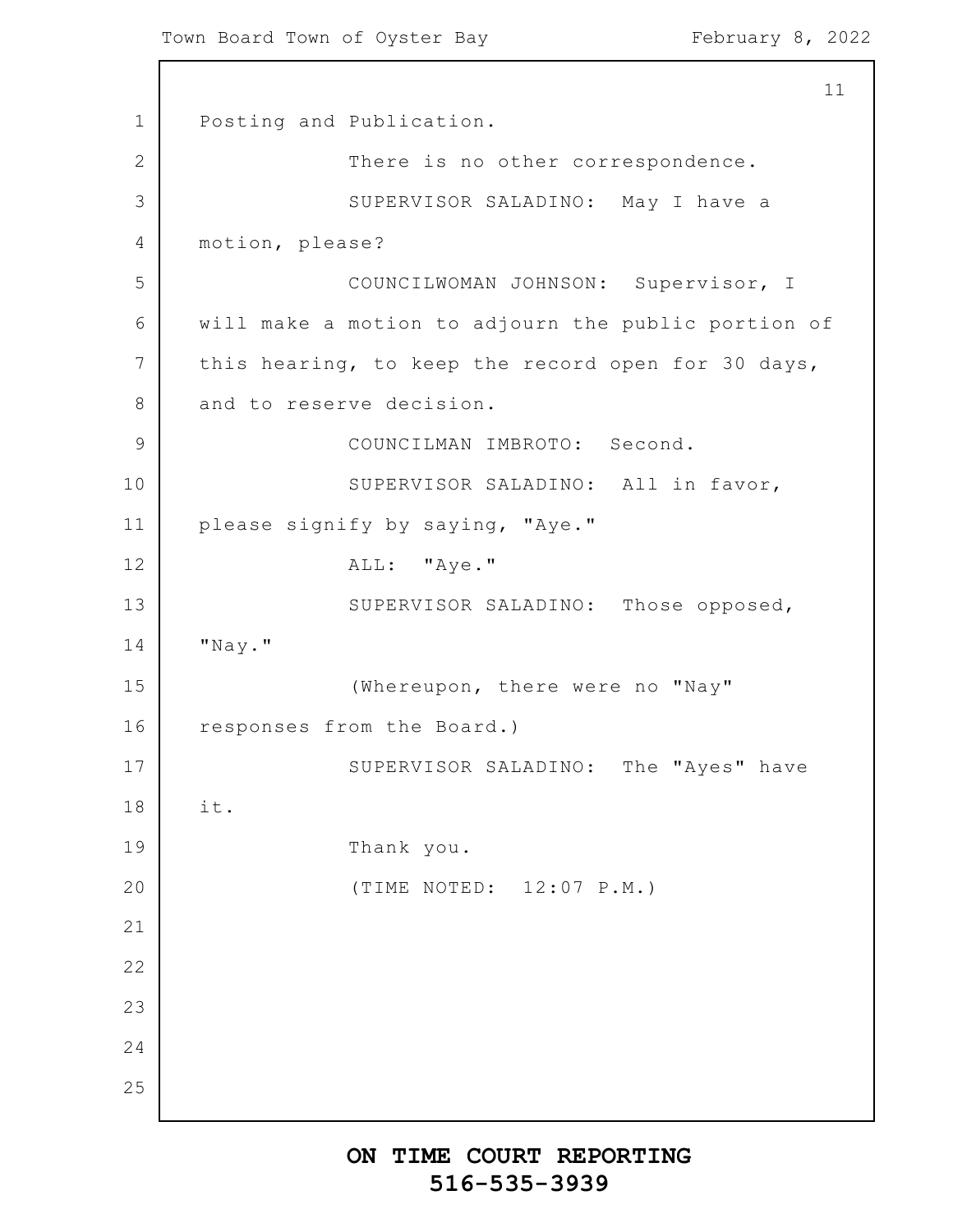1 2 3 4 5 6 7 8 9 10 11 12 13 14 15 16 17 18 19 20 21 22 23 24 25 11 Posting and Publication. There is no other correspondence. SUPERVISOR SALADINO: May I have a motion, please? COUNCILWOMAN JOHNSON: Supervisor, I will make a motion to adjourn the public portion of this hearing, to keep the record open for 30 days, and to reserve decision. COUNCILMAN IMBROTO: Second. SUPERVISOR SALADINO: All in favor, please signify by saying, "Aye." ALL: "Aye." SUPERVISOR SALADINO: Those opposed, "Nay." (Whereupon, there were no "Nay" responses from the Board.) SUPERVISOR SALADINO: The "Ayes" have it. Thank you. (TIME NOTED: 12:07 P.M.)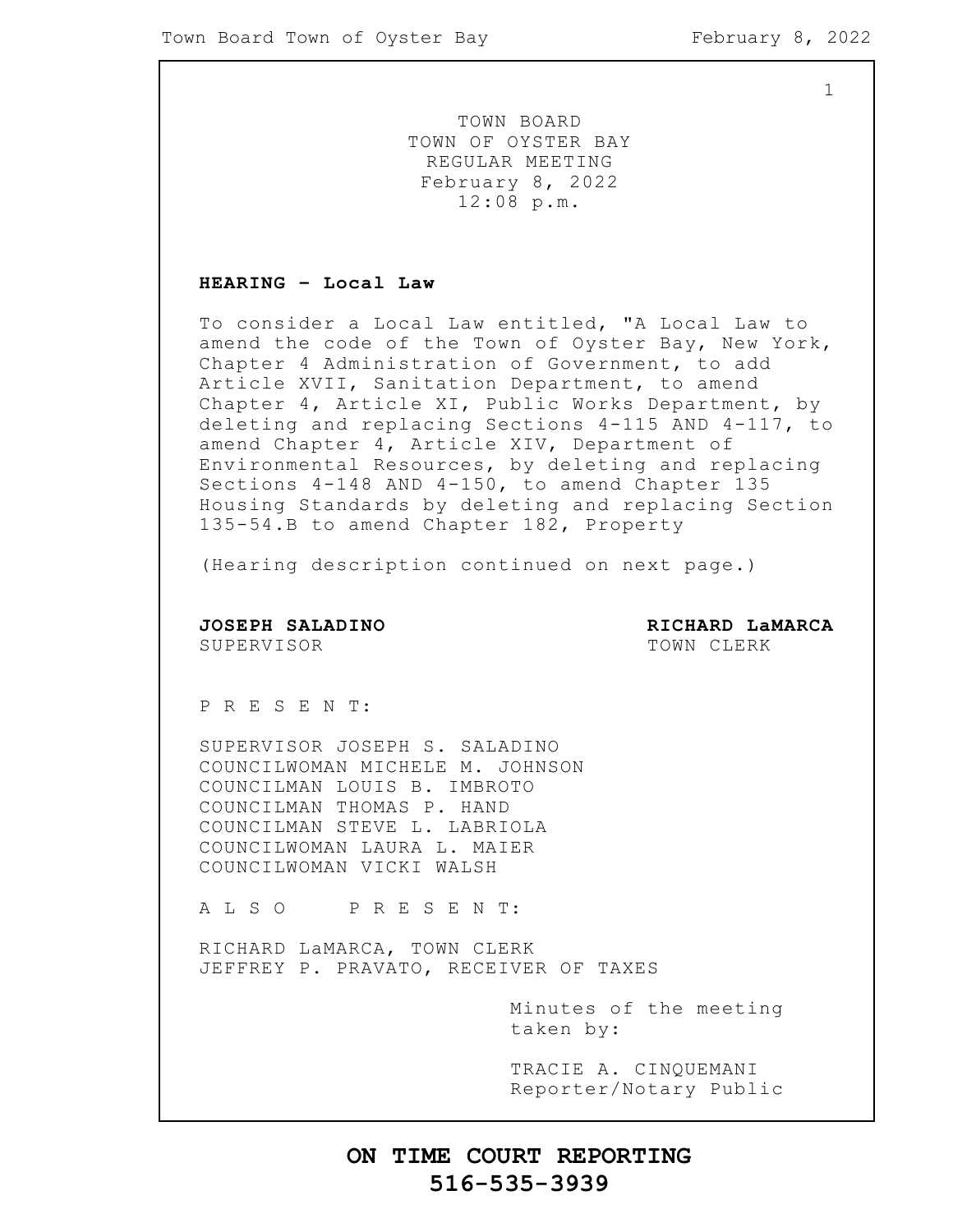TOWN BOARD TOWN OF OYSTER BAY REGULAR MEETING February 8, 2022 12:08 p.m.

### **HEARING – Local Law**

To consider a Local Law entitled, "A Local Law to amend the code of the Town of Oyster Bay, New York, Chapter 4 Administration of Government, to add Article XVII, Sanitation Department, to amend Chapter 4, Article XI, Public Works Department, by deleting and replacing Sections 4-115 AND 4-117, to amend Chapter 4, Article XIV, Department of Environmental Resources, by deleting and replacing Sections 4-148 AND 4-150, to amend Chapter 135 Housing Standards by deleting and replacing Section 135-54.B to amend Chapter 182, Property

(Hearing description continued on next page.)

**JOSEPH SALADINO RICHARD LaMARCA** SUPERVISOR **TOWN CLERK** 

P R E S E N T:

SUPERVISOR JOSEPH S. SALADINO COUNCILWOMAN MICHELE M. JOHNSON COUNCILMAN LOUIS B. IMBROTO COUNCILMAN THOMAS P. HAND COUNCILMAN STEVE L. LABRIOLA COUNCILWOMAN LAURA L. MAIER COUNCILWOMAN VICKI WALSH

A L S O P R E S E N T:

RICHARD LaMARCA, TOWN CLERK JEFFREY P. PRAVATO, RECEIVER OF TAXES

> Minutes of the meeting taken by:

> TRACIE A. CINQUEMANI Reporter/Notary Public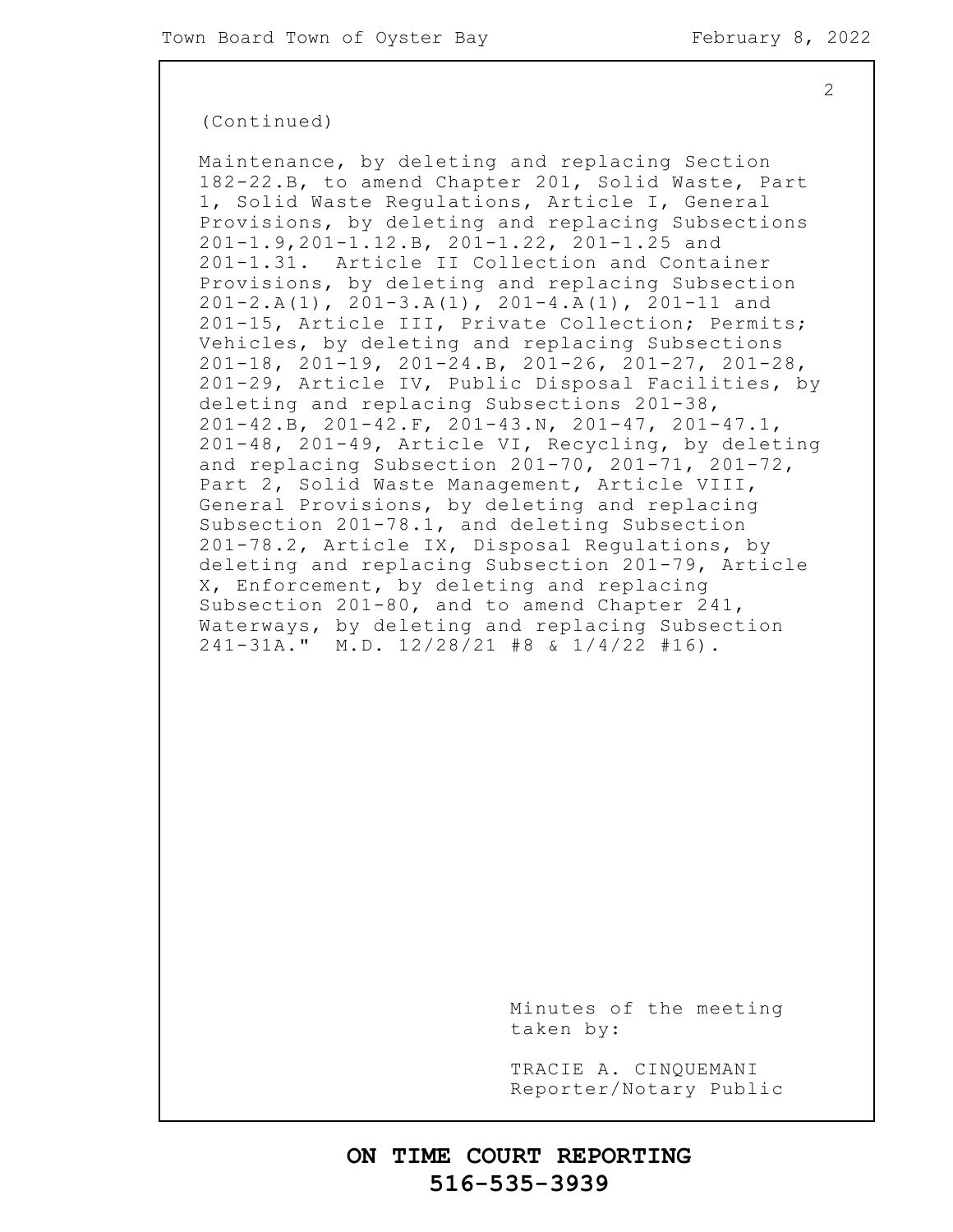### (Continued)

Maintenance, by deleting and replacing Section 182-22.B, to amend Chapter 201, Solid Waste, Part 1, Solid Waste Regulations, Article I, General Provisions, by deleting and replacing Subsections 201-1.9,201-1.12.B, 201-1.22, 201-1.25 and 201-1.31. Article II Collection and Container Provisions, by deleting and replacing Subsection 201-2.A(1), 201-3.A(1), 201-4.A(1), 201-11 and 201-15, Article III, Private Collection; Permits; Vehicles, by deleting and replacing Subsections 201-18, 201-19, 201-24.B, 201-26, 201-27, 201-28, 201-29, Article IV, Public Disposal Facilities, by deleting and replacing Subsections 201-38, 201-42.B, 201-42.F, 201-43.N, 201-47, 201-47.1, 201-48, 201-49, Article VI, Recycling, by deleting and replacing Subsection 201-70, 201-71, 201-72, Part 2, Solid Waste Management, Article VIII, General Provisions, by deleting and replacing Subsection 201-78.1, and deleting Subsection 201-78.2, Article IX, Disposal Regulations, by deleting and replacing Subsection 201-79, Article X, Enforcement, by deleting and replacing Subsection 201-80, and to amend Chapter 241, Waterways, by deleting and replacing Subsection 241-31A." M.D. 12/28/21 #8 & 1/4/22 #16).

> Minutes of the meeting taken by:

> TRACIE A. CINQUEMANI Reporter/Notary Public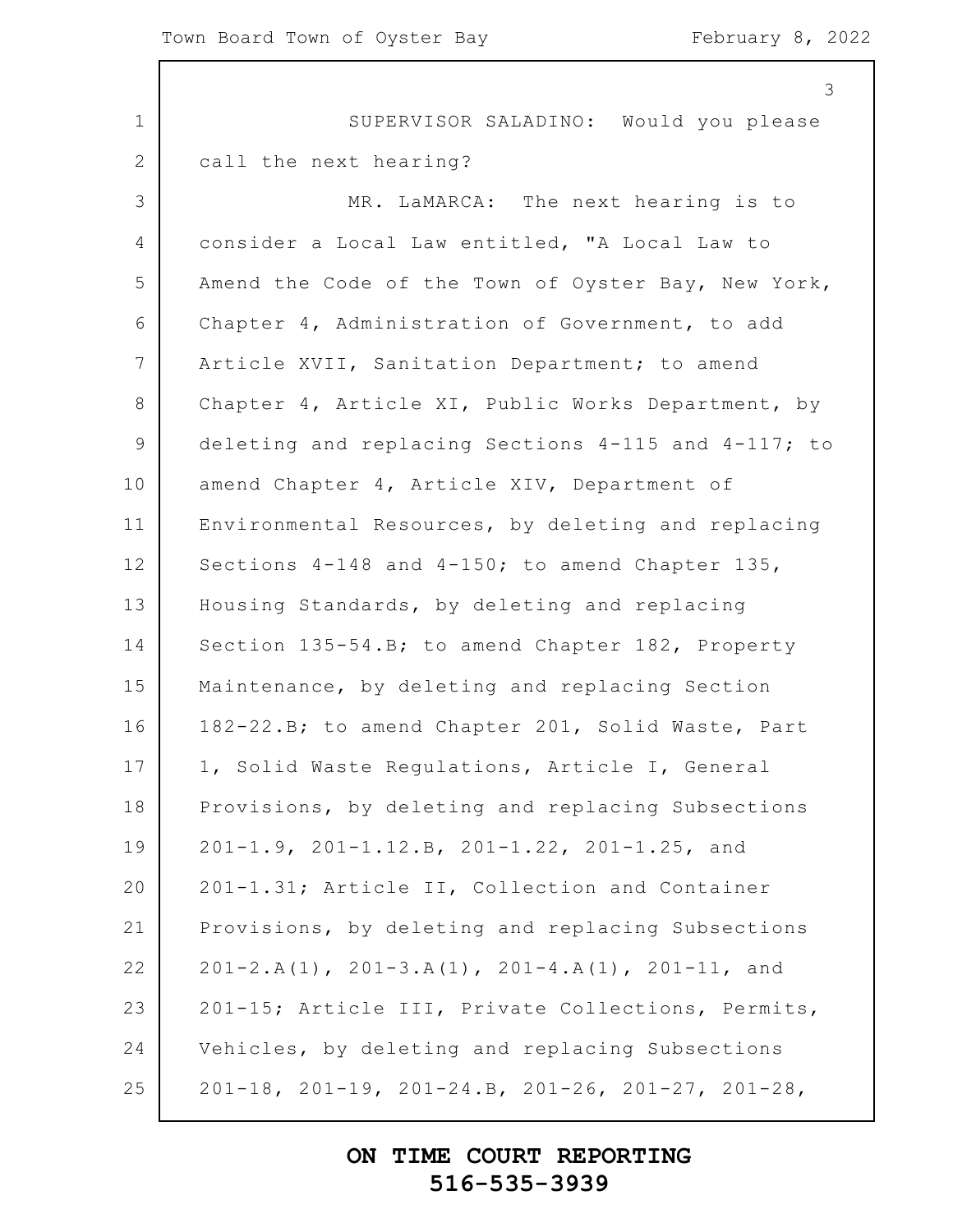|                 | 3                                                                   |
|-----------------|---------------------------------------------------------------------|
| $\mathbf 1$     | SUPERVISOR SALADINO: Would you please                               |
| 2               | call the next hearing?                                              |
| 3               | MR. LaMARCA: The next hearing is to                                 |
| 4               | consider a Local Law entitled, "A Local Law to                      |
| 5               | Amend the Code of the Town of Oyster Bay, New York,                 |
| 6               | Chapter 4, Administration of Government, to add                     |
| $7\phantom{.0}$ | Article XVII, Sanitation Department; to amend                       |
| $8\,$           | Chapter 4, Article XI, Public Works Department, by                  |
| 9               | deleting and replacing Sections 4-115 and 4-117; to                 |
| 10              | amend Chapter 4, Article XIV, Department of                         |
| 11              | Environmental Resources, by deleting and replacing                  |
| 12              | Sections 4-148 and 4-150; to amend Chapter 135,                     |
| 13              | Housing Standards, by deleting and replacing                        |
| 14              | Section 135-54.B; to amend Chapter 182, Property                    |
| 15              | Maintenance, by deleting and replacing Section                      |
| 16              | 182-22.B; to amend Chapter 201, Solid Waste, Part                   |
| 17              | 1, Solid Waste Regulations, Article I, General                      |
| 18              | Provisions, by deleting and replacing Subsections                   |
| 19              | 201-1.9, 201-1.12.B, 201-1.22, 201-1.25, and                        |
| 20              | 201-1.31; Article II, Collection and Container                      |
| 21              | Provisions, by deleting and replacing Subsections                   |
| 22              | $201-2.A(1)$ , $201-3.A(1)$ , $201-4.A(1)$ , $201-11$ , and         |
| 23              | 201-15; Article III, Private Collections, Permits,                  |
| 24              | Vehicles, by deleting and replacing Subsections                     |
| 25              | $201-18$ , $201-19$ , $201-24.B$ , $201-26$ , $201-27$ , $201-28$ , |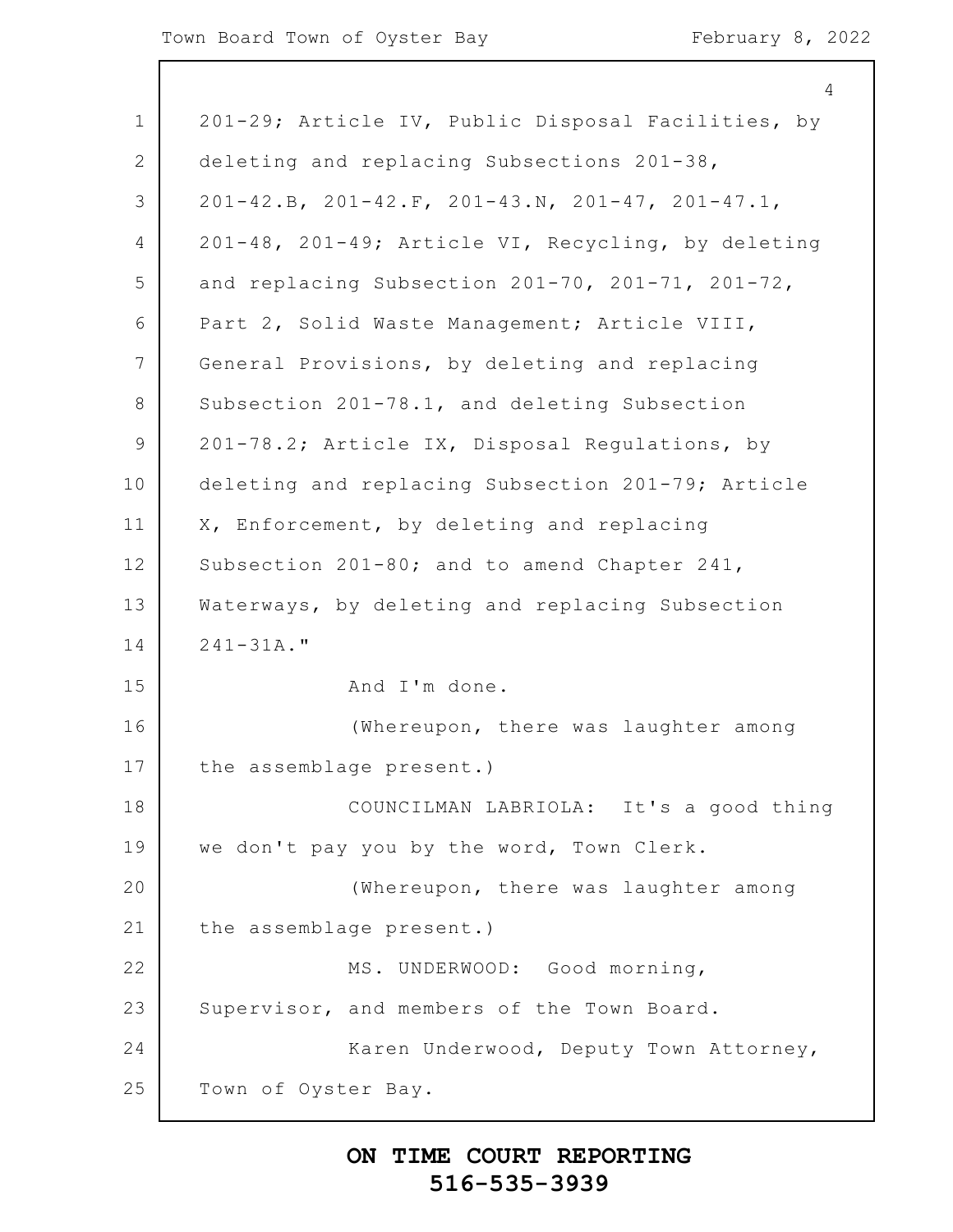| $\mathbf 1$ | 201-29; Article IV, Public Disposal Facilities, by             |
|-------------|----------------------------------------------------------------|
| 2           | deleting and replacing Subsections 201-38,                     |
| 3           | $201-42.B$ , $201-42.F$ , $201-43.N$ , $201-47$ , $201-47.I$ , |
| 4           | 201-48, 201-49; Article VI, Recycling, by deleting             |
| 5           | and replacing Subsection 201-70, 201-71, 201-72,               |
| 6           | Part 2, Solid Waste Management; Article VIII,                  |
| 7           | General Provisions, by deleting and replacing                  |
| 8           | Subsection 201-78.1, and deleting Subsection                   |
| 9           | 201-78.2; Article IX, Disposal Regulations, by                 |
| 10          | deleting and replacing Subsection 201-79; Article              |
| 11          | X, Enforcement, by deleting and replacing                      |
| 12          | Subsection 201-80; and to amend Chapter 241,                   |
| 13          | Waterways, by deleting and replacing Subsection                |
| 14          | $241 - 31A.$ "                                                 |
| 15          | And I'm done.                                                  |
| 16          | (Whereupon, there was laughter among                           |
| 17          | the assemblage present.)                                       |
| 18          | COUNCILMAN LABRIOLA: It's a good thing                         |
| 19          | we don't pay you by the word, Town Clerk.                      |
| 20          | (Whereupon, there was laughter among                           |
| 21          | the assemblage present.)                                       |
| 22          | MS. UNDERWOOD: Good morning,                                   |
| 23          | Supervisor, and members of the Town Board.                     |
| 24          | Karen Underwood, Deputy Town Attorney,                         |
| 25          | Town of Oyster Bay.                                            |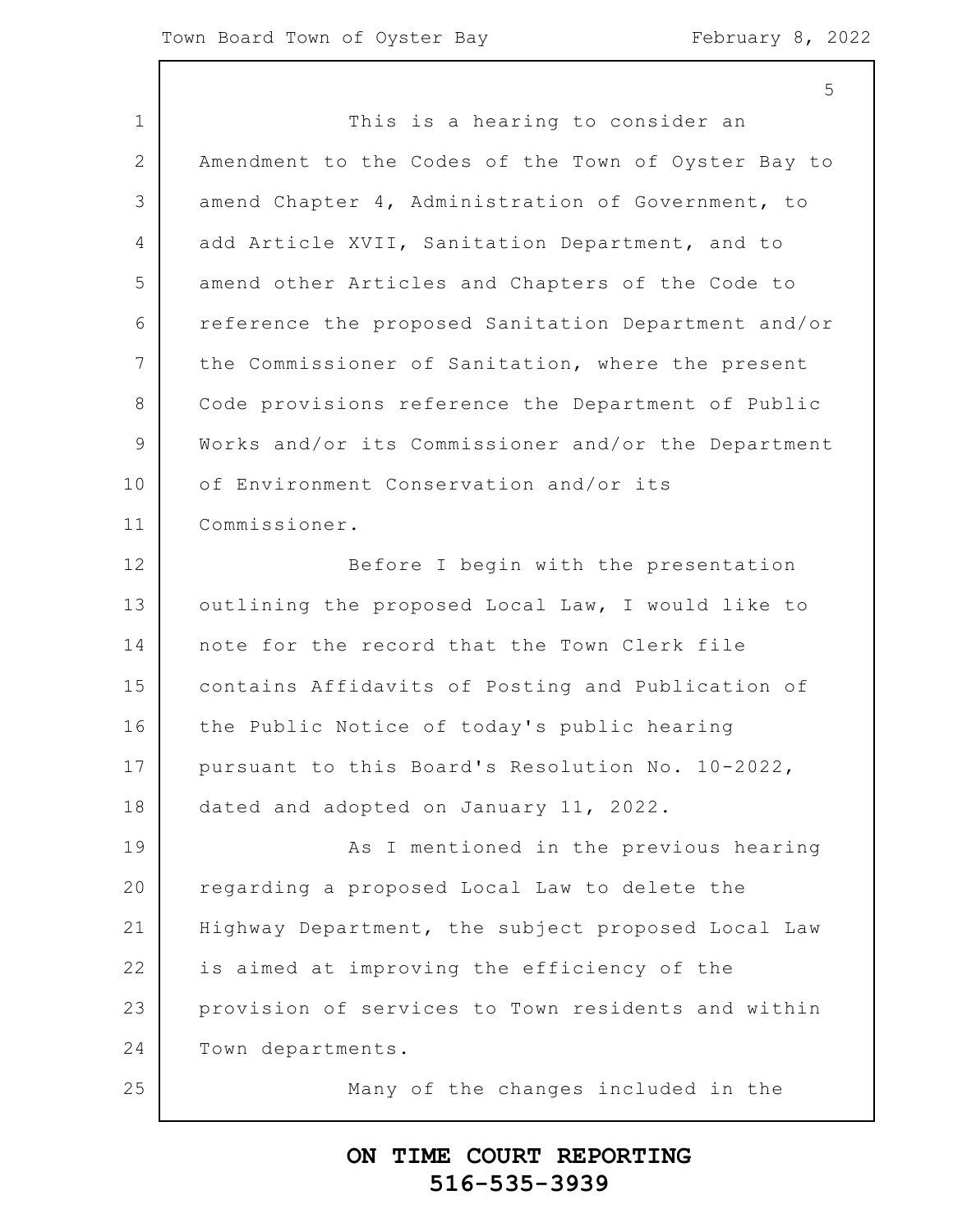1 2 3 4 5 6 7 8 9 10 11 12 13 14 15 16 17 18 19 20 21 22 23 24 25 This is a hearing to consider an Amendment to the Codes of the Town of Oyster Bay to amend Chapter 4, Administration of Government, to add Article XVII, Sanitation Department, and to amend other Articles and Chapters of the Code to reference the proposed Sanitation Department and/or the Commissioner of Sanitation, where the present Code provisions reference the Department of Public Works and/or its Commissioner and/or the Department of Environment Conservation and/or its Commissioner. Before I begin with the presentation outlining the proposed Local Law, I would like to note for the record that the Town Clerk file contains Affidavits of Posting and Publication of the Public Notice of today's public hearing pursuant to this Board's Resolution No. 10-2022, dated and adopted on January 11, 2022. As I mentioned in the previous hearing regarding a proposed Local Law to delete the Highway Department, the subject proposed Local Law is aimed at improving the efficiency of the provision of services to Town residents and within Town departments. Many of the changes included in the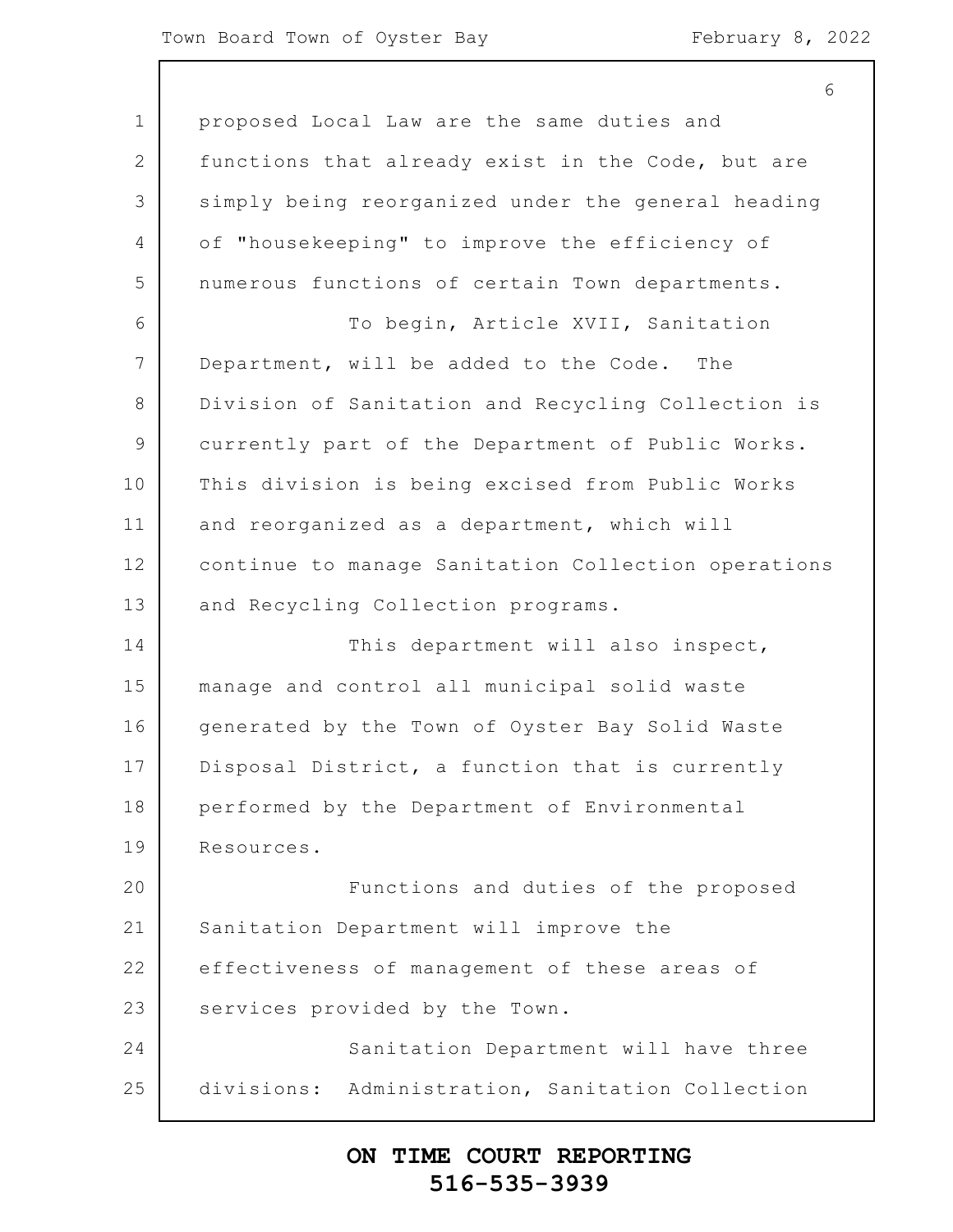1 2 3 4 5 6 7 8 9 10 11 12 13 14 15 16 17 18 19 20 21 22 23 24 25 6 proposed Local Law are the same duties and functions that already exist in the Code, but are simply being reorganized under the general heading of "housekeeping" to improve the efficiency of numerous functions of certain Town departments. To begin, Article XVII, Sanitation Department, will be added to the Code. The Division of Sanitation and Recycling Collection is currently part of the Department of Public Works. This division is being excised from Public Works and reorganized as a department, which will continue to manage Sanitation Collection operations and Recycling Collection programs. This department will also inspect, manage and control all municipal solid waste generated by the Town of Oyster Bay Solid Waste Disposal District, a function that is currently performed by the Department of Environmental Resources. Functions and duties of the proposed Sanitation Department will improve the effectiveness of management of these areas of services provided by the Town. Sanitation Department will have three divisions: Administration, Sanitation Collection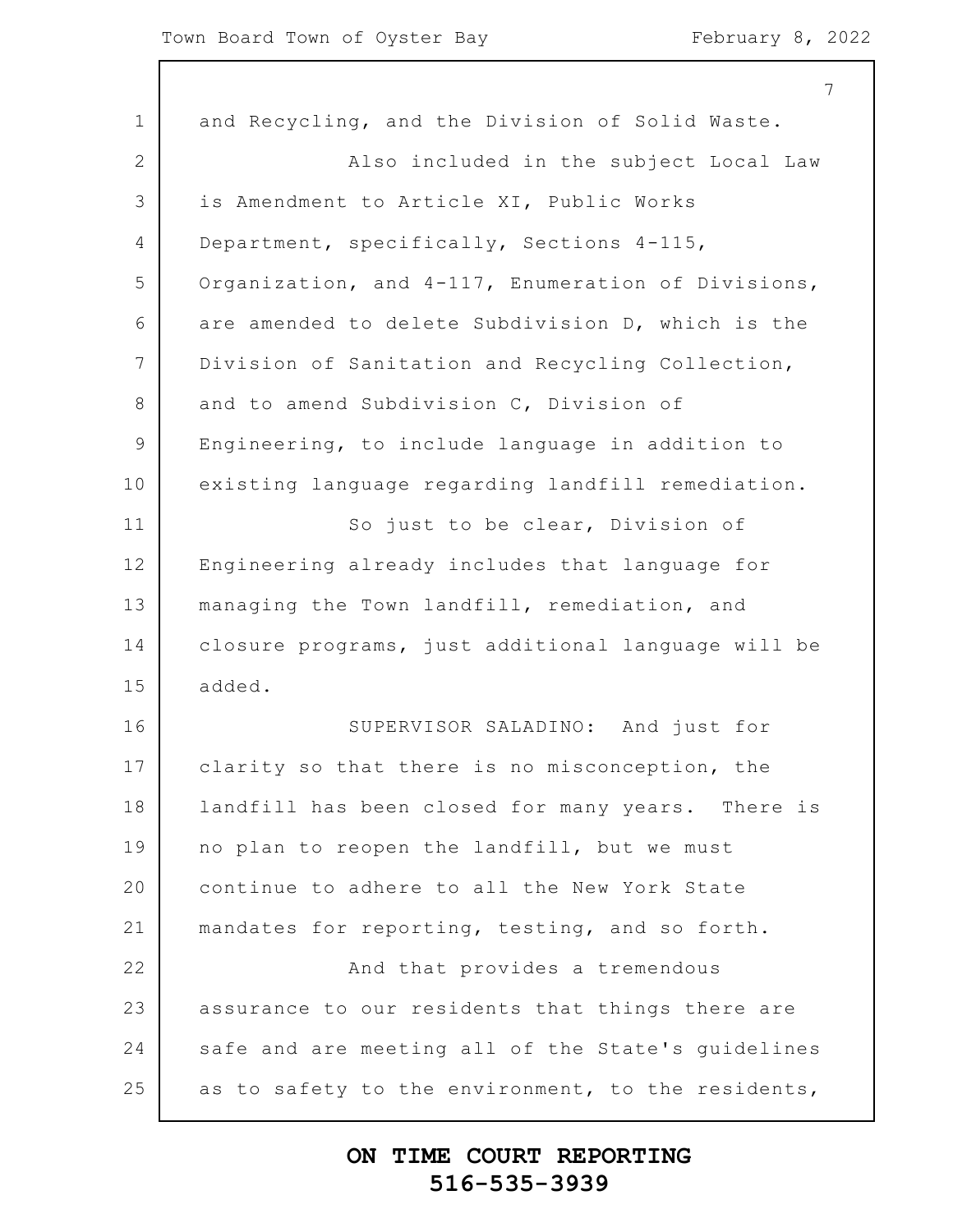|                 | 7                                                  |
|-----------------|----------------------------------------------------|
| $\mathbf 1$     | and Recycling, and the Division of Solid Waste.    |
| 2               | Also included in the subject Local Law             |
| 3               | is Amendment to Article XI, Public Works           |
| 4               | Department, specifically, Sections 4-115,          |
| 5               | Organization, and 4-117, Enumeration of Divisions, |
| 6               | are amended to delete Subdivision D, which is the  |
| $7\phantom{.0}$ | Division of Sanitation and Recycling Collection,   |
| 8               | and to amend Subdivision C, Division of            |
| $\mathsf 9$     | Engineering, to include language in addition to    |
| 10              | existing language regarding landfill remediation.  |
| 11              | So just to be clear, Division of                   |
| 12              | Engineering already includes that language for     |
| 13              | managing the Town landfill, remediation, and       |
| 14              | closure programs, just additional language will be |
| 15              | added.                                             |
| 16              | SUPERVISOR SALADINO: And just for                  |
| 17              | clarity so that there is no misconception, the     |
| 18              | landfill has been closed for many years. There is  |
| 19              | no plan to reopen the landfill, but we must        |
| 20              | continue to adhere to all the New York State       |
| 21              | mandates for reporting, testing, and so forth.     |
| 22              | And that provides a tremendous                     |
| 23              | assurance to our residents that things there are   |
| 24              | safe and are meeting all of the State's guidelines |
| 25              | as to safety to the environment, to the residents, |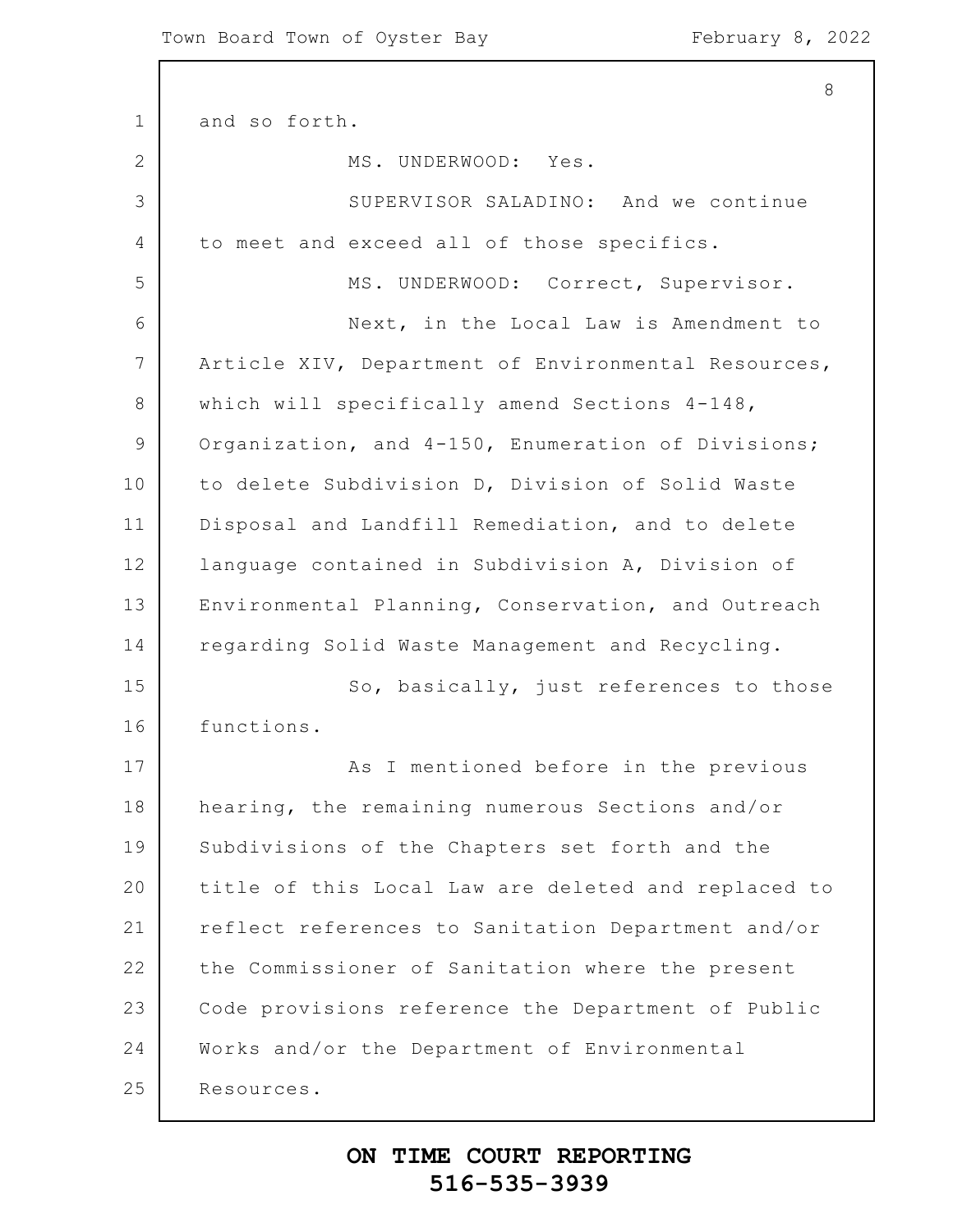1 2 3 4 5 6 7 8 9 10 11 12 13 14 15 16 17 18 19 20 21 22 23 24 25 8 and so forth. MS. UNDERWOOD: Yes. SUPERVISOR SALADINO: And we continue to meet and exceed all of those specifics. MS. UNDERWOOD: Correct, Supervisor. Next, in the Local Law is Amendment to Article XIV, Department of Environmental Resources, which will specifically amend Sections 4-148, Organization, and 4-150, Enumeration of Divisions; to delete Subdivision D, Division of Solid Waste Disposal and Landfill Remediation, and to delete language contained in Subdivision A, Division of Environmental Planning, Conservation, and Outreach regarding Solid Waste Management and Recycling. So, basically, just references to those functions. As I mentioned before in the previous hearing, the remaining numerous Sections and/or Subdivisions of the Chapters set forth and the title of this Local Law are deleted and replaced to reflect references to Sanitation Department and/or the Commissioner of Sanitation where the present Code provisions reference the Department of Public Works and/or the Department of Environmental Resources.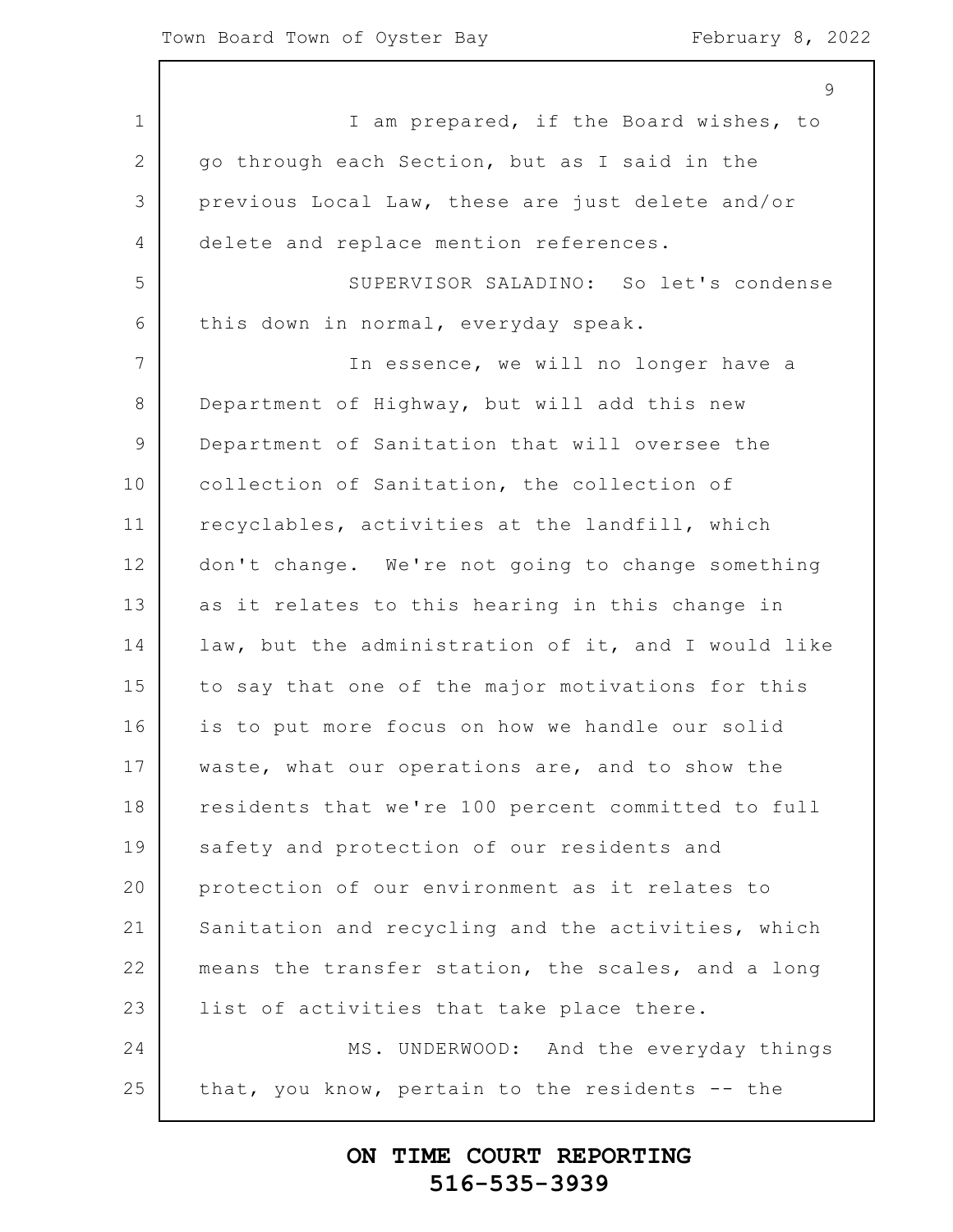$\mathsf{Q}$ 

1 2 3 4 5 6 7 8 9 10 11 12 13 14 15 16 17 18 19 20 21 22 23 24 25 I am prepared, if the Board wishes, to go through each Section, but as I said in the previous Local Law, these are just delete and/or delete and replace mention references. SUPERVISOR SALADINO: So let's condense this down in normal, everyday speak. In essence, we will no longer have a Department of Highway, but will add this new Department of Sanitation that will oversee the collection of Sanitation, the collection of recyclables, activities at the landfill, which don't change. We're not going to change something as it relates to this hearing in this change in law, but the administration of it, and I would like to say that one of the major motivations for this is to put more focus on how we handle our solid waste, what our operations are, and to show the residents that we're 100 percent committed to full safety and protection of our residents and protection of our environment as it relates to Sanitation and recycling and the activities, which means the transfer station, the scales, and a long list of activities that take place there. MS. UNDERWOOD: And the everyday things that, you know, pertain to the residents -- the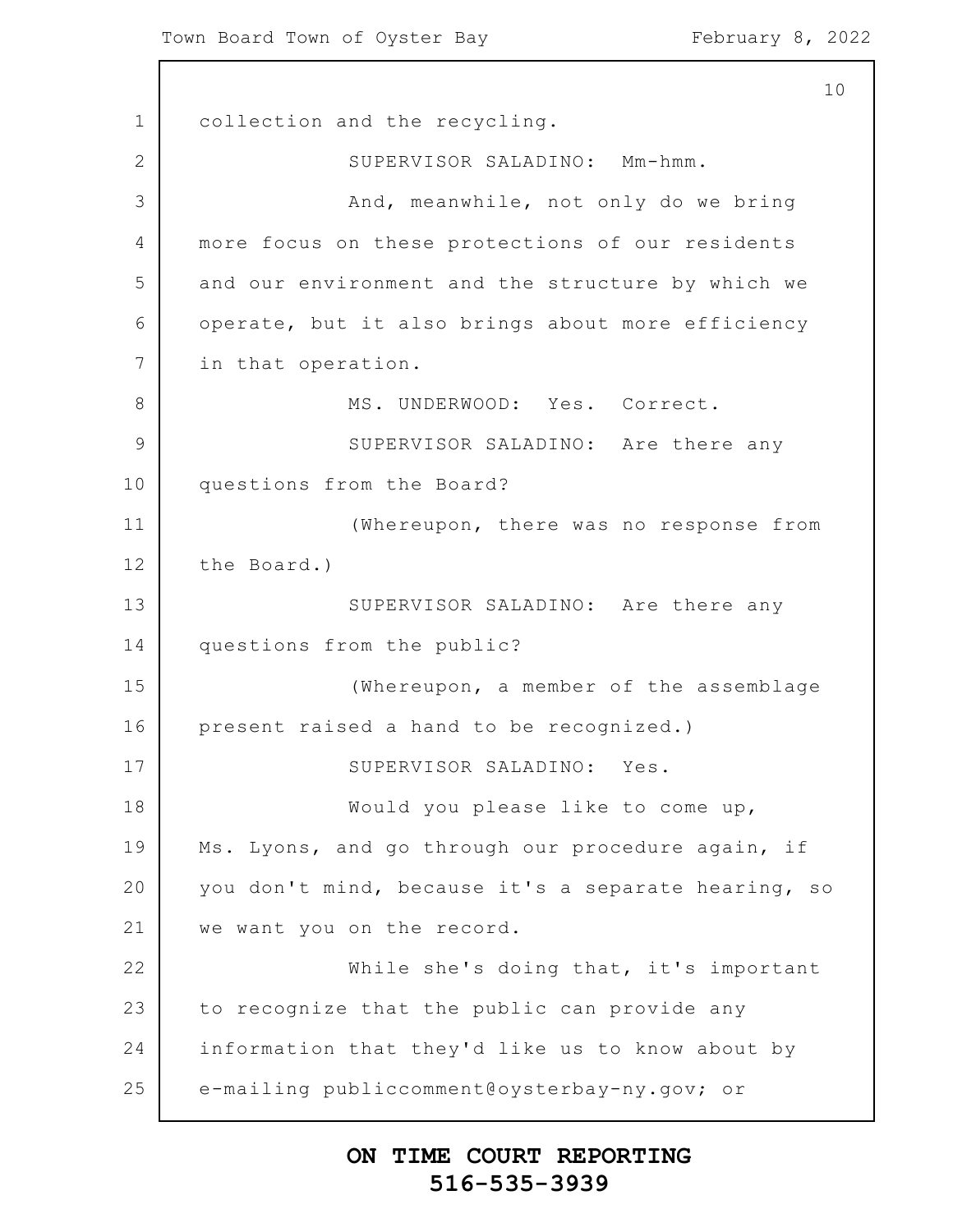1 2 3 4 5 6 7 8 9 10 11 12 13 14 15 16 17 18 19 20 21 22 23 24 25 10 collection and the recycling. SUPERVISOR SALADINO: Mm-hmm. And, meanwhile, not only do we bring more focus on these protections of our residents and our environment and the structure by which we operate, but it also brings about more efficiency in that operation. MS. UNDERWOOD: Yes. Correct. SUPERVISOR SALADINO: Are there any questions from the Board? (Whereupon, there was no response from the Board.) SUPERVISOR SALADINO: Are there any questions from the public? (Whereupon, a member of the assemblage present raised a hand to be recognized.) SUPERVISOR SALADINO: Yes. Would you please like to come up, Ms. Lyons, and go through our procedure again, if you don't mind, because it's a separate hearing, so we want you on the record. While she's doing that, it's important to recognize that the public can provide any information that they'd like us to know about by e-mailing publiccomment@oysterbay-ny.gov; or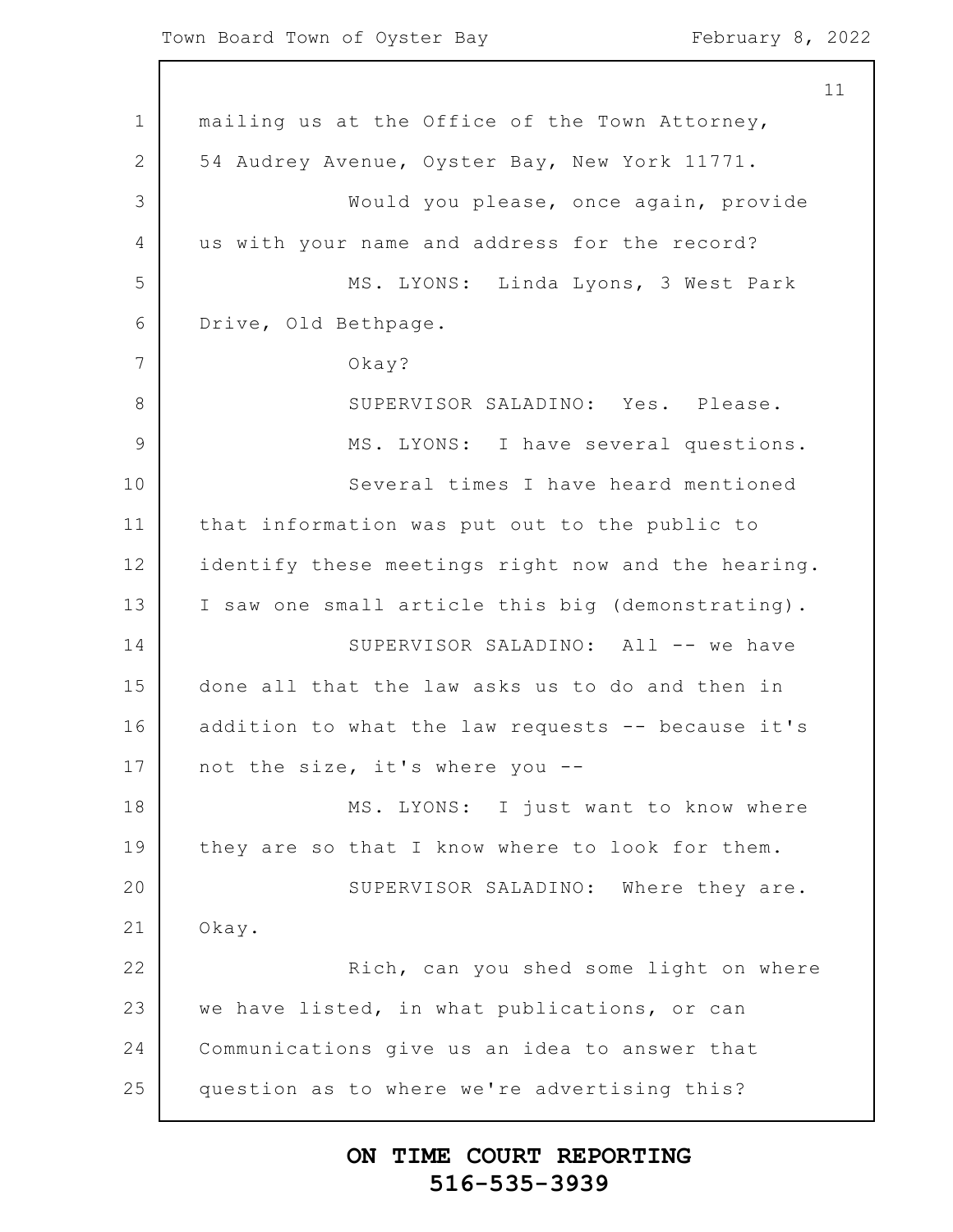1 2 3 4 5 6 7 8 9 10 11 12 13 14 15 16 17 18 19 20 21 22 23 24 25 11 mailing us at the Office of the Town Attorney, 54 Audrey Avenue, Oyster Bay, New York 11771. Would you please, once again, provide us with your name and address for the record? MS. LYONS: Linda Lyons, 3 West Park Drive, Old Bethpage. Okay? SUPERVISOR SALADINO: Yes. Please. MS. LYONS: I have several questions. Several times I have heard mentioned that information was put out to the public to identify these meetings right now and the hearing. I saw one small article this big (demonstrating). SUPERVISOR SALADINO: All -- we have done all that the law asks us to do and then in addition to what the law requests -- because it's not the size, it's where you -- MS. LYONS: I just want to know where they are so that I know where to look for them. SUPERVISOR SALADINO: Where they are. Okay. Rich, can you shed some light on where we have listed, in what publications, or can Communications give us an idea to answer that question as to where we're advertising this?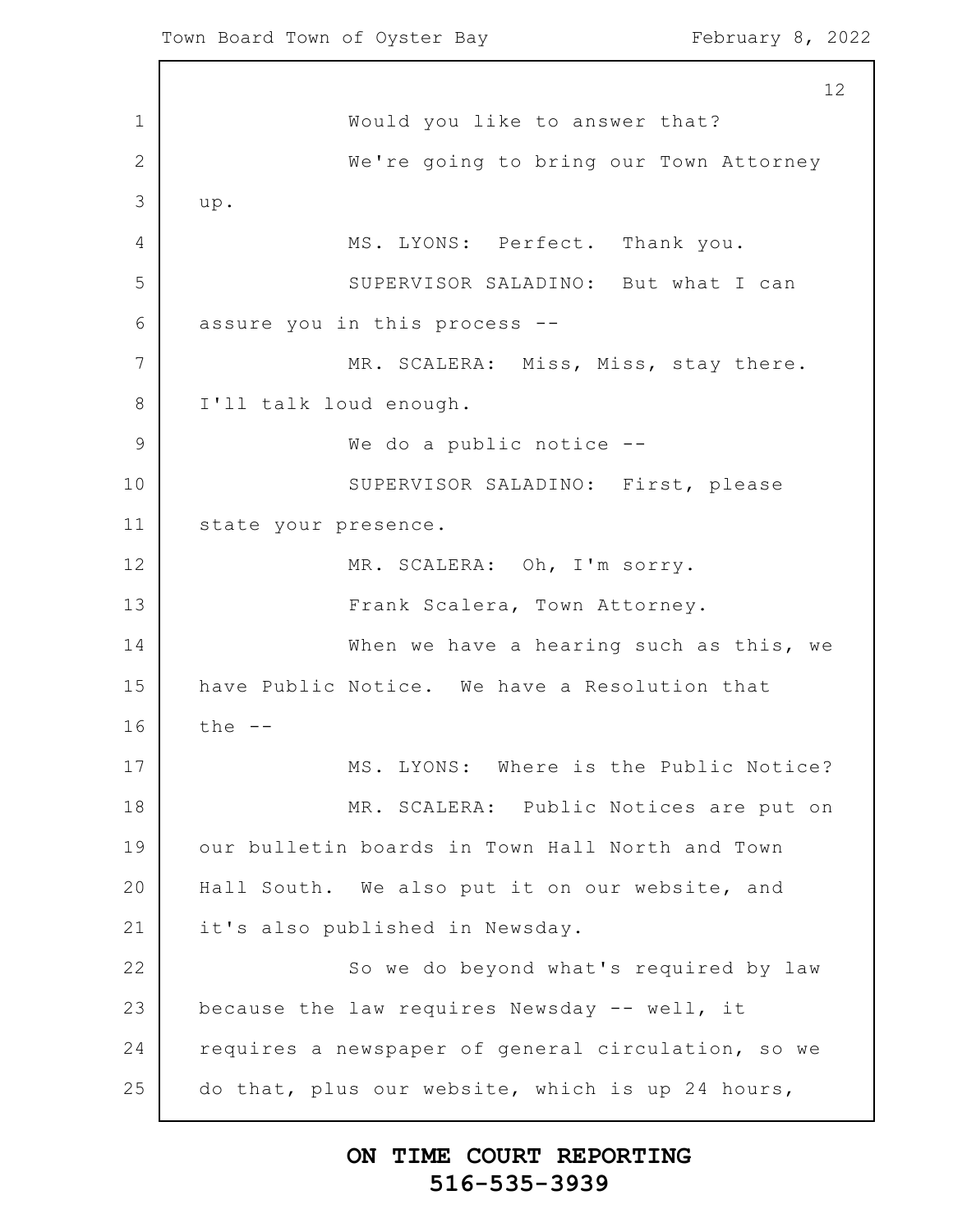1 2 3 4 5 6 7 8 9 10 11 12 13 14 15 16 17 18 19 20 21 22 23 24 25 12 Would you like to answer that? We're going to bring our Town Attorney up. MS. LYONS: Perfect. Thank you. SUPERVISOR SALADINO: But what I can assure you in this process -- MR. SCALERA: Miss, Miss, stay there. I'll talk loud enough. We do a public notice --SUPERVISOR SALADINO: First, please state your presence. MR. SCALERA: Oh, I'm sorry. Frank Scalera, Town Attorney. When we have a hearing such as this, we have Public Notice. We have a Resolution that the -- MS. LYONS: Where is the Public Notice? MR. SCALERA: Public Notices are put on our bulletin boards in Town Hall North and Town Hall South. We also put it on our website, and it's also published in Newsday. So we do beyond what's required by law because the law requires Newsday -- well, it requires a newspaper of general circulation, so we do that, plus our website, which is up 24 hours,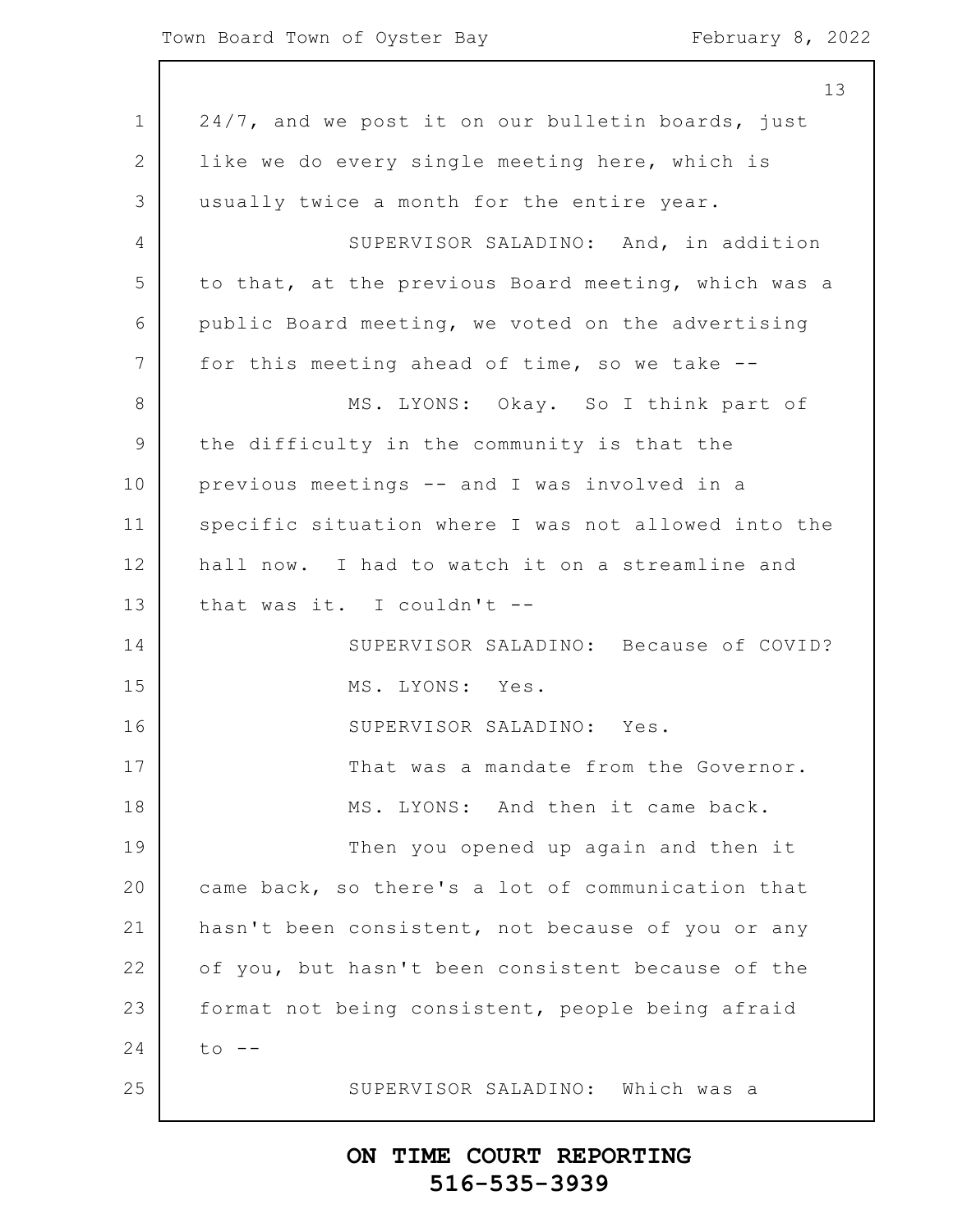1 2 3 4 5 6 7 8 9 10 11 12 13 14 15 16 17 18 19 20 21 22 23 24 25 13 24/7, and we post it on our bulletin boards, just like we do every single meeting here, which is usually twice a month for the entire year. SUPERVISOR SALADINO: And, in addition to that, at the previous Board meeting, which was a public Board meeting, we voted on the advertising for this meeting ahead of time, so we take -- MS. LYONS: Okay. So I think part of the difficulty in the community is that the previous meetings -- and I was involved in a specific situation where I was not allowed into the hall now. I had to watch it on a streamline and that was it. I couldn't -- SUPERVISOR SALADINO: Because of COVID? MS. LYONS: Yes. SUPERVISOR SALADINO: Yes. That was a mandate from the Governor. MS. LYONS: And then it came back. Then you opened up again and then it came back, so there's a lot of communication that hasn't been consistent, not because of you or any of you, but hasn't been consistent because of the format not being consistent, people being afraid  $to$   $--$ SUPERVISOR SALADINO: Which was a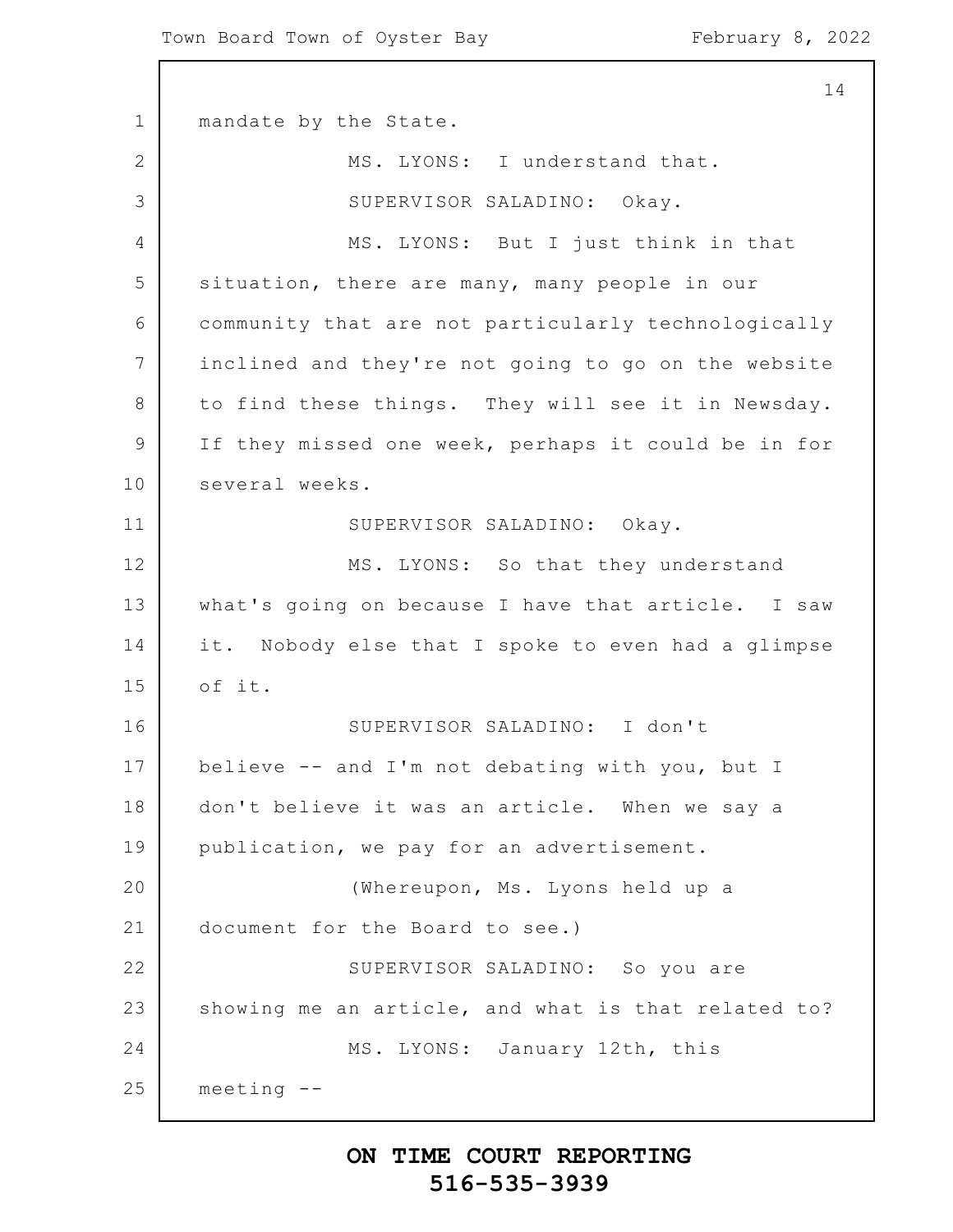1 2 3 4 5 6 7 8 9 10 11 12 13 14 15 16 17 18 19 20 21 22 23 24 25 14 mandate by the State. MS. LYONS: I understand that. SUPERVISOR SALADINO: Okay. MS. LYONS: But I just think in that situation, there are many, many people in our community that are not particularly technologically inclined and they're not going to go on the website to find these things. They will see it in Newsday. If they missed one week, perhaps it could be in for several weeks. SUPERVISOR SALADINO: Okay. MS. LYONS: So that they understand what's going on because I have that article. I saw it. Nobody else that I spoke to even had a glimpse of it. SUPERVISOR SALADINO: I don't believe -- and I'm not debating with you, but I don't believe it was an article. When we say a publication, we pay for an advertisement. (Whereupon, Ms. Lyons held up a document for the Board to see.) SUPERVISOR SALADINO: So you are showing me an article, and what is that related to? MS. LYONS: January 12th, this meeting --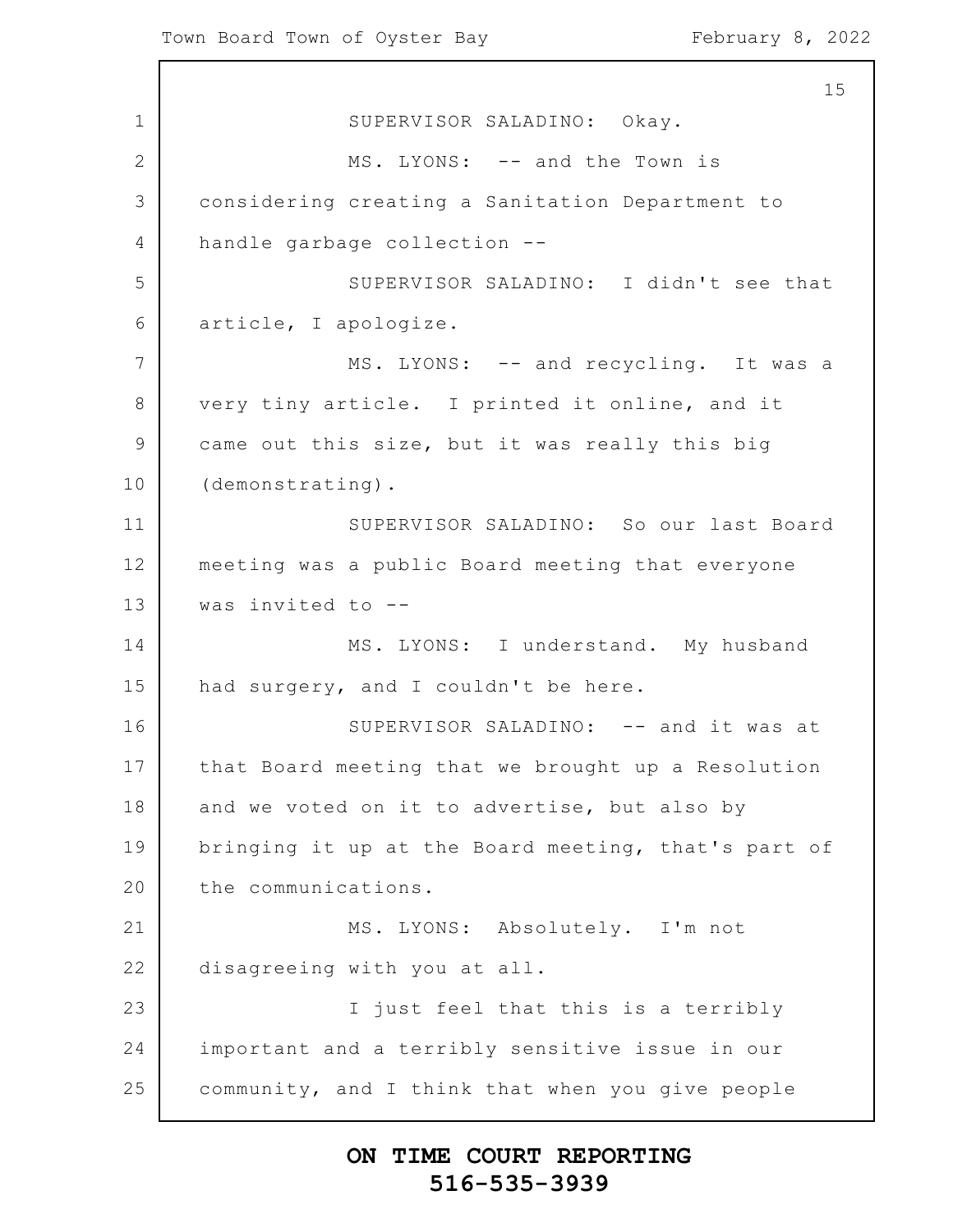1 2 3 4 5 6 7 8 9 10 11 12 13 14 15 16 17 18 19 20 21 22 23 24 25 15 SUPERVISOR SALADINO: Okay. MS. LYONS: -- and the Town is considering creating a Sanitation Department to handle garbage collection -- SUPERVISOR SALADINO: I didn't see that article, I apologize. MS. LYONS: -- and recycling. It was a very tiny article. I printed it online, and it came out this size, but it was really this big (demonstrating). SUPERVISOR SALADINO: So our last Board meeting was a public Board meeting that everyone was invited to -- MS. LYONS: I understand. My husband had surgery, and I couldn't be here. SUPERVISOR SALADINO: -- and it was at that Board meeting that we brought up a Resolution and we voted on it to advertise, but also by bringing it up at the Board meeting, that's part of the communications. MS. LYONS: Absolutely. I'm not disagreeing with you at all. I just feel that this is a terribly important and a terribly sensitive issue in our community, and I think that when you give people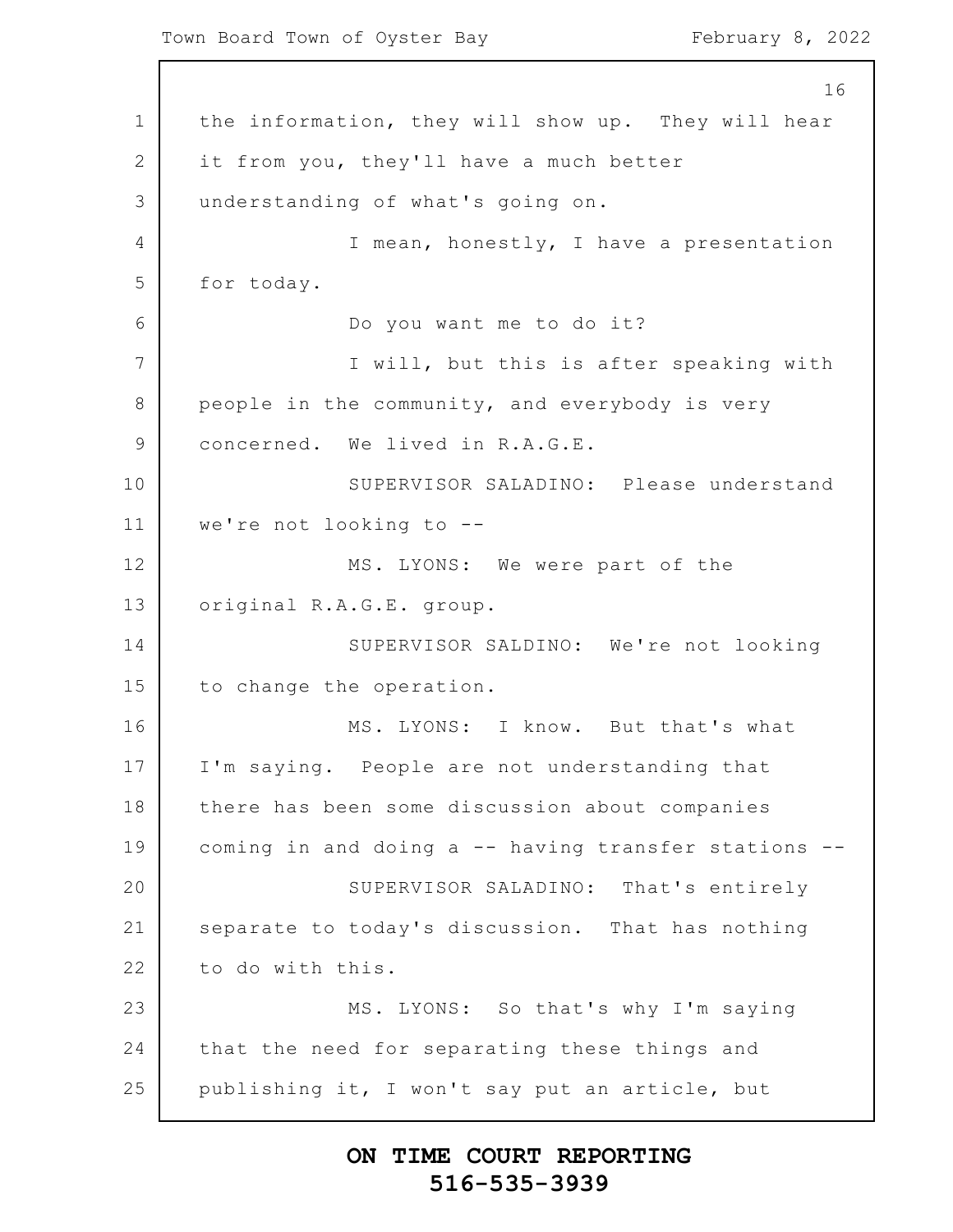Town Board Town of Oyster Bay February 8, 2022

1 2 3 4 5 6 7 8 9 10 11 12 13 14 15 16 17 18 19 20 21 22 23 24 25 16 the information, they will show up. They will hear it from you, they'll have a much better understanding of what's going on. I mean, honestly, I have a presentation for today. Do you want me to do it? I will, but this is after speaking with people in the community, and everybody is very concerned. We lived in R.A.G.E. SUPERVISOR SALADINO: Please understand we're not looking to -- MS. LYONS: We were part of the original R.A.G.E. group. SUPERVISOR SALDINO: We're not looking to change the operation. MS. LYONS: I know. But that's what I'm saying. People are not understanding that there has been some discussion about companies coming in and doing a -- having transfer stations -- SUPERVISOR SALADINO: That's entirely separate to today's discussion. That has nothing to do with this. MS. LYONS: So that's why I'm saying that the need for separating these things and publishing it, I won't say put an article, but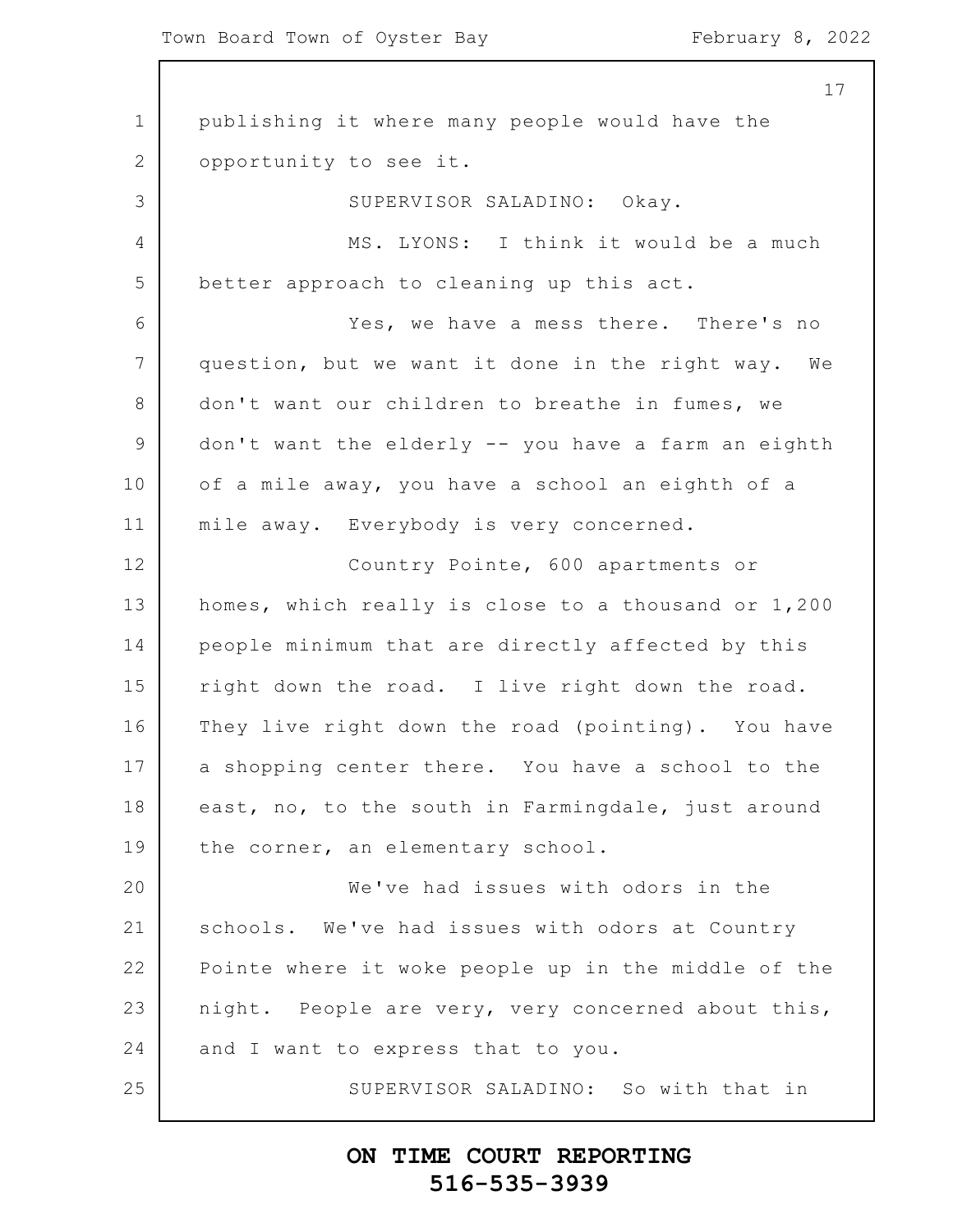#### Town Board Town of Oyster Bay February 8, 2022

1 2 3 4 5 6 7 8 9 10 11 12 13 14 15 16 17 18 19 20 21 22 23 24 25 17 publishing it where many people would have the opportunity to see it. SUPERVISOR SALADINO: Okay. MS. LYONS: I think it would be a much better approach to cleaning up this act. Yes, we have a mess there. There's no question, but we want it done in the right way. We don't want our children to breathe in fumes, we don't want the elderly -- you have a farm an eighth of a mile away, you have a school an eighth of a mile away. Everybody is very concerned. Country Pointe, 600 apartments or homes, which really is close to a thousand or 1,200 people minimum that are directly affected by this right down the road. I live right down the road. They live right down the road (pointing). You have a shopping center there. You have a school to the east, no, to the south in Farmingdale, just around the corner, an elementary school. We've had issues with odors in the schools. We've had issues with odors at Country Pointe where it woke people up in the middle of the night. People are very, very concerned about this, and I want to express that to you. SUPERVISOR SALADINO: So with that in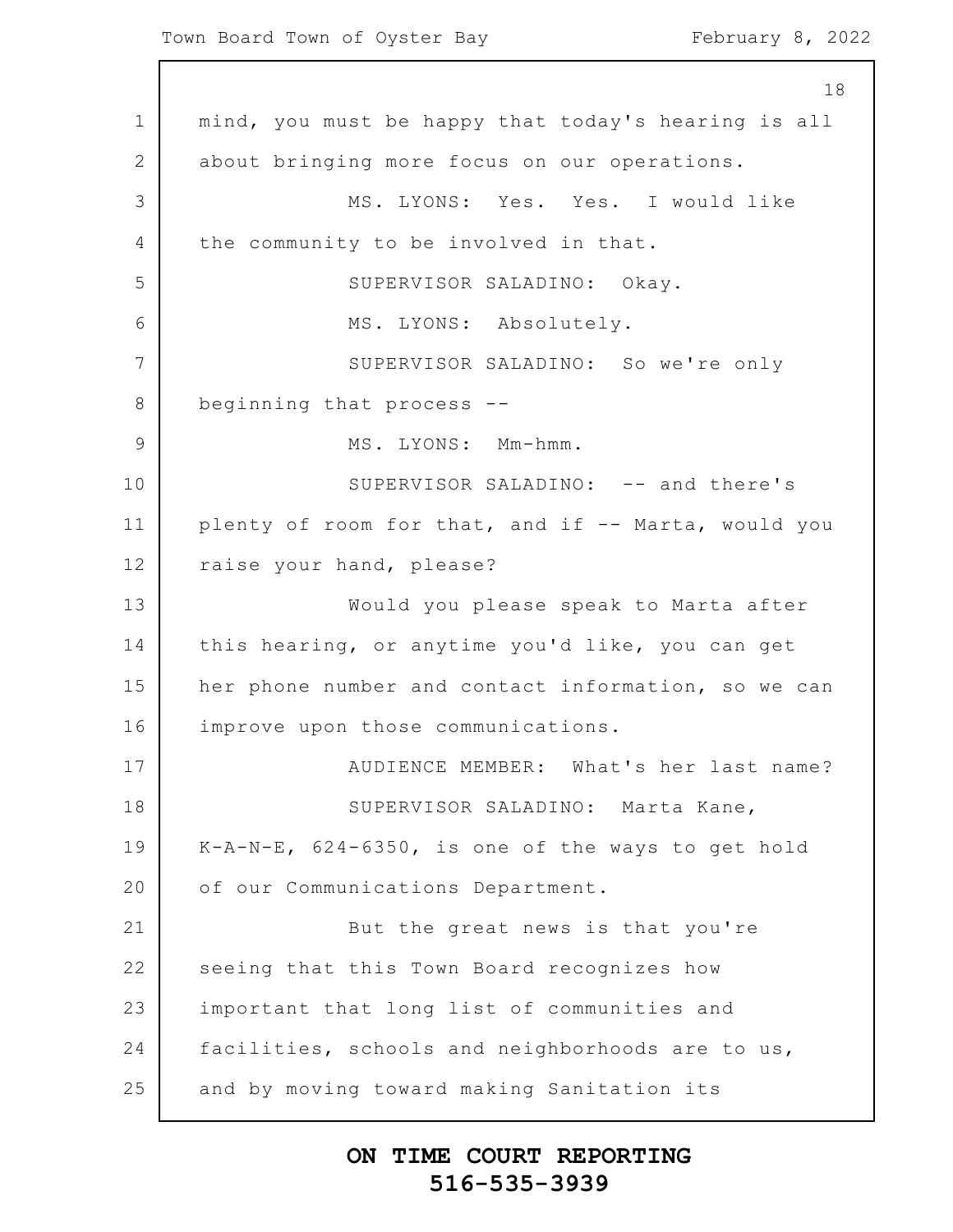1 2 3 4 5 6 7 8 9 10 11 12 13 14 15 16 17 18 19 20 21 22 23 24 25 18 mind, you must be happy that today's hearing is all about bringing more focus on our operations. MS. LYONS: Yes. Yes. I would like the community to be involved in that. SUPERVISOR SALADINO: Okay. MS. LYONS: Absolutely. SUPERVISOR SALADINO: So we're only beginning that process -- MS. LYONS: Mm-hmm. SUPERVISOR SALADINO: -- and there's plenty of room for that, and if -- Marta, would you raise your hand, please? Would you please speak to Marta after this hearing, or anytime you'd like, you can get her phone number and contact information, so we can improve upon those communications. AUDIENCE MEMBER: What's her last name? SUPERVISOR SALADINO: Marta Kane, K-A-N-E, 624-6350, is one of the ways to get hold of our Communications Department. But the great news is that you're seeing that this Town Board recognizes how important that long list of communities and facilities, schools and neighborhoods are to us, and by moving toward making Sanitation its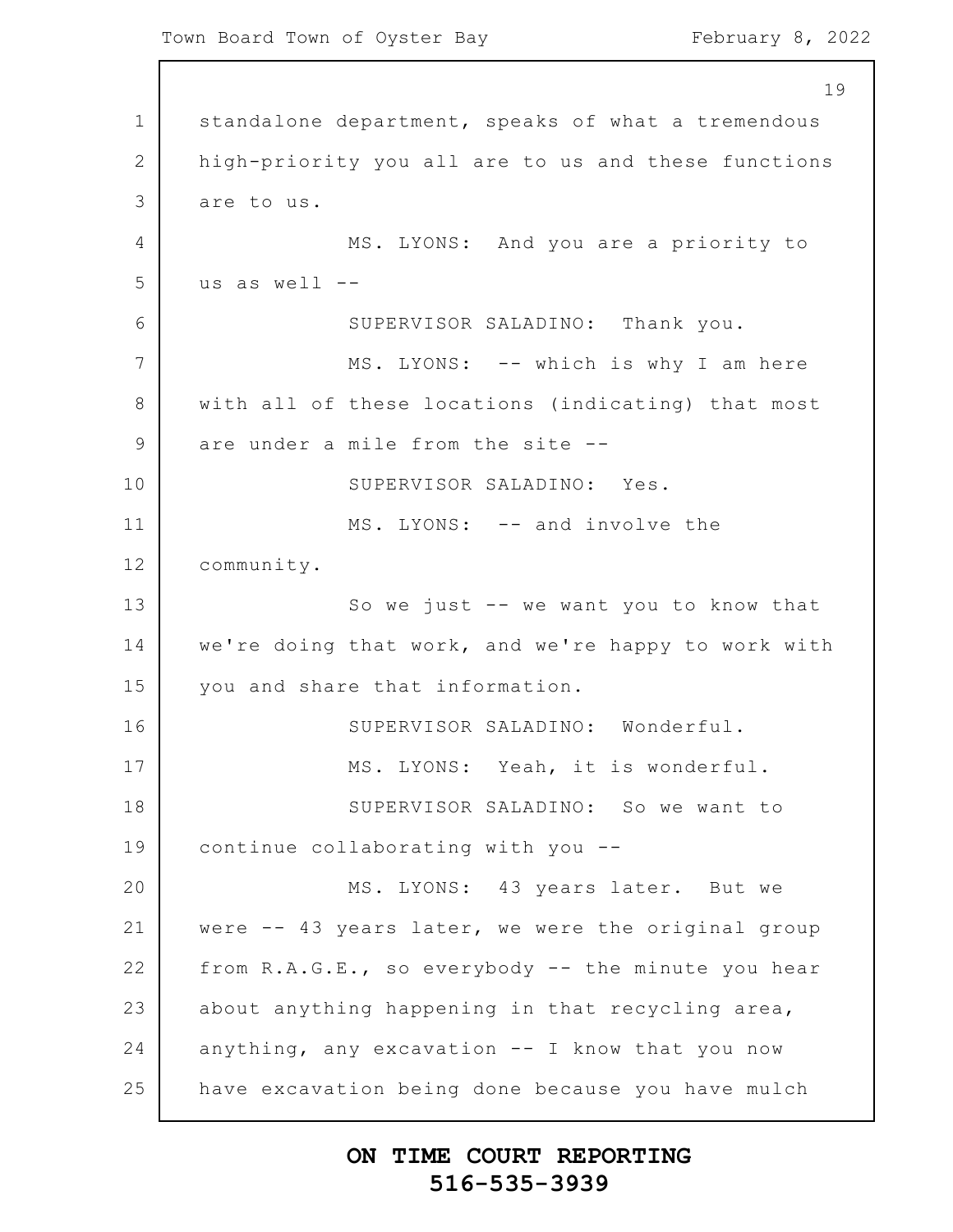1 2 3 4 5 6 7 8 9 10 11 12 13 14 15 16 17 18 19 20 21 22 23 24 25 19 standalone department, speaks of what a tremendous high-priority you all are to us and these functions are to us. MS. LYONS: And you are a priority to us as well -- SUPERVISOR SALADINO: Thank you. MS. LYONS: -- which is why I am here with all of these locations (indicating) that most are under a mile from the site -- SUPERVISOR SALADINO: Yes. MS. LYONS: -- and involve the community. So we just -- we want you to know that we're doing that work, and we're happy to work with you and share that information. SUPERVISOR SALADINO: Wonderful. MS. LYONS: Yeah, it is wonderful. SUPERVISOR SALADINO: So we want to continue collaborating with you -- MS. LYONS: 43 years later. But we were -- 43 years later, we were the original group from R.A.G.E., so everybody -- the minute you hear about anything happening in that recycling area, anything, any excavation  $--$  I know that you now have excavation being done because you have mulch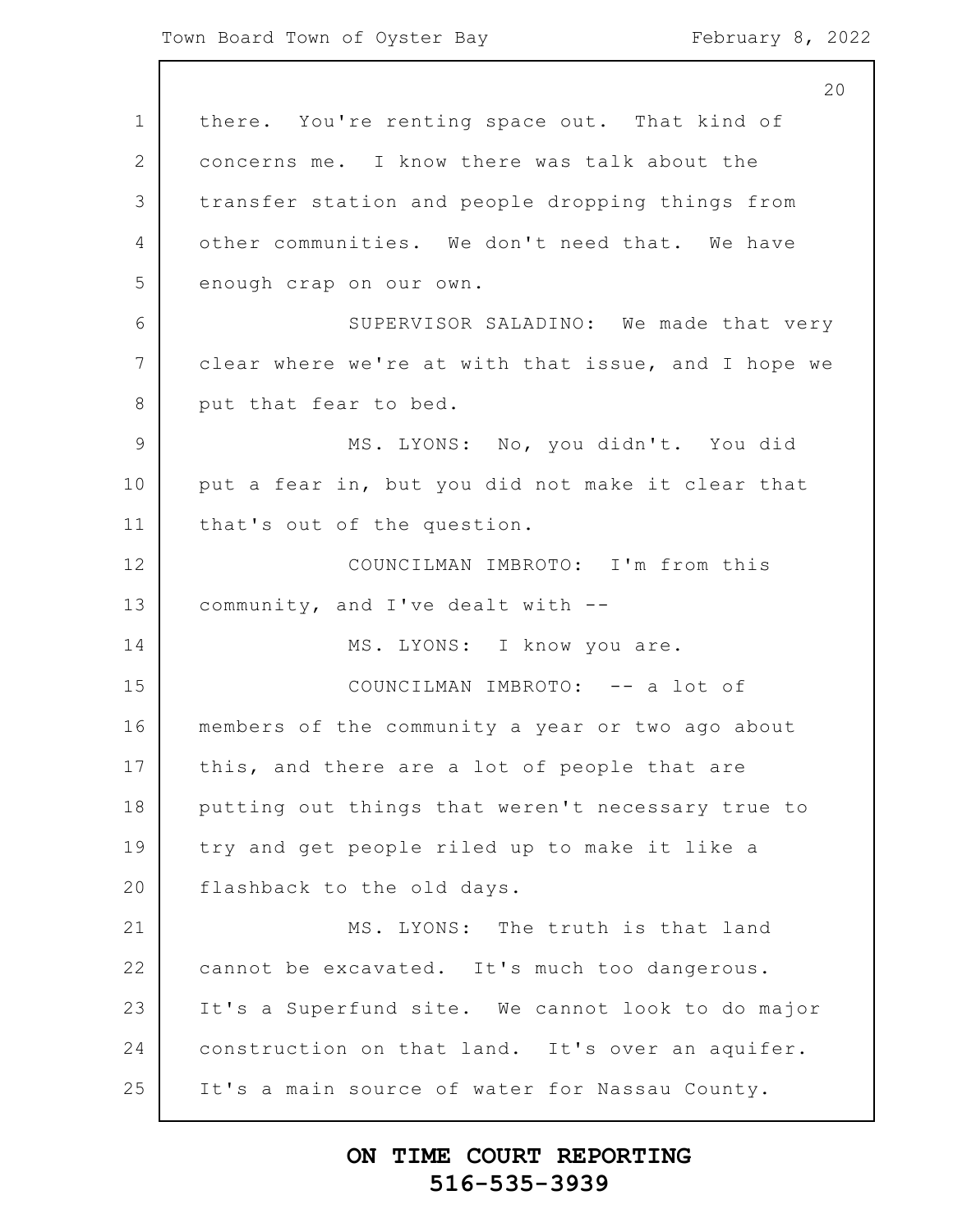1 2 3 4 5 6 7 8 9 10 11 12 13 14 15 16 17 18 19 20 21 22 23 24 25 20 there. You're renting space out. That kind of concerns me. I know there was talk about the transfer station and people dropping things from other communities. We don't need that. We have enough crap on our own. SUPERVISOR SALADINO: We made that very clear where we're at with that issue, and I hope we put that fear to bed. MS. LYONS: No, you didn't. You did put a fear in, but you did not make it clear that that's out of the question. COUNCILMAN IMBROTO: I'm from this community, and I've dealt with -- MS. LYONS: I know you are. COUNCILMAN IMBROTO: -- a lot of members of the community a year or two ago about this, and there are a lot of people that are putting out things that weren't necessary true to try and get people riled up to make it like a flashback to the old days. MS. LYONS: The truth is that land cannot be excavated. It's much too dangerous. It's a Superfund site. We cannot look to do major construction on that land. It's over an aquifer. It's a main source of water for Nassau County.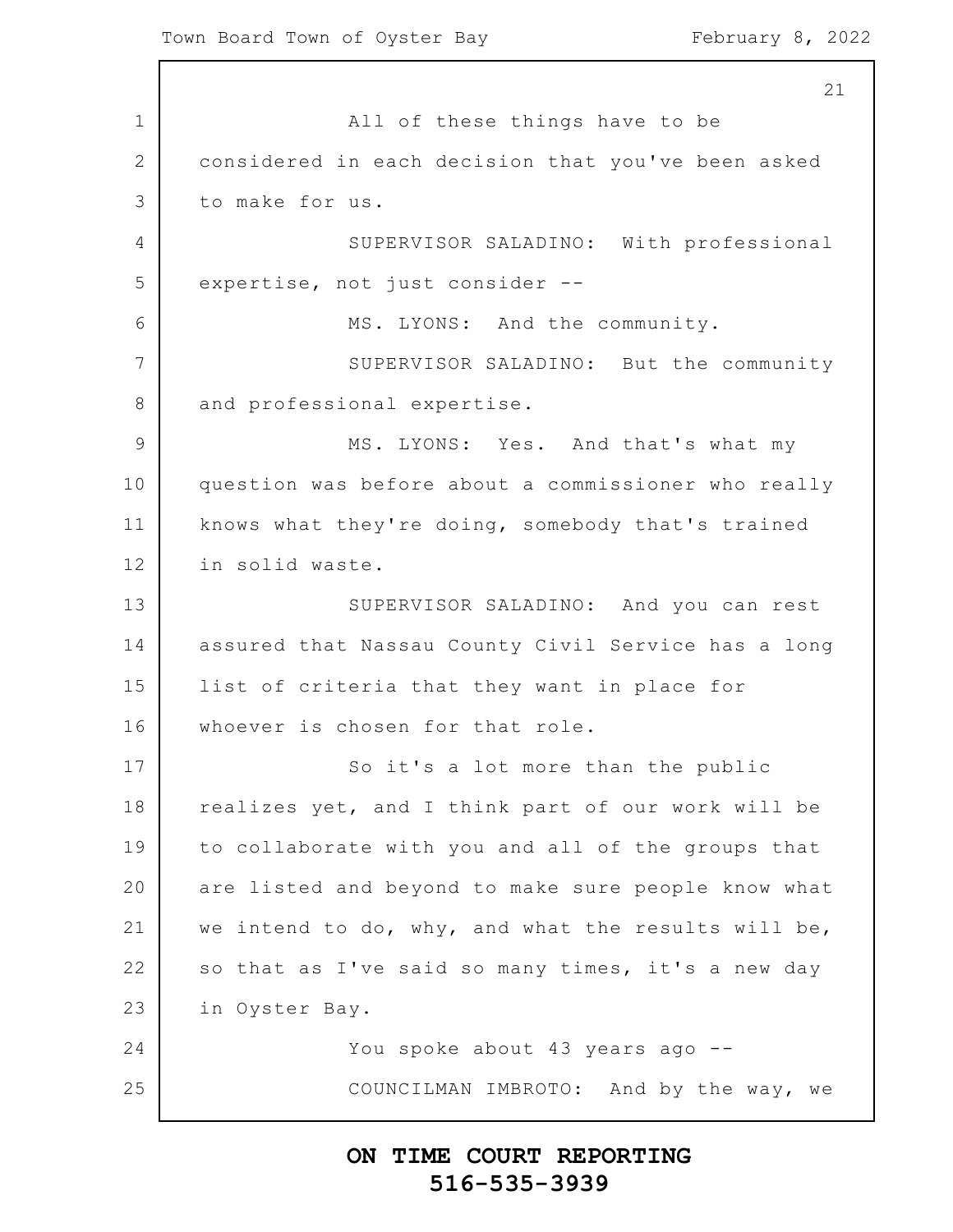1 2 3 4 5 6 7 8 9 10 11 12 13 14 15 16 17 18 19 20 21 22 23 24 25 21 All of these things have to be considered in each decision that you've been asked to make for us. SUPERVISOR SALADINO: With professional expertise, not just consider -- MS. LYONS: And the community. SUPERVISOR SALADINO: But the community and professional expertise. MS. LYONS: Yes. And that's what my question was before about a commissioner who really knows what they're doing, somebody that's trained in solid waste. SUPERVISOR SALADINO: And you can rest assured that Nassau County Civil Service has a long list of criteria that they want in place for whoever is chosen for that role. So it's a lot more than the public realizes yet, and I think part of our work will be to collaborate with you and all of the groups that are listed and beyond to make sure people know what we intend to do, why, and what the results will be, so that as I've said so many times, it's a new day in Oyster Bay. You spoke about 43 years ago -- COUNCILMAN IMBROTO: And by the way, we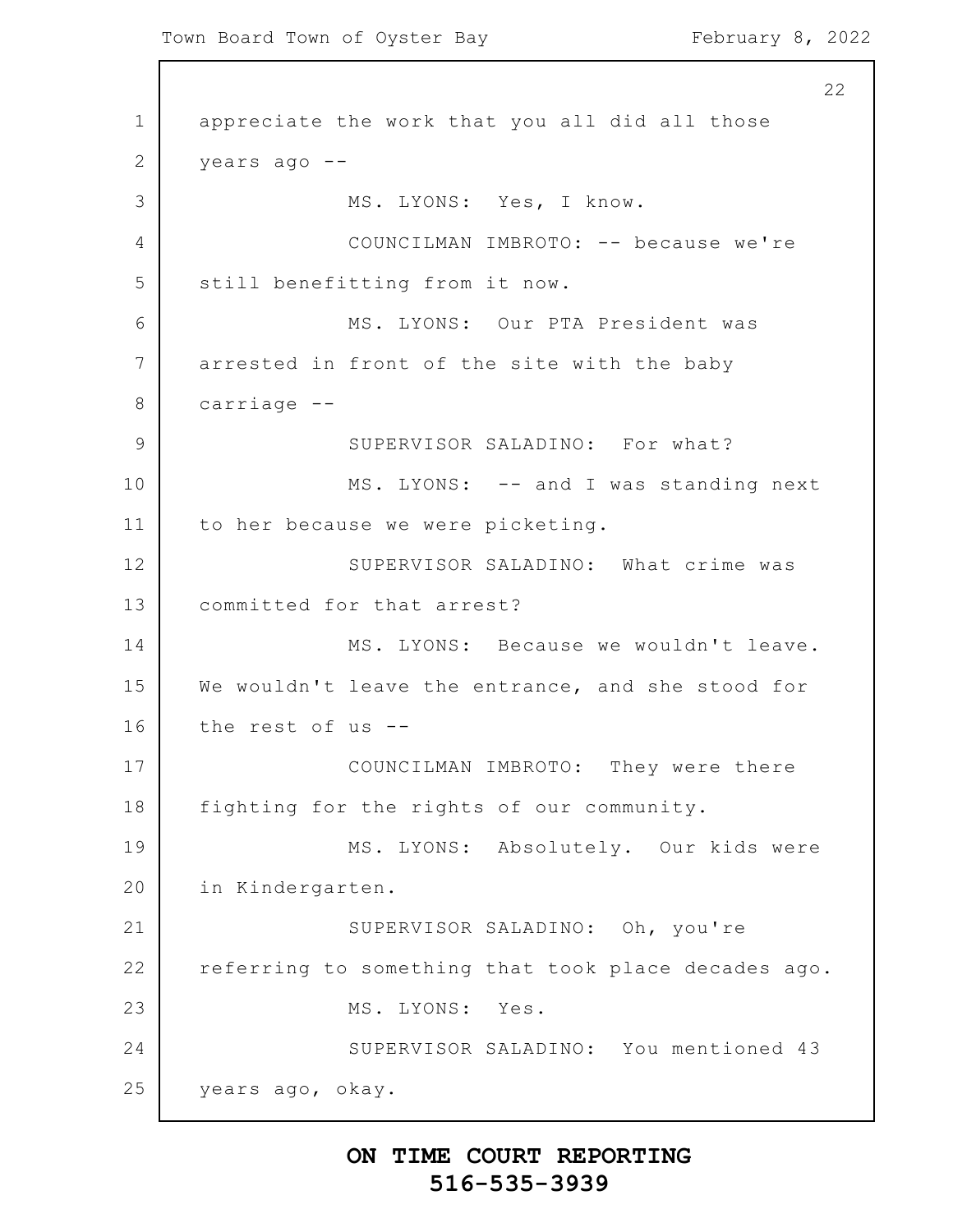1 2 3 4 5 6 7 8 9 10 11 12 13 14 15 16 17 18 19 20 21 22 23 24 25 22 appreciate the work that you all did all those years ago -- MS. LYONS: Yes, I know. COUNCILMAN IMBROTO: -- because we're still benefitting from it now. MS. LYONS: Our PTA President was arrested in front of the site with the baby carriage -- SUPERVISOR SALADINO: For what? MS. LYONS: -- and I was standing next to her because we were picketing. SUPERVISOR SALADINO: What crime was committed for that arrest? MS. LYONS: Because we wouldn't leave. We wouldn't leave the entrance, and she stood for the rest of us -- COUNCILMAN IMBROTO: They were there fighting for the rights of our community. MS. LYONS: Absolutely. Our kids were in Kindergarten. SUPERVISOR SALADINO: Oh, you're referring to something that took place decades ago. MS. LYONS: Yes. SUPERVISOR SALADINO: You mentioned 43 years ago, okay.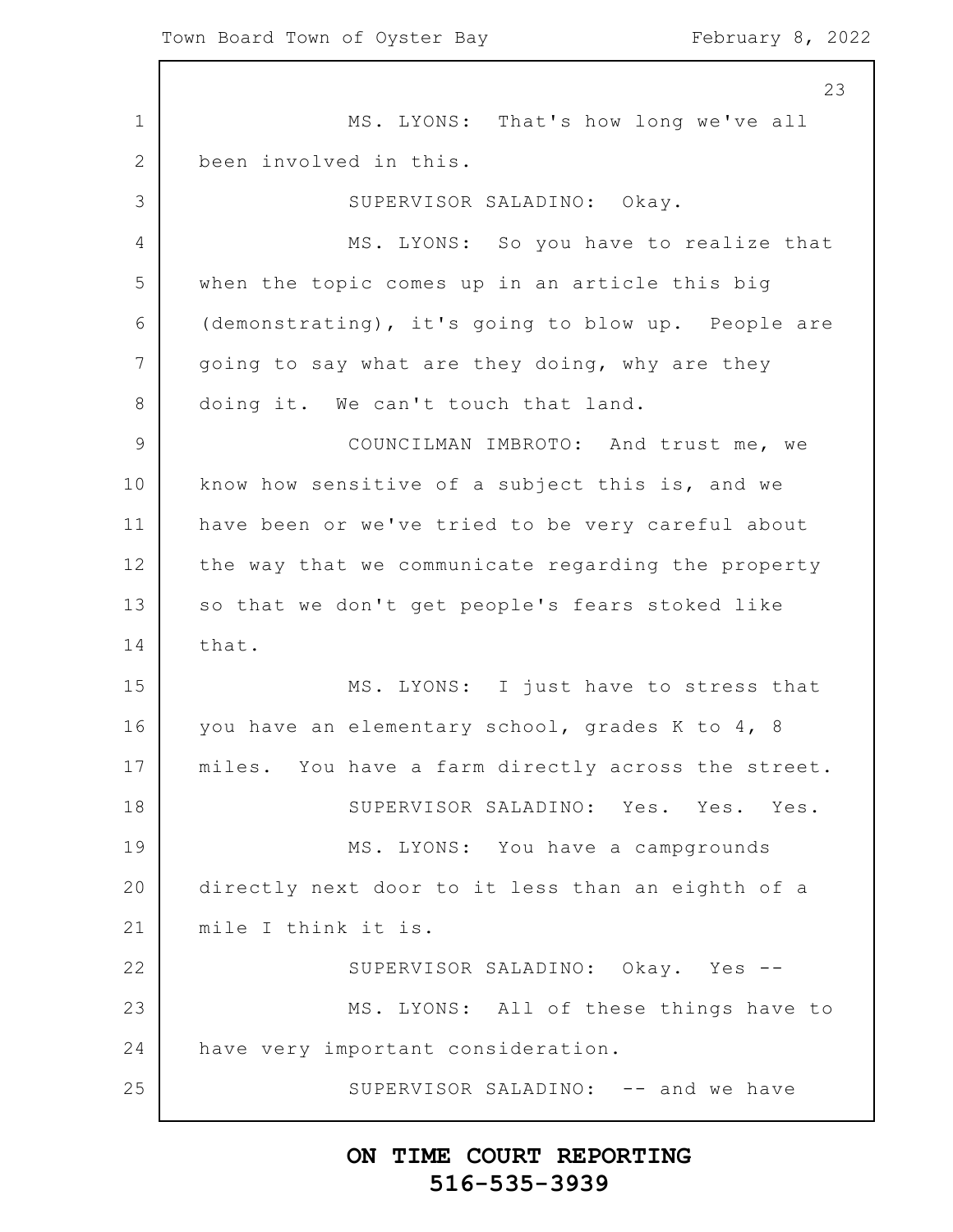1 2 3 4 5 6 7 8 9 10 11 12 13 14 15 16 17 18 19 20 21 22 23 24 25 23 MS. LYONS: That's how long we've all been involved in this. SUPERVISOR SALADINO: Okay. MS. LYONS: So you have to realize that when the topic comes up in an article this big (demonstrating), it's going to blow up. People are going to say what are they doing, why are they doing it. We can't touch that land. COUNCILMAN IMBROTO: And trust me, we know how sensitive of a subject this is, and we have been or we've tried to be very careful about the way that we communicate regarding the property so that we don't get people's fears stoked like that. MS. LYONS: I just have to stress that you have an elementary school, grades K to 4, 8 miles. You have a farm directly across the street. SUPERVISOR SALADINO: Yes. Yes. Yes. MS. LYONS: You have a campgrounds directly next door to it less than an eighth of a mile I think it is. SUPERVISOR SALADINO: Okay. Yes -- MS. LYONS: All of these things have to have very important consideration. SUPERVISOR SALADINO: -- and we have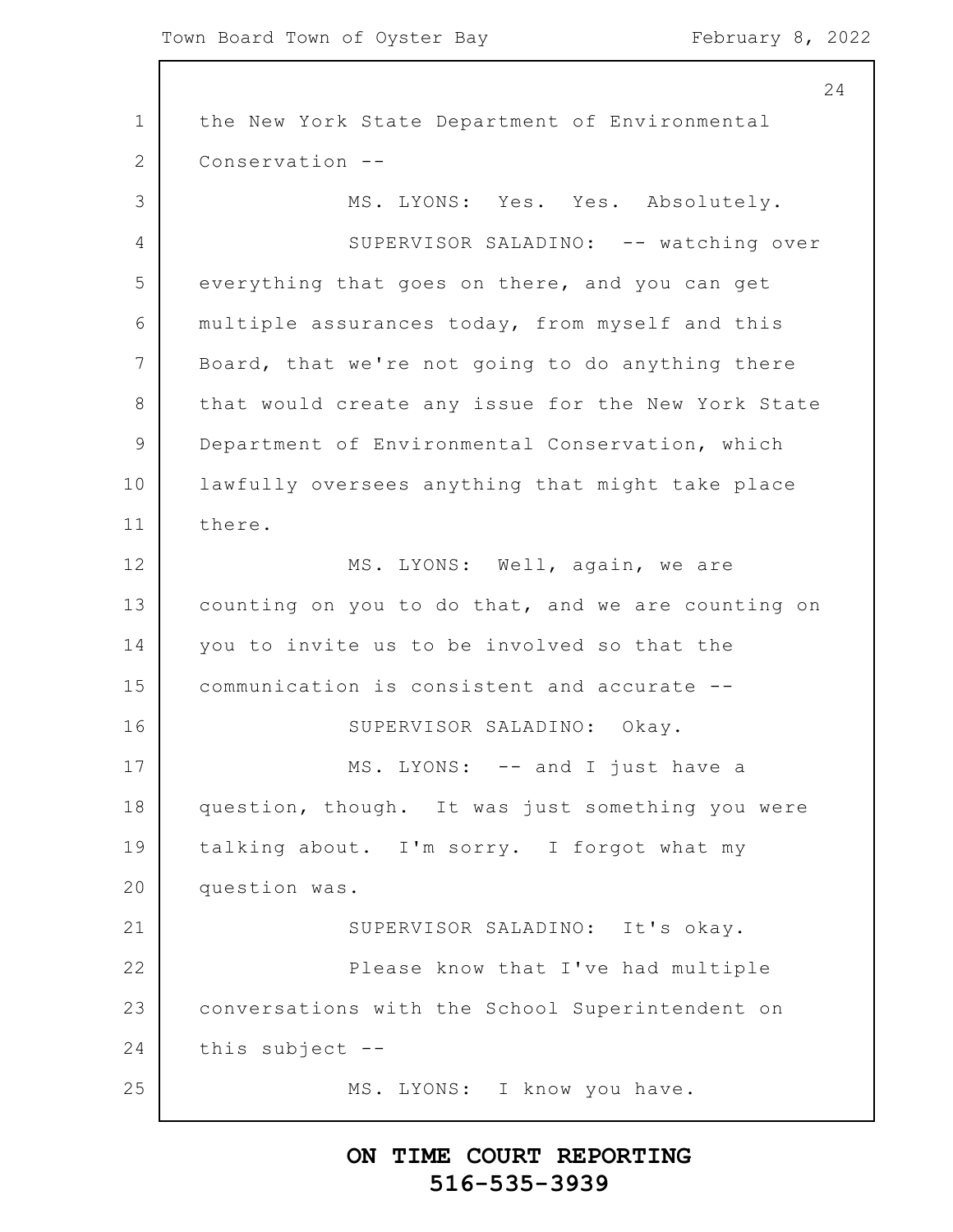1 2 3 4 5 6 7 8 9 10 11 12 13 14 15 16 17 18 19 20 21 22 23 24 25 24 the New York State Department of Environmental Conservation -- MS. LYONS: Yes. Yes. Absolutely. SUPERVISOR SALADINO: -- watching over everything that goes on there, and you can get multiple assurances today, from myself and this Board, that we're not going to do anything there that would create any issue for the New York State Department of Environmental Conservation, which lawfully oversees anything that might take place there. MS. LYONS: Well, again, we are counting on you to do that, and we are counting on you to invite us to be involved so that the communication is consistent and accurate -- SUPERVISOR SALADINO: Okay. MS. LYONS: -- and I just have a question, though. It was just something you were talking about. I'm sorry. I forgot what my question was. SUPERVISOR SALADINO: It's okay. Please know that I've had multiple conversations with the School Superintendent on this subject -- MS. LYONS: I know you have.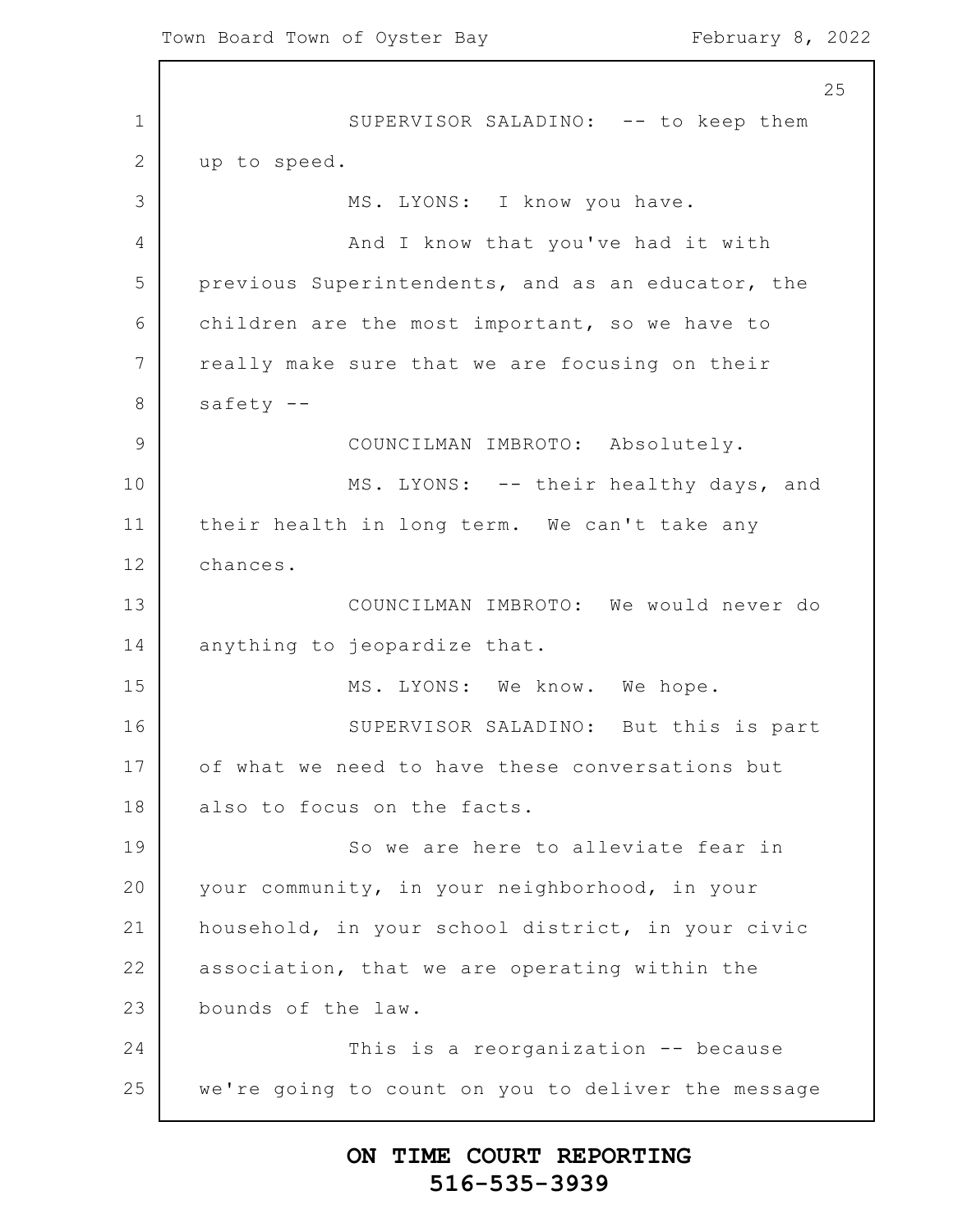1 2 3 4 5 6 7 8 9 10 11 12 13 14 15 16 17 18 19 20 21 22 23 24 25 SUPERVISOR SALADINO: -- to keep them up to speed. MS. LYONS: I know you have. And I know that you've had it with previous Superintendents, and as an educator, the children are the most important, so we have to really make sure that we are focusing on their safety -- COUNCILMAN IMBROTO: Absolutely. MS. LYONS: -- their healthy days, and their health in long term. We can't take any chances. COUNCILMAN IMBROTO: We would never do anything to jeopardize that. MS. LYONS: We know. We hope. SUPERVISOR SALADINO: But this is part of what we need to have these conversations but also to focus on the facts. So we are here to alleviate fear in your community, in your neighborhood, in your household, in your school district, in your civic association, that we are operating within the bounds of the law. This is a reorganization -- because we're going to count on you to deliver the message

### **ON TIME COURT REPORTING 516-535-3939**

25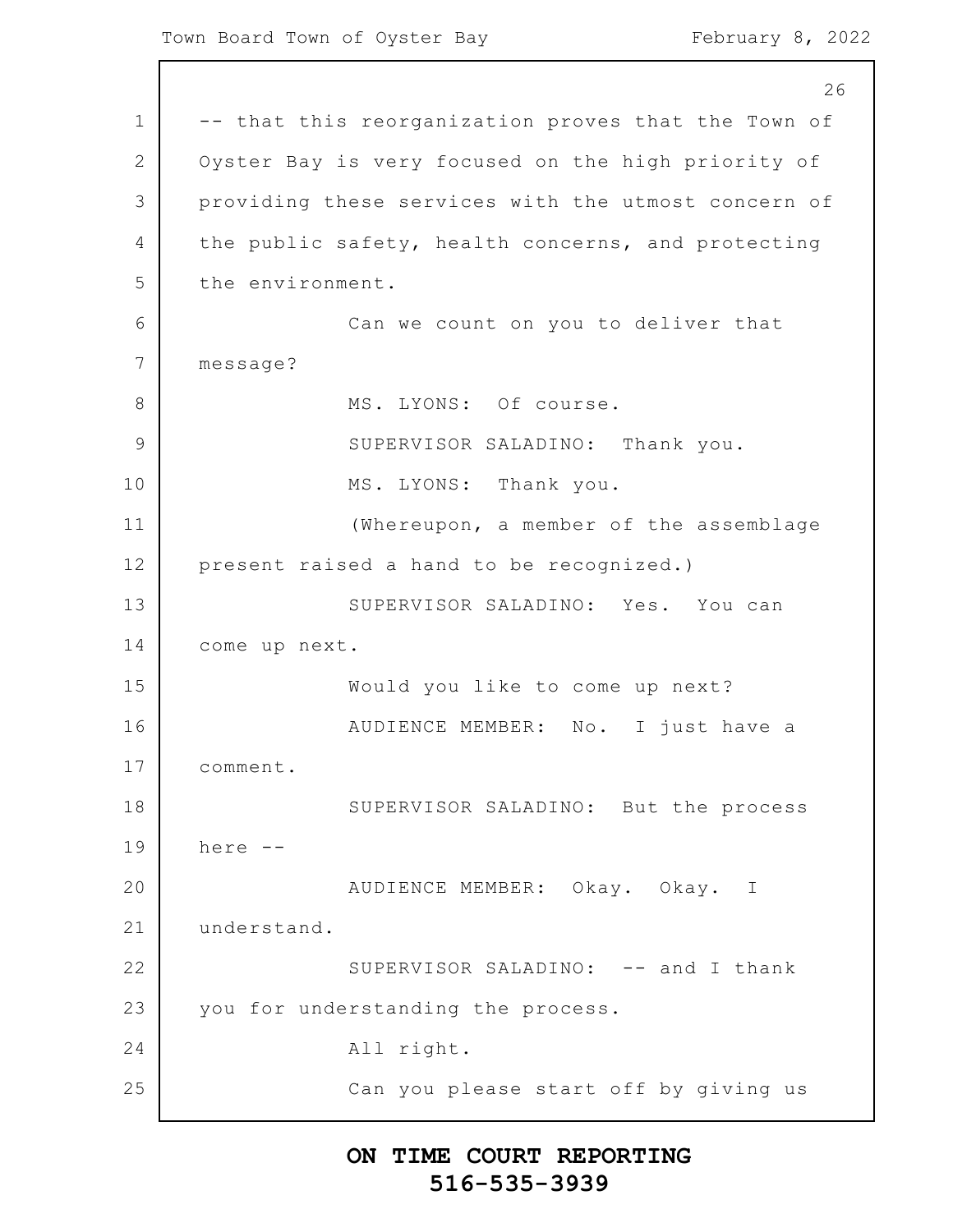1 2 3 4 5 6 7 8 9 10 11 12 13 14 15 16 17 18 19 20 21 22 23 24 25 26 -- that this reorganization proves that the Town of Oyster Bay is very focused on the high priority of providing these services with the utmost concern of the public safety, health concerns, and protecting the environment. Can we count on you to deliver that message? MS. LYONS: Of course. SUPERVISOR SALADINO: Thank you. MS. LYONS: Thank you. (Whereupon, a member of the assemblage present raised a hand to be recognized.) SUPERVISOR SALADINO: Yes. You can come up next. Would you like to come up next? AUDIENCE MEMBER: No. I just have a comment. SUPERVISOR SALADINO: But the process here -- AUDIENCE MEMBER: Okay. Okay. I understand. SUPERVISOR SALADINO: -- and I thank you for understanding the process. All right. Can you please start off by giving us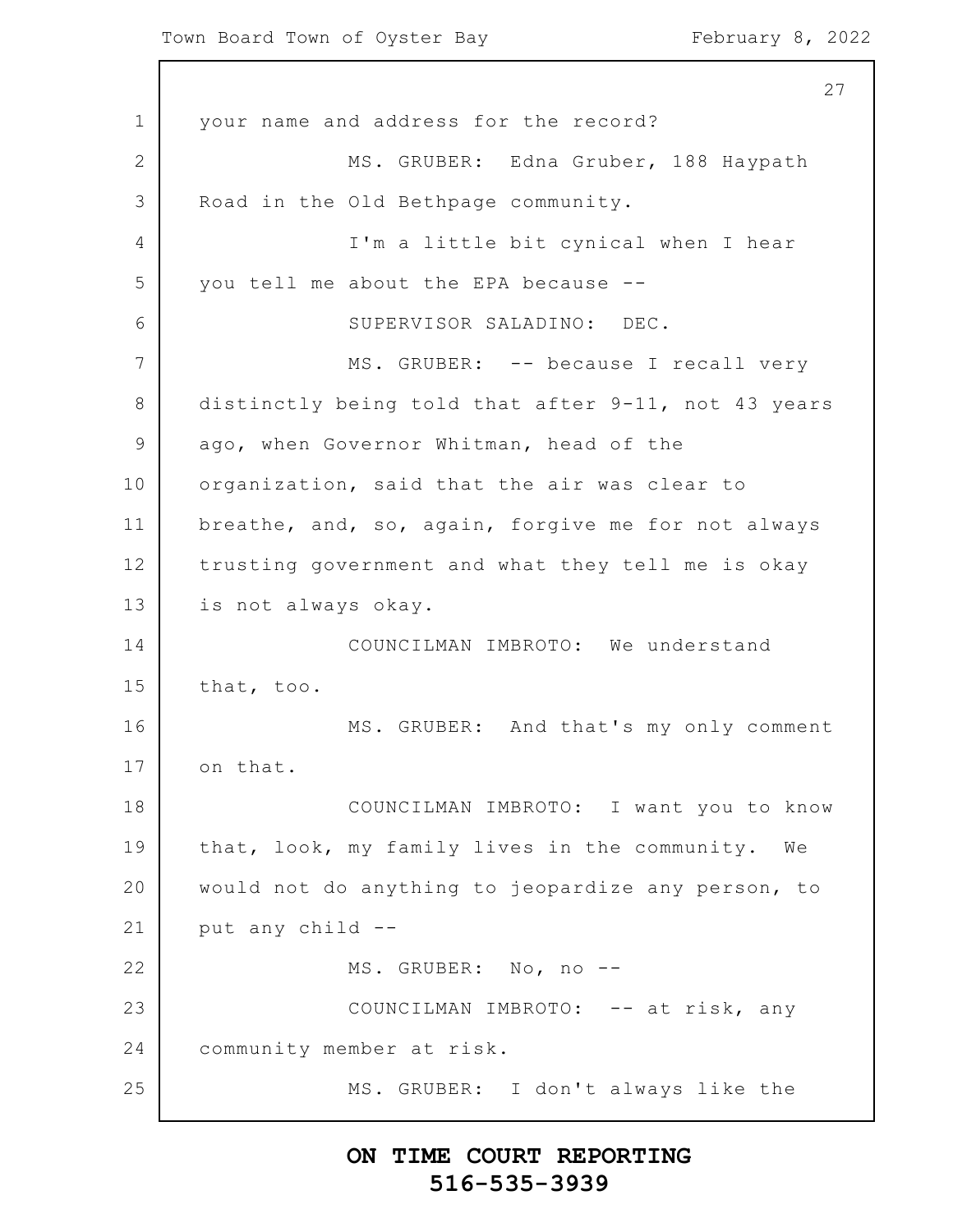Town Board Town of Oyster Bay February 8, 2022

1 2 3 4 5 6 7 8 9 10 11 12 13 14 15 16 17 18 19 20 21 22 23 24 25 27 your name and address for the record? MS. GRUBER: Edna Gruber, 188 Haypath Road in the Old Bethpage community. I'm a little bit cynical when I hear you tell me about the EPA because -- SUPERVISOR SALADINO: DEC. MS. GRUBER: -- because I recall very distinctly being told that after 9-11, not 43 years ago, when Governor Whitman, head of the organization, said that the air was clear to breathe, and, so, again, forgive me for not always trusting government and what they tell me is okay is not always okay. COUNCILMAN IMBROTO: We understand that, too. MS. GRUBER: And that's my only comment on that. COUNCILMAN IMBROTO: I want you to know that, look, my family lives in the community. We would not do anything to jeopardize any person, to put any child -- MS. GRUBER: No, no -- COUNCILMAN IMBROTO: -- at risk, any community member at risk. MS. GRUBER: I don't always like the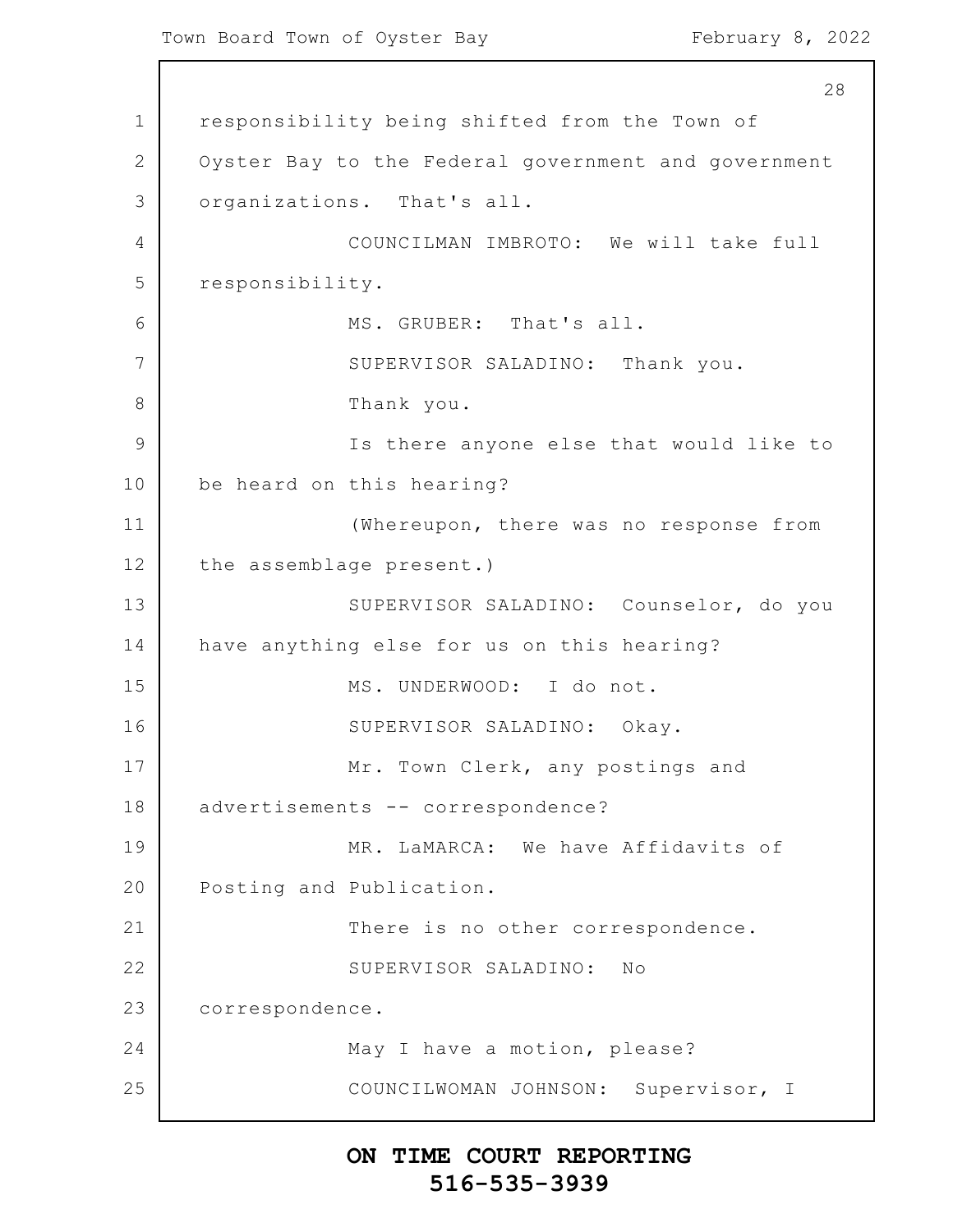1 2 3 4 5 6 7 8 9 10 11 12 13 14 15 16 17 18 19 20 21 22 23 24 25 28 responsibility being shifted from the Town of Oyster Bay to the Federal government and government organizations. That's all. COUNCILMAN IMBROTO: We will take full responsibility. MS. GRUBER: That's all. SUPERVISOR SALADINO: Thank you. Thank you. Is there anyone else that would like to be heard on this hearing? (Whereupon, there was no response from the assemblage present.) SUPERVISOR SALADINO: Counselor, do you have anything else for us on this hearing? MS. UNDERWOOD: I do not. SUPERVISOR SALADINO: Okay. Mr. Town Clerk, any postings and advertisements -- correspondence? MR. LaMARCA: We have Affidavits of Posting and Publication. There is no other correspondence. SUPERVISOR SALADINO: No correspondence. May I have a motion, please? COUNCILWOMAN JOHNSON: Supervisor, I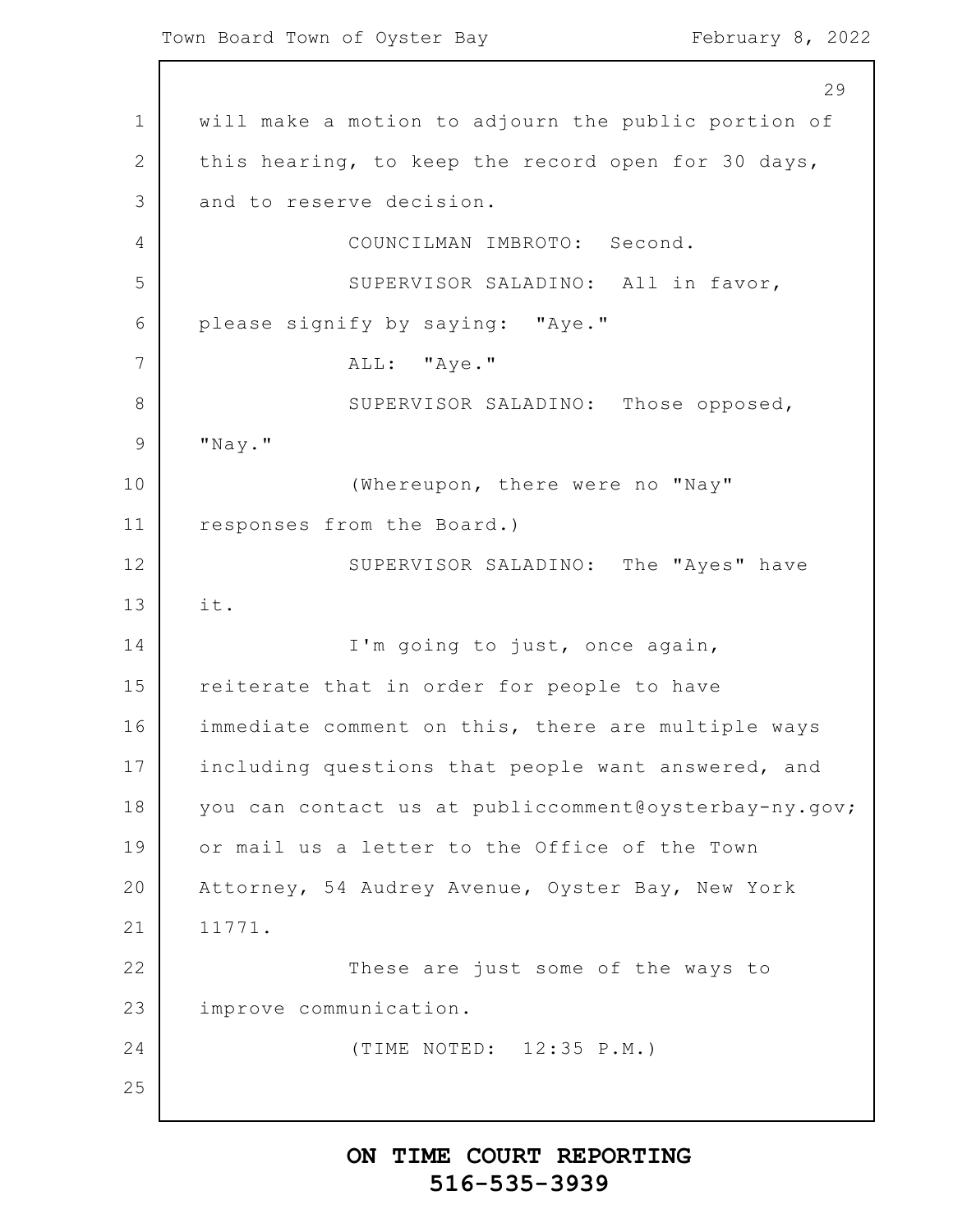1 2 3 4 5 6 7 8 9 10 11 12 13 14 15 16 17 18 19 20 21 22 23 24 25 29 will make a motion to adjourn the public portion of this hearing, to keep the record open for 30 days, and to reserve decision. COUNCILMAN IMBROTO: Second. SUPERVISOR SALADINO: All in favor, please signify by saying: "Aye." ALL: "Aye." SUPERVISOR SALADINO: Those opposed, "Nay." (Whereupon, there were no "Nay" responses from the Board.) SUPERVISOR SALADINO: The "Ayes" have it. I'm going to just, once again, reiterate that in order for people to have immediate comment on this, there are multiple ways including questions that people want answered, and you can contact us at publiccomment@oysterbay-ny.gov; or mail us a letter to the Office of the Town Attorney, 54 Audrey Avenue, Oyster Bay, New York 11771. These are just some of the ways to improve communication. (TIME NOTED: 12:35 P.M.)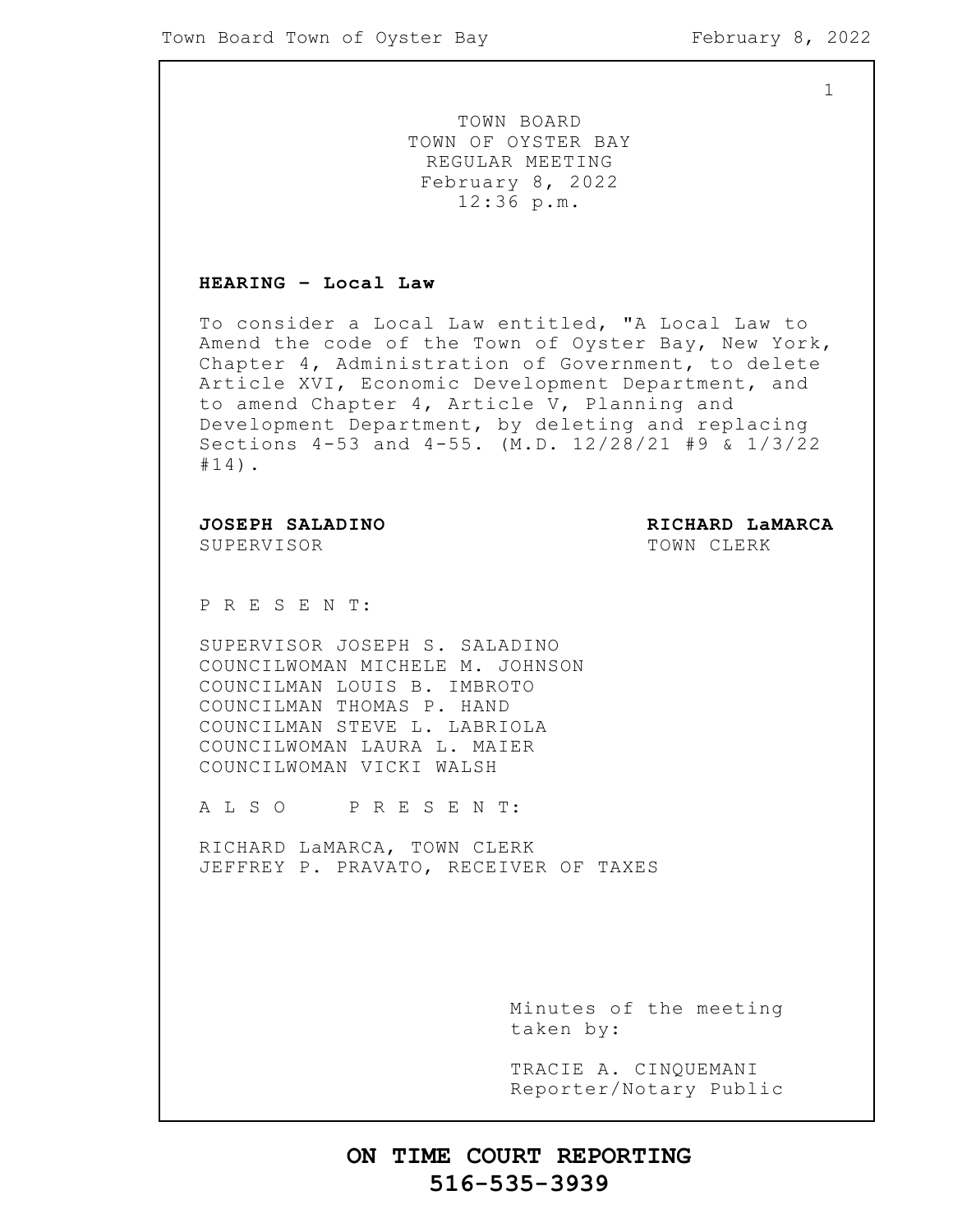1

TOWN BOARD TOWN OF OYSTER BAY REGULAR MEETING February 8, 2022 12:36 p.m.

#### **HEARING – Local Law**

To consider a Local Law entitled, "A Local Law to Amend the code of the Town of Oyster Bay, New York, Chapter 4, Administration of Government, to delete Article XVI, Economic Development Department, and to amend Chapter 4, Article V, Planning and Development Department, by deleting and replacing Sections 4-53 and 4-55. (M.D. 12/28/21 #9 & 1/3/22 #14).

SUPERVISOR TOWN CLERK

**JOSEPH SALADINO RICHARD LaMARCA**

P R E S E N T:

SUPERVISOR JOSEPH S. SALADINO COUNCILWOMAN MICHELE M. JOHNSON COUNCILMAN LOUIS B. IMBROTO COUNCILMAN THOMAS P. HAND COUNCILMAN STEVE L. LABRIOLA COUNCILWOMAN LAURA L. MAIER COUNCILWOMAN VICKI WALSH

A L S O P R E S E N T:

RICHARD LaMARCA, TOWN CLERK JEFFREY P. PRAVATO, RECEIVER OF TAXES

> Minutes of the meeting taken by:

> TRACIE A. CINQUEMANI Reporter/Notary Public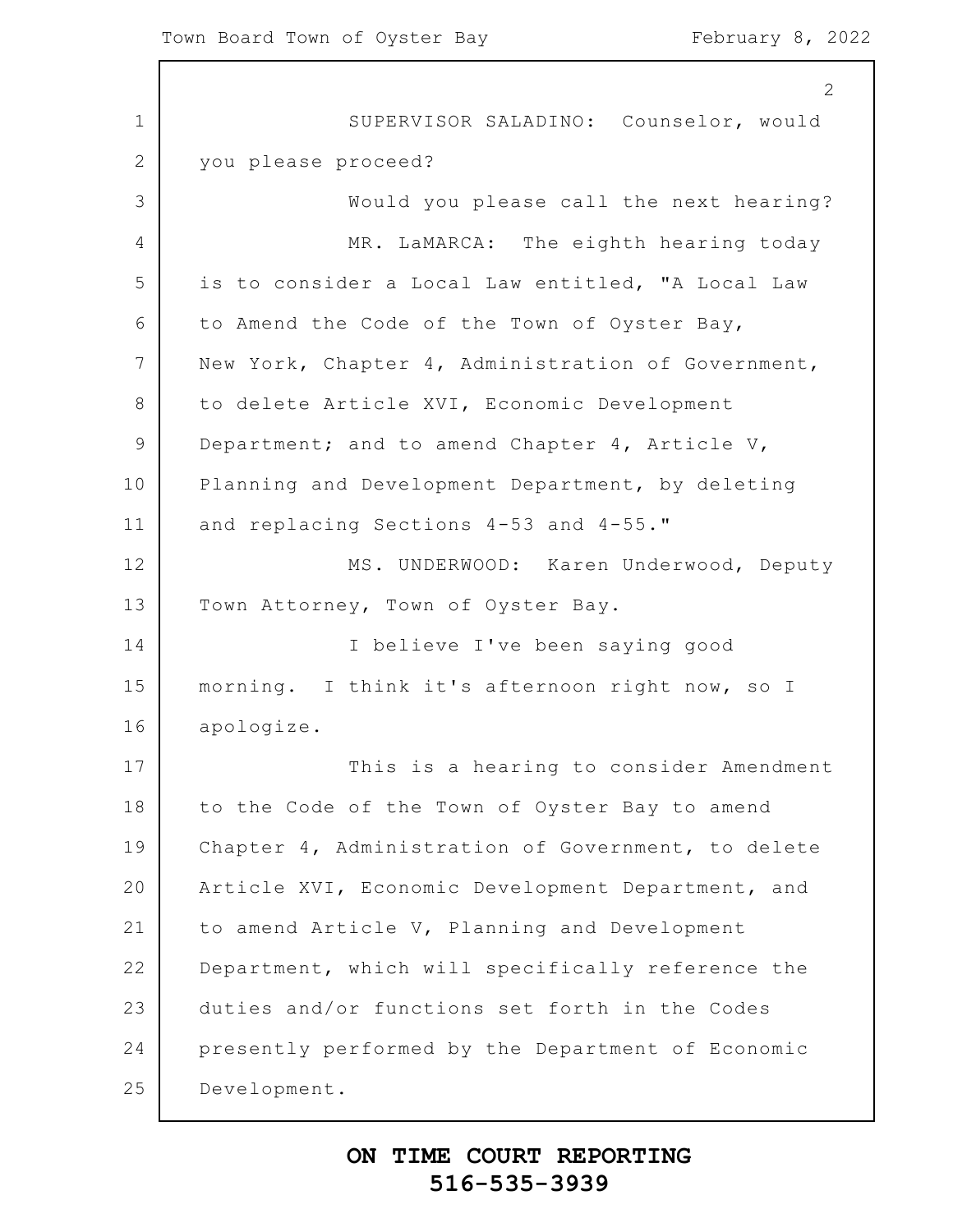1 2 3 4 5 6 7 8 9 10 11 12 13 14 15 16 17 18 19 20 21 22 23 24 25 2 SUPERVISOR SALADINO: Counselor, would you please proceed? Would you please call the next hearing? MR. LaMARCA: The eighth hearing today is to consider a Local Law entitled, "A Local Law to Amend the Code of the Town of Oyster Bay, New York, Chapter 4, Administration of Government, to delete Article XVI, Economic Development Department; and to amend Chapter 4, Article V, Planning and Development Department, by deleting and replacing Sections 4-53 and 4-55." MS. UNDERWOOD: Karen Underwood, Deputy Town Attorney, Town of Oyster Bay. I believe I've been saying good morning. I think it's afternoon right now, so I apologize. This is a hearing to consider Amendment to the Code of the Town of Oyster Bay to amend Chapter 4, Administration of Government, to delete Article XVI, Economic Development Department, and to amend Article V, Planning and Development Department, which will specifically reference the duties and/or functions set forth in the Codes presently performed by the Department of Economic Development.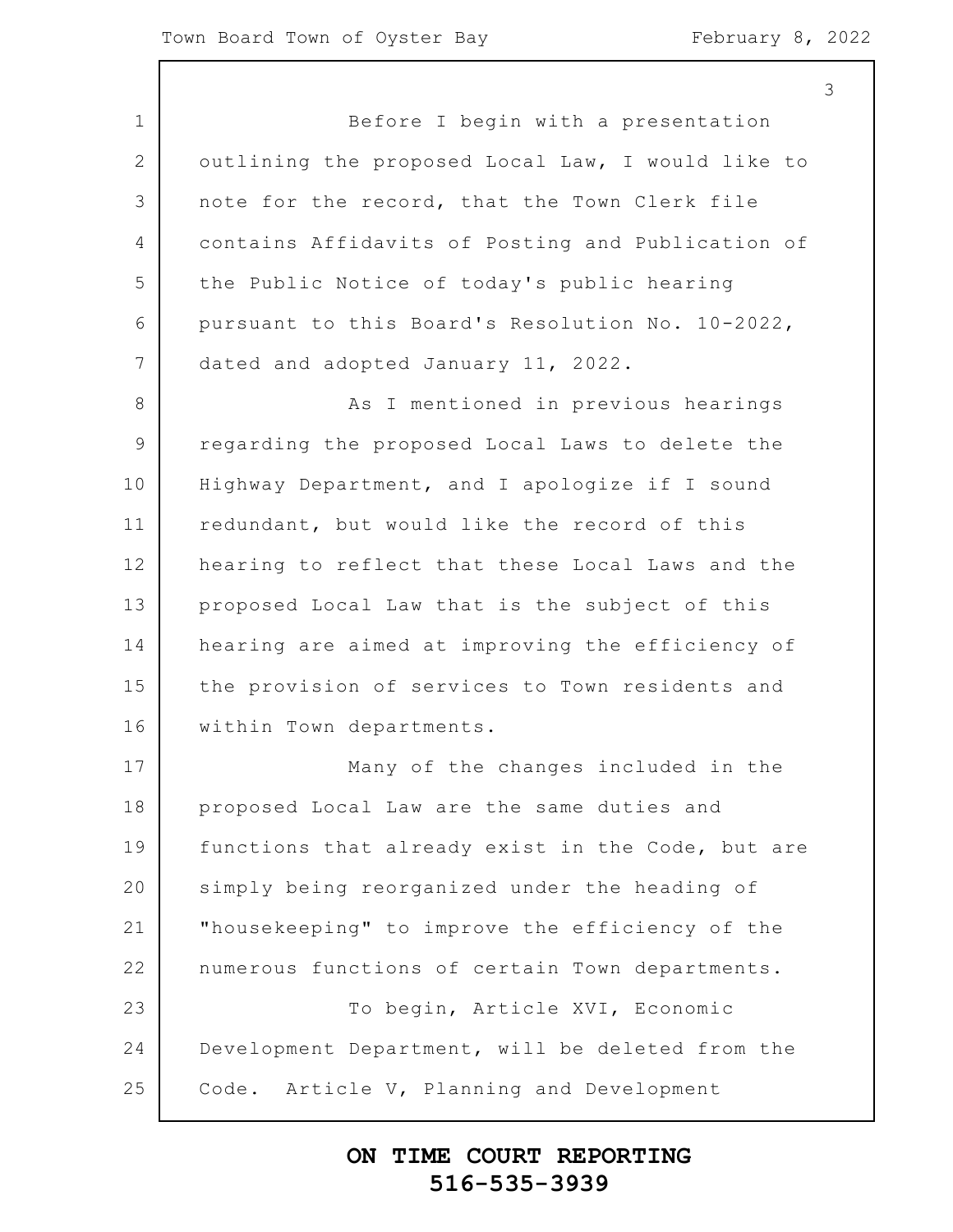3

1 2 3 4 5 6 7 8 9 10 11 12 13 14 15 16 17 18 19 20 21 22 23 24 25 Before I begin with a presentation outlining the proposed Local Law, I would like to note for the record, that the Town Clerk file contains Affidavits of Posting and Publication of the Public Notice of today's public hearing pursuant to this Board's Resolution No. 10-2022, dated and adopted January 11, 2022. As I mentioned in previous hearings regarding the proposed Local Laws to delete the Highway Department, and I apologize if I sound redundant, but would like the record of this hearing to reflect that these Local Laws and the proposed Local Law that is the subject of this hearing are aimed at improving the efficiency of the provision of services to Town residents and within Town departments. Many of the changes included in the proposed Local Law are the same duties and functions that already exist in the Code, but are simply being reorganized under the heading of "housekeeping" to improve the efficiency of the numerous functions of certain Town departments. To begin, Article XVI, Economic Development Department, will be deleted from the Code. Article V, Planning and Development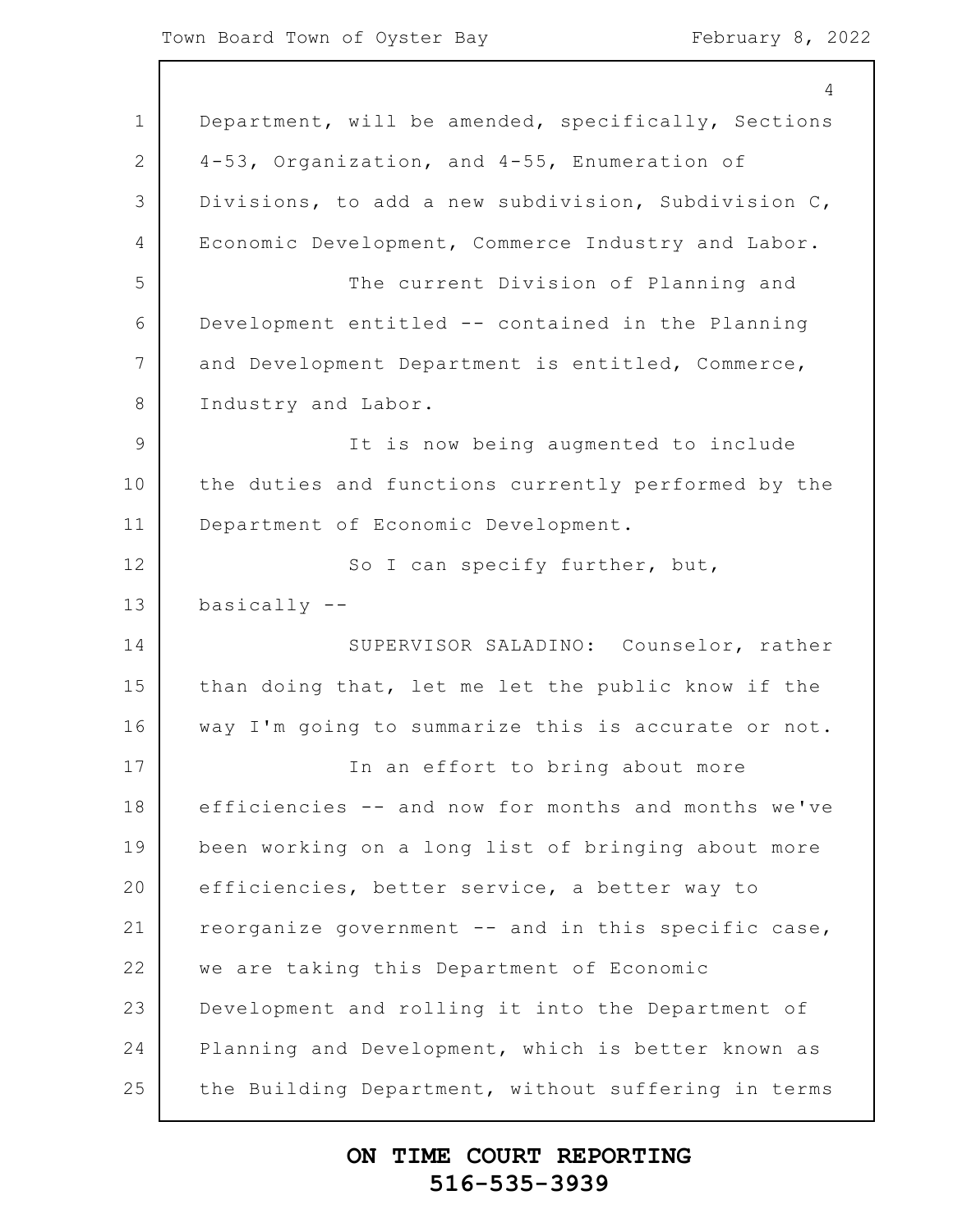|               | 4                                                   |
|---------------|-----------------------------------------------------|
| $\mathbf 1$   | Department, will be amended, specifically, Sections |
| 2             | 4-53, Organization, and 4-55, Enumeration of        |
| 3             | Divisions, to add a new subdivision, Subdivision C, |
| 4             | Economic Development, Commerce Industry and Labor.  |
| 5             | The current Division of Planning and                |
| 6             | Development entitled -- contained in the Planning   |
| 7             | and Development Department is entitled, Commerce,   |
| 8             | Industry and Labor.                                 |
| $\mathcal{G}$ | It is now being augmented to include                |
| 10            | the duties and functions currently performed by the |
| 11            | Department of Economic Development.                 |
| 12            | So I can specify further, but,                      |
| 13            | $basicaly$ --                                       |
| 14            | SUPERVISOR SALADINO: Counselor, rather              |
| 15            | than doing that, let me let the public know if the  |
| 16            | way I'm going to summarize this is accurate or not. |
| 17            | In an effort to bring about more                    |
| 18            | efficiencies -- and now for months and months we've |
| 19            | been working on a long list of bringing about more  |
| 20            | efficiencies, better service, a better way to       |
| 21            | reorganize government -- and in this specific case, |
| 22            | we are taking this Department of Economic           |
| 23            | Development and rolling it into the Department of   |
| 24            | Planning and Development, which is better known as  |
| 25            | the Building Department, without suffering in terms |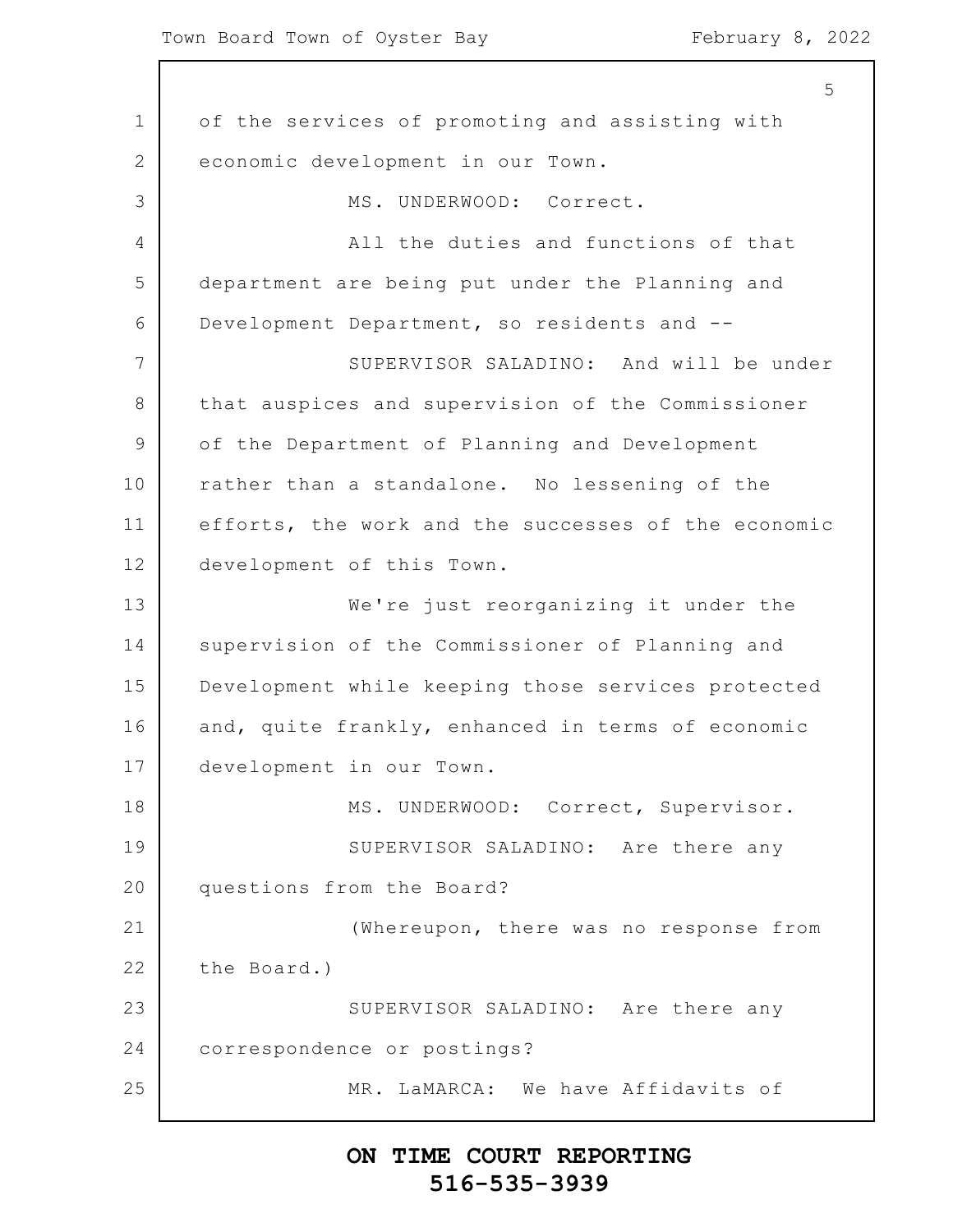1 2 3 4 5 6 7 8 9 10 11 12 13 14 15 16 17 18 19 20 21 22 23 24 25 5 of the services of promoting and assisting with economic development in our Town. MS. UNDERWOOD: Correct. All the duties and functions of that department are being put under the Planning and Development Department, so residents and -- SUPERVISOR SALADINO: And will be under that auspices and supervision of the Commissioner of the Department of Planning and Development rather than a standalone. No lessening of the efforts, the work and the successes of the economic development of this Town. We're just reorganizing it under the supervision of the Commissioner of Planning and Development while keeping those services protected and, quite frankly, enhanced in terms of economic development in our Town. MS. UNDERWOOD: Correct, Supervisor. SUPERVISOR SALADINO: Are there any questions from the Board? (Whereupon, there was no response from the Board.) SUPERVISOR SALADINO: Are there any correspondence or postings? MR. LaMARCA: We have Affidavits of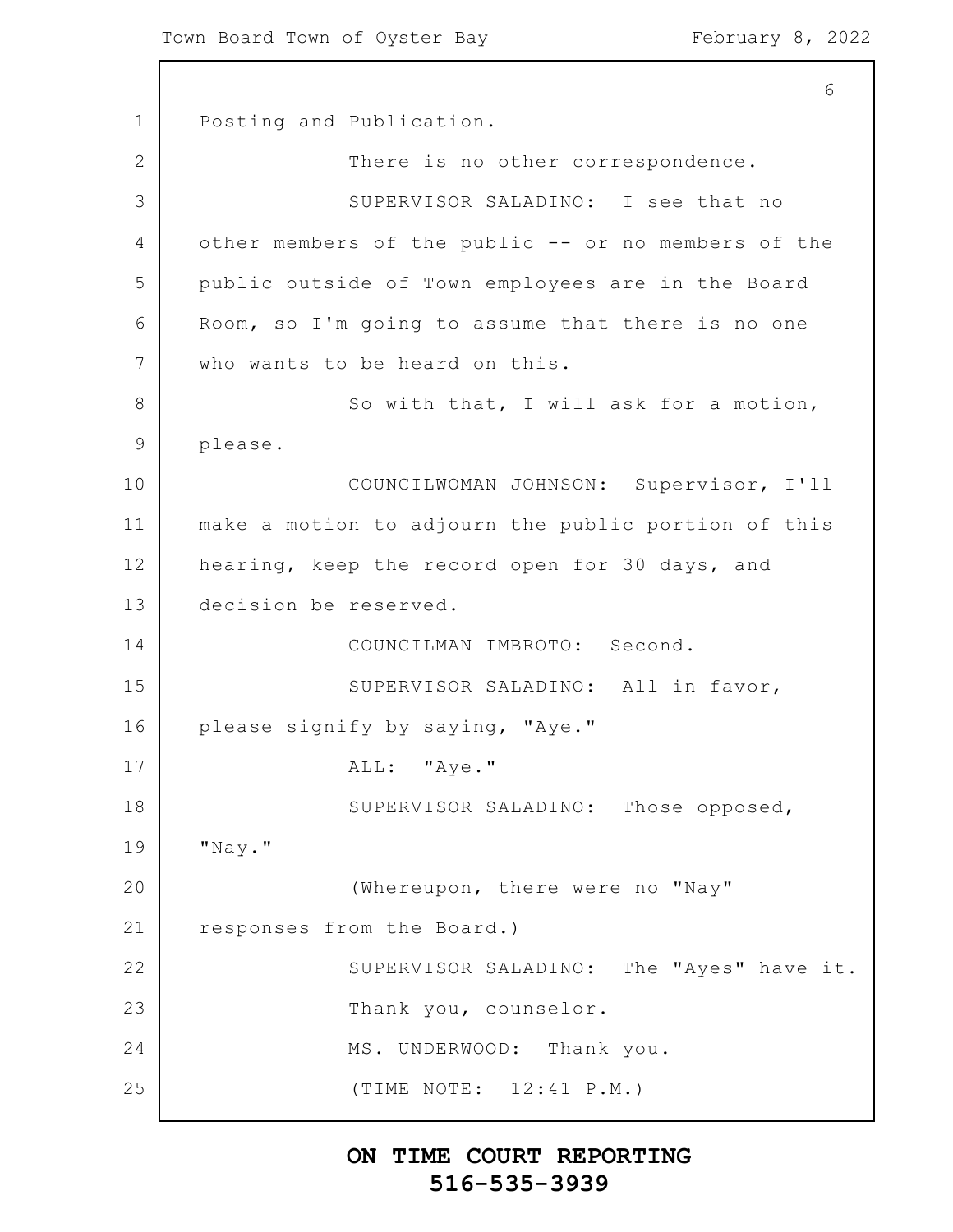1 2 3 4 5 6 7 8 9 10 11 12 13 14 15 16 17 18 19 20 21 22 23 24 25 6 Posting and Publication. There is no other correspondence. SUPERVISOR SALADINO: I see that no other members of the public -- or no members of the public outside of Town employees are in the Board Room, so I'm going to assume that there is no one who wants to be heard on this. So with that, I will ask for a motion, please. COUNCILWOMAN JOHNSON: Supervisor, I'll make a motion to adjourn the public portion of this hearing, keep the record open for 30 days, and decision be reserved. COUNCILMAN IMBROTO: Second. SUPERVISOR SALADINO: All in favor, please signify by saying, "Aye." ALL: "Aye." SUPERVISOR SALADINO: Those opposed, "Nay." (Whereupon, there were no "Nay" responses from the Board.) SUPERVISOR SALADINO: The "Ayes" have it. Thank you, counselor. MS. UNDERWOOD: Thank you. (TIME NOTE: 12:41 P.M.)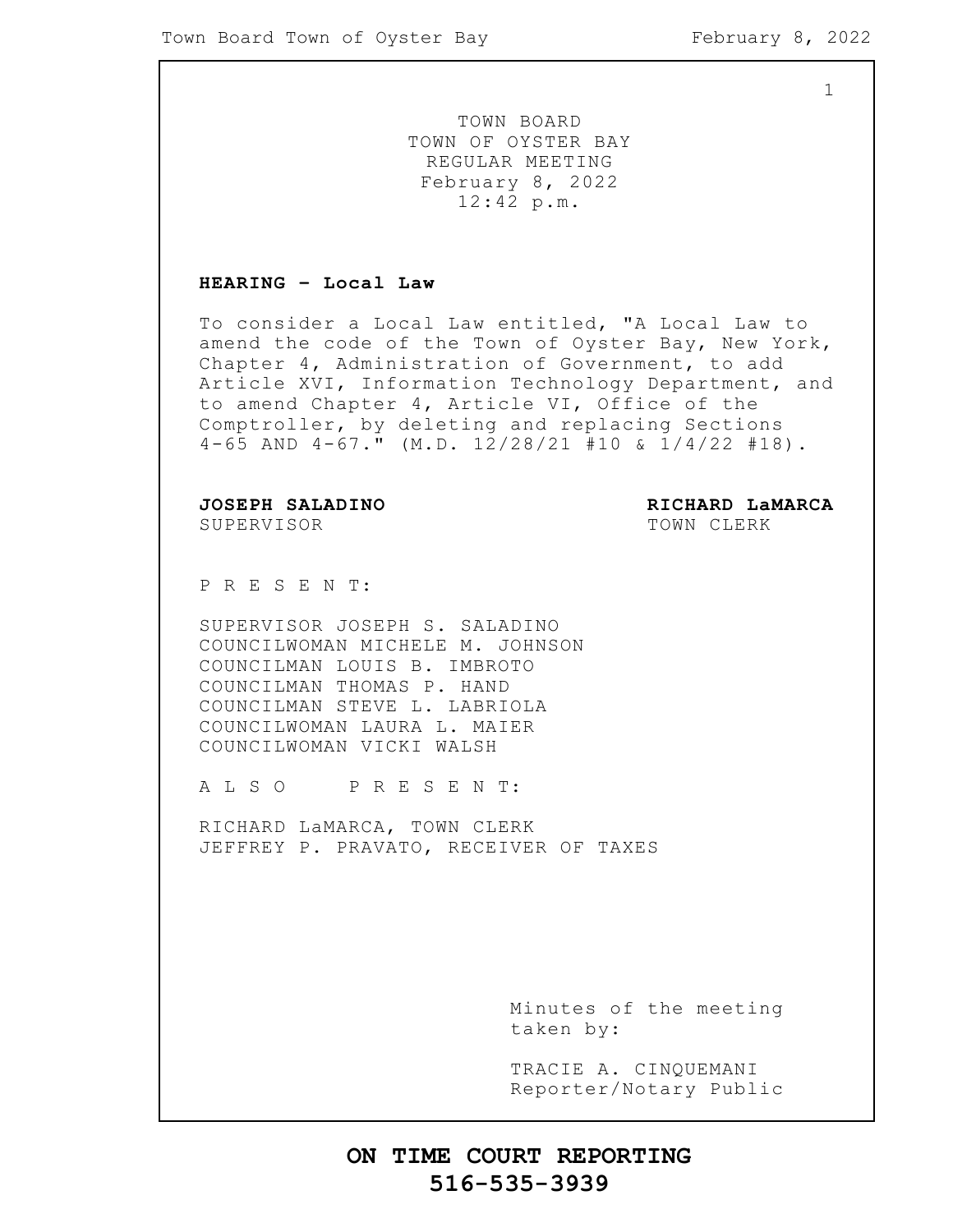1

TOWN BOARD TOWN OF OYSTER BAY REGULAR MEETING February 8, 2022 12:42 p.m.

#### **HEARING – Local Law**

To consider a Local Law entitled, "A Local Law to amend the code of the Town of Oyster Bay, New York, Chapter 4, Administration of Government, to add Article XVI, Information Technology Department, and to amend Chapter 4, Article VI, Office of the Comptroller, by deleting and replacing Sections 4-65 AND 4-67." (M.D. 12/28/21 #10 & 1/4/22 #18).

SUPERVISOR TOWN CLERK

**JOSEPH SALADINO RICHARD LaMARCA**

P R E S E N T:

SUPERVISOR JOSEPH S. SALADINO COUNCILWOMAN MICHELE M. JOHNSON COUNCILMAN LOUIS B. IMBROTO COUNCILMAN THOMAS P. HAND COUNCILMAN STEVE L. LABRIOLA COUNCILWOMAN LAURA L. MAIER COUNCILWOMAN VICKI WALSH

A L S O P R E S E N T:

RICHARD LaMARCA, TOWN CLERK JEFFREY P. PRAVATO, RECEIVER OF TAXES

> Minutes of the meeting taken by:

> TRACIE A. CINQUEMANI Reporter/Notary Public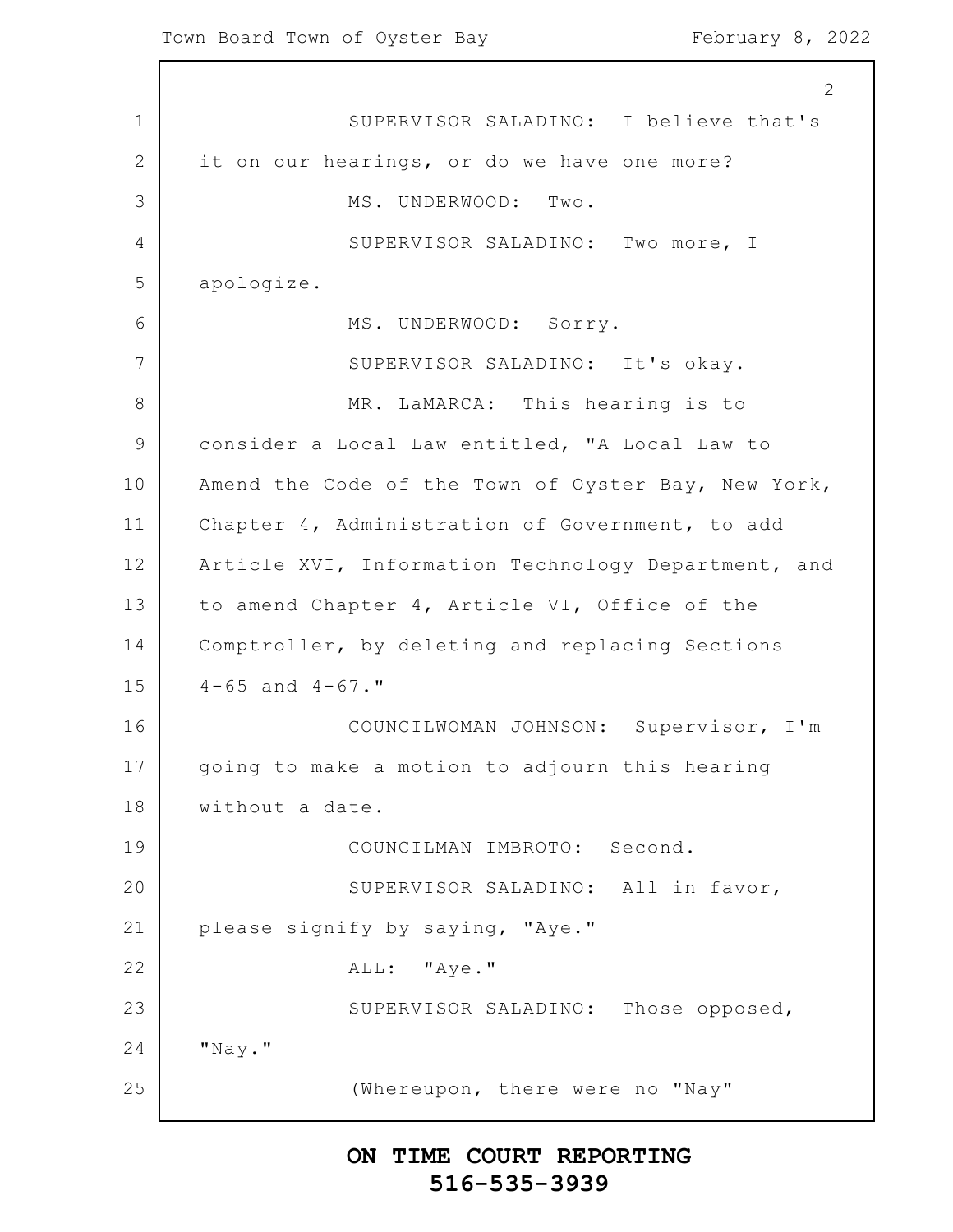1 2 3 4 5 6 7 8 9 10 11 12 13 14 15 16 17 18 19 20 21 22 23 24 25 2 SUPERVISOR SALADINO: I believe that's it on our hearings, or do we have one more? MS. UNDERWOOD: Two. SUPERVISOR SALADINO: Two more, I apologize. MS. UNDERWOOD: Sorry. SUPERVISOR SALADINO: It's okay. MR. LaMARCA: This hearing is to consider a Local Law entitled, "A Local Law to Amend the Code of the Town of Oyster Bay, New York, Chapter 4, Administration of Government, to add Article XVI, Information Technology Department, and to amend Chapter 4, Article VI, Office of the Comptroller, by deleting and replacing Sections  $4-65$  and  $4-67$ ." COUNCILWOMAN JOHNSON: Supervisor, I'm going to make a motion to adjourn this hearing without a date. COUNCILMAN IMBROTO: Second. SUPERVISOR SALADINO: All in favor, please signify by saying, "Aye." ALL: "Aye." SUPERVISOR SALADINO: Those opposed, "Nay." (Whereupon, there were no "Nay"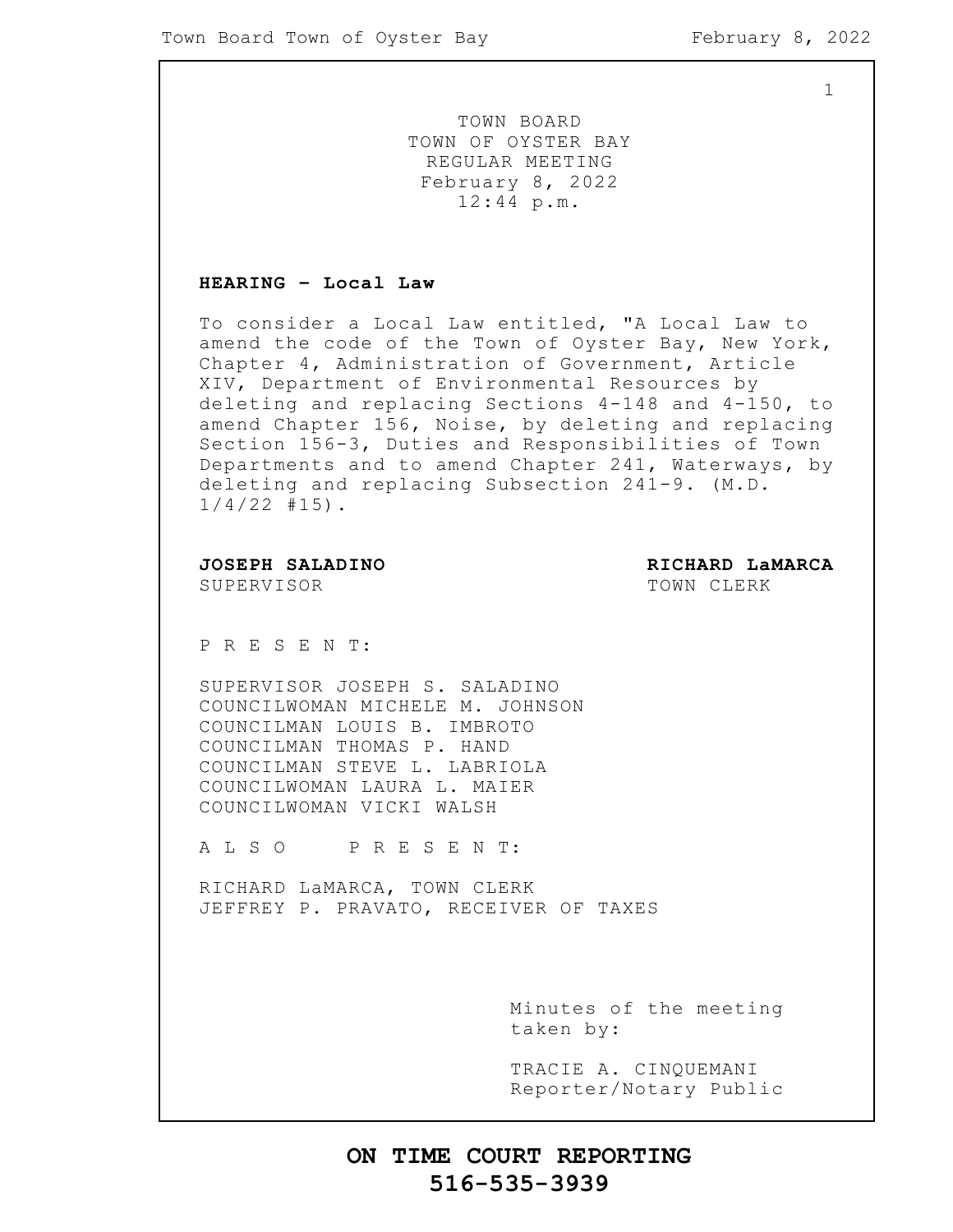1

TOWN BOARD TOWN OF OYSTER BAY REGULAR MEETING February 8, 2022 12:44 p.m.

#### **HEARING – Local Law**

To consider a Local Law entitled, "A Local Law to amend the code of the Town of Oyster Bay, New York, Chapter 4, Administration of Government, Article XIV, Department of Environmental Resources by deleting and replacing Sections 4-148 and 4-150, to amend Chapter 156, Noise, by deleting and replacing Section 156-3, Duties and Responsibilities of Town Departments and to amend Chapter 241, Waterways, by deleting and replacing Subsection 241-9. (M.D.  $1/4/22$  #15).

SUPERVISOR TOWN CLERK

**JOSEPH SALADINO RICHARD LaMARCA**

P R E S E N T:

SUPERVISOR JOSEPH S. SALADINO COUNCILWOMAN MICHELE M. JOHNSON COUNCILMAN LOUIS B. IMBROTO COUNCILMAN THOMAS P. HAND COUNCILMAN STEVE L. LABRIOLA COUNCILWOMAN LAURA L. MAIER COUNCILWOMAN VICKI WALSH

A L S O P R E S E N T:

RICHARD LaMARCA, TOWN CLERK JEFFREY P. PRAVATO, RECEIVER OF TAXES

> Minutes of the meeting taken by:

> TRACIE A. CINQUEMANI Reporter/Notary Public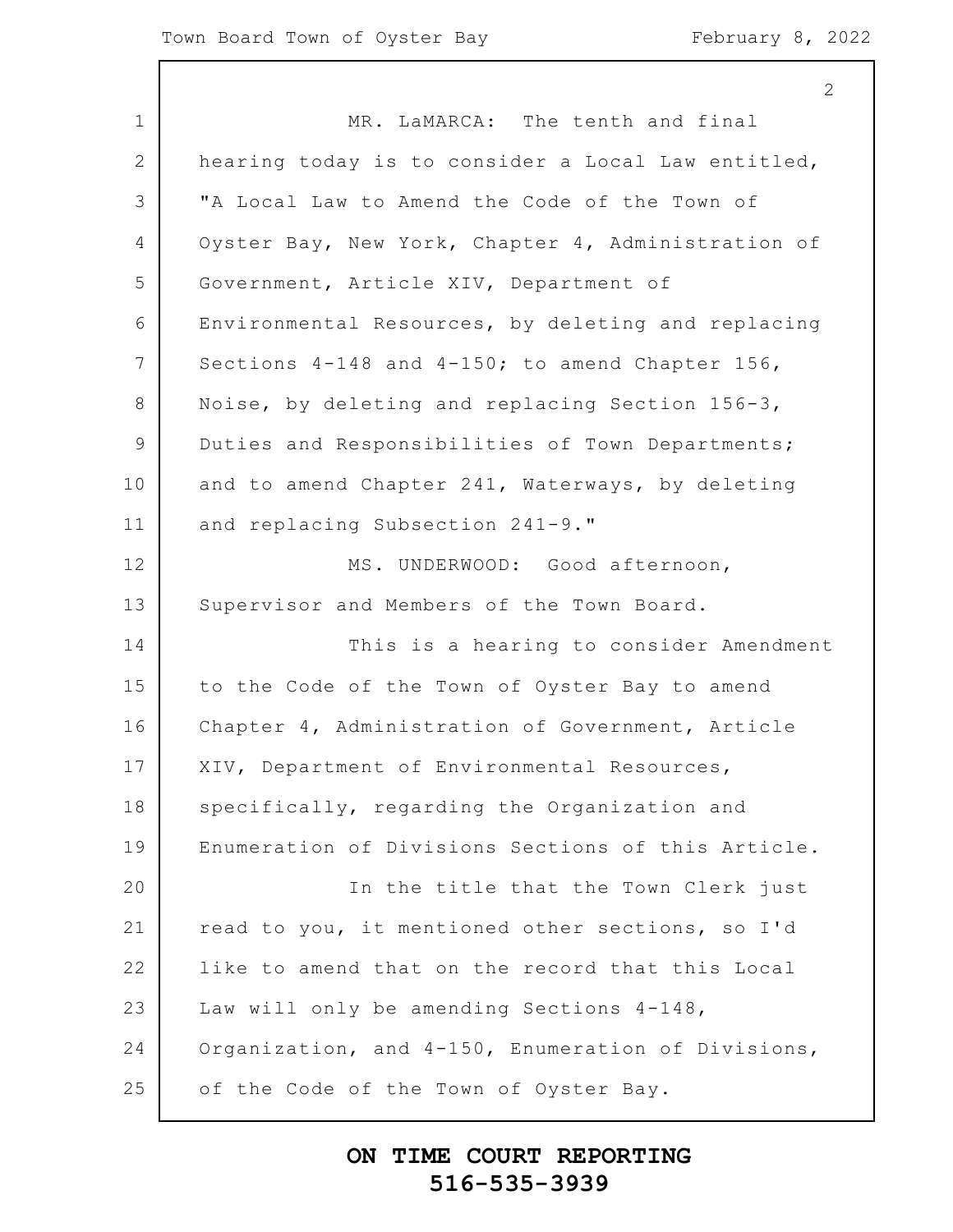2

1 2 3 4 5 6 7 8 9 10 11 12 13 14 15 16 17 18 19 20 21 22 23 24 25 MR. LaMARCA: The tenth and final hearing today is to consider a Local Law entitled, "A Local Law to Amend the Code of the Town of Oyster Bay, New York, Chapter 4, Administration of Government, Article XIV, Department of Environmental Resources, by deleting and replacing Sections 4-148 and 4-150; to amend Chapter 156, Noise, by deleting and replacing Section 156-3, Duties and Responsibilities of Town Departments; and to amend Chapter 241, Waterways, by deleting and replacing Subsection 241-9." MS. UNDERWOOD: Good afternoon, Supervisor and Members of the Town Board. This is a hearing to consider Amendment to the Code of the Town of Oyster Bay to amend Chapter 4, Administration of Government, Article XIV, Department of Environmental Resources, specifically, regarding the Organization and Enumeration of Divisions Sections of this Article. In the title that the Town Clerk just read to you, it mentioned other sections, so I'd like to amend that on the record that this Local Law will only be amending Sections 4-148, Organization, and 4-150, Enumeration of Divisions, of the Code of the Town of Oyster Bay.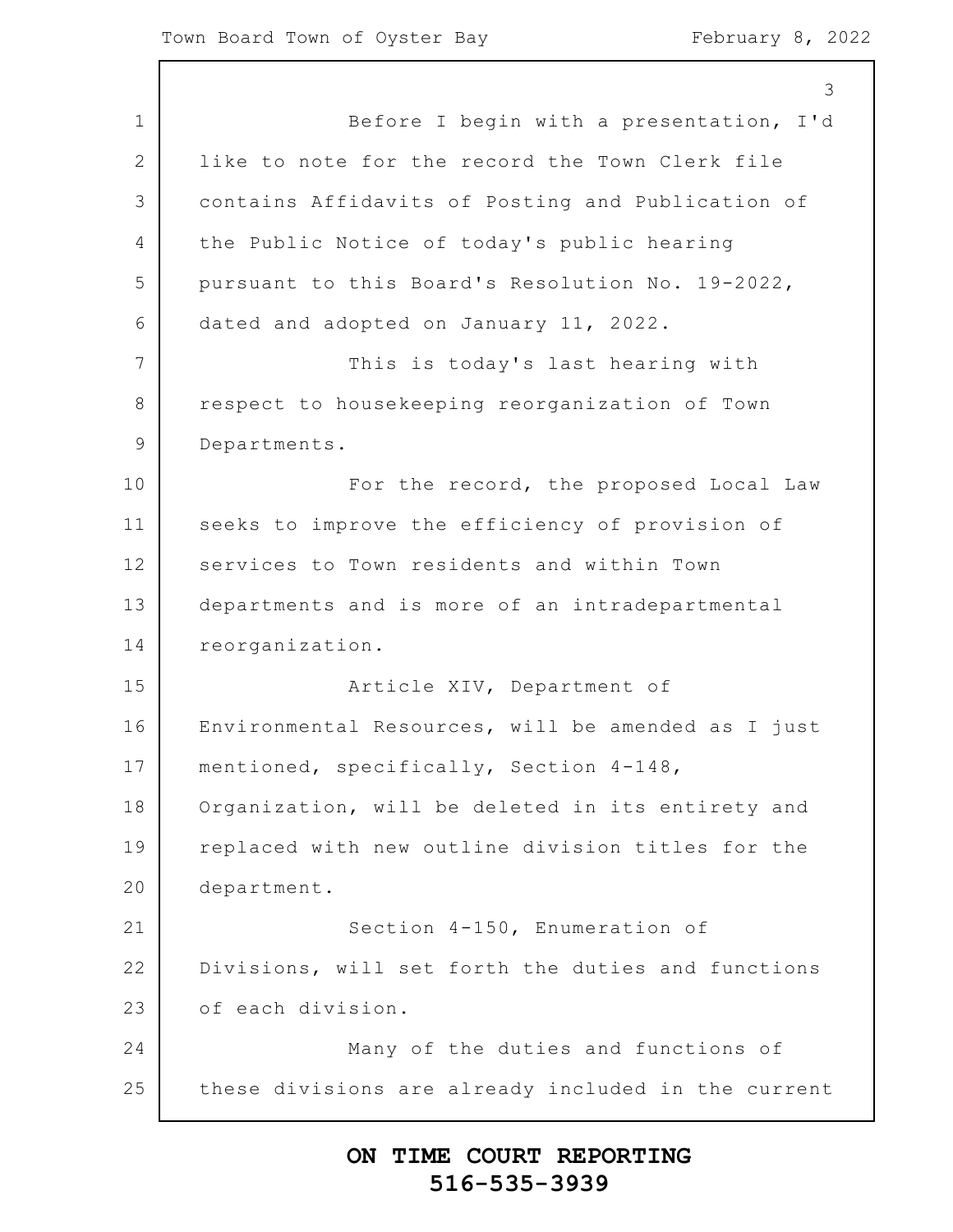1 2 3 4 5 6 7 8 9 10 11 12 13 14 15 16 17 18 19 20 21 22 23 24 25 3 Before I begin with a presentation, I'd like to note for the record the Town Clerk file contains Affidavits of Posting and Publication of the Public Notice of today's public hearing pursuant to this Board's Resolution No. 19-2022, dated and adopted on January 11, 2022. This is today's last hearing with respect to housekeeping reorganization of Town Departments. For the record, the proposed Local Law seeks to improve the efficiency of provision of services to Town residents and within Town departments and is more of an intradepartmental reorganization. Article XIV, Department of Environmental Resources, will be amended as I just mentioned, specifically, Section 4-148, Organization, will be deleted in its entirety and replaced with new outline division titles for the department. Section 4-150, Enumeration of Divisions, will set forth the duties and functions of each division. Many of the duties and functions of these divisions are already included in the current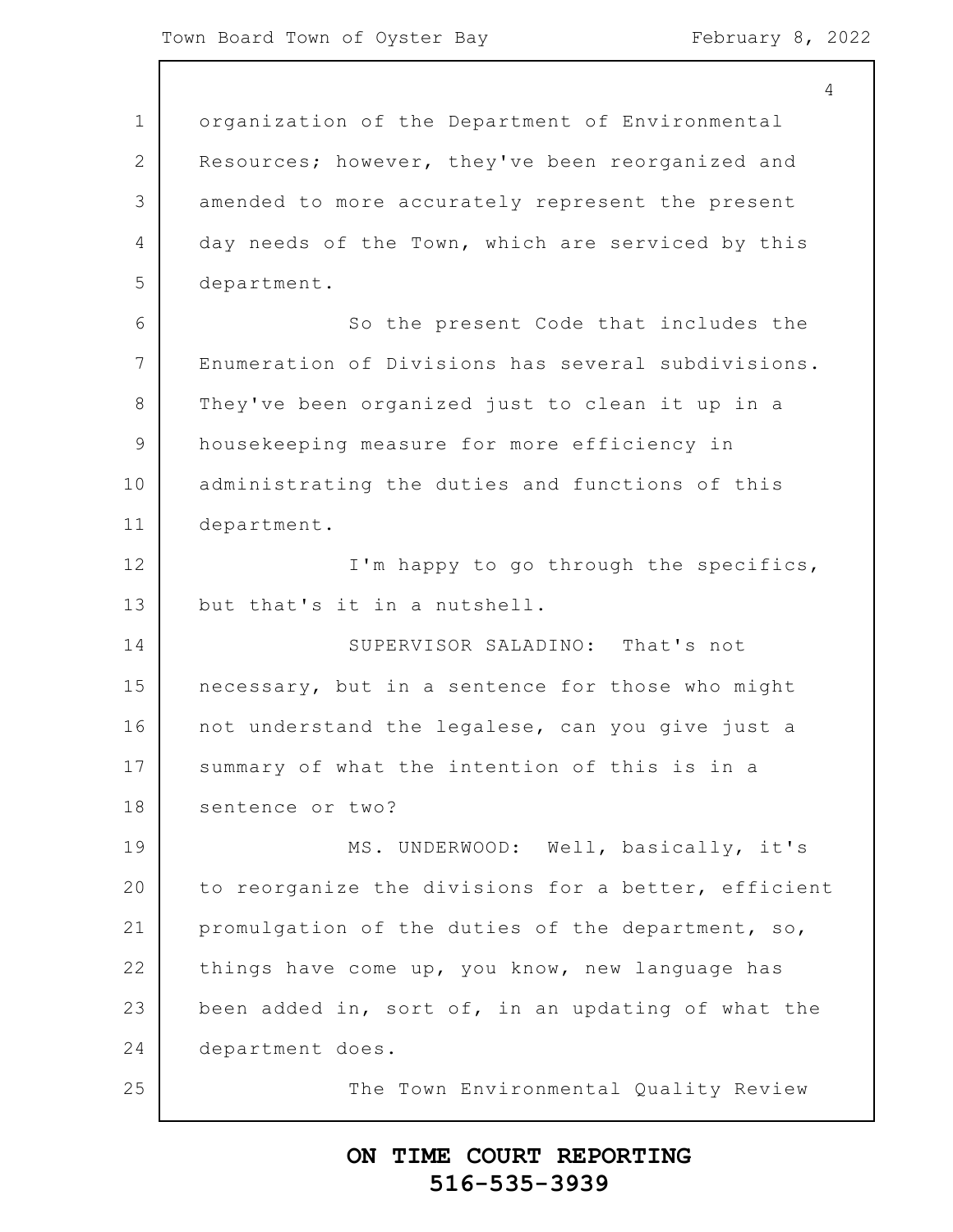4

1 2 3 4 5 6 7 8 9 10 11 12 13 14 15 16 17 18 19 20 21 22 23 24 25 organization of the Department of Environmental Resources; however, they've been reorganized and amended to more accurately represent the present day needs of the Town, which are serviced by this department. So the present Code that includes the Enumeration of Divisions has several subdivisions. They've been organized just to clean it up in a housekeeping measure for more efficiency in administrating the duties and functions of this department. I'm happy to go through the specifics, but that's it in a nutshell. SUPERVISOR SALADINO: That's not necessary, but in a sentence for those who might not understand the legalese, can you give just a summary of what the intention of this is in a sentence or two? MS. UNDERWOOD: Well, basically, it's to reorganize the divisions for a better, efficient promulgation of the duties of the department, so, things have come up, you know, new language has been added in, sort of, in an updating of what the department does. The Town Environmental Quality Review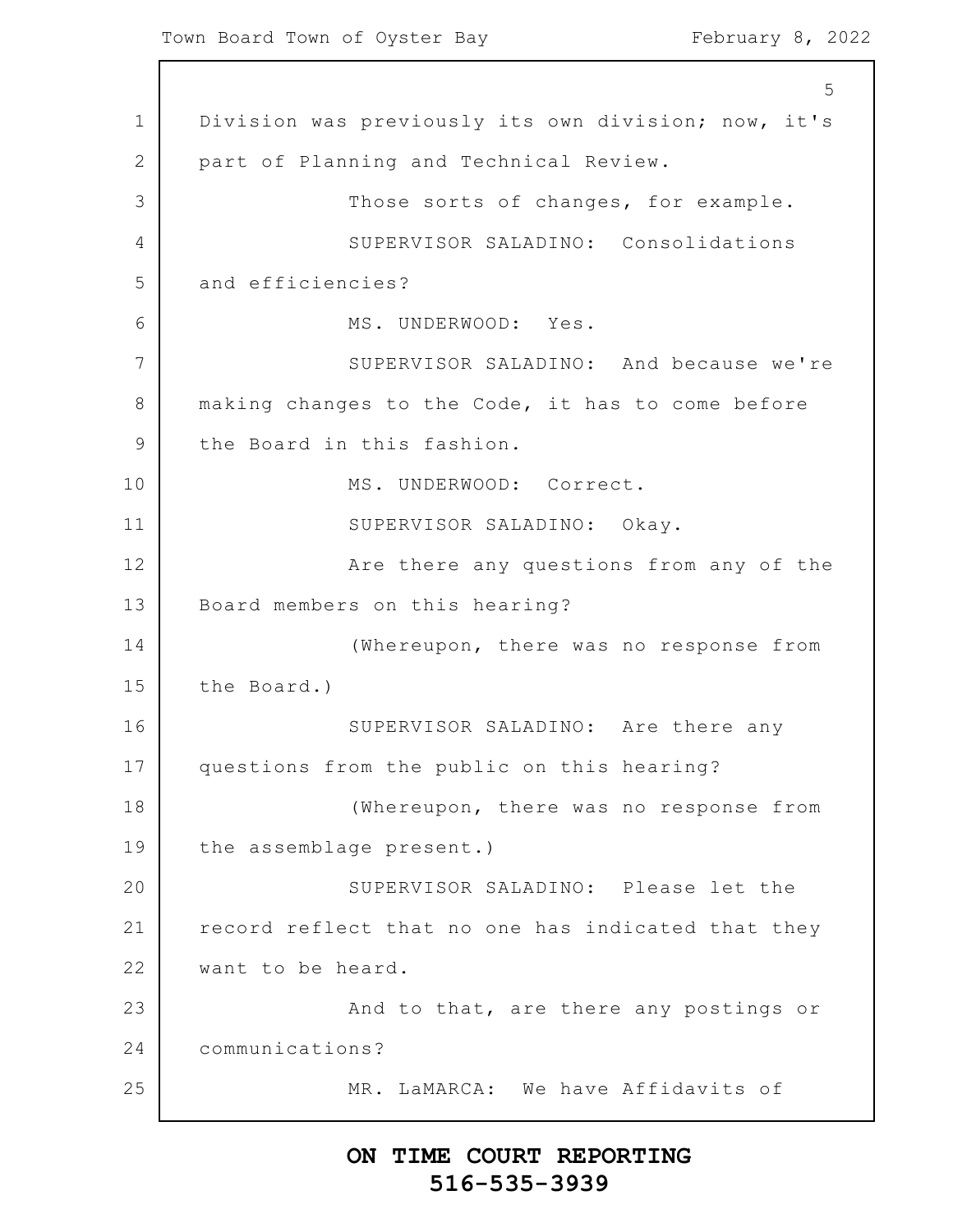1 2 3 4 5 6 7 8 9 10 11 12 13 14 15 16 17 18 19 20 21 22 23 24 25 5 Division was previously its own division; now, it's part of Planning and Technical Review. Those sorts of changes, for example. SUPERVISOR SALADINO: Consolidations and efficiencies? MS. UNDERWOOD: Yes. SUPERVISOR SALADINO: And because we're making changes to the Code, it has to come before the Board in this fashion. MS. UNDERWOOD: Correct. SUPERVISOR SALADINO: Okay. Are there any questions from any of the Board members on this hearing? (Whereupon, there was no response from the Board.) SUPERVISOR SALADINO: Are there any questions from the public on this hearing? (Whereupon, there was no response from the assemblage present.) SUPERVISOR SALADINO: Please let the record reflect that no one has indicated that they want to be heard. And to that, are there any postings or communications? MR. LaMARCA: We have Affidavits of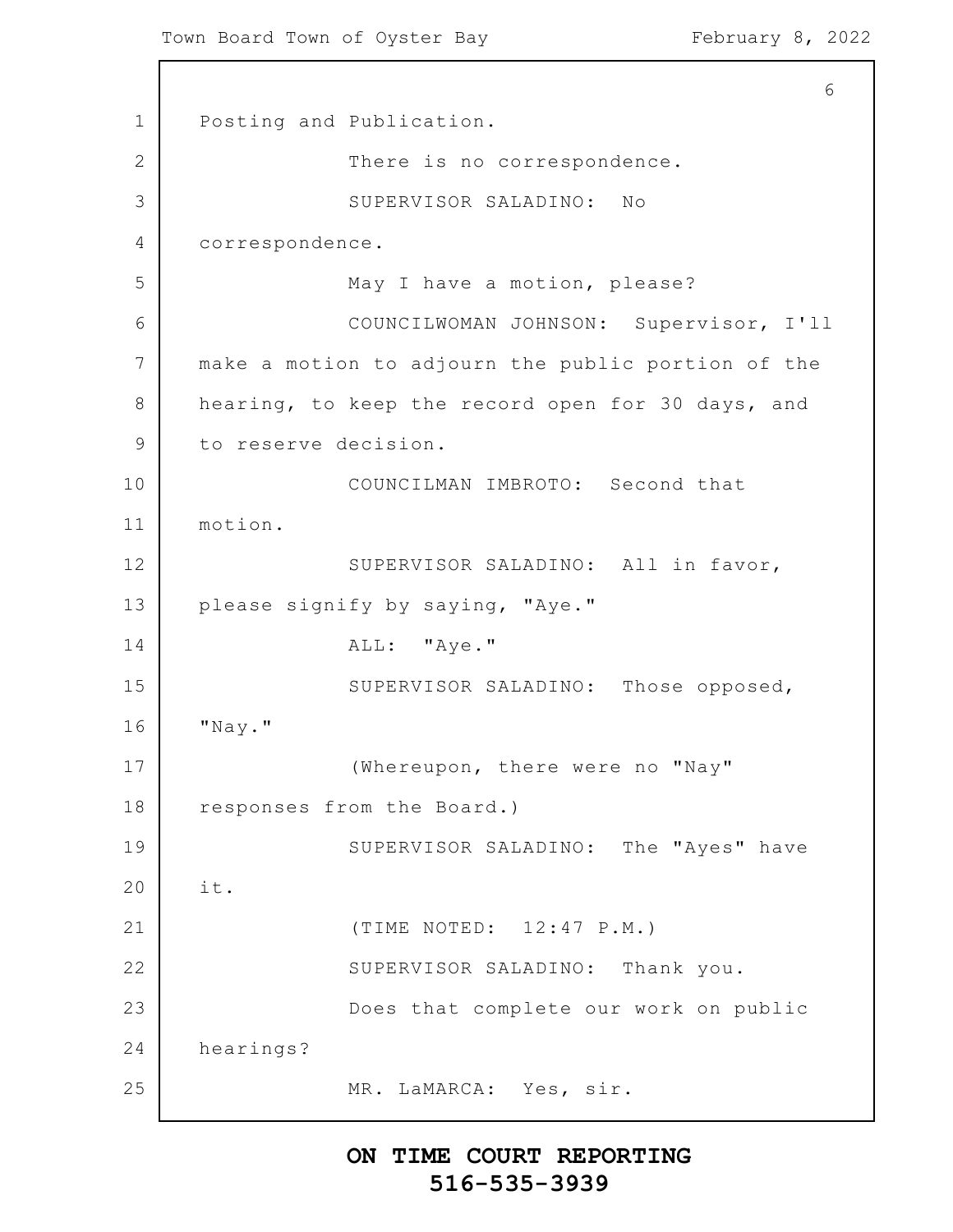1 2 3 4 5 6 7 8 9 10 11 12 13 14 15 16 17 18 19 20 21 22 23 24 25 6 Posting and Publication. There is no correspondence. SUPERVISOR SALADINO: No correspondence. May I have a motion, please? COUNCILWOMAN JOHNSON: Supervisor, I'll make a motion to adjourn the public portion of the hearing, to keep the record open for 30 days, and to reserve decision. COUNCILMAN IMBROTO: Second that motion. SUPERVISOR SALADINO: All in favor, please signify by saying, "Aye." ALL: "Aye." SUPERVISOR SALADINO: Those opposed, "Nay." (Whereupon, there were no "Nay" responses from the Board.) SUPERVISOR SALADINO: The "Ayes" have it. (TIME NOTED: 12:47 P.M.) SUPERVISOR SALADINO: Thank you. Does that complete our work on public hearings? MR. LaMARCA: Yes, sir.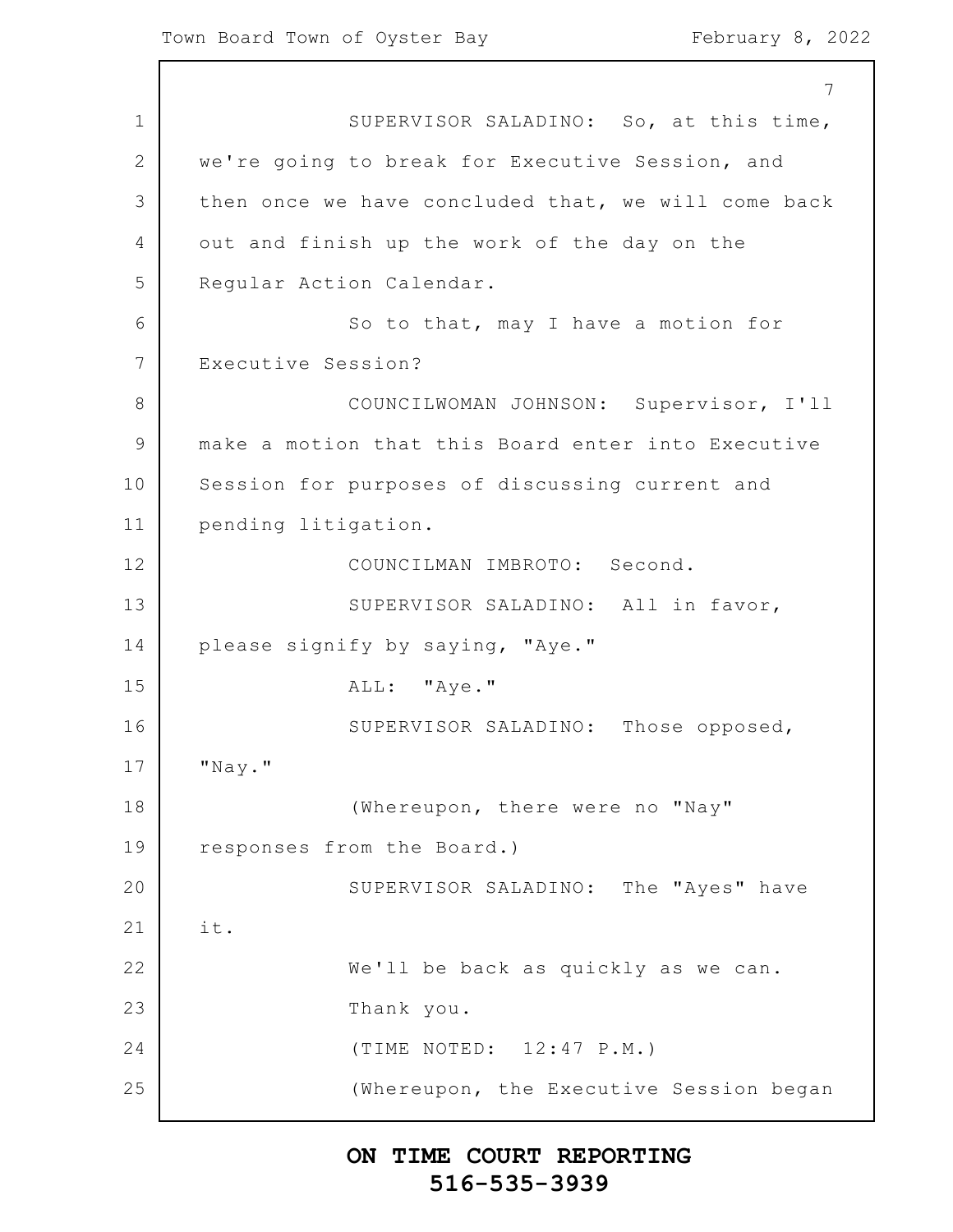1 2 3 4 5 6 7 8 9 10 11 12 13 14 15 16 17 18 19 20 21 22 23 24 25 7 SUPERVISOR SALADINO: So, at this time, we're going to break for Executive Session, and then once we have concluded that, we will come back out and finish up the work of the day on the Regular Action Calendar. So to that, may I have a motion for Executive Session? COUNCILWOMAN JOHNSON: Supervisor, I'll make a motion that this Board enter into Executive Session for purposes of discussing current and pending litigation. COUNCILMAN IMBROTO: Second. SUPERVISOR SALADINO: All in favor, please signify by saying, "Aye." ALL: "Aye." SUPERVISOR SALADINO: Those opposed, "Nay." (Whereupon, there were no "Nay" responses from the Board.) SUPERVISOR SALADINO: The "Ayes" have it. We'll be back as quickly as we can. Thank you. (TIME NOTED: 12:47 P.M.) (Whereupon, the Executive Session began

## **ON TIME COURT REPORTING 516-535-3939**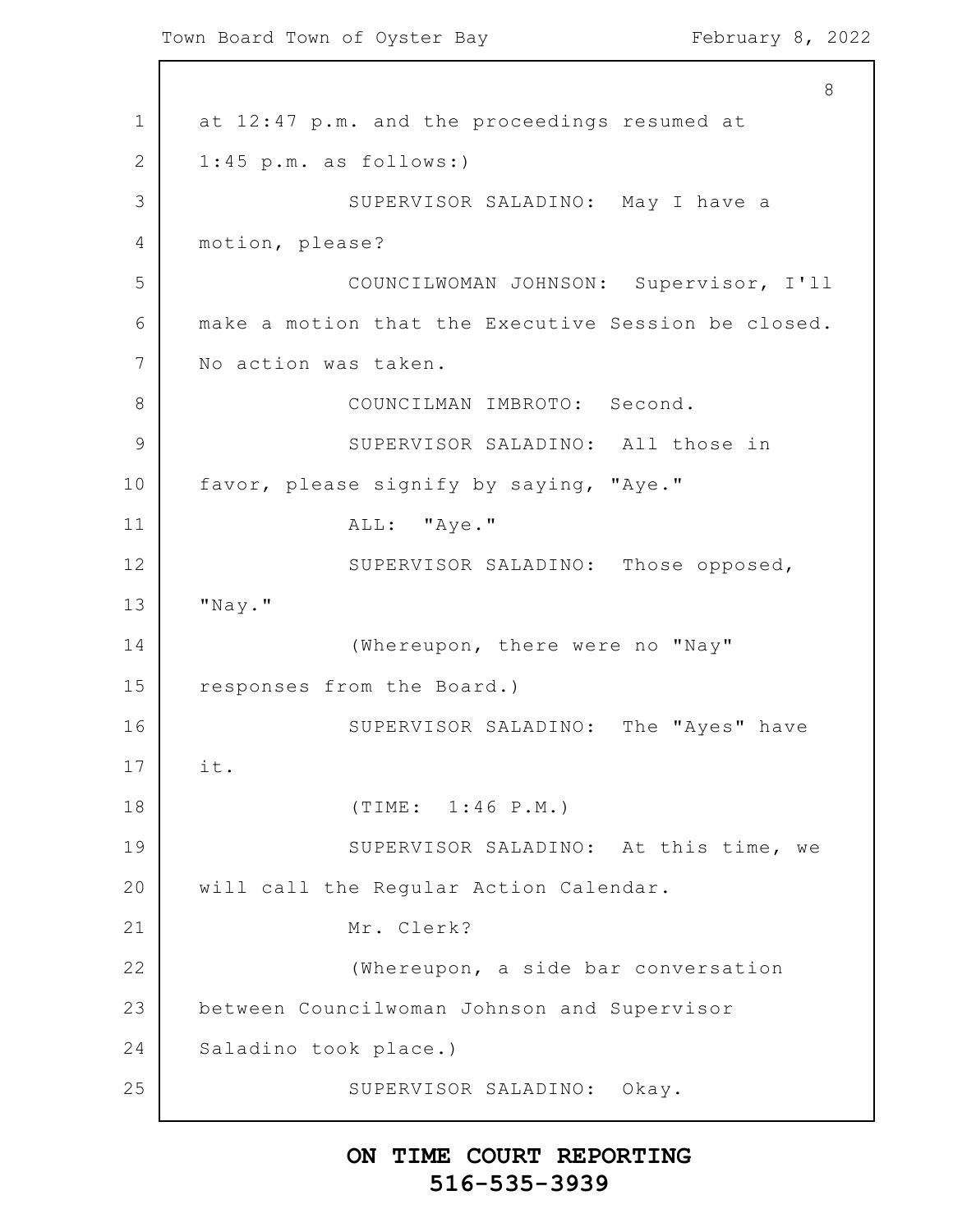1 2 3 4 5 6 7 8 9 10 11 12 13 14 15 16 17 18 19 20 21 22 23 24 25 8 at 12:47 p.m. and the proceedings resumed at 1:45 p.m. as follows:) SUPERVISOR SALADINO: May I have a motion, please? COUNCILWOMAN JOHNSON: Supervisor, I'll make a motion that the Executive Session be closed. No action was taken. COUNCILMAN IMBROTO: Second. SUPERVISOR SALADINO: All those in favor, please signify by saying, "Aye." ALL: "Aye." SUPERVISOR SALADINO: Those opposed, "Nay." (Whereupon, there were no "Nay" responses from the Board.) SUPERVISOR SALADINO: The "Ayes" have it. (TIME: 1:46 P.M.) SUPERVISOR SALADINO: At this time, we will call the Regular Action Calendar. Mr. Clerk? (Whereupon, a side bar conversation between Councilwoman Johnson and Supervisor Saladino took place.) SUPERVISOR SALADINO: Okay.

## **ON TIME COURT REPORTING 516-535-3939**